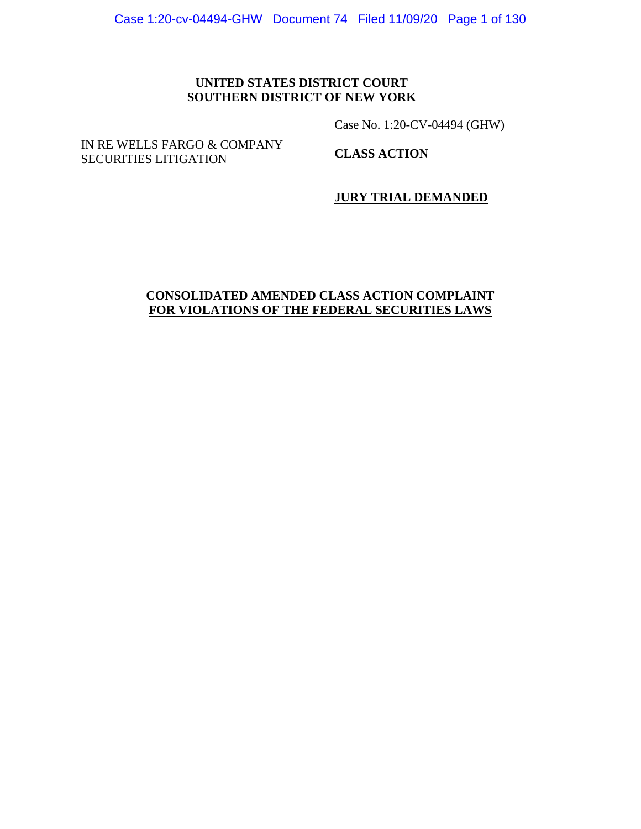## **UNITED STATES DISTRICT COURT SOUTHERN DISTRICT OF NEW YORK**

IN RE WELLS FARGO & COMPANY SECURITIES LITIGATION

Case No. 1:20-CV-04494 (GHW)

**CLASS ACTION** 

**JURY TRIAL DEMANDED**

## **CONSOLIDATED AMENDED CLASS ACTION COMPLAINT FOR VIOLATIONS OF THE FEDERAL SECURITIES LAWS**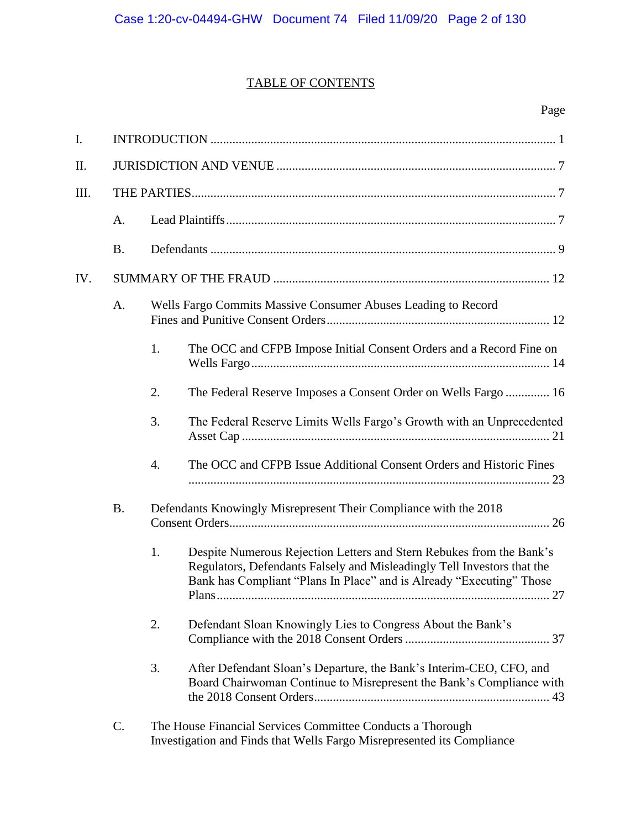## TABLE OF CONTENTS

| I.  |           |    |                                                                                                                                                                                                                                          |  |  |  |
|-----|-----------|----|------------------------------------------------------------------------------------------------------------------------------------------------------------------------------------------------------------------------------------------|--|--|--|
| П.  |           |    |                                                                                                                                                                                                                                          |  |  |  |
| Ш.  |           |    |                                                                                                                                                                                                                                          |  |  |  |
|     | A.        |    |                                                                                                                                                                                                                                          |  |  |  |
|     | <b>B.</b> |    |                                                                                                                                                                                                                                          |  |  |  |
| IV. |           |    |                                                                                                                                                                                                                                          |  |  |  |
|     | A.        |    | Wells Fargo Commits Massive Consumer Abuses Leading to Record                                                                                                                                                                            |  |  |  |
|     |           | 1. | The OCC and CFPB Impose Initial Consent Orders and a Record Fine on                                                                                                                                                                      |  |  |  |
|     |           | 2. | The Federal Reserve Imposes a Consent Order on Wells Fargo  16                                                                                                                                                                           |  |  |  |
|     |           | 3. | The Federal Reserve Limits Wells Fargo's Growth with an Unprecedented                                                                                                                                                                    |  |  |  |
|     |           | 4. | The OCC and CFPB Issue Additional Consent Orders and Historic Fines                                                                                                                                                                      |  |  |  |
|     | <b>B.</b> |    | Defendants Knowingly Misrepresent Their Compliance with the 2018                                                                                                                                                                         |  |  |  |
|     |           | 1. | Despite Numerous Rejection Letters and Stern Rebukes from the Bank's<br>Regulators, Defendants Falsely and Misleadingly Tell Investors that the<br>Bank has Compliant "Plans In Place" and is Already "Executing" Those<br>.27<br>Plans. |  |  |  |
|     |           | 2. | Defendant Sloan Knowingly Lies to Congress About the Bank's                                                                                                                                                                              |  |  |  |
|     |           | 3. | After Defendant Sloan's Departure, the Bank's Interim-CEO, CFO, and<br>Board Chairwoman Continue to Misrepresent the Bank's Compliance with                                                                                              |  |  |  |
|     | C.        |    | The House Financial Services Committee Conducts a Thorough<br>Investigation and Finds that Wells Fargo Misrepresented its Compliance                                                                                                     |  |  |  |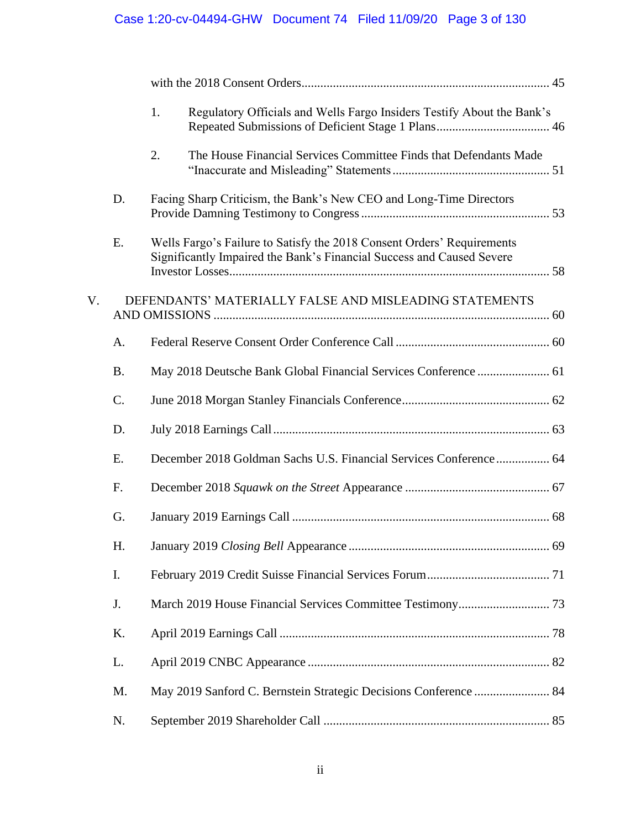# Case 1:20-cv-04494-GHW Document 74 Filed 11/09/20 Page 3 of 130

|    |                 | Regulatory Officials and Wells Fargo Insiders Testify About the Bank's<br>1.                                                                    |  |
|----|-----------------|-------------------------------------------------------------------------------------------------------------------------------------------------|--|
|    |                 | 2.<br>The House Financial Services Committee Finds that Defendants Made                                                                         |  |
|    | D.              | Facing Sharp Criticism, the Bank's New CEO and Long-Time Directors                                                                              |  |
|    | E.              | Wells Fargo's Failure to Satisfy the 2018 Consent Orders' Requirements<br>Significantly Impaired the Bank's Financial Success and Caused Severe |  |
| V. |                 | DEFENDANTS' MATERIALLY FALSE AND MISLEADING STATEMENTS                                                                                          |  |
|    | A.              |                                                                                                                                                 |  |
|    | <b>B.</b>       | May 2018 Deutsche Bank Global Financial Services Conference  61                                                                                 |  |
|    | $\mathcal{C}$ . |                                                                                                                                                 |  |
|    | D.              |                                                                                                                                                 |  |
|    | E.              | December 2018 Goldman Sachs U.S. Financial Services Conference 64                                                                               |  |
|    | F.              |                                                                                                                                                 |  |
|    | G.              |                                                                                                                                                 |  |
|    | Η.              |                                                                                                                                                 |  |
|    | I.              |                                                                                                                                                 |  |
|    | J.              |                                                                                                                                                 |  |
|    | K.              |                                                                                                                                                 |  |
|    | L.              |                                                                                                                                                 |  |
|    | M.              | May 2019 Sanford C. Bernstein Strategic Decisions Conference  84                                                                                |  |
|    | N.              |                                                                                                                                                 |  |
|    |                 |                                                                                                                                                 |  |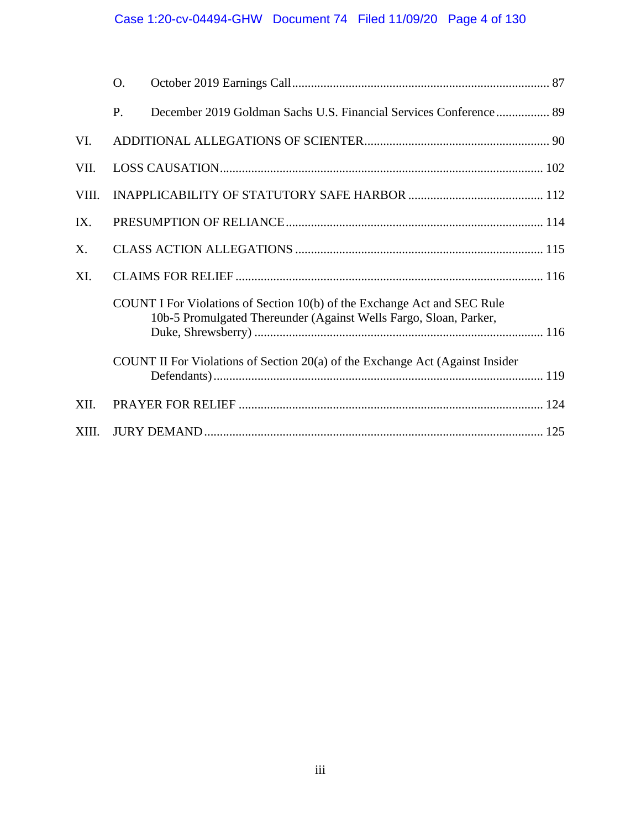# Case 1:20-cv-04494-GHW Document 74 Filed 11/09/20 Page 4 of 130

|             | O. |                                                                                                                                               |  |
|-------------|----|-----------------------------------------------------------------------------------------------------------------------------------------------|--|
|             | P. | December 2019 Goldman Sachs U.S. Financial Services Conference 89                                                                             |  |
| VI.         |    |                                                                                                                                               |  |
| VII.        |    |                                                                                                                                               |  |
| VIII.       |    |                                                                                                                                               |  |
| IX.         |    |                                                                                                                                               |  |
| $X_{\cdot}$ |    |                                                                                                                                               |  |
| XI.         |    |                                                                                                                                               |  |
|             |    | COUNT I For Violations of Section 10(b) of the Exchange Act and SEC Rule<br>10b-5 Promulgated Thereunder (Against Wells Fargo, Sloan, Parker, |  |
|             |    | COUNT II For Violations of Section 20(a) of the Exchange Act (Against Insider                                                                 |  |
| XII.        |    |                                                                                                                                               |  |
| XIII.       |    |                                                                                                                                               |  |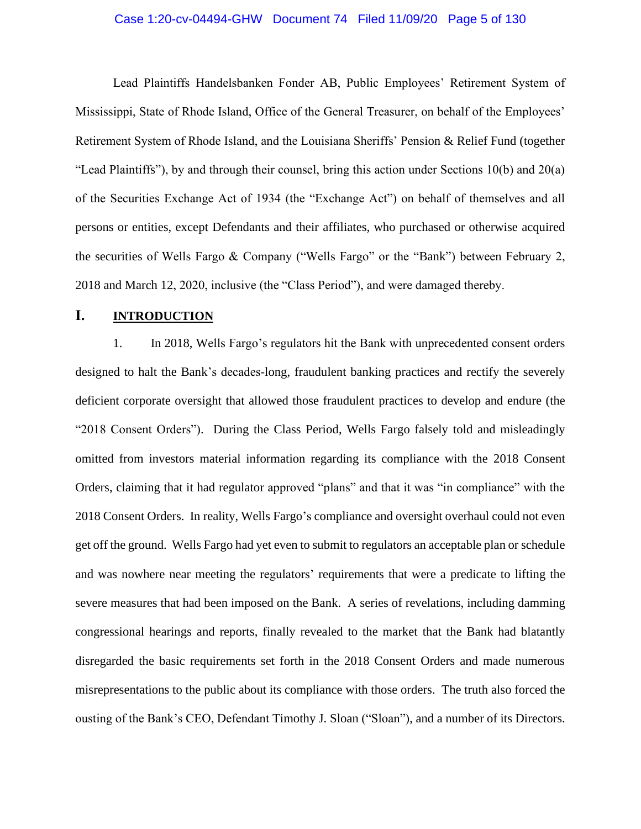#### Case 1:20-cv-04494-GHW Document 74 Filed 11/09/20 Page 5 of 130

Lead Plaintiffs Handelsbanken Fonder AB, Public Employees' Retirement System of Mississippi, State of Rhode Island, Office of the General Treasurer, on behalf of the Employees' Retirement System of Rhode Island, and the Louisiana Sheriffs' Pension & Relief Fund (together "Lead Plaintiffs"), by and through their counsel, bring this action under Sections 10(b) and 20(a) of the Securities Exchange Act of 1934 (the "Exchange Act") on behalf of themselves and all persons or entities, except Defendants and their affiliates, who purchased or otherwise acquired the securities of Wells Fargo & Company ("Wells Fargo" or the "Bank") between February 2, 2018 and March 12, 2020, inclusive (the "Class Period"), and were damaged thereby.

## <span id="page-4-0"></span>**I. INTRODUCTION**

1. In 2018, Wells Fargo's regulators hit the Bank with unprecedented consent orders designed to halt the Bank's decades-long, fraudulent banking practices and rectify the severely deficient corporate oversight that allowed those fraudulent practices to develop and endure (the "2018 Consent Orders"). During the Class Period, Wells Fargo falsely told and misleadingly omitted from investors material information regarding its compliance with the 2018 Consent Orders, claiming that it had regulator approved "plans" and that it was "in compliance" with the 2018 Consent Orders. In reality, Wells Fargo's compliance and oversight overhaul could not even get off the ground. Wells Fargo had yet even to submit to regulators an acceptable plan or schedule and was nowhere near meeting the regulators' requirements that were a predicate to lifting the severe measures that had been imposed on the Bank. A series of revelations, including damming congressional hearings and reports, finally revealed to the market that the Bank had blatantly disregarded the basic requirements set forth in the 2018 Consent Orders and made numerous misrepresentations to the public about its compliance with those orders. The truth also forced the ousting of the Bank's CEO, Defendant Timothy J. Sloan ("Sloan"), and a number of its Directors.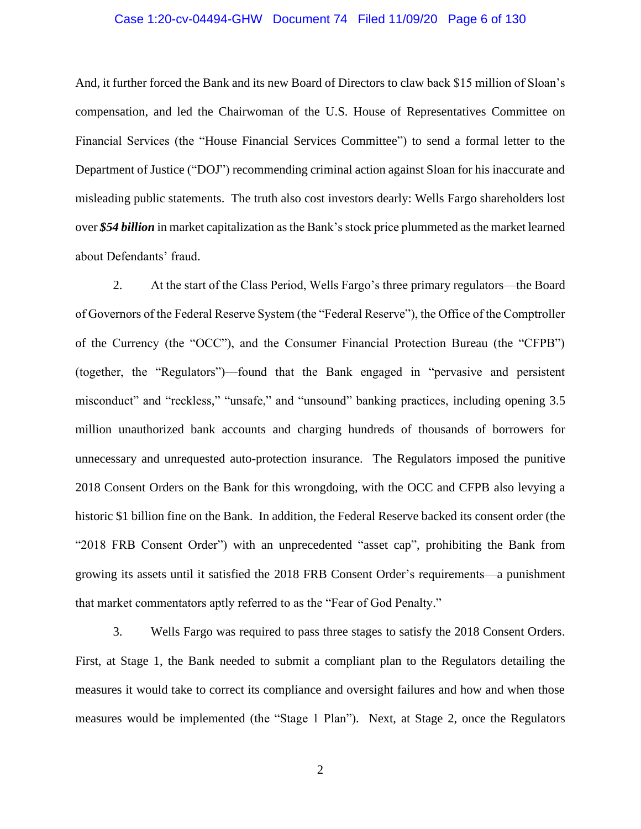#### Case 1:20-cv-04494-GHW Document 74 Filed 11/09/20 Page 6 of 130

And, it further forced the Bank and its new Board of Directors to claw back \$15 million of Sloan's compensation, and led the Chairwoman of the U.S. House of Representatives Committee on Financial Services (the ["House Financial Services Committee"](https://en.wikipedia.org/wiki/United_States_House_Committee_on_Financial_Services)) to send a formal letter to the Department of Justice ("DOJ") recommending criminal action against Sloan for his inaccurate and misleading public statements. The truth also cost investors dearly: Wells Fargo shareholders lost over *\$54 billion* in market capitalization as the Bank's stock price plummeted as the market learned about Defendants' fraud.

2. At the start of the Class Period, Wells Fargo's three primary regulators—the Board of Governors of the Federal Reserve System (the "Federal Reserve"), the Office of the Comptroller of the Currency (the "OCC"), and the Consumer Financial Protection Bureau (the "CFPB") (together, the "Regulators")—found that the Bank engaged in "pervasive and persistent misconduct" and "reckless," "unsafe," and "unsound" banking practices, including opening 3.5 million unauthorized bank accounts and charging hundreds of thousands of borrowers for unnecessary and unrequested auto-protection insurance. The Regulators imposed the punitive 2018 Consent Orders on the Bank for this wrongdoing, with the OCC and CFPB also levying a historic \$1 billion fine on the Bank. In addition, the Federal Reserve backed its consent order (the "2018 FRB Consent Order") with an unprecedented "asset cap", prohibiting the Bank from growing its assets until it satisfied the 2018 FRB Consent Order's requirements—a punishment that market commentators aptly referred to as the "Fear of God Penalty."

3. Wells Fargo was required to pass three stages to satisfy the 2018 Consent Orders. First, at Stage 1, the Bank needed to submit a compliant plan to the Regulators detailing the measures it would take to correct its compliance and oversight failures and how and when those measures would be implemented (the "Stage 1 Plan"). Next, at Stage 2, once the Regulators

2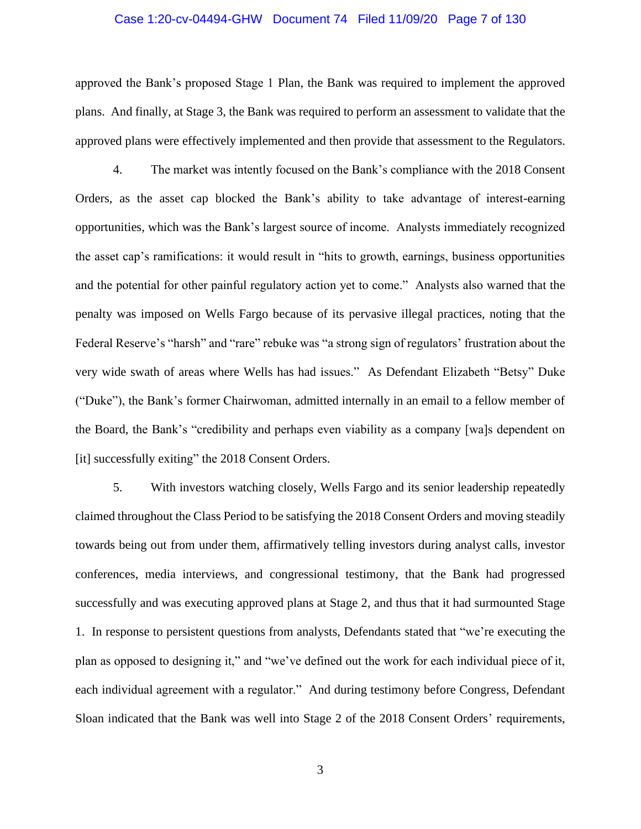#### Case 1:20-cv-04494-GHW Document 74 Filed 11/09/20 Page 7 of 130

approved the Bank's proposed Stage 1 Plan, the Bank was required to implement the approved plans. And finally, at Stage 3, the Bank was required to perform an assessment to validate that the approved plans were effectively implemented and then provide that assessment to the Regulators.

4. The market was intently focused on the Bank's compliance with the 2018 Consent Orders, as the asset cap blocked the Bank's ability to take advantage of interest-earning opportunities, which was the Bank's largest source of income. Analysts immediately recognized the asset cap's ramifications: it would result in "hits to growth, earnings, business opportunities and the potential for other painful regulatory action yet to come." Analysts also warned that the penalty was imposed on Wells Fargo because of its pervasive illegal practices, noting that the Federal Reserve's "harsh" and "rare" rebuke was "a strong sign of regulators' frustration about the very wide swath of areas where Wells has had issues." As Defendant Elizabeth "Betsy" Duke ("Duke"), the Bank's former Chairwoman, admitted internally in an email to a fellow member of the Board, the Bank's "credibility and perhaps even viability as a company [wa]s dependent on [it] successfully exiting" the 2018 Consent Orders.

5. With investors watching closely, Wells Fargo and its senior leadership repeatedly claimed throughout the Class Period to be satisfying the 2018 Consent Orders and moving steadily towards being out from under them, affirmatively telling investors during analyst calls, investor conferences, media interviews, and congressional testimony, that the Bank had progressed successfully and was executing approved plans at Stage 2, and thus that it had surmounted Stage 1. In response to persistent questions from analysts, Defendants stated that "we're executing the plan as opposed to designing it," and "we've defined out the work for each individual piece of it, each individual agreement with a regulator." And during testimony before Congress, Defendant Sloan indicated that the Bank was well into Stage 2 of the 2018 Consent Orders' requirements,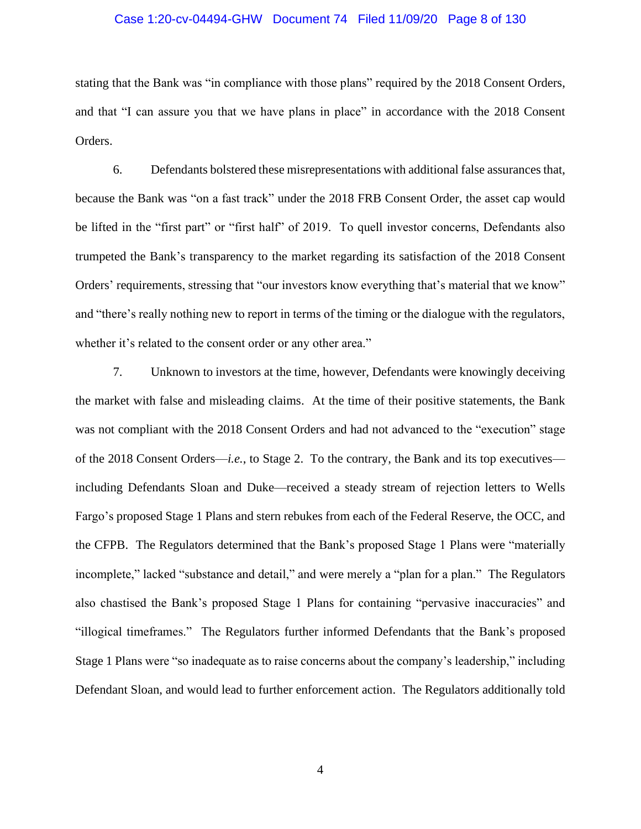#### Case 1:20-cv-04494-GHW Document 74 Filed 11/09/20 Page 8 of 130

stating that the Bank was "in compliance with those plans" required by the 2018 Consent Orders, and that "I can assure you that we have plans in place" in accordance with the 2018 Consent Orders.

6. Defendants bolstered these misrepresentations with additional false assurances that, because the Bank was "on a fast track" under the 2018 FRB Consent Order, the asset cap would be lifted in the "first part" or "first half" of 2019. To quell investor concerns, Defendants also trumpeted the Bank's transparency to the market regarding its satisfaction of the 2018 Consent Orders' requirements, stressing that "our investors know everything that's material that we know" and "there's really nothing new to report in terms of the timing or the dialogue with the regulators, whether it's related to the consent order or any other area."

7. Unknown to investors at the time, however, Defendants were knowingly deceiving the market with false and misleading claims. At the time of their positive statements, the Bank was not compliant with the 2018 Consent Orders and had not advanced to the "execution" stage of the 2018 Consent Orders—*i.e.*, to Stage 2. To the contrary, the Bank and its top executives including Defendants Sloan and Duke—received a steady stream of rejection letters to Wells Fargo's proposed Stage 1 Plans and stern rebukes from each of the Federal Reserve, the OCC, and the CFPB. The Regulators determined that the Bank's proposed Stage 1 Plans were "materially incomplete," lacked "substance and detail," and were merely a "plan for a plan." The Regulators also chastised the Bank's proposed Stage 1 Plans for containing "pervasive inaccuracies" and "illogical timeframes." The Regulators further informed Defendants that the Bank's proposed Stage 1 Plans were "so inadequate as to raise concerns about the company's leadership," including Defendant Sloan, and would lead to further enforcement action. The Regulators additionally told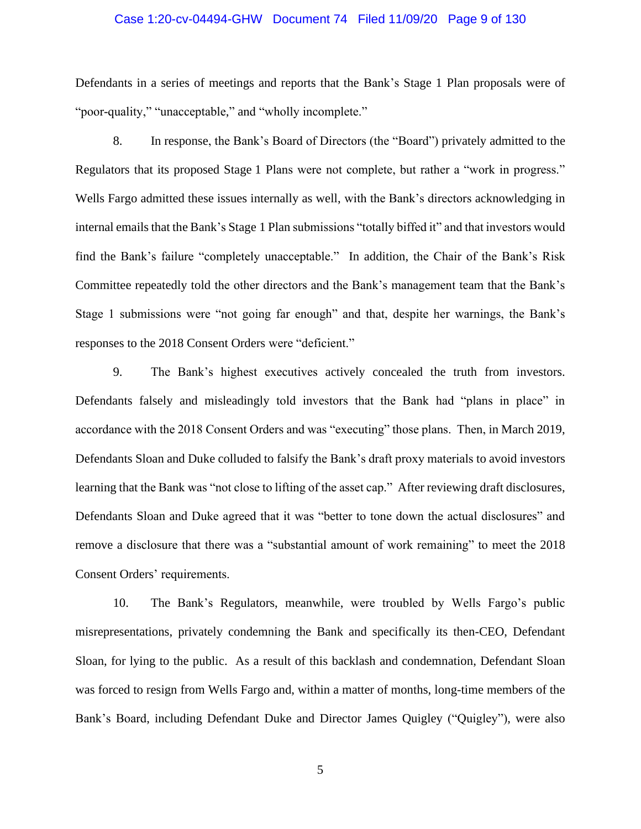#### Case 1:20-cv-04494-GHW Document 74 Filed 11/09/20 Page 9 of 130

Defendants in a series of meetings and reports that the Bank's Stage 1 Plan proposals were of "poor-quality," "unacceptable," and "wholly incomplete."

8. In response, the Bank's Board of Directors (the "Board") privately admitted to the Regulators that its proposed Stage 1 Plans were not complete, but rather a "work in progress." Wells Fargo admitted these issues internally as well, with the Bank's directors acknowledging in internal emails that the Bank's Stage 1 Plan submissions "totally biffed it" and that investors would find the Bank's failure "completely unacceptable." In addition, the Chair of the Bank's Risk Committee repeatedly told the other directors and the Bank's management team that the Bank's Stage 1 submissions were "not going far enough" and that, despite her warnings, the Bank's responses to the 2018 Consent Orders were "deficient."

9. The Bank's highest executives actively concealed the truth from investors. Defendants falsely and misleadingly told investors that the Bank had "plans in place" in accordance with the 2018 Consent Orders and was "executing" those plans. Then, in March 2019, Defendants Sloan and Duke colluded to falsify the Bank's draft proxy materials to avoid investors learning that the Bank was "not close to lifting of the asset cap." After reviewing draft disclosures, Defendants Sloan and Duke agreed that it was "better to tone down the actual disclosures" and remove a disclosure that there was a "substantial amount of work remaining" to meet the 2018 Consent Orders' requirements.

10. The Bank's Regulators, meanwhile, were troubled by Wells Fargo's public misrepresentations, privately condemning the Bank and specifically its then-CEO, Defendant Sloan, for lying to the public. As a result of this backlash and condemnation, Defendant Sloan was forced to resign from Wells Fargo and, within a matter of months, long-time members of the Bank's Board, including Defendant Duke and Director James Quigley ("Quigley"), were also

5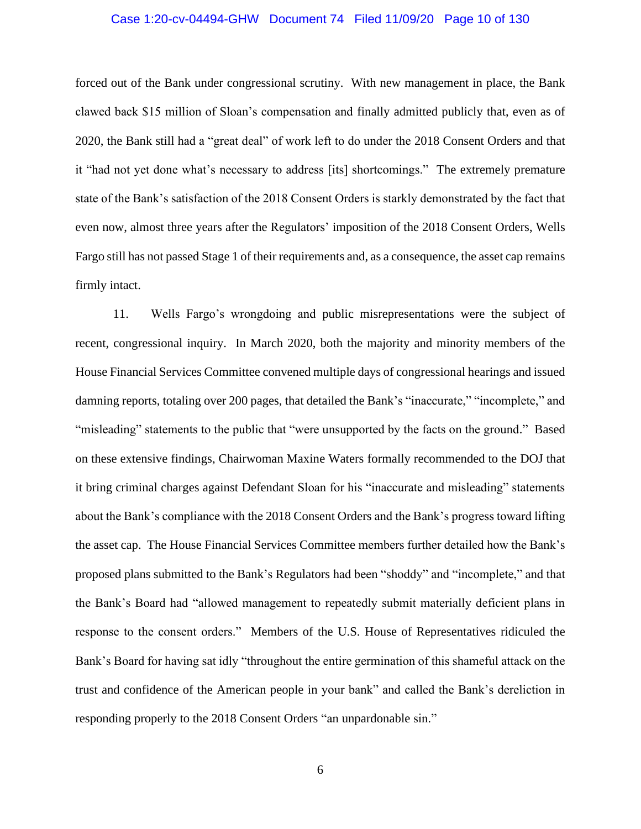#### Case 1:20-cv-04494-GHW Document 74 Filed 11/09/20 Page 10 of 130

forced out of the Bank under congressional scrutiny. With new management in place, the Bank clawed back \$15 million of Sloan's compensation and finally admitted publicly that, even as of 2020, the Bank still had a "great deal" of work left to do under the 2018 Consent Orders and that it "had not yet done what's necessary to address [its] shortcomings." The extremely premature state of the Bank's satisfaction of the 2018 Consent Orders is starkly demonstrated by the fact that even now, almost three years after the Regulators' imposition of the 2018 Consent Orders, Wells Fargo still has not passed Stage 1 of their requirements and, as a consequence, the asset cap remains firmly intact.

11. Wells Fargo's wrongdoing and public misrepresentations were the subject of recent, congressional inquiry. In March 2020, both the majority and minority members of the House Financial Services Committee convened multiple days of congressional hearings and issued damning reports, totaling over 200 pages, that detailed the Bank's "inaccurate," "incomplete," and "misleading" statements to the public that "were unsupported by the facts on the ground." Based on these extensive findings, Chairwoman Maxine Waters formally recommended to the DOJ that it bring criminal charges against Defendant Sloan for his "inaccurate and misleading" statements about the Bank's compliance with the 2018 Consent Orders and the Bank's progress toward lifting the asset cap. The House Financial Services Committee members further detailed how the Bank's proposed plans submitted to the Bank's Regulators had been "shoddy" and "incomplete," and that the Bank's Board had "allowed management to repeatedly submit materially deficient plans in response to the consent orders." Members of the U.S. House of Representatives ridiculed the Bank's Board for having sat idly "throughout the entire germination of this shameful attack on the trust and confidence of the American people in your bank" and called the Bank's dereliction in responding properly to the 2018 Consent Orders "an unpardonable sin."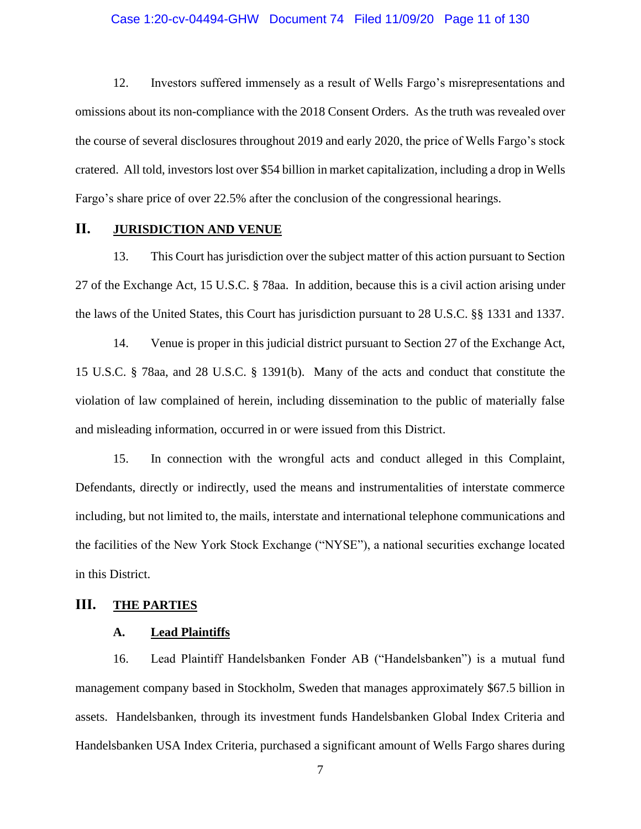#### Case 1:20-cv-04494-GHW Document 74 Filed 11/09/20 Page 11 of 130

12. Investors suffered immensely as a result of Wells Fargo's misrepresentations and omissions about its non-compliance with the 2018 Consent Orders. As the truth was revealed over the course of several disclosures throughout 2019 and early 2020, the price of Wells Fargo's stock cratered. All told, investors lost over \$54 billion in market capitalization, including a drop in Wells Fargo's share price of over 22.5% after the conclusion of the congressional hearings.

## <span id="page-10-0"></span>**II. JURISDICTION AND VENUE**

13. This Court has jurisdiction over the subject matter of this action pursuant to Section 27 of the Exchange Act, 15 U.S.C. § 78aa. In addition, because this is a civil action arising under the laws of the United States, this Court has jurisdiction pursuant to 28 U.S.C. §§ 1331 and 1337.

14. Venue is proper in this judicial district pursuant to Section 27 of the Exchange Act, 15 U.S.C. § 78aa, and 28 U.S.C. § 1391(b). Many of the acts and conduct that constitute the violation of law complained of herein, including dissemination to the public of materially false and misleading information, occurred in or were issued from this District.

15. In connection with the wrongful acts and conduct alleged in this Complaint, Defendants, directly or indirectly, used the means and instrumentalities of interstate commerce including, but not limited to, the mails, interstate and international telephone communications and the facilities of the New York Stock Exchange ("NYSE"), a national securities exchange located in this District.

## <span id="page-10-2"></span><span id="page-10-1"></span>**III. THE PARTIES**

#### **A. Lead Plaintiffs**

16. Lead Plaintiff Handelsbanken Fonder AB ("Handelsbanken") is a mutual fund management company based in Stockholm, Sweden that manages approximately \$67.5 billion in assets. Handelsbanken, through its investment funds Handelsbanken Global Index Criteria and Handelsbanken USA Index Criteria, purchased a significant amount of Wells Fargo shares during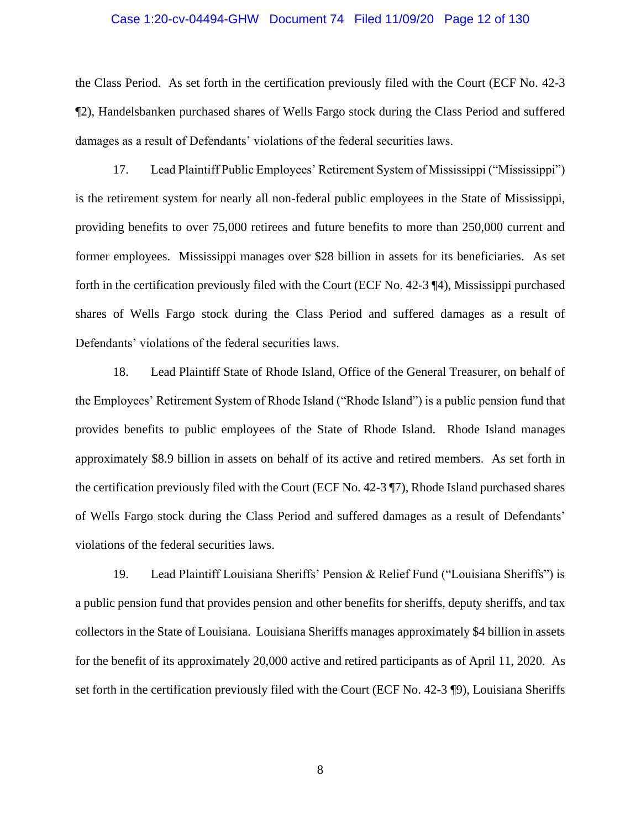#### Case 1:20-cv-04494-GHW Document 74 Filed 11/09/20 Page 12 of 130

the Class Period. As set forth in the certification previously filed with the Court (ECF No. 42-3 ¶2), Handelsbanken purchased shares of Wells Fargo stock during the Class Period and suffered damages as a result of Defendants' violations of the federal securities laws.

17. Lead Plaintiff Public Employees' Retirement System of Mississippi ("Mississippi") is the retirement system for nearly all non-federal public employees in the State of Mississippi, providing benefits to over 75,000 retirees and future benefits to more than 250,000 current and former employees. Mississippi manages over \$28 billion in assets for its beneficiaries. As set forth in the certification previously filed with the Court (ECF No. 42-3 ¶4), Mississippi purchased shares of Wells Fargo stock during the Class Period and suffered damages as a result of Defendants' violations of the federal securities laws.

18. Lead Plaintiff State of Rhode Island, Office of the General Treasurer, on behalf of the Employees' Retirement System of Rhode Island ("Rhode Island") is a public pension fund that provides benefits to public employees of the State of Rhode Island. Rhode Island manages approximately \$8.9 billion in assets on behalf of its active and retired members. As set forth in the certification previously filed with the Court (ECF No. 42-3 ¶7), Rhode Island purchased shares of Wells Fargo stock during the Class Period and suffered damages as a result of Defendants' violations of the federal securities laws.

19. Lead Plaintiff Louisiana Sheriffs' Pension & Relief Fund ("Louisiana Sheriffs") is a public pension fund that provides pension and other benefits for sheriffs, deputy sheriffs, and tax collectors in the State of Louisiana. Louisiana Sheriffs manages approximately \$4 billion in assets for the benefit of its approximately 20,000 active and retired participants as of April 11, 2020. As set forth in the certification previously filed with the Court (ECF No. 42-3 ¶9), Louisiana Sheriffs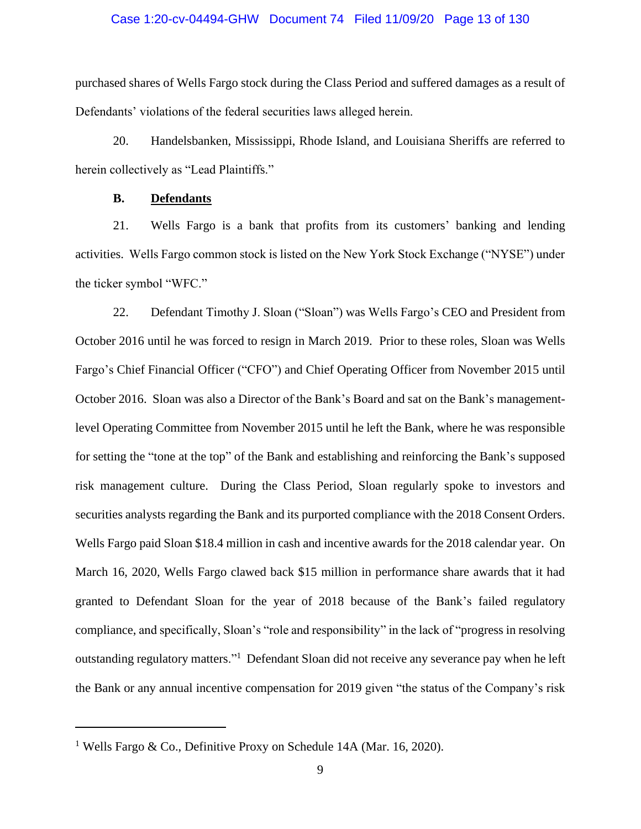#### Case 1:20-cv-04494-GHW Document 74 Filed 11/09/20 Page 13 of 130

purchased shares of Wells Fargo stock during the Class Period and suffered damages as a result of Defendants' violations of the federal securities laws alleged herein.

20. Handelsbanken, Mississippi, Rhode Island, and Louisiana Sheriffs are referred to herein collectively as "Lead Plaintiffs."

## **B. Defendants**

<span id="page-12-0"></span>21. Wells Fargo is a bank that profits from its customers' banking and lending activities. Wells Fargo common stock is listed on the New York Stock Exchange ("NYSE") under the ticker symbol "WFC."

22. Defendant Timothy J. Sloan ("Sloan") was Wells Fargo's CEO and President from October 2016 until he was forced to resign in March 2019. Prior to these roles, Sloan was Wells Fargo's Chief Financial Officer ("CFO") and Chief Operating Officer from November 2015 until October 2016. Sloan was also a Director of the Bank's Board and sat on the Bank's managementlevel Operating Committee from November 2015 until he left the Bank, where he was responsible for setting the "tone at the top" of the Bank and establishing and reinforcing the Bank's supposed risk management culture. During the Class Period, Sloan regularly spoke to investors and securities analysts regarding the Bank and its purported compliance with the 2018 Consent Orders. Wells Fargo paid Sloan \$18.4 million in cash and incentive awards for the 2018 calendar year. On March 16, 2020, Wells Fargo clawed back \$15 million in performance share awards that it had granted to Defendant Sloan for the year of 2018 because of the Bank's failed regulatory compliance, and specifically, Sloan's "role and responsibility" in the lack of "progress in resolving outstanding regulatory matters."<sup>1</sup> Defendant Sloan did not receive any severance pay when he left the Bank or any annual incentive compensation for 2019 given "the status of the Company's risk

<sup>&</sup>lt;sup>1</sup> Wells Fargo & Co., Definitive Proxy on Schedule 14A (Mar. 16, 2020).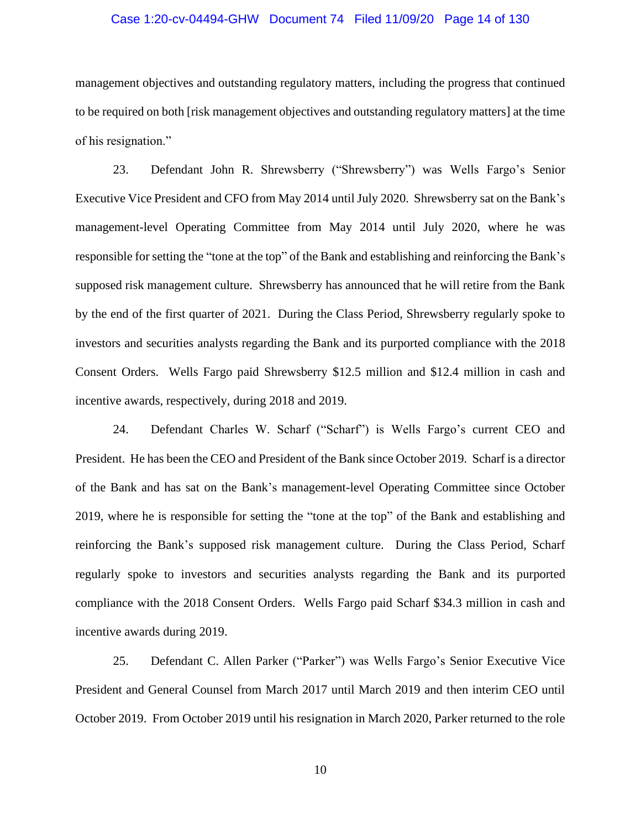#### Case 1:20-cv-04494-GHW Document 74 Filed 11/09/20 Page 14 of 130

management objectives and outstanding regulatory matters, including the progress that continued to be required on both [risk management objectives and outstanding regulatory matters] at the time of his resignation."

23. Defendant John R. Shrewsberry ("Shrewsberry") was Wells Fargo's Senior Executive Vice President and CFO from May 2014 until July 2020. Shrewsberry sat on the Bank's management-level Operating Committee from May 2014 until July 2020, where he was responsible for setting the "tone at the top" of the Bank and establishing and reinforcing the Bank's supposed risk management culture. Shrewsberry has announced that he will retire from the Bank by the end of the first quarter of 2021. During the Class Period, Shrewsberry regularly spoke to investors and securities analysts regarding the Bank and its purported compliance with the 2018 Consent Orders. Wells Fargo paid Shrewsberry \$12.5 million and \$12.4 million in cash and incentive awards, respectively, during 2018 and 2019.

24. Defendant Charles W. Scharf ("Scharf") is Wells Fargo's current CEO and President. He has been the CEO and President of the Bank since October 2019. Scharf is a director of the Bank and has sat on the Bank's management-level Operating Committee since October 2019, where he is responsible for setting the "tone at the top" of the Bank and establishing and reinforcing the Bank's supposed risk management culture. During the Class Period, Scharf regularly spoke to investors and securities analysts regarding the Bank and its purported compliance with the 2018 Consent Orders. Wells Fargo paid Scharf \$34.3 million in cash and incentive awards during 2019.

25. Defendant C. Allen Parker ("Parker") was Wells Fargo's Senior Executive Vice President and General Counsel from March 2017 until March 2019 and then interim CEO until October 2019. From October 2019 until his resignation in March 2020, Parker returned to the role

10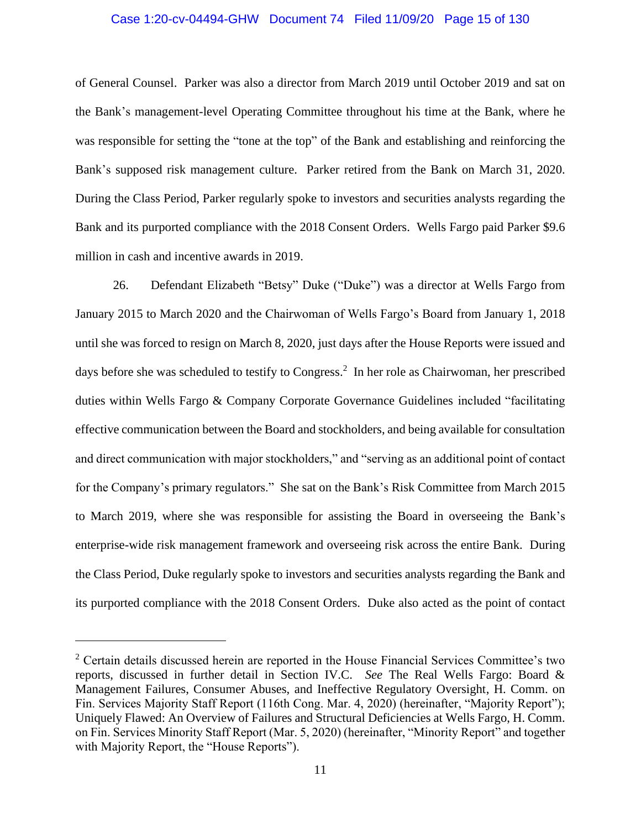#### Case 1:20-cv-04494-GHW Document 74 Filed 11/09/20 Page 15 of 130

of General Counsel. Parker was also a director from March 2019 until October 2019 and sat on the Bank's management-level Operating Committee throughout his time at the Bank, where he was responsible for setting the "tone at the top" of the Bank and establishing and reinforcing the Bank's supposed risk management culture. Parker retired from the Bank on March 31, 2020. During the Class Period, Parker regularly spoke to investors and securities analysts regarding the Bank and its purported compliance with the 2018 Consent Orders. Wells Fargo paid Parker \$9.6 million in cash and incentive awards in 2019.

26. Defendant Elizabeth "Betsy" Duke ("Duke") was a director at Wells Fargo from January 2015 to March 2020 and the Chairwoman of Wells Fargo's Board from January 1, 2018 until she was forced to resign on March 8, 2020, just days after the House Reports were issued and days before she was scheduled to testify to Congress. 2 In her role as Chairwoman, her prescribed duties within Wells Fargo & Company Corporate Governance Guidelines included "facilitating effective communication between the Board and stockholders, and being available for consultation and direct communication with major stockholders," and "serving as an additional point of contact for the Company's primary regulators." She sat on the Bank's Risk Committee from March 2015 to March 2019, where she was responsible for assisting the Board in overseeing the Bank's enterprise-wide risk management framework and overseeing risk across the entire Bank. During the Class Period, Duke regularly spoke to investors and securities analysts regarding the Bank and its purported compliance with the 2018 Consent Orders. Duke also acted as the point of contact

 $2$  Certain details discussed herein are reported in the House Financial Services Committee's two reports, discussed in further detail in Section IV.C. *See* The Real Wells Fargo: Board & Management Failures, Consumer Abuses, and Ineffective Regulatory Oversight, H. Comm. on Fin. Services Majority Staff Report (116th Cong. Mar. 4, 2020) (hereinafter, "Majority Report"); Uniquely Flawed: An Overview of Failures and Structural Deficiencies at Wells Fargo, H. Comm. on Fin. Services Minority Staff Report (Mar. 5, 2020) (hereinafter, "Minority Report" and together with Majority Report, the "House Reports").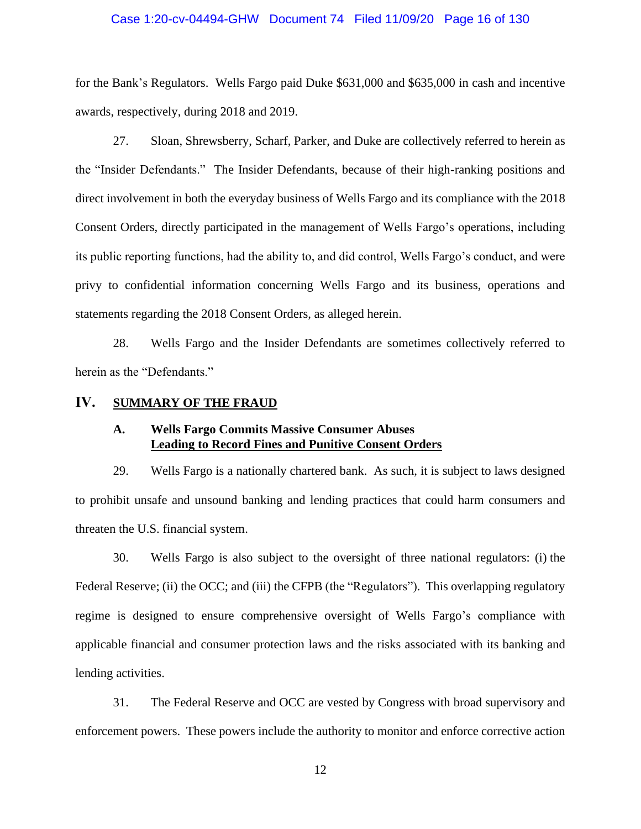#### Case 1:20-cv-04494-GHW Document 74 Filed 11/09/20 Page 16 of 130

for the Bank's Regulators. Wells Fargo paid Duke \$631,000 and \$635,000 in cash and incentive awards, respectively, during 2018 and 2019.

27. Sloan, Shrewsberry, Scharf, Parker, and Duke are collectively referred to herein as the "Insider Defendants." The Insider Defendants, because of their high-ranking positions and direct involvement in both the everyday business of Wells Fargo and its compliance with the 2018 Consent Orders, directly participated in the management of Wells Fargo's operations, including its public reporting functions, had the ability to, and did control, Wells Fargo's conduct, and were privy to confidential information concerning Wells Fargo and its business, operations and statements regarding the 2018 Consent Orders, as alleged herein.

28. Wells Fargo and the Insider Defendants are sometimes collectively referred to herein as the "Defendants."

## <span id="page-15-1"></span><span id="page-15-0"></span>**IV. SUMMARY OF THE FRAUD**

### **A. Wells Fargo Commits Massive Consumer Abuses Leading to Record Fines and Punitive Consent Orders**

29. Wells Fargo is a nationally chartered bank. As such, it is subject to laws designed to prohibit unsafe and unsound banking and lending practices that could harm consumers and threaten the U.S. financial system.

30. Wells Fargo is also subject to the oversight of three national regulators: (i) the Federal Reserve; (ii) the OCC; and (iii) the CFPB (the "Regulators"). This overlapping regulatory regime is designed to ensure comprehensive oversight of Wells Fargo's compliance with applicable financial and consumer protection laws and the risks associated with its banking and lending activities.

31. The Federal Reserve and OCC are vested by Congress with broad supervisory and enforcement powers. These powers include the authority to monitor and enforce corrective action

12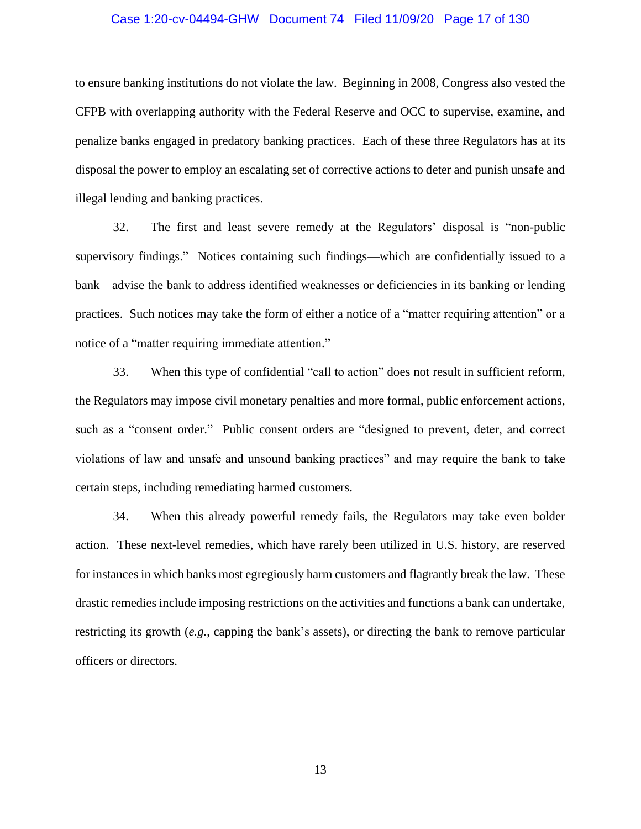#### Case 1:20-cv-04494-GHW Document 74 Filed 11/09/20 Page 17 of 130

to ensure banking institutions do not violate the law. Beginning in 2008, Congress also vested the CFPB with overlapping authority with the Federal Reserve and OCC to supervise, examine, and penalize banks engaged in predatory banking practices. Each of these three Regulators has at its disposal the power to employ an escalating set of corrective actions to deter and punish unsafe and illegal lending and banking practices.

32. The first and least severe remedy at the Regulators' disposal is "non-public supervisory findings." Notices containing such findings—which are confidentially issued to a bank—advise the bank to address identified weaknesses or deficiencies in its banking or lending practices. Such notices may take the form of either a notice of a "matter requiring attention" or a notice of a "matter requiring immediate attention."

33. When this type of confidential "call to action" does not result in sufficient reform, the Regulators may impose civil monetary penalties and more formal, public enforcement actions, such as a "consent order." Public consent orders are "designed to prevent, deter, and correct violations of law and unsafe and unsound banking practices" and may require the bank to take certain steps, including remediating harmed customers.

34. When this already powerful remedy fails, the Regulators may take even bolder action. These next-level remedies, which have rarely been utilized in U.S. history, are reserved for instances in which banks most egregiously harm customers and flagrantly break the law. These drastic remedies include imposing restrictions on the activities and functions a bank can undertake, restricting its growth (*e.g.*, capping the bank's assets), or directing the bank to remove particular officers or directors.

13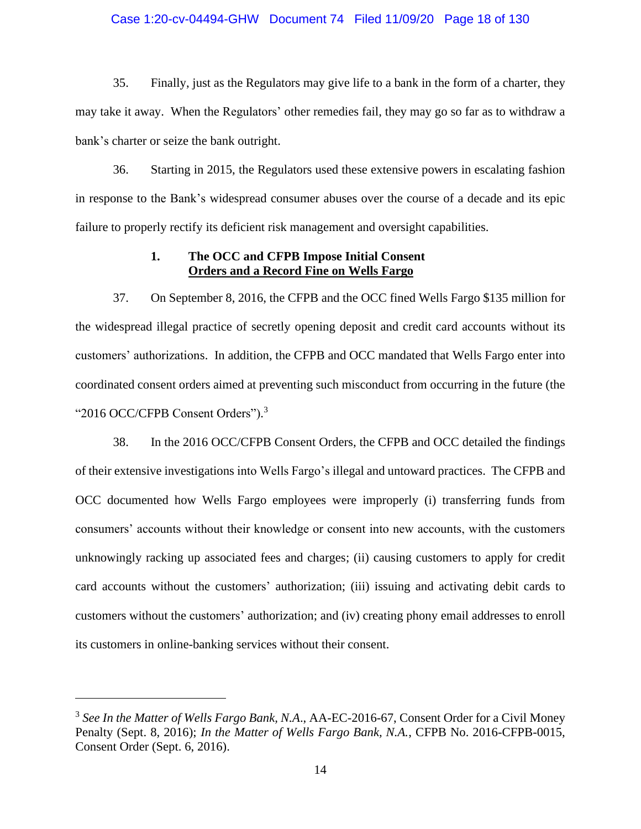#### Case 1:20-cv-04494-GHW Document 74 Filed 11/09/20 Page 18 of 130

35. Finally, just as the Regulators may give life to a bank in the form of a charter, they may take it away. When the Regulators' other remedies fail, they may go so far as to withdraw a bank's charter or seize the bank outright.

36. Starting in 2015, the Regulators used these extensive powers in escalating fashion in response to the Bank's widespread consumer abuses over the course of a decade and its epic failure to properly rectify its deficient risk management and oversight capabilities.

## **1. The OCC and CFPB Impose Initial Consent Orders and a Record Fine on Wells Fargo**

<span id="page-17-0"></span>37. On September 8, 2016, the CFPB and the OCC fined Wells Fargo \$135 million for the widespread illegal practice of secretly opening deposit and credit card accounts without its customers' authorizations. In addition, the CFPB and OCC mandated that Wells Fargo enter into coordinated consent orders aimed at preventing such misconduct from occurring in the future (the "2016 OCC/CFPB Consent Orders").<sup>3</sup>

38. In the 2016 OCC/CFPB Consent Orders, the CFPB and OCC detailed the findings of their extensive investigations into Wells Fargo's illegal and untoward practices. The CFPB and OCC documented how Wells Fargo employees were improperly (i) transferring funds from consumers' accounts without their knowledge or consent into new accounts, with the customers unknowingly racking up associated fees and charges; (ii) causing customers to apply for credit card accounts without the customers' authorization; (iii) issuing and activating debit cards to customers without the customers' authorization; and (iv) creating phony email addresses to enroll its customers in online-banking services without their consent.

<sup>&</sup>lt;sup>3</sup> See In the Matter of Wells Fargo Bank, N.A., AA-EC-2016-67, Consent Order for a Civil Money Penalty (Sept. 8, 2016); *In the Matter of Wells Fargo Bank, N.A.*, CFPB No. 2016-CFPB-0015, Consent Order (Sept. 6, 2016).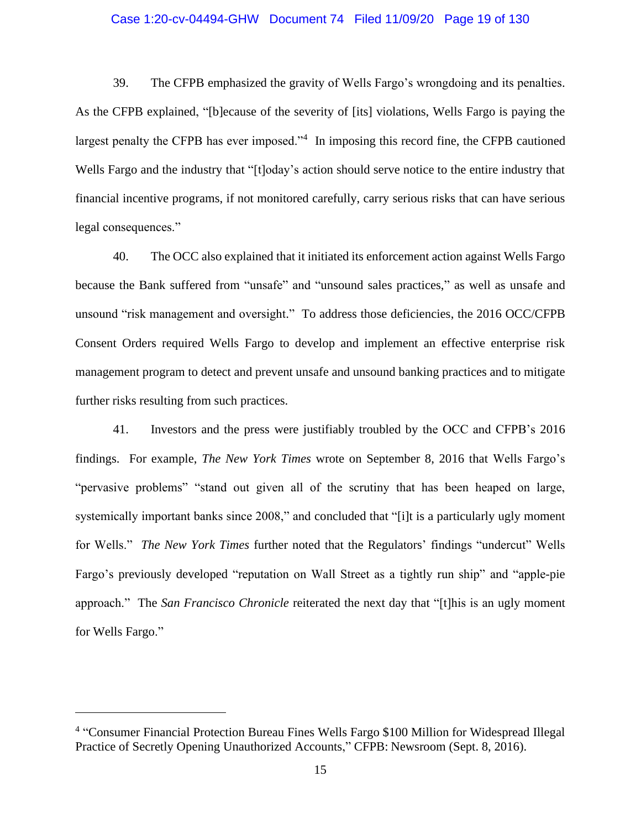#### Case 1:20-cv-04494-GHW Document 74 Filed 11/09/20 Page 19 of 130

39. The CFPB emphasized the gravity of Wells Fargo's wrongdoing and its penalties. As the CFPB explained, "[b]ecause of the severity of [its] violations, Wells Fargo is paying the largest penalty the CFPB has ever imposed."<sup>4</sup> In imposing this record fine, the CFPB cautioned Wells Fargo and the industry that "[t]oday's action should serve notice to the entire industry that financial incentive programs, if not monitored carefully, carry serious risks that can have serious legal consequences."

40. The OCC also explained that it initiated its enforcement action against Wells Fargo because the Bank suffered from "unsafe" and "unsound sales practices," as well as unsafe and unsound "risk management and oversight." To address those deficiencies, the 2016 OCC/CFPB Consent Orders required Wells Fargo to develop and implement an effective enterprise risk management program to detect and prevent unsafe and unsound banking practices and to mitigate further risks resulting from such practices.

41. Investors and the press were justifiably troubled by the OCC and CFPB's 2016 findings. For example, *The New York Times* wrote on September 8, 2016 that Wells Fargo's "pervasive problems" "stand out given all of the scrutiny that has been heaped on large, systemically important banks since 2008," and concluded that "[i]t is a particularly ugly moment for Wells." *The New York Times* further noted that the Regulators' findings "undercut" Wells Fargo's previously developed "reputation on Wall Street as a tightly run ship" and "apple-pie approach." The *San Francisco Chronicle* reiterated the next day that "[t]his is an ugly moment for Wells Fargo."

<sup>&</sup>lt;sup>4</sup> "Consumer Financial Protection Bureau Fines Wells Fargo \$100 Million for Widespread Illegal Practice of Secretly Opening Unauthorized Accounts," CFPB: Newsroom (Sept. 8, 2016).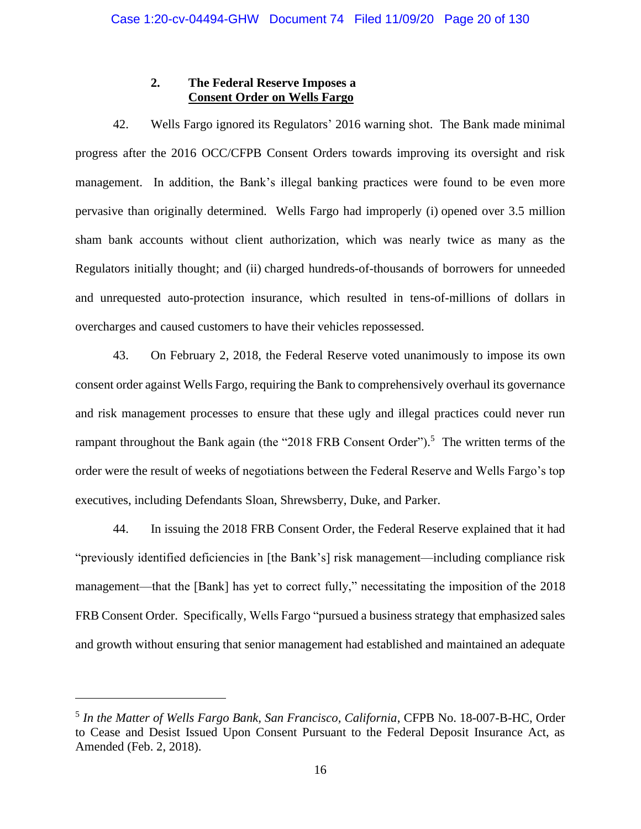## **2. The Federal Reserve Imposes a Consent Order on Wells Fargo**

<span id="page-19-0"></span>42. Wells Fargo ignored its Regulators' 2016 warning shot. The Bank made minimal progress after the 2016 OCC/CFPB Consent Orders towards improving its oversight and risk management. In addition, the Bank's illegal banking practices were found to be even more pervasive than originally determined. Wells Fargo had improperly (i) opened over 3.5 million sham bank accounts without client authorization, which was nearly twice as many as the Regulators initially thought; and (ii) charged hundreds-of-thousands of borrowers for unneeded and unrequested auto-protection insurance, which resulted in tens-of-millions of dollars in overcharges and caused customers to have their vehicles repossessed.

43. On February 2, 2018, the Federal Reserve voted unanimously to impose its own consent order against Wells Fargo, requiring the Bank to comprehensively overhaul its governance and risk management processes to ensure that these ugly and illegal practices could never run rampant throughout the Bank again (the "2018 FRB Consent Order").<sup>5</sup> The written terms of the order were the result of weeks of negotiations between the Federal Reserve and Wells Fargo's top executives, including Defendants Sloan, Shrewsberry, Duke, and Parker.

44. In issuing the 2018 FRB Consent Order, the Federal Reserve explained that it had "previously identified deficiencies in [the Bank's] risk management—including compliance risk management—that the [Bank] has yet to correct fully," necessitating the imposition of the 2018 FRB Consent Order. Specifically, Wells Fargo "pursued a business strategy that emphasized sales and growth without ensuring that senior management had established and maintained an adequate

<sup>5</sup> *In the Matter of Wells Fargo Bank, San Francisco, California*, CFPB No. 18-007-B-HC, Order to Cease and Desist Issued Upon Consent Pursuant to the Federal Deposit Insurance Act, as Amended (Feb. 2, 2018).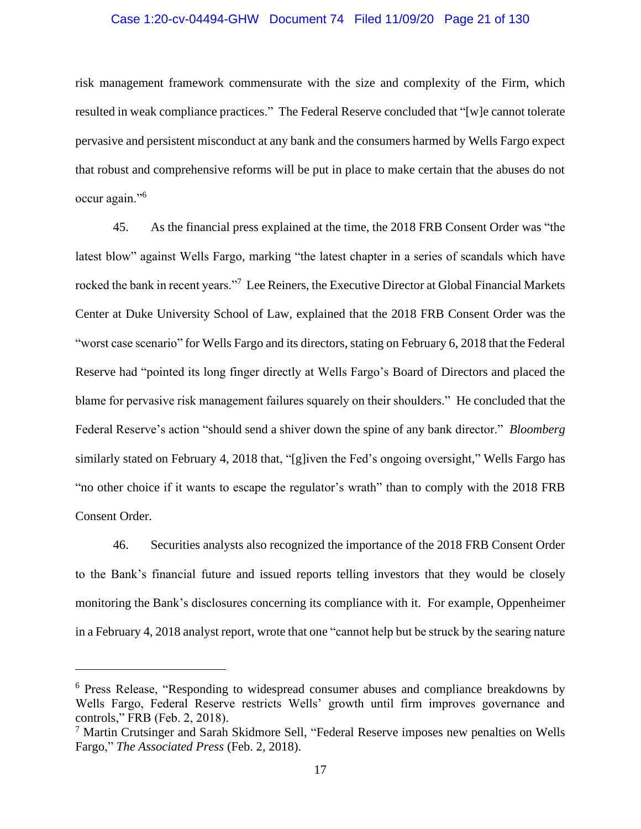#### Case 1:20-cv-04494-GHW Document 74 Filed 11/09/20 Page 21 of 130

risk management framework commensurate with the size and complexity of the Firm, which resulted in weak compliance practices." The Federal Reserve concluded that "[w]e cannot tolerate pervasive and persistent misconduct at any bank and the consumers harmed by Wells Fargo expect that robust and comprehensive reforms will be put in place to make certain that the abuses do not occur again."<sup>6</sup>

45. As the financial press explained at the time, the 2018 FRB Consent Order was "the latest blow" against Wells Fargo, marking "the latest chapter in a series of scandals which have rocked the bank in recent years."<sup>7</sup> Lee Reiners, the Executive Director at Global Financial Markets Center at Duke University School of Law, explained that the 2018 FRB Consent Order was the "worst case scenario" for Wells Fargo and its directors, stating on February 6, 2018 that the Federal Reserve had "pointed its long finger directly at Wells Fargo's Board of Directors and placed the blame for pervasive risk management failures squarely on their shoulders." He concluded that the Federal Reserve's action "should send a shiver down the spine of any bank director." *Bloomberg* similarly stated on February 4, 2018 that, "[g]iven the Fed's ongoing oversight," Wells Fargo has "no other choice if it wants to escape the regulator's wrath" than to comply with the 2018 FRB Consent Order.

46. Securities analysts also recognized the importance of the 2018 FRB Consent Order to the Bank's financial future and issued reports telling investors that they would be closely monitoring the Bank's disclosures concerning its compliance with it. For example, Oppenheimer in a February 4, 2018 analyst report, wrote that one "cannot help but be struck by the searing nature

<sup>6</sup> Press Release, "Responding to widespread consumer abuses and compliance breakdowns by Wells Fargo, Federal Reserve restricts Wells' growth until firm improves governance and controls," FRB (Feb. 2, 2018).

<sup>7</sup> Martin Crutsinger and Sarah Skidmore Sell, "Federal Reserve imposes new penalties on Wells Fargo," *The Associated Press* (Feb. 2, 2018).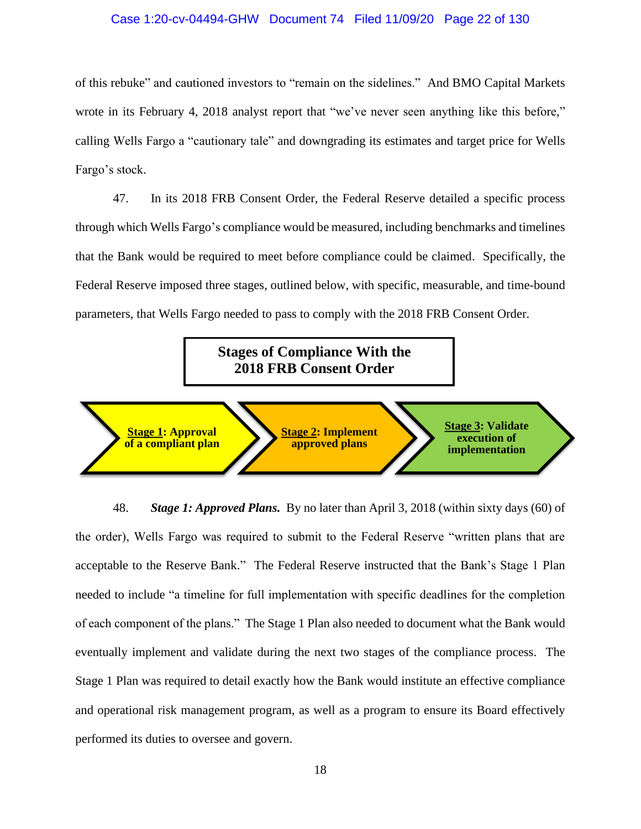#### Case 1:20-cv-04494-GHW Document 74 Filed 11/09/20 Page 22 of 130

of this rebuke" and cautioned investors to "remain on the sidelines." And BMO Capital Markets wrote in its February 4, 2018 analyst report that "we've never seen anything like this before," calling Wells Fargo a "cautionary tale" and downgrading its estimates and target price for Wells Fargo's stock.

47. In its 2018 FRB Consent Order, the Federal Reserve detailed a specific process through which Wells Fargo's compliance would be measured, including benchmarks and timelines that the Bank would be required to meet before compliance could be claimed. Specifically, the Federal Reserve imposed three stages, outlined below, with specific, measurable, and time-bound parameters, that Wells Fargo needed to pass to comply with the 2018 FRB Consent Order.

# **Stages of Compliance With the 2018 FRB Consent Order**



48. *Stage 1: Approved Plans.* By no later than April 3, 2018 (within sixty days (60) of the order), Wells Fargo was required to submit to the Federal Reserve "written plans that are acceptable to the Reserve Bank." The Federal Reserve instructed that the Bank's Stage 1 Plan needed to include "a timeline for full implementation with specific deadlines for the completion of each component of the plans." The Stage 1 Plan also needed to document what the Bank would eventually implement and validate during the next two stages of the compliance process. The Stage 1 Plan was required to detail exactly how the Bank would institute an effective compliance and operational risk management program, as well as a program to ensure its Board effectively performed its duties to oversee and govern.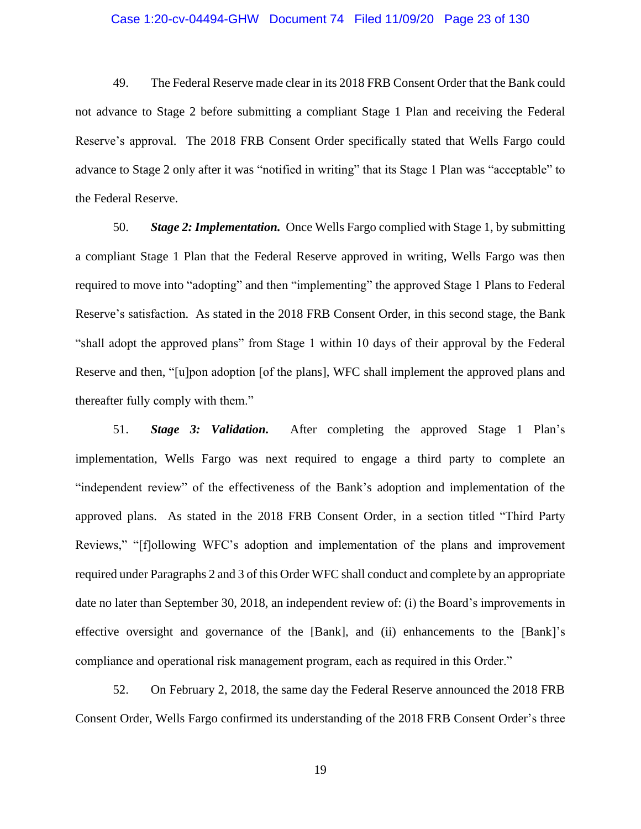#### Case 1:20-cv-04494-GHW Document 74 Filed 11/09/20 Page 23 of 130

49. The Federal Reserve made clear in its 2018 FRB Consent Order that the Bank could not advance to Stage 2 before submitting a compliant Stage 1 Plan and receiving the Federal Reserve's approval. The 2018 FRB Consent Order specifically stated that Wells Fargo could advance to Stage 2 only after it was "notified in writing" that its Stage 1 Plan was "acceptable" to the Federal Reserve.

50. *Stage 2: Implementation.* Once Wells Fargo complied with Stage 1, by submitting a compliant Stage 1 Plan that the Federal Reserve approved in writing, Wells Fargo was then required to move into "adopting" and then "implementing" the approved Stage 1 Plans to Federal Reserve's satisfaction. As stated in the 2018 FRB Consent Order, in this second stage, the Bank "shall adopt the approved plans" from Stage 1 within 10 days of their approval by the Federal Reserve and then, "[u]pon adoption [of the plans], WFC shall implement the approved plans and thereafter fully comply with them."

51. *Stage 3: Validation.* After completing the approved Stage 1 Plan's implementation, Wells Fargo was next required to engage a third party to complete an "independent review" of the effectiveness of the Bank's adoption and implementation of the approved plans. As stated in the 2018 FRB Consent Order, in a section titled "Third Party Reviews," "[f]ollowing WFC's adoption and implementation of the plans and improvement required under Paragraphs 2 and 3 of this Order WFC shall conduct and complete by an appropriate date no later than September 30, 2018, an independent review of: (i) the Board's improvements in effective oversight and governance of the [Bank], and (ii) enhancements to the [Bank]'s compliance and operational risk management program, each as required in this Order."

52. On February 2, 2018, the same day the Federal Reserve announced the 2018 FRB Consent Order, Wells Fargo confirmed its understanding of the 2018 FRB Consent Order's three

19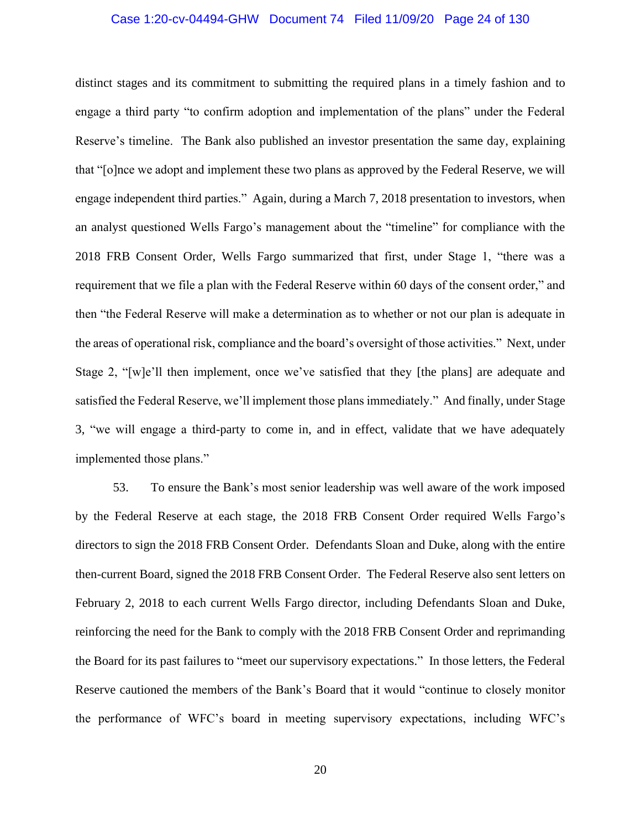#### Case 1:20-cv-04494-GHW Document 74 Filed 11/09/20 Page 24 of 130

distinct stages and its commitment to submitting the required plans in a timely fashion and to engage a third party "to confirm adoption and implementation of the plans" under the Federal Reserve's timeline. The Bank also published an investor presentation the same day, explaining that "[o]nce we adopt and implement these two plans as approved by the Federal Reserve, we will engage independent third parties." Again, during a March 7, 2018 presentation to investors, when an analyst questioned Wells Fargo's management about the "timeline" for compliance with the 2018 FRB Consent Order, Wells Fargo summarized that first, under Stage 1, "there was a requirement that we file a plan with the Federal Reserve within 60 days of the consent order," and then "the Federal Reserve will make a determination as to whether or not our plan is adequate in the areas of operational risk, compliance and the board's oversight of those activities." Next, under Stage 2, "[w]e'll then implement, once we've satisfied that they [the plans] are adequate and satisfied the Federal Reserve, we'll implement those plans immediately." And finally, under Stage 3, "we will engage a third-party to come in, and in effect, validate that we have adequately implemented those plans."

53. To ensure the Bank's most senior leadership was well aware of the work imposed by the Federal Reserve at each stage, the 2018 FRB Consent Order required Wells Fargo's directors to sign the 2018 FRB Consent Order. Defendants Sloan and Duke, along with the entire then-current Board, signed the 2018 FRB Consent Order. The Federal Reserve also sent letters on February 2, 2018 to each current Wells Fargo director, including Defendants Sloan and Duke, reinforcing the need for the Bank to comply with the 2018 FRB Consent Order and reprimanding the Board for its past failures to "meet our supervisory expectations." In those letters, the Federal Reserve cautioned the members of the Bank's Board that it would "continue to closely monitor the performance of WFC's board in meeting supervisory expectations, including WFC's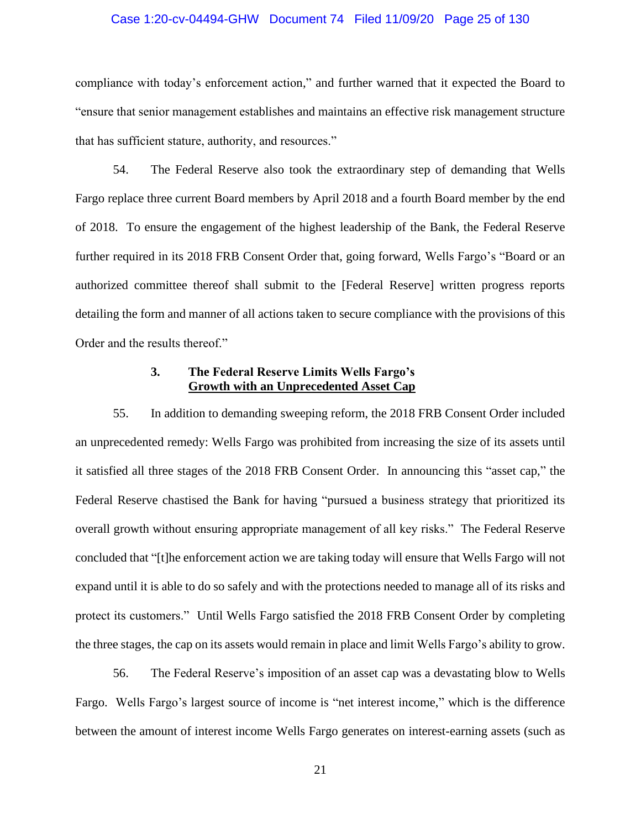#### Case 1:20-cv-04494-GHW Document 74 Filed 11/09/20 Page 25 of 130

compliance with today's enforcement action," and further warned that it expected the Board to "ensure that senior management establishes and maintains an effective risk management structure that has sufficient stature, authority, and resources."

54. The Federal Reserve also took the extraordinary step of demanding that Wells Fargo replace three current Board members by April 2018 and a fourth Board member by the end of 2018. To ensure the engagement of the highest leadership of the Bank, the Federal Reserve further required in its 2018 FRB Consent Order that, going forward, Wells Fargo's "Board or an authorized committee thereof shall submit to the [Federal Reserve] written progress reports detailing the form and manner of all actions taken to secure compliance with the provisions of this Order and the results thereof."

### **3. The Federal Reserve Limits Wells Fargo's Growth with an Unprecedented Asset Cap**

<span id="page-24-0"></span>55. In addition to demanding sweeping reform, the 2018 FRB Consent Order included an unprecedented remedy: Wells Fargo was prohibited from increasing the size of its assets until it satisfied all three stages of the 2018 FRB Consent Order. In announcing this "asset cap," the Federal Reserve chastised the Bank for having "pursued a business strategy that prioritized its overall growth without ensuring appropriate management of all key risks." The Federal Reserve concluded that "[t]he enforcement action we are taking today will ensure that Wells Fargo will not expand until it is able to do so safely and with the protections needed to manage all of its risks and protect its customers." Until Wells Fargo satisfied the 2018 FRB Consent Order by completing the three stages, the cap on its assets would remain in place and limit Wells Fargo's ability to grow.

56. The Federal Reserve's imposition of an asset cap was a devastating blow to Wells Fargo. Wells Fargo's largest source of income is "net interest income," which is the difference between the amount of interest income Wells Fargo generates on interest-earning assets (such as

21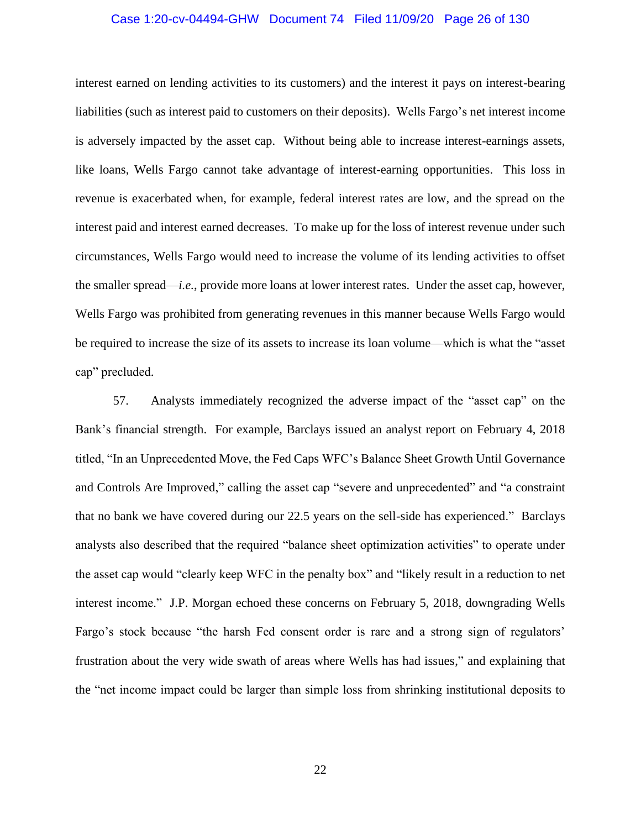#### Case 1:20-cv-04494-GHW Document 74 Filed 11/09/20 Page 26 of 130

interest earned on lending activities to its customers) and the interest it pays on interest-bearing liabilities (such as interest paid to customers on their deposits). Wells Fargo's net interest income is adversely impacted by the asset cap. Without being able to increase interest-earnings assets, like loans, Wells Fargo cannot take advantage of interest-earning opportunities. This loss in revenue is exacerbated when, for example, federal interest rates are low, and the spread on the interest paid and interest earned decreases. To make up for the loss of interest revenue under such circumstances, Wells Fargo would need to increase the volume of its lending activities to offset the smaller spread—*i.e.*, provide more loans at lower interest rates. Under the asset cap, however, Wells Fargo was prohibited from generating revenues in this manner because Wells Fargo would be required to increase the size of its assets to increase its loan volume—which is what the "asset cap" precluded.

57. Analysts immediately recognized the adverse impact of the "asset cap" on the Bank's financial strength. For example, Barclays issued an analyst report on February 4, 2018 titled, "In an Unprecedented Move, the Fed Caps WFC's Balance Sheet Growth Until Governance and Controls Are Improved," calling the asset cap "severe and unprecedented" and "a constraint that no bank we have covered during our 22.5 years on the sell-side has experienced." Barclays analysts also described that the required "balance sheet optimization activities" to operate under the asset cap would "clearly keep WFC in the penalty box" and "likely result in a reduction to net interest income." J.P. Morgan echoed these concerns on February 5, 2018, downgrading Wells Fargo's stock because "the harsh Fed consent order is rare and a strong sign of regulators' frustration about the very wide swath of areas where Wells has had issues," and explaining that the "net income impact could be larger than simple loss from shrinking institutional deposits to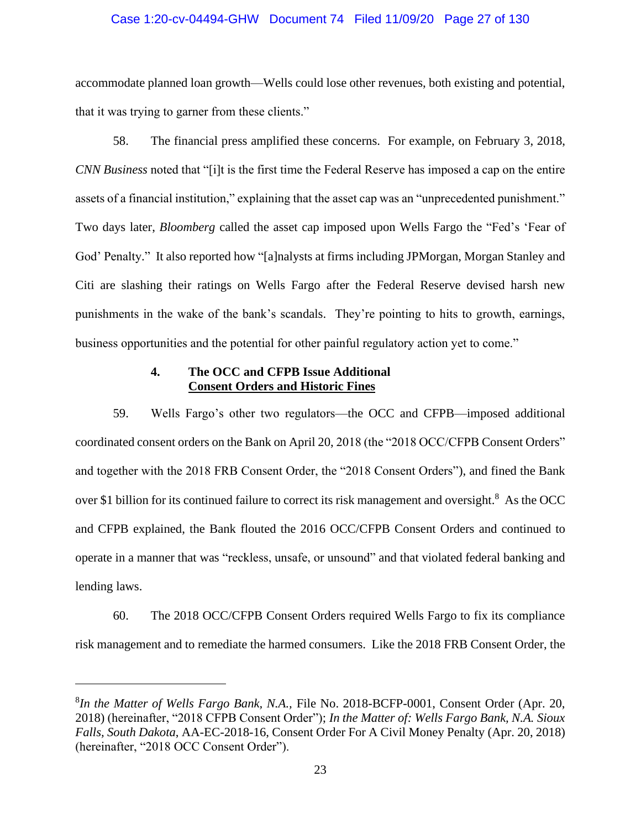#### Case 1:20-cv-04494-GHW Document 74 Filed 11/09/20 Page 27 of 130

accommodate planned loan growth—Wells could lose other revenues, both existing and potential, that it was trying to garner from these clients."

58. The financial press amplified these concerns. For example, on February 3, 2018, *CNN Business* noted that "[i]t is the first time the Federal Reserve has imposed a cap on the entire assets of a financial institution," explaining that the asset cap was an "unprecedented punishment." Two days later, *Bloomberg* called the asset cap imposed upon Wells Fargo the "Fed's 'Fear of God' Penalty." It also reported how "[a]nalysts at firms including JPMorgan, Morgan Stanley and Citi are slashing their ratings on Wells Fargo after the Federal Reserve devised harsh new punishments in the wake of the bank's scandals. They're pointing to hits to growth, earnings, business opportunities and the potential for other painful regulatory action yet to come."

## **4. The OCC and CFPB Issue Additional Consent Orders and Historic Fines**

<span id="page-26-0"></span>59. Wells Fargo's other two regulators—the OCC and CFPB—imposed additional coordinated consent orders on the Bank on April 20, 2018 (the "2018 OCC/CFPB Consent Orders" and together with the 2018 FRB Consent Order, the "2018 Consent Orders"), and fined the Bank over \$1 billion for its continued failure to correct its risk management and oversight.<sup>8</sup> As the OCC and CFPB explained, the Bank flouted the 2016 OCC/CFPB Consent Orders and continued to operate in a manner that was "reckless, unsafe, or unsound" and that violated federal banking and lending laws.

60. The 2018 OCC/CFPB Consent Orders required Wells Fargo to fix its compliance risk management and to remediate the harmed consumers. Like the 2018 FRB Consent Order, the

<sup>8</sup> *In the Matter of Wells Fargo Bank, N.A.,* File No. 2018-BCFP-0001, Consent Order (Apr. 20, 2018) (hereinafter, "2018 CFPB Consent Order"); *In the Matter of: Wells Fargo Bank, N.A. Sioux Falls, South Dakota*, AA-EC-2018-16, Consent Order For A Civil Money Penalty (Apr. 20, 2018) (hereinafter, "2018 OCC Consent Order").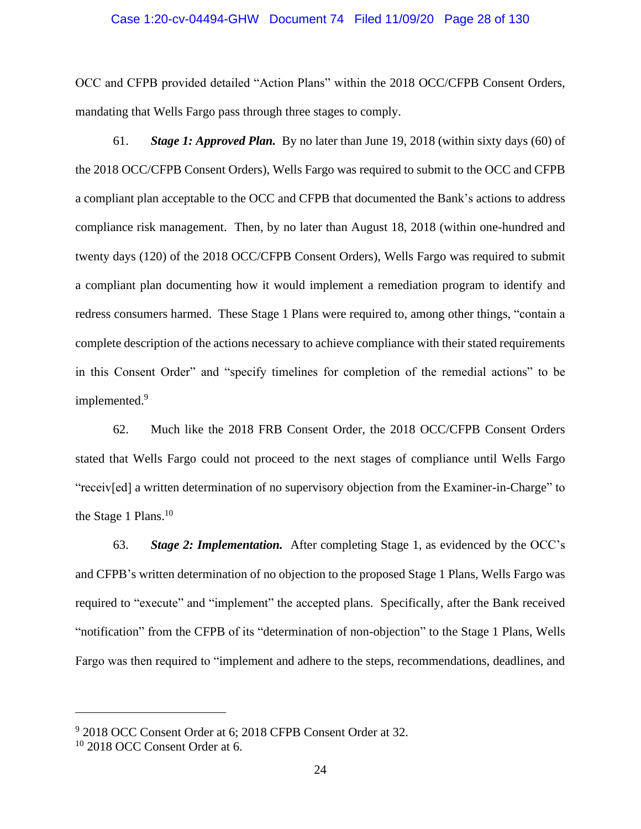#### Case 1:20-cv-04494-GHW Document 74 Filed 11/09/20 Page 28 of 130

OCC and CFPB provided detailed "Action Plans" within the 2018 OCC/CFPB Consent Orders, mandating that Wells Fargo pass through three stages to comply.

61. *Stage 1: Approved Plan.* By no later than June 19, 2018 (within sixty days (60) of the 2018 OCC/CFPB Consent Orders), Wells Fargo was required to submit to the OCC and CFPB a compliant plan acceptable to the OCC and CFPB that documented the Bank's actions to address compliance risk management. Then, by no later than August 18, 2018 (within one-hundred and twenty days (120) of the 2018 OCC/CFPB Consent Orders), Wells Fargo was required to submit a compliant plan documenting how it would implement a remediation program to identify and redress consumers harmed. These Stage 1 Plans were required to, among other things, "contain a complete description of the actions necessary to achieve compliance with their stated requirements in this Consent Order" and "specify timelines for completion of the remedial actions" to be implemented.<sup>9</sup>

62. Much like the 2018 FRB Consent Order, the 2018 OCC/CFPB Consent Orders stated that Wells Fargo could not proceed to the next stages of compliance until Wells Fargo "receiv[ed] a written determination of no supervisory objection from the Examiner-in-Charge" to the Stage 1 Plans.<sup>10</sup>

63. *Stage 2: Implementation.* After completing Stage 1, as evidenced by the OCC's and CFPB's written determination of no objection to the proposed Stage 1 Plans, Wells Fargo was required to "execute" and "implement" the accepted plans. Specifically, after the Bank received "notification" from the CFPB of its "determination of non-objection" to the Stage 1 Plans, Wells Fargo was then required to "implement and adhere to the steps, recommendations, deadlines, and

<sup>&</sup>lt;sup>9</sup> 2018 OCC Consent Order at 6; 2018 CFPB Consent Order at 32.

<sup>10</sup> 2018 OCC Consent Order at 6.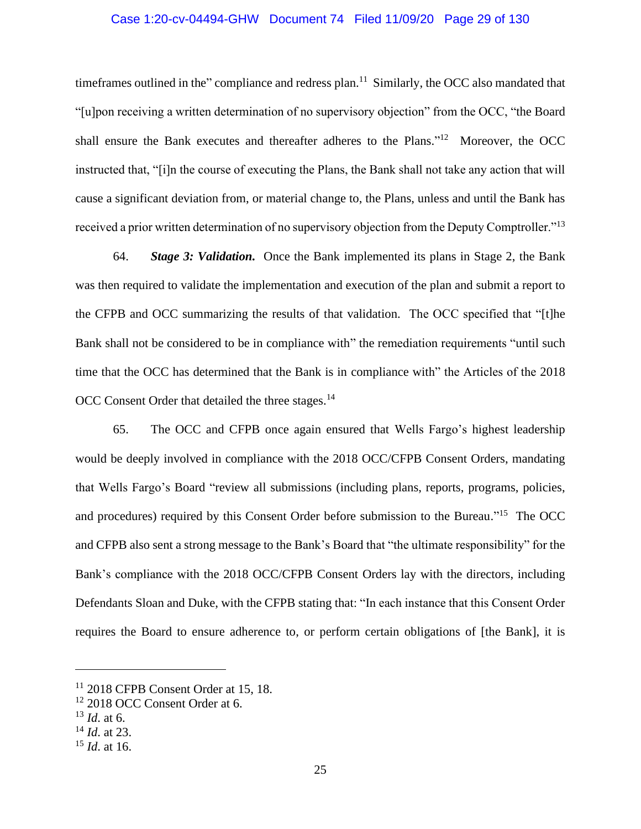#### Case 1:20-cv-04494-GHW Document 74 Filed 11/09/20 Page 29 of 130

timeframes outlined in the" compliance and redress plan.<sup>11</sup> Similarly, the OCC also mandated that "[u]pon receiving a written determination of no supervisory objection" from the OCC, "the Board shall ensure the Bank executes and thereafter adheres to the Plans."<sup>12</sup> Moreover, the OCC instructed that, "[i]n the course of executing the Plans, the Bank shall not take any action that will cause a significant deviation from, or material change to, the Plans, unless and until the Bank has received a prior written determination of no supervisory objection from the Deputy Comptroller."<sup>13</sup>

64. *Stage 3: Validation.* Once the Bank implemented its plans in Stage 2, the Bank was then required to validate the implementation and execution of the plan and submit a report to the CFPB and OCC summarizing the results of that validation. The OCC specified that "[t]he Bank shall not be considered to be in compliance with" the remediation requirements "until such time that the OCC has determined that the Bank is in compliance with" the Articles of the 2018 OCC Consent Order that detailed the three stages.<sup>14</sup>

65. The OCC and CFPB once again ensured that Wells Fargo's highest leadership would be deeply involved in compliance with the 2018 OCC/CFPB Consent Orders, mandating that Wells Fargo's Board "review all submissions (including plans, reports, programs, policies, and procedures) required by this Consent Order before submission to the Bureau."<sup>15</sup> The OCC and CFPB also sent a strong message to the Bank's Board that "the ultimate responsibility" for the Bank's compliance with the 2018 OCC/CFPB Consent Orders lay with the directors, including Defendants Sloan and Duke, with the CFPB stating that: "In each instance that this Consent Order requires the Board to ensure adherence to, or perform certain obligations of [the Bank], it is

<sup>&</sup>lt;sup>11</sup> 2018 CFPB Consent Order at 15, 18.

<sup>&</sup>lt;sup>12</sup> 2018 OCC Consent Order at 6.

<sup>13</sup> *Id*. at 6.

<sup>14</sup> *Id*. at 23.

<sup>15</sup> *Id*. at 16.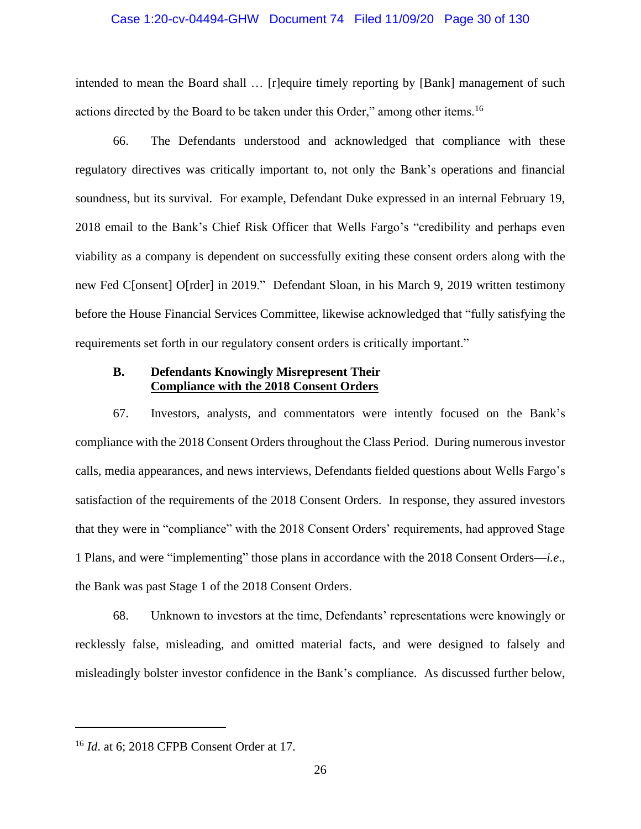#### Case 1:20-cv-04494-GHW Document 74 Filed 11/09/20 Page 30 of 130

intended to mean the Board shall … [r]equire timely reporting by [Bank] management of such actions directed by the Board to be taken under this Order," among other items.<sup>16</sup>

66. The Defendants understood and acknowledged that compliance with these regulatory directives was critically important to, not only the Bank's operations and financial soundness, but its survival. For example, Defendant Duke expressed in an internal February 19, 2018 email to the Bank's Chief Risk Officer that Wells Fargo's "credibility and perhaps even viability as a company is dependent on successfully exiting these consent orders along with the new Fed C[onsent] O[rder] in 2019." Defendant Sloan, in his March 9, 2019 written testimony before the House Financial Services Committee, likewise acknowledged that "fully satisfying the requirements set forth in our regulatory consent orders is critically important."

## <span id="page-29-0"></span>**B. Defendants Knowingly Misrepresent Their Compliance with the 2018 Consent Orders**

67. Investors, analysts, and commentators were intently focused on the Bank's compliance with the 2018 Consent Orders throughout the Class Period. During numerous investor calls, media appearances, and news interviews, Defendants fielded questions about Wells Fargo's satisfaction of the requirements of the 2018 Consent Orders. In response, they assured investors that they were in "compliance" with the 2018 Consent Orders' requirements, had approved Stage 1 Plans, and were "implementing" those plans in accordance with the 2018 Consent Orders—*i.e*., the Bank was past Stage 1 of the 2018 Consent Orders.

68. Unknown to investors at the time, Defendants' representations were knowingly or recklessly false, misleading, and omitted material facts, and were designed to falsely and misleadingly bolster investor confidence in the Bank's compliance. As discussed further below,

<sup>16</sup> *Id*. at 6; 2018 CFPB Consent Order at 17.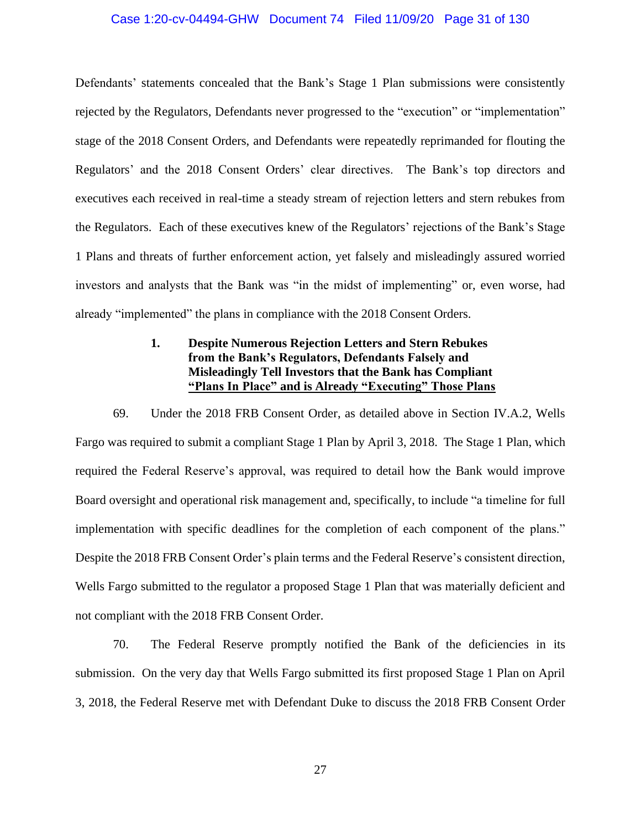#### Case 1:20-cv-04494-GHW Document 74 Filed 11/09/20 Page 31 of 130

Defendants' statements concealed that the Bank's Stage 1 Plan submissions were consistently rejected by the Regulators, Defendants never progressed to the "execution" or "implementation" stage of the 2018 Consent Orders, and Defendants were repeatedly reprimanded for flouting the Regulators' and the 2018 Consent Orders' clear directives. The Bank's top directors and executives each received in real-time a steady stream of rejection letters and stern rebukes from the Regulators. Each of these executives knew of the Regulators' rejections of the Bank's Stage 1 Plans and threats of further enforcement action, yet falsely and misleadingly assured worried investors and analysts that the Bank was "in the midst of implementing" or, even worse, had already "implemented" the plans in compliance with the 2018 Consent Orders.

## **1. Despite Numerous Rejection Letters and Stern Rebukes from the Bank's Regulators, Defendants Falsely and Misleadingly Tell Investors that the Bank has Compliant "Plans In Place" and is Already "Executing" Those Plans**

<span id="page-30-0"></span>69. Under the 2018 FRB Consent Order, as detailed above in Section IV.A.2, Wells Fargo was required to submit a compliant Stage 1 Plan by April 3, 2018. The Stage 1 Plan, which required the Federal Reserve's approval, was required to detail how the Bank would improve Board oversight and operational risk management and, specifically, to include "a timeline for full implementation with specific deadlines for the completion of each component of the plans." Despite the 2018 FRB Consent Order's plain terms and the Federal Reserve's consistent direction, Wells Fargo submitted to the regulator a proposed Stage 1 Plan that was materially deficient and not compliant with the 2018 FRB Consent Order.

70. The Federal Reserve promptly notified the Bank of the deficiencies in its submission. On the very day that Wells Fargo submitted its first proposed Stage 1 Plan on April 3, 2018, the Federal Reserve met with Defendant Duke to discuss the 2018 FRB Consent Order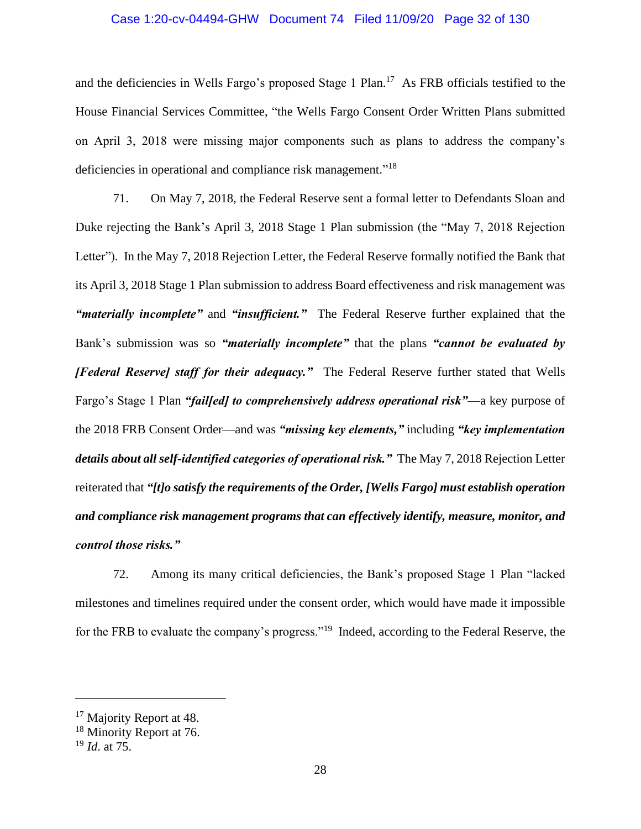#### Case 1:20-cv-04494-GHW Document 74 Filed 11/09/20 Page 32 of 130

and the deficiencies in Wells Fargo's proposed Stage 1 Plan.<sup>17</sup> As FRB officials testified to the House Financial Services Committee, "the Wells Fargo Consent Order Written Plans submitted on April 3, 2018 were missing major components such as plans to address the company's deficiencies in operational and compliance risk management."<sup>18</sup>

71. On May 7, 2018, the Federal Reserve sent a formal letter to Defendants Sloan and Duke rejecting the Bank's April 3, 2018 Stage 1 Plan submission (the "May 7, 2018 Rejection Letter"). In the May 7, 2018 Rejection Letter, the Federal Reserve formally notified the Bank that its April 3, 2018 Stage 1 Plan submission to address Board effectiveness and risk management was *"materially incomplete"* and *"insufficient."* The Federal Reserve further explained that the Bank's submission was so *"materially incomplete"* that the plans *"cannot be evaluated by [Federal Reserve] staff for their adequacy."* The Federal Reserve further stated that Wells Fargo's Stage 1 Plan *"fail[ed] to comprehensively address operational risk"*—a key purpose of the 2018 FRB Consent Order—and was *"missing key elements,"* including *"key implementation details about all self-identified categories of operational risk."* The May 7, 2018 Rejection Letter reiterated that *"[t]o satisfy the requirements of the Order, [Wells Fargo] must establish operation and compliance risk management programs that can effectively identify, measure, monitor, and control those risks."*

72. Among its many critical deficiencies, the Bank's proposed Stage 1 Plan "lacked milestones and timelines required under the consent order, which would have made it impossible for the FRB to evaluate the company's progress."<sup>19</sup> Indeed, according to the Federal Reserve, the

<sup>&</sup>lt;sup>17</sup> Majority Report at 48.

<sup>&</sup>lt;sup>18</sup> Minority Report at 76.

<sup>19</sup> *Id*. at 75.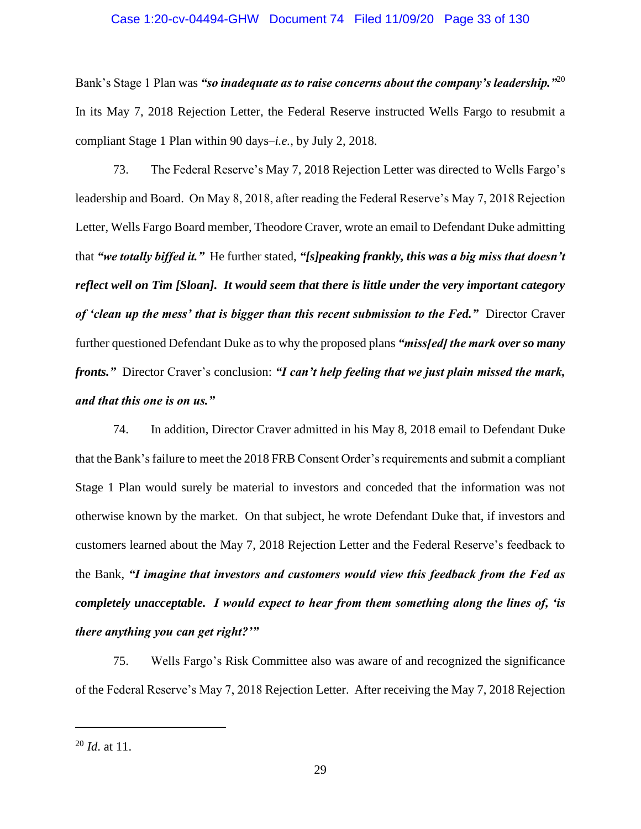#### Case 1:20-cv-04494-GHW Document 74 Filed 11/09/20 Page 33 of 130

Bank's Stage 1 Plan was *"so inadequate as to raise concerns about the company's leadership."*<sup>20</sup> In its May 7, 2018 Rejection Letter, the Federal Reserve instructed Wells Fargo to resubmit a compliant Stage 1 Plan within 90 days–*i.e.*, by July 2, 2018.

73. The Federal Reserve's May 7, 2018 Rejection Letter was directed to Wells Fargo's leadership and Board. On May 8, 2018, after reading the Federal Reserve's May 7, 2018 Rejection Letter, Wells Fargo Board member, Theodore Craver, wrote an email to Defendant Duke admitting that *"we totally biffed it."* He further stated, *"[s]peaking frankly, this was a big miss that doesn't reflect well on Tim [Sloan]. It would seem that there is little under the very important category*  of 'clean up the mess' that is bigger than this recent submission to the Fed." Director Craver further questioned Defendant Duke as to why the proposed plans *"miss[ed] the mark over so many fronts."* Director Craver's conclusion: *"I can't help feeling that we just plain missed the mark, and that this one is on us."*

74. In addition, Director Craver admitted in his May 8, 2018 email to Defendant Duke that the Bank's failure to meet the 2018 FRB Consent Order's requirements and submit a compliant Stage 1 Plan would surely be material to investors and conceded that the information was not otherwise known by the market. On that subject, he wrote Defendant Duke that, if investors and customers learned about the May 7, 2018 Rejection Letter and the Federal Reserve's feedback to the Bank, *"I imagine that investors and customers would view this feedback from the Fed as completely unacceptable. I would expect to hear from them something along the lines of, 'is there anything you can get right?'"*

75. Wells Fargo's Risk Committee also was aware of and recognized the significance of the Federal Reserve's May 7, 2018 Rejection Letter. After receiving the May 7, 2018 Rejection

<sup>20</sup> *Id*. at 11.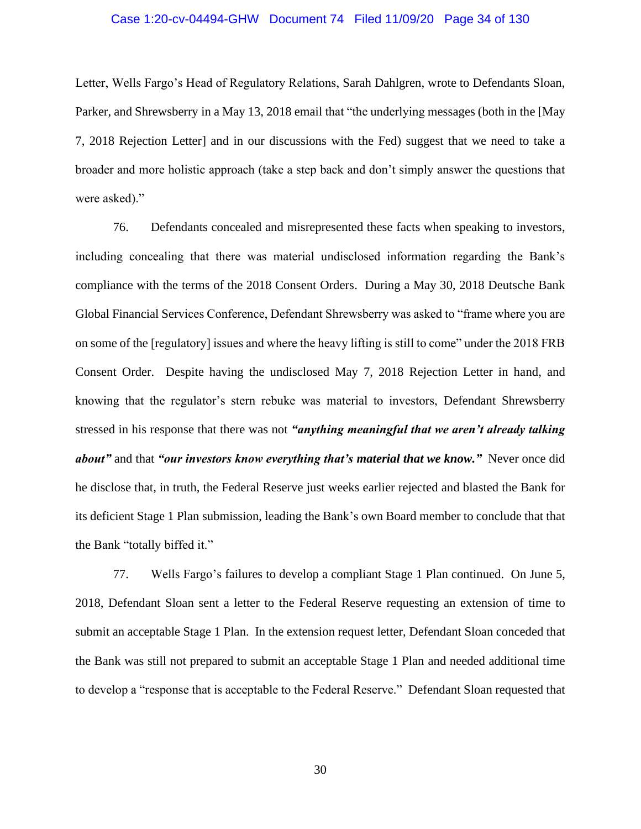#### Case 1:20-cv-04494-GHW Document 74 Filed 11/09/20 Page 34 of 130

Letter, Wells Fargo's Head of Regulatory Relations, Sarah Dahlgren, wrote to Defendants Sloan, Parker, and Shrewsberry in a May 13, 2018 email that "the underlying messages (both in the [May 7, 2018 Rejection Letter] and in our discussions with the Fed) suggest that we need to take a broader and more holistic approach (take a step back and don't simply answer the questions that were asked)."

76. Defendants concealed and misrepresented these facts when speaking to investors, including concealing that there was material undisclosed information regarding the Bank's compliance with the terms of the 2018 Consent Orders. During a May 30, 2018 Deutsche Bank Global Financial Services Conference, Defendant Shrewsberry was asked to "frame where you are on some of the [regulatory] issues and where the heavy lifting is still to come" under the 2018 FRB Consent Order. Despite having the undisclosed May 7, 2018 Rejection Letter in hand, and knowing that the regulator's stern rebuke was material to investors, Defendant Shrewsberry stressed in his response that there was not *"anything meaningful that we aren't already talking about"* and that *"our investors know everything that's material that we know."* Never once did he disclose that, in truth, the Federal Reserve just weeks earlier rejected and blasted the Bank for its deficient Stage 1 Plan submission, leading the Bank's own Board member to conclude that that the Bank "totally biffed it."

77. Wells Fargo's failures to develop a compliant Stage 1 Plan continued. On June 5, 2018, Defendant Sloan sent a letter to the Federal Reserve requesting an extension of time to submit an acceptable Stage 1 Plan. In the extension request letter, Defendant Sloan conceded that the Bank was still not prepared to submit an acceptable Stage 1 Plan and needed additional time to develop a "response that is acceptable to the Federal Reserve." Defendant Sloan requested that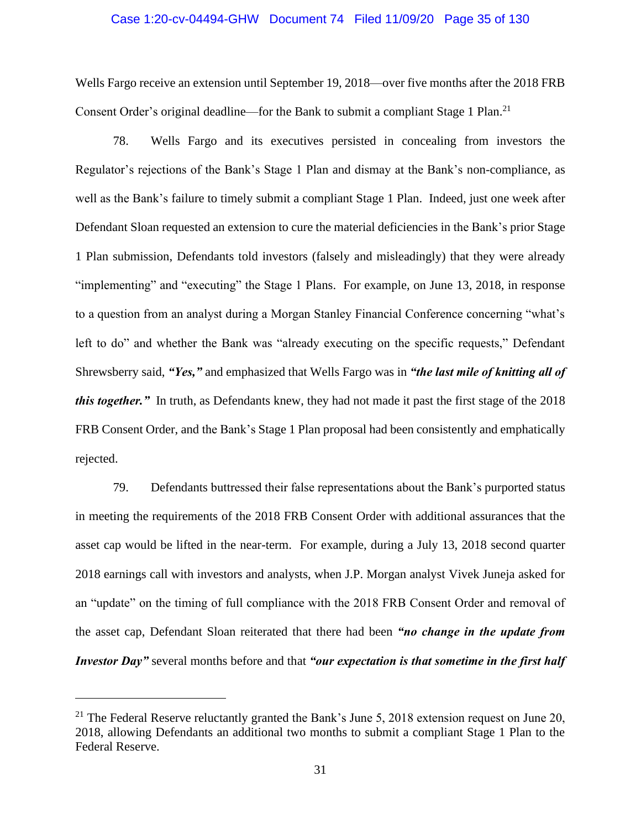#### Case 1:20-cv-04494-GHW Document 74 Filed 11/09/20 Page 35 of 130

Wells Fargo receive an extension until September 19, 2018—over five months after the 2018 FRB Consent Order's original deadline—for the Bank to submit a compliant Stage 1 Plan.<sup>21</sup>

78. Wells Fargo and its executives persisted in concealing from investors the Regulator's rejections of the Bank's Stage 1 Plan and dismay at the Bank's non-compliance, as well as the Bank's failure to timely submit a compliant Stage 1 Plan. Indeed, just one week after Defendant Sloan requested an extension to cure the material deficiencies in the Bank's prior Stage 1 Plan submission, Defendants told investors (falsely and misleadingly) that they were already "implementing" and "executing" the Stage 1 Plans. For example, on June 13, 2018, in response to a question from an analyst during a Morgan Stanley Financial Conference concerning "what's left to do" and whether the Bank was "already executing on the specific requests," Defendant Shrewsberry said, *"Yes,"* and emphasized that Wells Fargo was in *"the last mile of knitting all of this together.*" In truth, as Defendants knew, they had not made it past the first stage of the 2018 FRB Consent Order, and the Bank's Stage 1 Plan proposal had been consistently and emphatically rejected.

79. Defendants buttressed their false representations about the Bank's purported status in meeting the requirements of the 2018 FRB Consent Order with additional assurances that the asset cap would be lifted in the near-term. For example, during a July 13, 2018 second quarter 2018 earnings call with investors and analysts, when J.P. Morgan analyst Vivek Juneja asked for an "update" on the timing of full compliance with the 2018 FRB Consent Order and removal of the asset cap, Defendant Sloan reiterated that there had been *"no change in the update from Investor Day"* several months before and that *"our expectation is that sometime in the first half* 

<sup>&</sup>lt;sup>21</sup> The Federal Reserve reluctantly granted the Bank's June 5, 2018 extension request on June 20, 2018, allowing Defendants an additional two months to submit a compliant Stage 1 Plan to the Federal Reserve.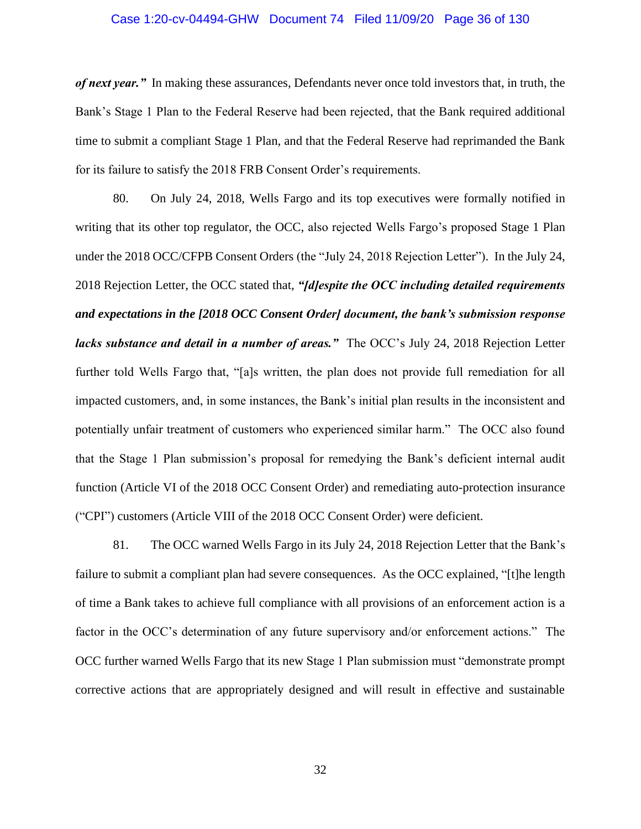#### Case 1:20-cv-04494-GHW Document 74 Filed 11/09/20 Page 36 of 130

*of next year."* In making these assurances, Defendants never once told investors that, in truth, the Bank's Stage 1 Plan to the Federal Reserve had been rejected, that the Bank required additional time to submit a compliant Stage 1 Plan, and that the Federal Reserve had reprimanded the Bank for its failure to satisfy the 2018 FRB Consent Order's requirements.

80. On July 24, 2018, Wells Fargo and its top executives were formally notified in writing that its other top regulator, the OCC, also rejected Wells Fargo's proposed Stage 1 Plan under the 2018 OCC/CFPB Consent Orders (the "July 24, 2018 Rejection Letter"). In the July 24, 2018 Rejection Letter, the OCC stated that, *"[d]espite the OCC including detailed requirements and expectations in the [2018 OCC Consent Order] document, the bank's submission response lacks substance and detail in a number of areas."* The OCC's July 24, 2018 Rejection Letter further told Wells Fargo that, "[a]s written, the plan does not provide full remediation for all impacted customers, and, in some instances, the Bank's initial plan results in the inconsistent and potentially unfair treatment of customers who experienced similar harm." The OCC also found that the Stage 1 Plan submission's proposal for remedying the Bank's deficient internal audit function (Article VI of the 2018 OCC Consent Order) and remediating auto-protection insurance ("CPI") customers (Article VIII of the 2018 OCC Consent Order) were deficient.

81. The OCC warned Wells Fargo in its July 24, 2018 Rejection Letter that the Bank's failure to submit a compliant plan had severe consequences. As the OCC explained, "[t]he length of time a Bank takes to achieve full compliance with all provisions of an enforcement action is a factor in the OCC's determination of any future supervisory and/or enforcement actions." The OCC further warned Wells Fargo that its new Stage 1 Plan submission must "demonstrate prompt corrective actions that are appropriately designed and will result in effective and sustainable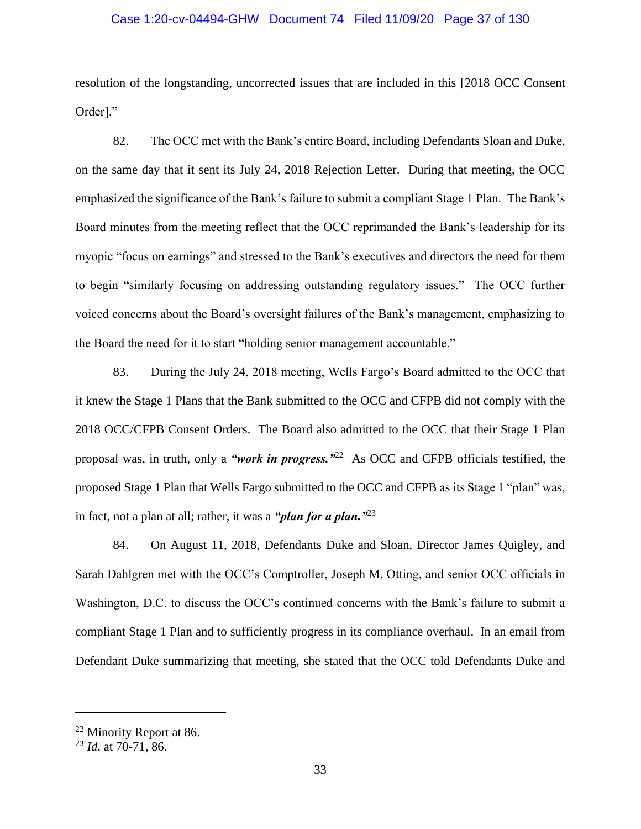#### Case 1:20-cv-04494-GHW Document 74 Filed 11/09/20 Page 37 of 130

resolution of the longstanding, uncorrected issues that are included in this [2018 OCC Consent Order]."

82. The OCC met with the Bank's entire Board, including Defendants Sloan and Duke, on the same day that it sent its July 24, 2018 Rejection Letter. During that meeting, the OCC emphasized the significance of the Bank's failure to submit a compliant Stage 1 Plan. The Bank's Board minutes from the meeting reflect that the OCC reprimanded the Bank's leadership for its myopic "focus on earnings" and stressed to the Bank's executives and directors the need for them to begin "similarly focusing on addressing outstanding regulatory issues." The OCC further voiced concerns about the Board's oversight failures of the Bank's management, emphasizing to the Board the need for it to start "holding senior management accountable."

83. During the July 24, 2018 meeting, Wells Fargo's Board admitted to the OCC that it knew the Stage 1 Plans that the Bank submitted to the OCC and CFPB did not comply with the 2018 OCC/CFPB Consent Orders. The Board also admitted to the OCC that their Stage 1 Plan proposal was, in truth, only a *"work in progress."*<sup>22</sup> As OCC and CFPB officials testified, the proposed Stage 1 Plan that Wells Fargo submitted to the OCC and CFPB as its Stage 1 "plan" was, in fact, not a plan at all; rather, it was a *"plan for a plan."*<sup>23</sup>

84. On August 11, 2018, Defendants Duke and Sloan, Director James Quigley, and Sarah Dahlgren met with the OCC's Comptroller, Joseph M. Otting, and senior OCC officials in Washington, D.C. to discuss the OCC's continued concerns with the Bank's failure to submit a compliant Stage 1 Plan and to sufficiently progress in its compliance overhaul. In an email from Defendant Duke summarizing that meeting, she stated that the OCC told Defendants Duke and

<sup>22</sup> Minority Report at 86.

<sup>23</sup> *Id*. at 70-71, 86.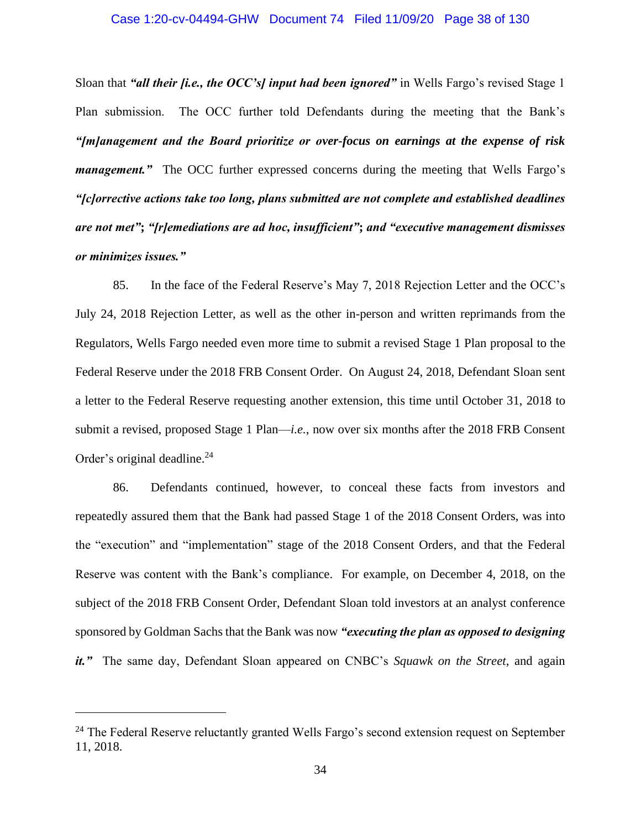#### Case 1:20-cv-04494-GHW Document 74 Filed 11/09/20 Page 38 of 130

Sloan that *"all their <i>fi.e., the OCC's] input had been ignored*" in Wells Fargo's revised Stage 1 Plan submission. The OCC further told Defendants during the meeting that the Bank's *"[m]anagement and the Board prioritize or over-focus on earnings at the expense of risk management.*" The OCC further expressed concerns during the meeting that Wells Fargo's *"[c]orrective actions take too long, plans submitted are not complete and established deadlines are not met"***;** *"[r]emediations are ad hoc, insufficient"***;** *and "executive management dismisses or minimizes issues."*

85. In the face of the Federal Reserve's May 7, 2018 Rejection Letter and the OCC's July 24, 2018 Rejection Letter, as well as the other in-person and written reprimands from the Regulators, Wells Fargo needed even more time to submit a revised Stage 1 Plan proposal to the Federal Reserve under the 2018 FRB Consent Order. On August 24, 2018, Defendant Sloan sent a letter to the Federal Reserve requesting another extension, this time until October 31, 2018 to submit a revised, proposed Stage 1 Plan—*i.e.*, now over six months after the 2018 FRB Consent Order's original deadline.<sup>24</sup>

86. Defendants continued, however, to conceal these facts from investors and repeatedly assured them that the Bank had passed Stage 1 of the 2018 Consent Orders, was into the "execution" and "implementation" stage of the 2018 Consent Orders, and that the Federal Reserve was content with the Bank's compliance. For example, on December 4, 2018, on the subject of the 2018 FRB Consent Order, Defendant Sloan told investors at an analyst conference sponsored by Goldman Sachs that the Bank was now *"executing the plan as opposed to designing it."* The same day, Defendant Sloan appeared on CNBC's *Squawk on the Street*, and again

 $24$  The Federal Reserve reluctantly granted Wells Fargo's second extension request on September 11, 2018.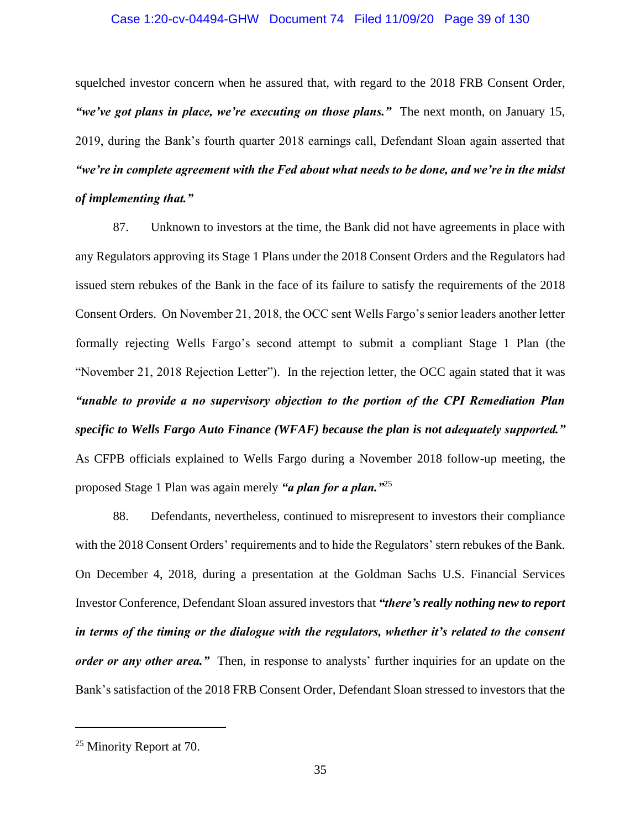#### Case 1:20-cv-04494-GHW Document 74 Filed 11/09/20 Page 39 of 130

squelched investor concern when he assured that, with regard to the 2018 FRB Consent Order, *"we've got plans in place, we're executing on those plans."* The next month, on January 15, 2019, during the Bank's fourth quarter 2018 earnings call, Defendant Sloan again asserted that *"we're in complete agreement with the Fed about what needs to be done, and we're in the midst of implementing that."*

87. Unknown to investors at the time, the Bank did not have agreements in place with any Regulators approving its Stage 1 Plans under the 2018 Consent Orders and the Regulators had issued stern rebukes of the Bank in the face of its failure to satisfy the requirements of the 2018 Consent Orders. On November 21, 2018, the OCC sent Wells Fargo's senior leaders another letter formally rejecting Wells Fargo's second attempt to submit a compliant Stage 1 Plan (the "November 21, 2018 Rejection Letter"). In the rejection letter, the OCC again stated that it was *"unable to provide a no supervisory objection to the portion of the CPI Remediation Plan specific to Wells Fargo Auto Finance (WFAF) because the plan is not adequately supported."*  As CFPB officials explained to Wells Fargo during a November 2018 follow-up meeting, the proposed Stage 1 Plan was again merely *"a plan for a plan."*<sup>25</sup>

88. Defendants, nevertheless, continued to misrepresent to investors their compliance with the 2018 Consent Orders' requirements and to hide the Regulators' stern rebukes of the Bank. On December 4, 2018, during a presentation at the Goldman Sachs U.S. Financial Services Investor Conference, Defendant Sloan assured investors that *"there's really nothing new to report in terms of the timing or the dialogue with the regulators, whether it's related to the consent order or any other area."* Then, in response to analysts' further inquiries for an update on the Bank's satisfaction of the 2018 FRB Consent Order, Defendant Sloan stressed to investors that the

<sup>&</sup>lt;sup>25</sup> Minority Report at 70.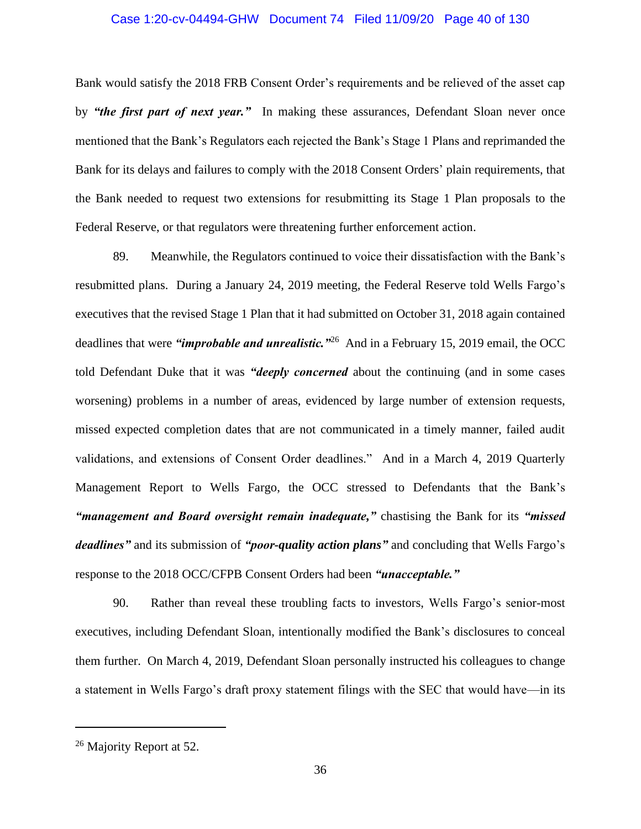#### Case 1:20-cv-04494-GHW Document 74 Filed 11/09/20 Page 40 of 130

Bank would satisfy the 2018 FRB Consent Order's requirements and be relieved of the asset cap by *"the first part of next year."* In making these assurances, Defendant Sloan never once mentioned that the Bank's Regulators each rejected the Bank's Stage 1 Plans and reprimanded the Bank for its delays and failures to comply with the 2018 Consent Orders' plain requirements, that the Bank needed to request two extensions for resubmitting its Stage 1 Plan proposals to the Federal Reserve, or that regulators were threatening further enforcement action.

89. Meanwhile, the Regulators continued to voice their dissatisfaction with the Bank's resubmitted plans. During a January 24, 2019 meeting, the Federal Reserve told Wells Fargo's executives that the revised Stage 1 Plan that it had submitted on October 31, 2018 again contained deadlines that were *"improbable and unrealistic."*<sup>26</sup> And in a February 15, 2019 email, the OCC told Defendant Duke that it was *"deeply concerned* about the continuing (and in some cases worsening) problems in a number of areas, evidenced by large number of extension requests, missed expected completion dates that are not communicated in a timely manner, failed audit validations, and extensions of Consent Order deadlines." And in a March 4, 2019 Quarterly Management Report to Wells Fargo, the OCC stressed to Defendants that the Bank's *"management and Board oversight remain inadequate,"* chastising the Bank for its *"missed deadlines"* and its submission of *"poor-quality action plans"* and concluding that Wells Fargo's response to the 2018 OCC/CFPB Consent Orders had been *"unacceptable."* 

90. Rather than reveal these troubling facts to investors, Wells Fargo's senior-most executives, including Defendant Sloan, intentionally modified the Bank's disclosures to conceal them further. On March 4, 2019, Defendant Sloan personally instructed his colleagues to change a statement in Wells Fargo's draft proxy statement filings with the SEC that would have—in its

<sup>&</sup>lt;sup>26</sup> Majority Report at 52.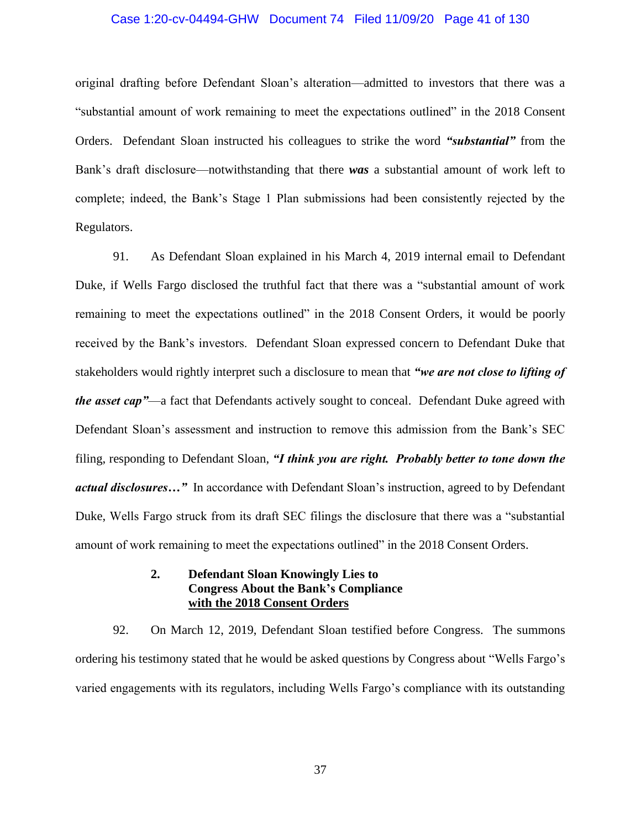#### Case 1:20-cv-04494-GHW Document 74 Filed 11/09/20 Page 41 of 130

original drafting before Defendant Sloan's alteration—admitted to investors that there was a "substantial amount of work remaining to meet the expectations outlined" in the 2018 Consent Orders. Defendant Sloan instructed his colleagues to strike the word *"substantial"* from the Bank's draft disclosure—notwithstanding that there *was* a substantial amount of work left to complete; indeed, the Bank's Stage 1 Plan submissions had been consistently rejected by the Regulators.

91. As Defendant Sloan explained in his March 4, 2019 internal email to Defendant Duke, if Wells Fargo disclosed the truthful fact that there was a "substantial amount of work remaining to meet the expectations outlined" in the 2018 Consent Orders, it would be poorly received by the Bank's investors. Defendant Sloan expressed concern to Defendant Duke that stakeholders would rightly interpret such a disclosure to mean that *"we are not close to lifting of the asset cap"*—a fact that Defendants actively sought to conceal. Defendant Duke agreed with Defendant Sloan's assessment and instruction to remove this admission from the Bank's SEC filing, responding to Defendant Sloan, *"I think you are right. Probably better to tone down the actual disclosures…"* In accordance with Defendant Sloan's instruction, agreed to by Defendant Duke, Wells Fargo struck from its draft SEC filings the disclosure that there was a "substantial amount of work remaining to meet the expectations outlined" in the 2018 Consent Orders.

## **2. Defendant Sloan Knowingly Lies to Congress About the Bank's Compliance with the 2018 Consent Orders**

92. On March 12, 2019, Defendant Sloan testified before Congress. The summons ordering his testimony stated that he would be asked questions by Congress about "Wells Fargo's varied engagements with its regulators, including Wells Fargo's compliance with its outstanding

37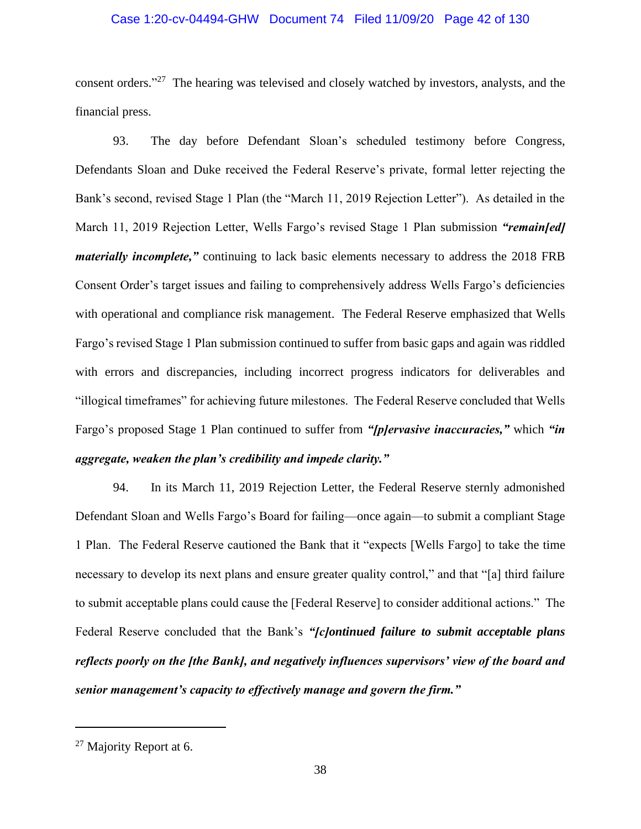#### Case 1:20-cv-04494-GHW Document 74 Filed 11/09/20 Page 42 of 130

consent orders."<sup>27</sup> The hearing was televised and closely watched by investors, analysts, and the financial press.

93. The day before Defendant Sloan's scheduled testimony before Congress, Defendants Sloan and Duke received the Federal Reserve's private, formal letter rejecting the Bank's second, revised Stage 1 Plan (the "March 11, 2019 Rejection Letter"). As detailed in the March 11, 2019 Rejection Letter, Wells Fargo's revised Stage 1 Plan submission *"remain[ed] materially incomplete,"* continuing to lack basic elements necessary to address the 2018 FRB Consent Order's target issues and failing to comprehensively address Wells Fargo's deficiencies with operational and compliance risk management. The Federal Reserve emphasized that Wells Fargo's revised Stage 1 Plan submission continued to suffer from basic gaps and again was riddled with errors and discrepancies, including incorrect progress indicators for deliverables and "illogical timeframes" for achieving future milestones. The Federal Reserve concluded that Wells Fargo's proposed Stage 1 Plan continued to suffer from *"[p]ervasive inaccuracies,"* which *"in aggregate, weaken the plan's credibility and impede clarity."*

94. In its March 11, 2019 Rejection Letter, the Federal Reserve sternly admonished Defendant Sloan and Wells Fargo's Board for failing—once again—to submit a compliant Stage 1 Plan. The Federal Reserve cautioned the Bank that it "expects [Wells Fargo] to take the time necessary to develop its next plans and ensure greater quality control," and that "[a] third failure to submit acceptable plans could cause the [Federal Reserve] to consider additional actions." The Federal Reserve concluded that the Bank's *"[c]ontinued failure to submit acceptable plans reflects poorly on the [the Bank], and negatively influences supervisors' view of the board and senior management's capacity to effectively manage and govern the firm."*

<sup>&</sup>lt;sup>27</sup> Majority Report at 6.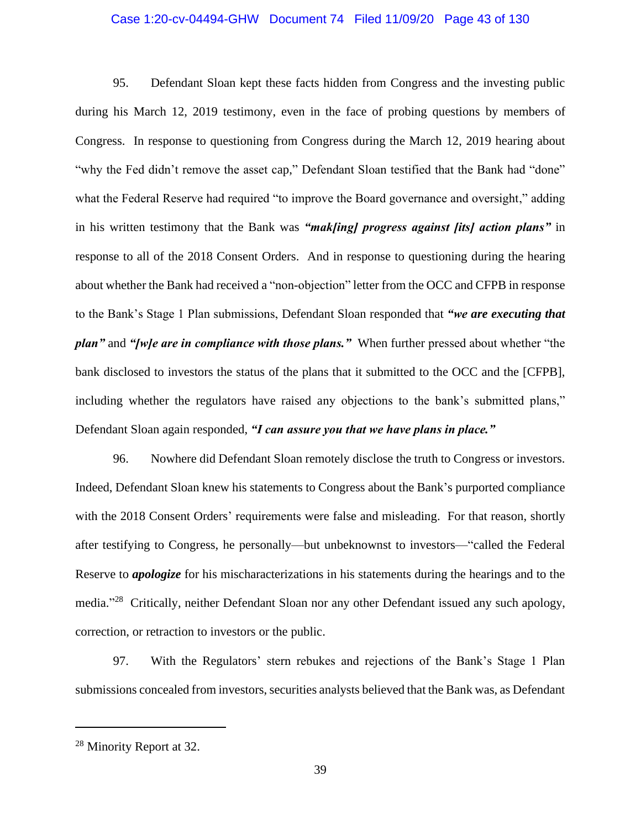#### Case 1:20-cv-04494-GHW Document 74 Filed 11/09/20 Page 43 of 130

95. Defendant Sloan kept these facts hidden from Congress and the investing public during his March 12, 2019 testimony, even in the face of probing questions by members of Congress. In response to questioning from Congress during the March 12, 2019 hearing about "why the Fed didn't remove the asset cap," Defendant Sloan testified that the Bank had "done" what the Federal Reserve had required "to improve the Board governance and oversight," adding in his written testimony that the Bank was *"mak[ing] progress against [its] action plans"* in response to all of the 2018 Consent Orders. And in response to questioning during the hearing about whether the Bank had received a "non-objection" letter from the OCC and CFPB in response to the Bank's Stage 1 Plan submissions, Defendant Sloan responded that *"we are executing that plan"* and *"[w]e are in compliance with those plans."* When further pressed about whether "the bank disclosed to investors the status of the plans that it submitted to the OCC and the [CFPB], including whether the regulators have raised any objections to the bank's submitted plans," Defendant Sloan again responded, *"I can assure you that we have plans in place."*

96. Nowhere did Defendant Sloan remotely disclose the truth to Congress or investors. Indeed, Defendant Sloan knew his statements to Congress about the Bank's purported compliance with the 2018 Consent Orders' requirements were false and misleading. For that reason, shortly after testifying to Congress, he personally—but unbeknownst to investors—"called the Federal Reserve to *apologize* for his mischaracterizations in his statements during the hearings and to the media."<sup>28</sup> Critically, neither Defendant Sloan nor any other Defendant issued any such apology, correction, or retraction to investors or the public.

97. With the Regulators' stern rebukes and rejections of the Bank's Stage 1 Plan submissions concealed from investors, securities analysts believed that the Bank was, as Defendant

<sup>&</sup>lt;sup>28</sup> Minority Report at 32.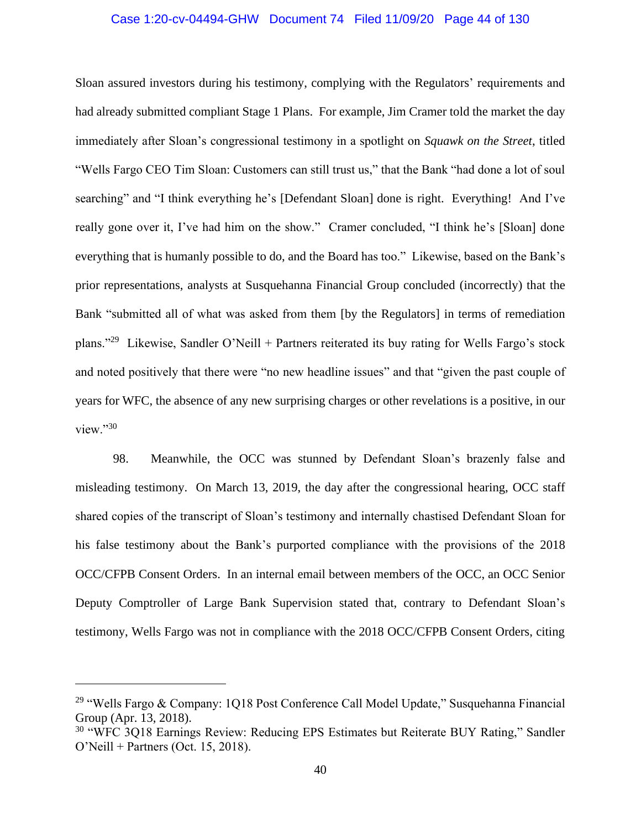#### Case 1:20-cv-04494-GHW Document 74 Filed 11/09/20 Page 44 of 130

Sloan assured investors during his testimony, complying with the Regulators' requirements and had already submitted compliant Stage 1 Plans. For example, Jim Cramer told the market the day immediately after Sloan's congressional testimony in a spotlight on *Squawk on the Street*, titled "Wells Fargo CEO Tim Sloan: Customers can still trust us," that the Bank "had done a lot of soul searching" and "I think everything he's [Defendant Sloan] done is right. Everything! And I've really gone over it, I've had him on the show." Cramer concluded, "I think he's [Sloan] done everything that is humanly possible to do, and the Board has too." Likewise, based on the Bank's prior representations, analysts at Susquehanna Financial Group concluded (incorrectly) that the Bank "submitted all of what was asked from them [by the Regulators] in terms of remediation plans."<sup>29</sup> Likewise, Sandler O'Neill + Partners reiterated its buy rating for Wells Fargo's stock and noted positively that there were "no new headline issues" and that "given the past couple of years for WFC, the absence of any new surprising charges or other revelations is a positive, in our view."30

98. Meanwhile, the OCC was stunned by Defendant Sloan's brazenly false and misleading testimony. On March 13, 2019, the day after the congressional hearing, OCC staff shared copies of the transcript of Sloan's testimony and internally chastised Defendant Sloan for his false testimony about the Bank's purported compliance with the provisions of the 2018 OCC/CFPB Consent Orders. In an internal email between members of the OCC, an OCC Senior Deputy Comptroller of Large Bank Supervision stated that, contrary to Defendant Sloan's testimony, Wells Fargo was not in compliance with the 2018 OCC/CFPB Consent Orders, citing

<sup>&</sup>lt;sup>29</sup> "Wells Fargo & Company: 1Q18 Post Conference Call Model Update," Susquehanna Financial Group (Apr. 13, 2018).

<sup>&</sup>lt;sup>30</sup> "WFC 3Q18 Earnings Review: Reducing EPS Estimates but Reiterate BUY Rating," Sandler O'Neill + Partners (Oct. 15, 2018).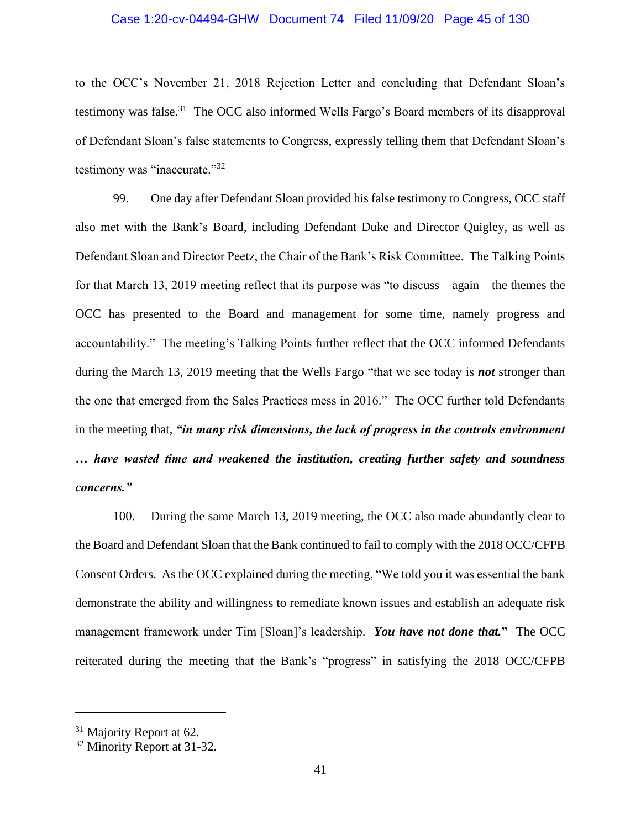#### Case 1:20-cv-04494-GHW Document 74 Filed 11/09/20 Page 45 of 130

to the OCC's November 21, 2018 Rejection Letter and concluding that Defendant Sloan's testimony was false.<sup>31</sup> The OCC also informed Wells Fargo's Board members of its disapproval of Defendant Sloan's false statements to Congress, expressly telling them that Defendant Sloan's testimony was "inaccurate."<sup>32</sup>

99. One day after Defendant Sloan provided his false testimony to Congress, OCC staff also met with the Bank's Board, including Defendant Duke and Director Quigley, as well as Defendant Sloan and Director Peetz, the Chair of the Bank's Risk Committee. The Talking Points for that March 13, 2019 meeting reflect that its purpose was "to discuss—again—the themes the OCC has presented to the Board and management for some time, namely progress and accountability." The meeting's Talking Points further reflect that the OCC informed Defendants during the March 13, 2019 meeting that the Wells Fargo "that we see today is *not* stronger than the one that emerged from the Sales Practices mess in 2016." The OCC further told Defendants in the meeting that, *"in many risk dimensions, the lack of progress in the controls environment … have wasted time and weakened the institution, creating further safety and soundness concerns."*

100. During the same March 13, 2019 meeting, the OCC also made abundantly clear to the Board and Defendant Sloan that the Bank continued to fail to comply with the 2018 OCC/CFPB Consent Orders. As the OCC explained during the meeting, "We told you it was essential the bank demonstrate the ability and willingness to remediate known issues and establish an adequate risk management framework under Tim [Sloan]'s leadership. *You have not done that.***"** The OCC reiterated during the meeting that the Bank's "progress" in satisfying the 2018 OCC/CFPB

<sup>&</sup>lt;sup>31</sup> Majority Report at 62.

<sup>&</sup>lt;sup>32</sup> Minority Report at 31-32.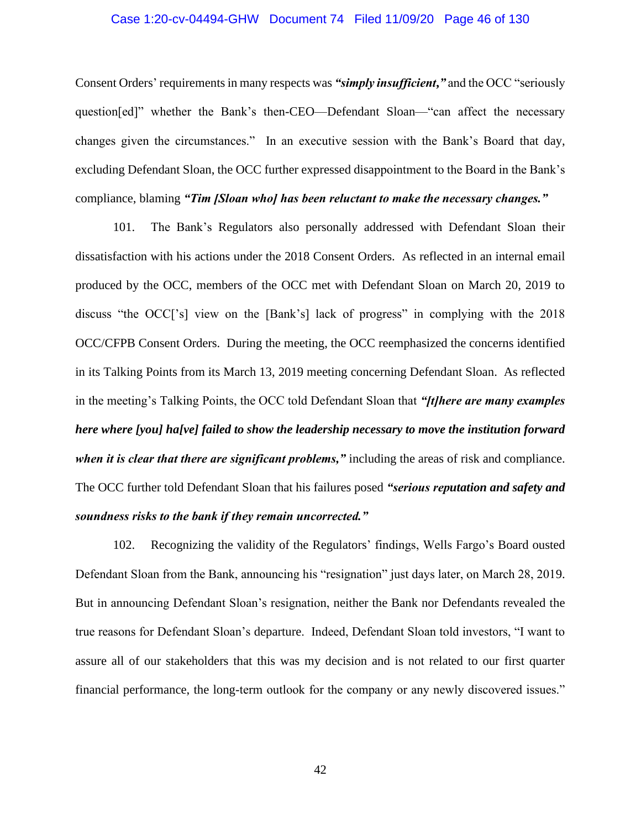#### Case 1:20-cv-04494-GHW Document 74 Filed 11/09/20 Page 46 of 130

Consent Orders' requirements in many respects was *"simply insufficient***,***"* and the OCC "seriously question[ed]" whether the Bank's then-CEO—Defendant Sloan—"can affect the necessary changes given the circumstances." In an executive session with the Bank's Board that day, excluding Defendant Sloan, the OCC further expressed disappointment to the Board in the Bank's compliance, blaming *"Tim [Sloan who] has been reluctant to make the necessary changes."*

101. The Bank's Regulators also personally addressed with Defendant Sloan their dissatisfaction with his actions under the 2018 Consent Orders. As reflected in an internal email produced by the OCC, members of the OCC met with Defendant Sloan on March 20, 2019 to discuss "the OCC['s] view on the [Bank's] lack of progress" in complying with the 2018 OCC/CFPB Consent Orders. During the meeting, the OCC reemphasized the concerns identified in its Talking Points from its March 13, 2019 meeting concerning Defendant Sloan. As reflected in the meeting's Talking Points, the OCC told Defendant Sloan that *"[t]here are many examples here where [you] ha[ve] failed to show the leadership necessary to move the institution forward when it is clear that there are significant problems,"* including the areas of risk and compliance. The OCC further told Defendant Sloan that his failures posed *"serious reputation and safety and soundness risks to the bank if they remain uncorrected."*

102. Recognizing the validity of the Regulators' findings, Wells Fargo's Board ousted Defendant Sloan from the Bank, announcing his "resignation" just days later, on March 28, 2019. But in announcing Defendant Sloan's resignation, neither the Bank nor Defendants revealed the true reasons for Defendant Sloan's departure. Indeed, Defendant Sloan told investors, "I want to assure all of our stakeholders that this was my decision and is not related to our first quarter financial performance, the long-term outlook for the company or any newly discovered issues."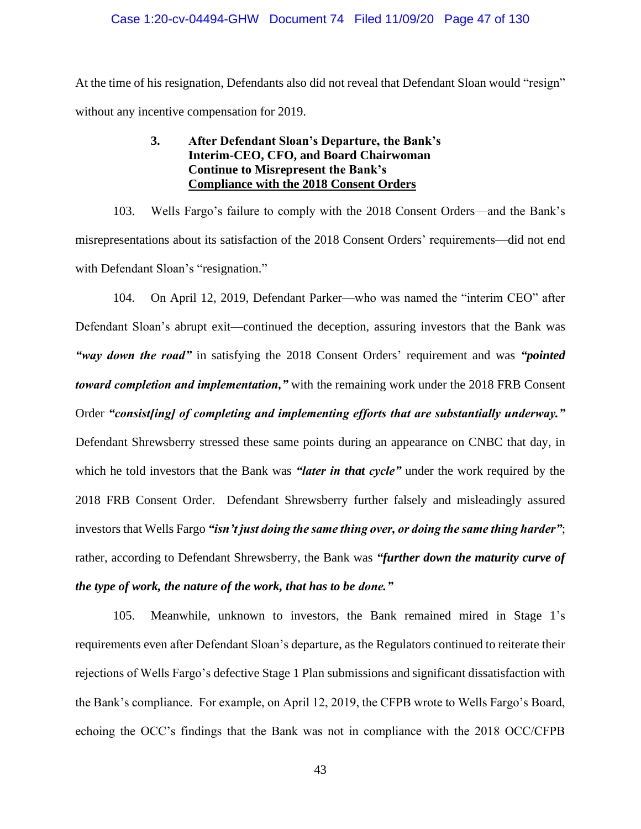At the time of his resignation, Defendants also did not reveal that Defendant Sloan would "resign" without any incentive compensation for 2019.

## **3. After Defendant Sloan's Departure, the Bank's Interim-CEO, CFO, and Board Chairwoman Continue to Misrepresent the Bank's Compliance with the 2018 Consent Orders**

103. Wells Fargo's failure to comply with the 2018 Consent Orders—and the Bank's misrepresentations about its satisfaction of the 2018 Consent Orders' requirements—did not end with Defendant Sloan's "resignation."

104. On April 12, 2019, Defendant Parker—who was named the "interim CEO" after Defendant Sloan's abrupt exit—continued the deception, assuring investors that the Bank was *"way down the road"* in satisfying the 2018 Consent Orders' requirement and was *"pointed toward completion and implementation,"* with the remaining work under the 2018 FRB Consent Order *"consist[ing] of completing and implementing efforts that are substantially underway."* Defendant Shrewsberry stressed these same points during an appearance on CNBC that day, in which he told investors that the Bank was *"later in that cycle"* under the work required by the 2018 FRB Consent Order. Defendant Shrewsberry further falsely and misleadingly assured investors that Wells Fargo *"isn't just doing the same thing over, or doing the same thing harder"*; rather, according to Defendant Shrewsberry, the Bank was *"further down the maturity curve of the type of work, the nature of the work, that has to be done."*

105. Meanwhile, unknown to investors, the Bank remained mired in Stage 1's requirements even after Defendant Sloan's departure, as the Regulators continued to reiterate their rejections of Wells Fargo's defective Stage 1 Plan submissions and significant dissatisfaction with the Bank's compliance. For example, on April 12, 2019, the CFPB wrote to Wells Fargo's Board, echoing the OCC's findings that the Bank was not in compliance with the 2018 OCC/CFPB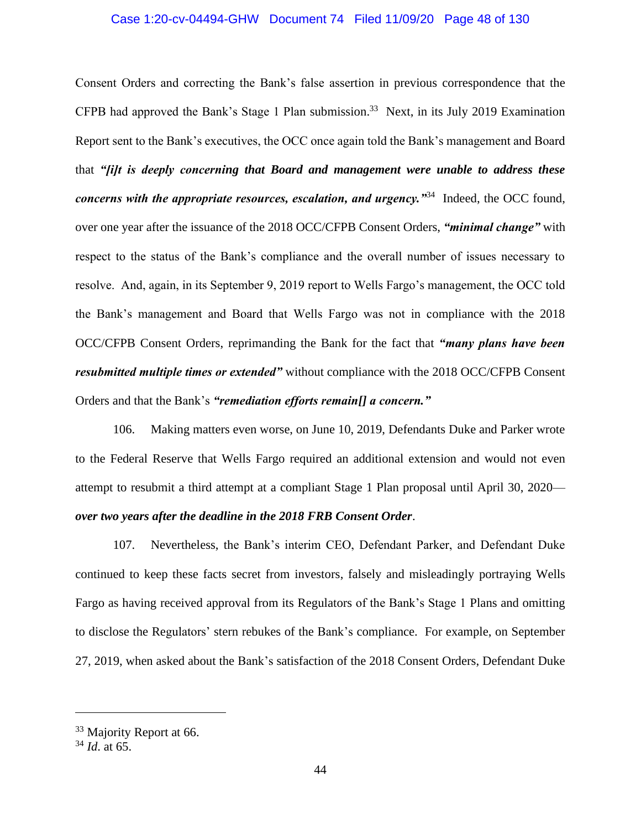#### Case 1:20-cv-04494-GHW Document 74 Filed 11/09/20 Page 48 of 130

Consent Orders and correcting the Bank's false assertion in previous correspondence that the CFPB had approved the Bank's Stage 1 Plan submission. 33 Next, in its July 2019 Examination Report sent to the Bank's executives, the OCC once again told the Bank's management and Board that *"[i]t is deeply concerning that Board and management were unable to address these concerns with the appropriate resources, escalation, and urgency."*<sup>34</sup> Indeed, the OCC found, over one year after the issuance of the 2018 OCC/CFPB Consent Orders, *"minimal change"* with respect to the status of the Bank's compliance and the overall number of issues necessary to resolve. And, again, in its September 9, 2019 report to Wells Fargo's management, the OCC told the Bank's management and Board that Wells Fargo was not in compliance with the 2018 OCC/CFPB Consent Orders, reprimanding the Bank for the fact that *"many plans have been resubmitted multiple times or extended"* without compliance with the 2018 OCC/CFPB Consent Orders and that the Bank's *"remediation efforts remain[] a concern."*

106. Making matters even worse, on June 10, 2019, Defendants Duke and Parker wrote to the Federal Reserve that Wells Fargo required an additional extension and would not even attempt to resubmit a third attempt at a compliant Stage 1 Plan proposal until April 30, 2020 *over two years after the deadline in the 2018 FRB Consent Order*.

107. Nevertheless, the Bank's interim CEO, Defendant Parker, and Defendant Duke continued to keep these facts secret from investors, falsely and misleadingly portraying Wells Fargo as having received approval from its Regulators of the Bank's Stage 1 Plans and omitting to disclose the Regulators' stern rebukes of the Bank's compliance. For example, on September 27, 2019, when asked about the Bank's satisfaction of the 2018 Consent Orders, Defendant Duke

<sup>&</sup>lt;sup>33</sup> Majority Report at 66.

<sup>34</sup> *Id*. at 65.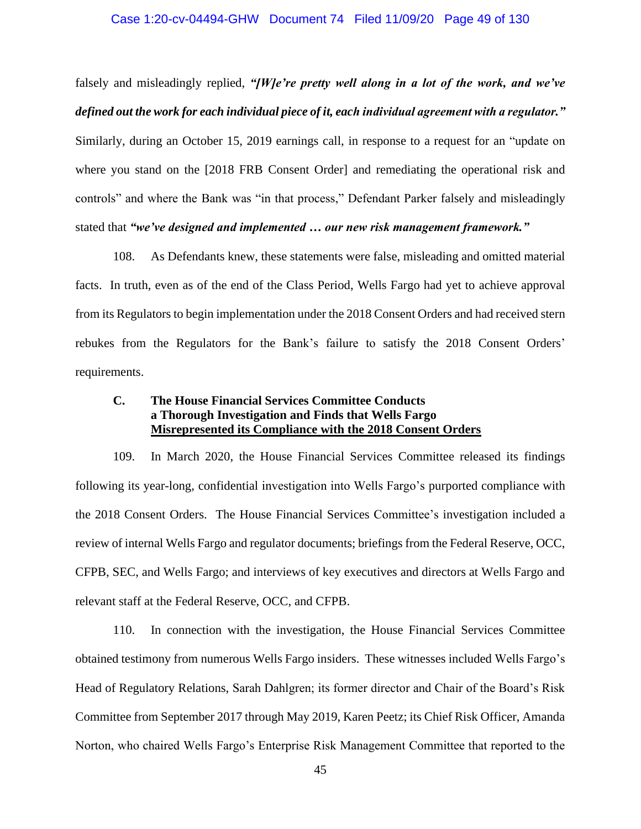#### Case 1:20-cv-04494-GHW Document 74 Filed 11/09/20 Page 49 of 130

falsely and misleadingly replied, *"[W]e're pretty well along in a lot of the work, and we've defined out the work for each individual piece of it, each individual agreement with a regulator."*  Similarly, during an October 15, 2019 earnings call, in response to a request for an "update on where you stand on the [2018 FRB Consent Order] and remediating the operational risk and controls" and where the Bank was "in that process," Defendant Parker falsely and misleadingly stated that *"we've designed and implemented … our new risk management framework."*

108. As Defendants knew, these statements were false, misleading and omitted material facts. In truth, even as of the end of the Class Period, Wells Fargo had yet to achieve approval from its Regulators to begin implementation under the 2018 Consent Orders and had received stern rebukes from the Regulators for the Bank's failure to satisfy the 2018 Consent Orders' requirements.

# **C. The House Financial Services Committee Conducts a Thorough Investigation and Finds that Wells Fargo Misrepresented its Compliance with the 2018 Consent Orders**

109. In March 2020, the House Financial Services Committee released its findings following its year-long, confidential investigation into Wells Fargo's purported compliance with the 2018 Consent Orders. The House Financial Services Committee's investigation included a review of internal Wells Fargo and regulator documents; briefings from the Federal Reserve, OCC, CFPB, SEC, and Wells Fargo; and interviews of key executives and directors at Wells Fargo and relevant staff at the Federal Reserve, OCC, and CFPB.

110. In connection with the investigation, the House Financial Services Committee obtained testimony from numerous Wells Fargo insiders. These witnesses included Wells Fargo's Head of Regulatory Relations, Sarah Dahlgren; its former director and Chair of the Board's Risk Committee from September 2017 through May 2019, Karen Peetz; its Chief Risk Officer, Amanda Norton, who chaired Wells Fargo's Enterprise Risk Management Committee that reported to the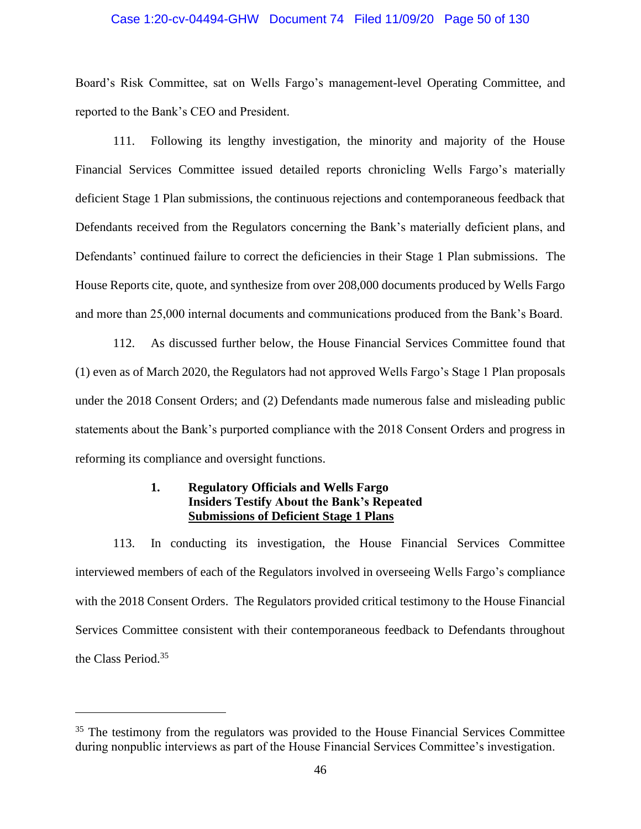#### Case 1:20-cv-04494-GHW Document 74 Filed 11/09/20 Page 50 of 130

Board's Risk Committee, sat on Wells Fargo's management-level Operating Committee, and reported to the Bank's CEO and President.

111. Following its lengthy investigation, the minority and majority of the House Financial Services Committee issued detailed reports chronicling Wells Fargo's materially deficient Stage 1 Plan submissions, the continuous rejections and contemporaneous feedback that Defendants received from the Regulators concerning the Bank's materially deficient plans, and Defendants' continued failure to correct the deficiencies in their Stage 1 Plan submissions. The House Reports cite, quote, and synthesize from over 208,000 documents produced by Wells Fargo and more than 25,000 internal documents and communications produced from the Bank's Board.

112. As discussed further below, the House Financial Services Committee found that (1) even as of March 2020, the Regulators had not approved Wells Fargo's Stage 1 Plan proposals under the 2018 Consent Orders; and (2) Defendants made numerous false and misleading public statements about the Bank's purported compliance with the 2018 Consent Orders and progress in reforming its compliance and oversight functions.

# **1. Regulatory Officials and Wells Fargo Insiders Testify About the Bank's Repeated Submissions of Deficient Stage 1 Plans**

113. In conducting its investigation, the House Financial Services Committee interviewed members of each of the Regulators involved in overseeing Wells Fargo's compliance with the 2018 Consent Orders. The Regulators provided critical testimony to the House Financial Services Committee consistent with their contemporaneous feedback to Defendants throughout the Class Period.<sup>35</sup>

<sup>&</sup>lt;sup>35</sup> The testimony from the regulators was provided to the House Financial Services Committee during nonpublic interviews as part of the House Financial Services Committee's investigation.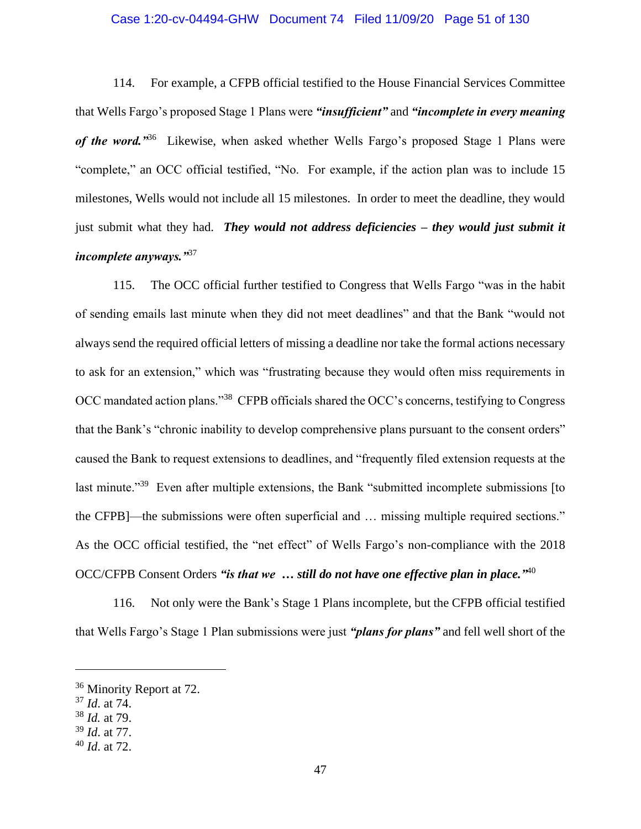#### Case 1:20-cv-04494-GHW Document 74 Filed 11/09/20 Page 51 of 130

114. For example, a CFPB official testified to the House Financial Services Committee that Wells Fargo's proposed Stage 1 Plans were *"insufficient"* and *"incomplete in every meaning*  of the word.<sup>336</sup> Likewise, when asked whether Wells Fargo's proposed Stage 1 Plans were "complete," an OCC official testified, "No. For example, if the action plan was to include 15 milestones, Wells would not include all 15 milestones. In order to meet the deadline, they would just submit what they had. *They would not address deficiencies – they would just submit it incomplete anyways."*<sup>37</sup>

115. The OCC official further testified to Congress that Wells Fargo "was in the habit of sending emails last minute when they did not meet deadlines" and that the Bank "would not always send the required official letters of missing a deadline nor take the formal actions necessary to ask for an extension," which was "frustrating because they would often miss requirements in OCC mandated action plans."<sup>38</sup> CFPB officials shared the OCC's concerns, testifying to Congress that the Bank's "chronic inability to develop comprehensive plans pursuant to the consent orders" caused the Bank to request extensions to deadlines, and "frequently filed extension requests at the last minute."<sup>39</sup> Even after multiple extensions, the Bank "submitted incomplete submissions [to the CFPB]—the submissions were often superficial and … missing multiple required sections." As the OCC official testified, the "net effect" of Wells Fargo's non-compliance with the 2018 OCC/CFPB Consent Orders *"is that we … still do not have one effective plan in place."* 40

116. Not only were the Bank's Stage 1 Plans incomplete, but the CFPB official testified that Wells Fargo's Stage 1 Plan submissions were just *"plans for plans"* and fell well short of the

<sup>&</sup>lt;sup>36</sup> Minority Report at 72.

<sup>37</sup> *Id*. at 74.

<sup>38</sup> *Id.* at 79.

<sup>39</sup> *Id*. at 77.

<sup>40</sup> *Id*. at 72.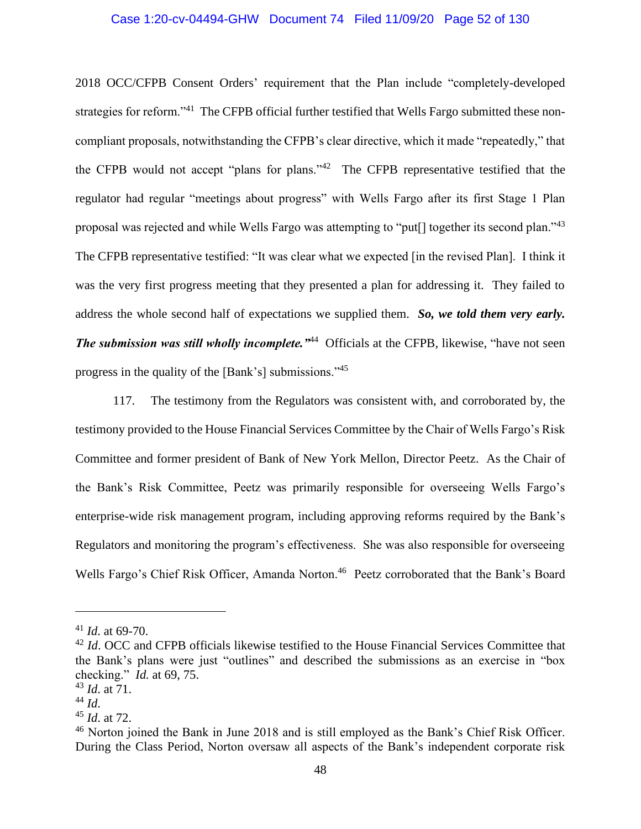#### Case 1:20-cv-04494-GHW Document 74 Filed 11/09/20 Page 52 of 130

2018 OCC/CFPB Consent Orders' requirement that the Plan include "completely-developed strategies for reform."<sup>41</sup> The CFPB official further testified that Wells Fargo submitted these noncompliant proposals, notwithstanding the CFPB's clear directive, which it made "repeatedly," that the CFPB would not accept "plans for plans."<sup>42</sup> The CFPB representative testified that the regulator had regular "meetings about progress" with Wells Fargo after its first Stage 1 Plan proposal was rejected and while Wells Fargo was attempting to "put[] together its second plan."<sup>43</sup> The CFPB representative testified: "It was clear what we expected [in the revised Plan]. I think it was the very first progress meeting that they presented a plan for addressing it. They failed to address the whole second half of expectations we supplied them. *So, we told them very early. The submission was still wholly incomplete.*  $^{44}$  Officials at the CFPB, likewise, "have not seen progress in the quality of the [Bank's] submissions."<sup>45</sup>

117. The testimony from the Regulators was consistent with, and corroborated by, the testimony provided to the House Financial Services Committee by the Chair of Wells Fargo's Risk Committee and former president of Bank of New York Mellon, Director Peetz. As the Chair of the Bank's Risk Committee, Peetz was primarily responsible for overseeing Wells Fargo's enterprise-wide risk management program, including approving reforms required by the Bank's Regulators and monitoring the program's effectiveness. She was also responsible for overseeing Wells Fargo's Chief Risk Officer, Amanda Norton.<sup>46</sup> Peetz corroborated that the Bank's Board

<sup>41</sup> *Id*. at 69-70.

<sup>&</sup>lt;sup>42</sup> *Id*. OCC and CFPB officials likewise testified to the House Financial Services Committee that the Bank's plans were just "outlines" and described the submissions as an exercise in "box checking." *Id.* at 69, 75.

<sup>43</sup> *Id*. at 71.

<sup>44</sup> *Id*.

<sup>45</sup> *Id*. at 72.

<sup>&</sup>lt;sup>46</sup> Norton joined the Bank in June 2018 and is still employed as the Bank's Chief Risk Officer. During the Class Period, Norton oversaw all aspects of the Bank's independent corporate risk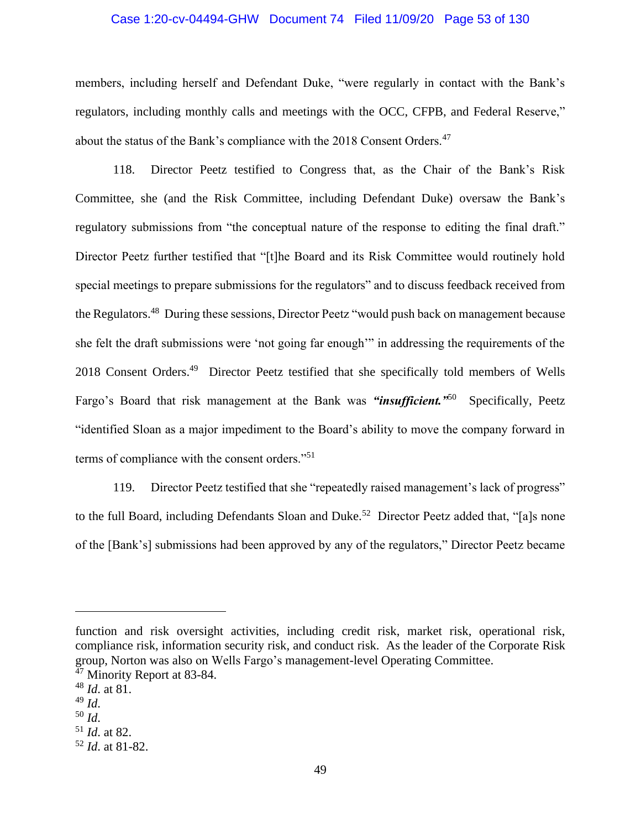#### Case 1:20-cv-04494-GHW Document 74 Filed 11/09/20 Page 53 of 130

members, including herself and Defendant Duke, "were regularly in contact with the Bank's regulators, including monthly calls and meetings with the OCC, CFPB, and Federal Reserve," about the status of the Bank's compliance with the 2018 Consent Orders.<sup>47</sup>

118. Director Peetz testified to Congress that, as the Chair of the Bank's Risk Committee, she (and the Risk Committee, including Defendant Duke) oversaw the Bank's regulatory submissions from "the conceptual nature of the response to editing the final draft." Director Peetz further testified that "[t]he Board and its Risk Committee would routinely hold special meetings to prepare submissions for the regulators" and to discuss feedback received from the Regulators.<sup>48</sup> During these sessions, Director Peetz "would push back on management because she felt the draft submissions were 'not going far enough'" in addressing the requirements of the 2018 Consent Orders.<sup>49</sup> Director Peetz testified that she specifically told members of Wells Fargo's Board that risk management at the Bank was "*insufficient.*"<sup>50</sup> Specifically, Peetz "identified Sloan as a major impediment to the Board's ability to move the company forward in terms of compliance with the consent orders."<sup>51</sup>

119. Director Peetz testified that she "repeatedly raised management's lack of progress" to the full Board, including Defendants Sloan and Duke.<sup>52</sup> Director Peetz added that, "[a]s none of the [Bank's] submissions had been approved by any of the regulators," Director Peetz became

function and risk oversight activities, including credit risk, market risk, operational risk, compliance risk, information security risk, and conduct risk. As the leader of the Corporate Risk group, Norton was also on Wells Fargo's management-level Operating Committee.

 $47$  Minority Report at 83-84.

<sup>48</sup> *Id*. at 81.

<sup>49</sup> *Id*.

<sup>50</sup> *Id*.

<sup>51</sup> *Id*. at 82.

<sup>52</sup> *Id*. at 81-82.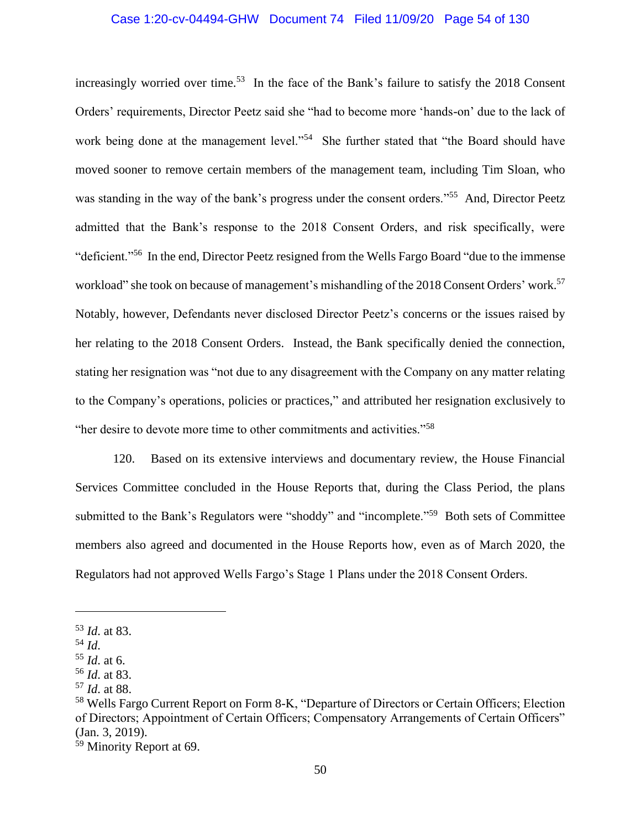#### Case 1:20-cv-04494-GHW Document 74 Filed 11/09/20 Page 54 of 130

increasingly worried over time.<sup>53</sup> In the face of the Bank's failure to satisfy the 2018 Consent Orders' requirements, Director Peetz said she "had to become more 'hands-on' due to the lack of work being done at the management level."<sup>54</sup> She further stated that "the Board should have moved sooner to remove certain members of the management team, including Tim Sloan, who was standing in the way of the bank's progress under the consent orders."<sup>55</sup> And, Director Peetz admitted that the Bank's response to the 2018 Consent Orders, and risk specifically, were "deficient."<sup>56</sup> In the end, Director Peetz resigned from the Wells Fargo Board "due to the immense" workload" she took on because of management's mishandling of the 2018 Consent Orders' work.<sup>57</sup> Notably, however, Defendants never disclosed Director Peetz's concerns or the issues raised by her relating to the 2018 Consent Orders. Instead, the Bank specifically denied the connection, stating her resignation was "not due to any disagreement with the Company on any matter relating to the Company's operations, policies or practices," and attributed her resignation exclusively to "her desire to devote more time to other commitments and activities."<sup>58</sup>

120. Based on its extensive interviews and documentary review, the House Financial Services Committee concluded in the House Reports that, during the Class Period, the plans submitted to the Bank's Regulators were "shoddy" and "incomplete."<sup>59</sup> Both sets of Committee members also agreed and documented in the House Reports how, even as of March 2020, the Regulators had not approved Wells Fargo's Stage 1 Plans under the 2018 Consent Orders.

<sup>53</sup> *Id*. at 83.

<sup>54</sup> *Id*.

<sup>55</sup> *Id*. at 6.

<sup>56</sup> *Id*. at 83.

<sup>57</sup> *Id*. at 88.

<sup>58</sup> Wells Fargo Current Report on Form 8-K, "Departure of Directors or Certain Officers; Election of Directors; Appointment of Certain Officers; Compensatory Arrangements of Certain Officers" (Jan. 3, 2019).

<sup>59</sup> Minority Report at 69.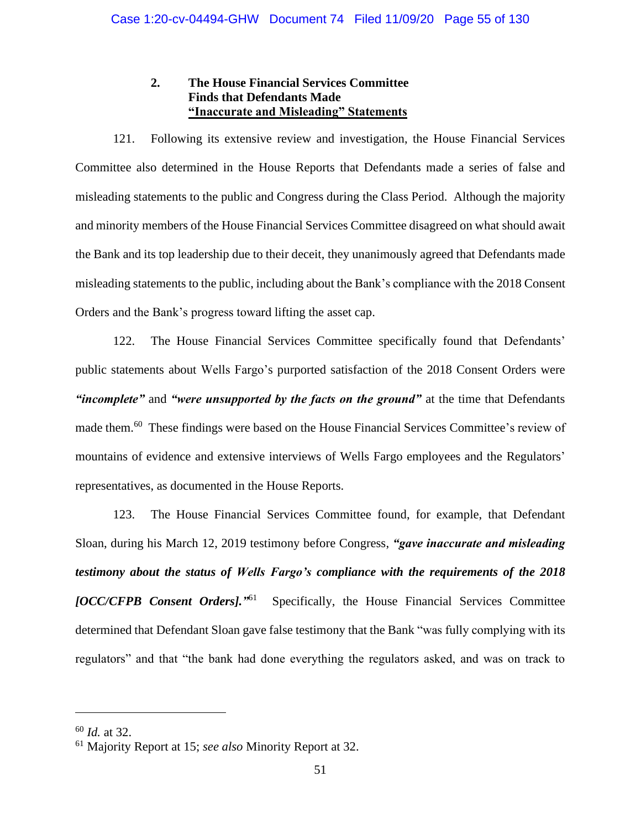# **2. The House Financial Services Committee Finds that Defendants Made "Inaccurate and Misleading" Statements**

121. Following its extensive review and investigation, the House Financial Services Committee also determined in the House Reports that Defendants made a series of false and misleading statements to the public and Congress during the Class Period. Although the majority and minority members of the House Financial Services Committee disagreed on what should await the Bank and its top leadership due to their deceit, they unanimously agreed that Defendants made misleading statements to the public, including about the Bank's compliance with the 2018 Consent Orders and the Bank's progress toward lifting the asset cap.

122. The House Financial Services Committee specifically found that Defendants' public statements about Wells Fargo's purported satisfaction of the 2018 Consent Orders were *"incomplete"* and *"were unsupported by the facts on the ground"* at the time that Defendants made them.<sup>60</sup> These findings were based on the House Financial Services Committee's review of mountains of evidence and extensive interviews of Wells Fargo employees and the Regulators' representatives, as documented in the House Reports.

123. The House Financial Services Committee found, for example, that Defendant Sloan, during his March 12, 2019 testimony before Congress, *"gave inaccurate and misleading testimony about the status of Wells Fargo's compliance with the requirements of the 2018 [OCC/CFPB Consent Orders]."* Specifically, the House Financial Services Committee determined that Defendant Sloan gave false testimony that the Bank "was fully complying with its regulators" and that "the bank had done everything the regulators asked, and was on track to

<sup>60</sup> *Id.* at 32.

<sup>61</sup> Majority Report at 15; *see also* Minority Report at 32.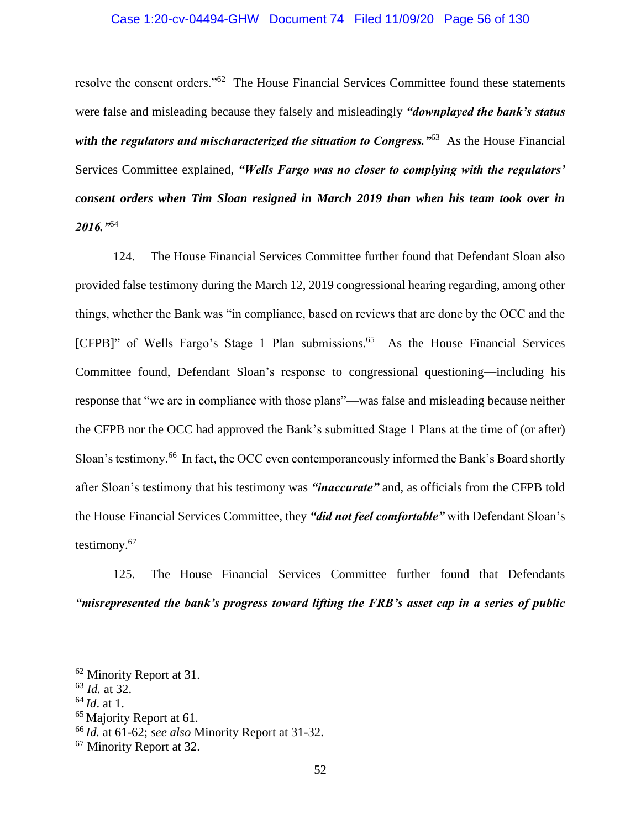#### Case 1:20-cv-04494-GHW Document 74 Filed 11/09/20 Page 56 of 130

resolve the consent orders."<sup>62</sup> The House Financial Services Committee found these statements were false and misleading because they falsely and misleadingly *"downplayed the bank's status with the regulators and mischaracterized the situation to Congress.*  $^{963}$  As the House Financial Services Committee explained, *"Wells Fargo was no closer to complying with the regulators' consent orders when Tim Sloan resigned in March 2019 than when his team took over in 2016."*<sup>64</sup>

124. The House Financial Services Committee further found that Defendant Sloan also provided false testimony during the March 12, 2019 congressional hearing regarding, among other things, whether the Bank was "in compliance, based on reviews that are done by the OCC and the [CFPB]" of Wells Fargo's Stage 1 Plan submissions.<sup>65</sup> As the House Financial Services Committee found, Defendant Sloan's response to congressional questioning—including his response that "we are in compliance with those plans"—was false and misleading because neither the CFPB nor the OCC had approved the Bank's submitted Stage 1 Plans at the time of (or after) Sloan's testimony.<sup>66</sup> In fact, the OCC even contemporaneously informed the Bank's Board shortly after Sloan's testimony that his testimony was *"inaccurate"* and, as officials from the CFPB told the House Financial Services Committee, they *"did not feel comfortable"* with Defendant Sloan's testimony.<sup>67</sup>

125. The House Financial Services Committee further found that Defendants *"misrepresented the bank's progress toward lifting the FRB's asset cap in a series of public* 

<sup>&</sup>lt;sup>62</sup> Minority Report at 31.

<sup>63</sup> *Id.* at 32.

<sup>64</sup> *Id*. at 1.

<sup>&</sup>lt;sup>65</sup> Majority Report at 61.

<sup>66</sup> *Id.* at 61-62; *see also* Minority Report at 31-32.

<sup>67</sup> Minority Report at 32.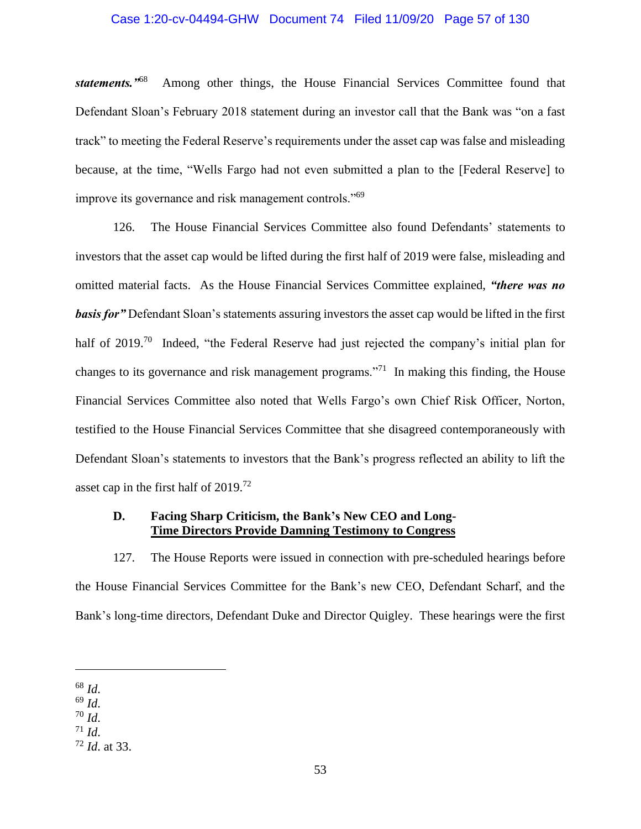#### Case 1:20-cv-04494-GHW Document 74 Filed 11/09/20 Page 57 of 130

*statements."*<sup>68</sup> Among other things, the House Financial Services Committee found that Defendant Sloan's February 2018 statement during an investor call that the Bank was "on a fast track" to meeting the Federal Reserve's requirements under the asset cap was false and misleading because, at the time, "Wells Fargo had not even submitted a plan to the [Federal Reserve] to improve its governance and risk management controls."<sup>69</sup>

126. The House Financial Services Committee also found Defendants' statements to investors that the asset cap would be lifted during the first half of 2019 were false, misleading and omitted material facts. As the House Financial Services Committee explained, *"there was no basis for"* Defendant Sloan's statements assuring investors the asset cap would be lifted in the first half of 2019.<sup>70</sup> Indeed, "the Federal Reserve had just rejected the company's initial plan for changes to its governance and risk management programs.<sup> $271$ </sup> In making this finding, the House Financial Services Committee also noted that Wells Fargo's own Chief Risk Officer, Norton, testified to the House Financial Services Committee that she disagreed contemporaneously with Defendant Sloan's statements to investors that the Bank's progress reflected an ability to lift the asset cap in the first half of 2019.<sup>72</sup>

### **D. Facing Sharp Criticism, the Bank's New CEO and Long-Time Directors Provide Damning Testimony to Congress**

127. The House Reports were issued in connection with pre-scheduled hearings before the House Financial Services Committee for the Bank's new CEO, Defendant Scharf, and the Bank's long-time directors, Defendant Duke and Director Quigley. These hearings were the first

<sup>68</sup> *Id*.

<sup>69</sup> *Id*.

 $70$  *Id.* 

 $71$  *Id.* 

<sup>72</sup> *Id*. at 33.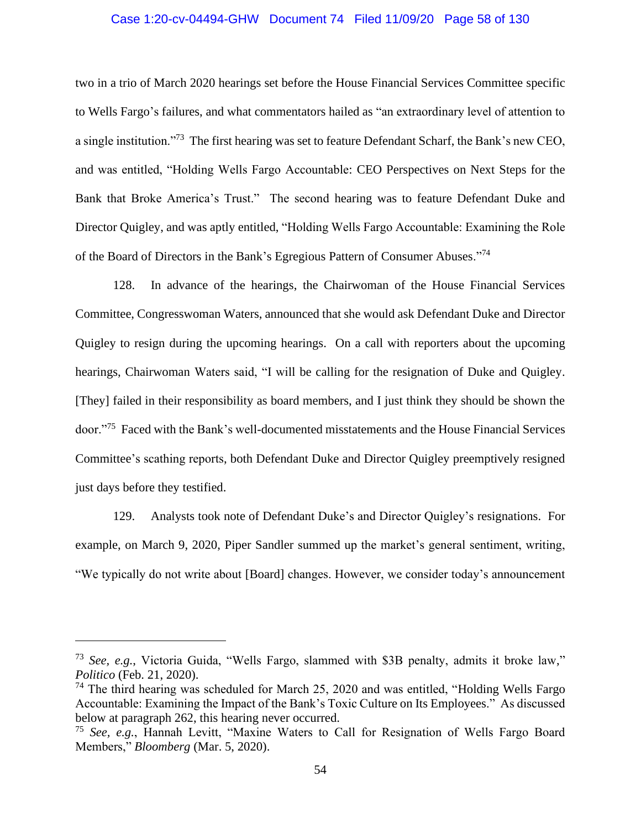#### Case 1:20-cv-04494-GHW Document 74 Filed 11/09/20 Page 58 of 130

two in a trio of March 2020 hearings set before the House Financial Services Committee specific to Wells Fargo's failures, and what commentators hailed as "an extraordinary level of attention to a single institution."<sup>73</sup> The first hearing was set to feature Defendant Scharf, the Bank's new CEO, and was entitled, "Holding Wells Fargo Accountable: CEO Perspectives on Next Steps for the Bank that Broke America's Trust." The second hearing was to feature Defendant Duke and Director Quigley, and was aptly entitled, "Holding Wells Fargo Accountable: Examining the Role of the Board of Directors in the Bank's Egregious Pattern of Consumer Abuses."<sup>74</sup>

128. In advance of the hearings, the Chairwoman of the House Financial Services Committee, Congresswoman Waters, announced that she would ask Defendant Duke and Director Quigley to resign during the upcoming hearings. On a call with reporters about the upcoming hearings, Chairwoman Waters said, "I will be calling for the resignation of Duke and Quigley. [They] failed in their responsibility as board members, and I just think they should be shown the door."<sup>75</sup> Faced with the Bank's well-documented misstatements and the House Financial Services Committee's scathing reports, both Defendant Duke and Director Quigley preemptively resigned just days before they testified.

129. Analysts took note of Defendant Duke's and Director Quigley's resignations. For example, on March 9, 2020, Piper Sandler summed up the market's general sentiment, writing, "We typically do not write about [Board] changes. However, we consider today's announcement

<sup>73</sup> *See, e.g.*, Victoria Guida, "Wells Fargo, slammed with \$3B penalty, admits it broke law," *Politico* (Feb. 21, 2020).

 $74$  The third hearing was scheduled for March 25, 2020 and was entitled, "Holding Wells Fargo Accountable: Examining the Impact of the Bank's Toxic Culture on Its Employees." As discussed below at paragraph 262, this hearing never occurred.

<sup>75</sup> *See, e.g.*, Hannah Levitt, "Maxine Waters to Call for Resignation of Wells Fargo Board Members," *Bloomberg* (Mar. 5, 2020).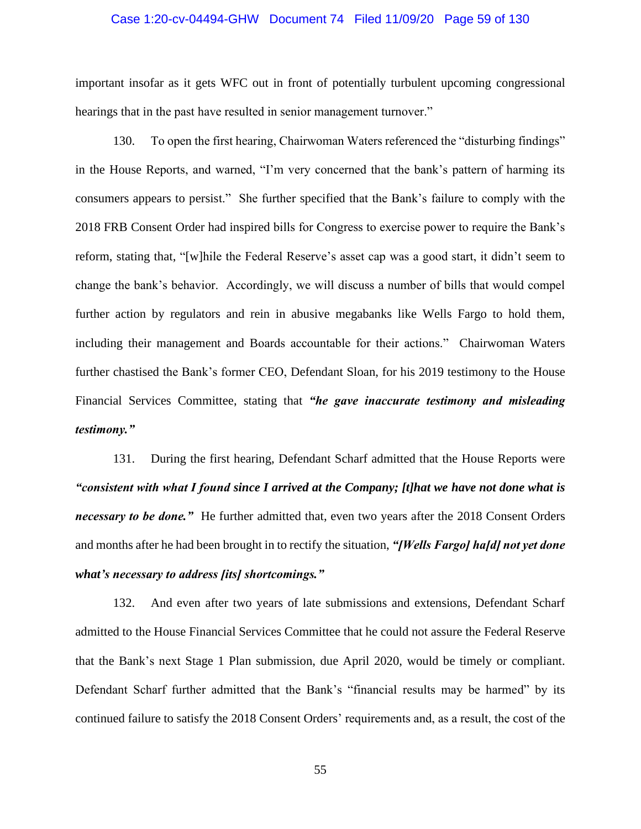#### Case 1:20-cv-04494-GHW Document 74 Filed 11/09/20 Page 59 of 130

important insofar as it gets WFC out in front of potentially turbulent upcoming congressional hearings that in the past have resulted in senior management turnover."

130. To open the first hearing, Chairwoman Waters referenced the "disturbing findings" in the House Reports, and warned, "I'm very concerned that the bank's pattern of harming its consumers appears to persist." She further specified that the Bank's failure to comply with the 2018 FRB Consent Order had inspired bills for Congress to exercise power to require the Bank's reform, stating that, "[w]hile the Federal Reserve's asset cap was a good start, it didn't seem to change the bank's behavior. Accordingly, we will discuss a number of bills that would compel further action by regulators and rein in abusive megabanks like Wells Fargo to hold them, including their management and Boards accountable for their actions." Chairwoman Waters further chastised the Bank's former CEO, Defendant Sloan, for his 2019 testimony to the House Financial Services Committee, stating that *"he gave inaccurate testimony and misleading testimony."*

131. During the first hearing, Defendant Scharf admitted that the House Reports were *"consistent with what I found since I arrived at the Company; [t]hat we have not done what is necessary to be done."* He further admitted that, even two years after the 2018 Consent Orders and months after he had been brought in to rectify the situation, *"[Wells Fargo] ha[d] not yet done what's necessary to address [its] shortcomings."*

132. And even after two years of late submissions and extensions, Defendant Scharf admitted to the House Financial Services Committee that he could not assure the Federal Reserve that the Bank's next Stage 1 Plan submission, due April 2020, would be timely or compliant. Defendant Scharf further admitted that the Bank's "financial results may be harmed" by its continued failure to satisfy the 2018 Consent Orders' requirements and, as a result, the cost of the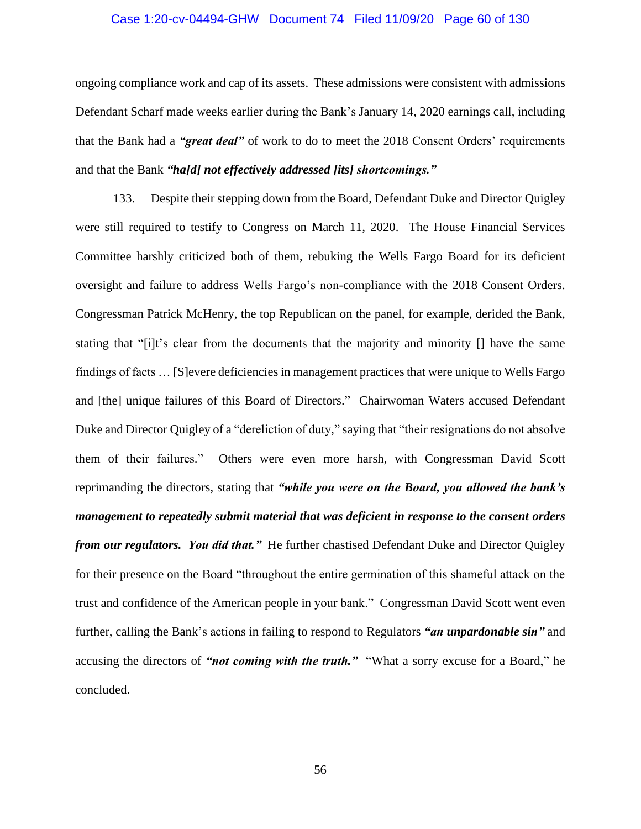#### Case 1:20-cv-04494-GHW Document 74 Filed 11/09/20 Page 60 of 130

ongoing compliance work and cap of its assets. These admissions were consistent with admissions Defendant Scharf made weeks earlier during the Bank's January 14, 2020 earnings call, including that the Bank had a *"great deal"* of work to do to meet the 2018 Consent Orders' requirements and that the Bank *"ha[d] not effectively addressed [its] shortcomings."*

133. Despite their stepping down from the Board, Defendant Duke and Director Quigley were still required to testify to Congress on March 11, 2020. The House Financial Services Committee harshly criticized both of them, rebuking the Wells Fargo Board for its deficient oversight and failure to address Wells Fargo's non-compliance with the 2018 Consent Orders. Congressman Patrick McHenry, the top Republican on the panel, for example, derided the Bank, stating that "[i]t's clear from the documents that the majority and minority [] have the same findings of facts … [S]evere deficiencies in management practices that were unique to Wells Fargo and [the] unique failures of this Board of Directors." Chairwoman Waters accused Defendant Duke and Director Quigley of a "dereliction of duty," saying that "their resignations do not absolve them of their failures." Others were even more harsh, with Congressman David Scott reprimanding the directors, stating that *"while you were on the Board, you allowed the bank's management to repeatedly submit material that was deficient in response to the consent orders from our regulators. You did that."* He further chastised Defendant Duke and Director Quigley for their presence on the Board "throughout the entire germination of this shameful attack on the trust and confidence of the American people in your bank." Congressman David Scott went even further, calling the Bank's actions in failing to respond to Regulators *"an unpardonable sin"* and accusing the directors of *"not coming with the truth."* "What a sorry excuse for a Board," he concluded.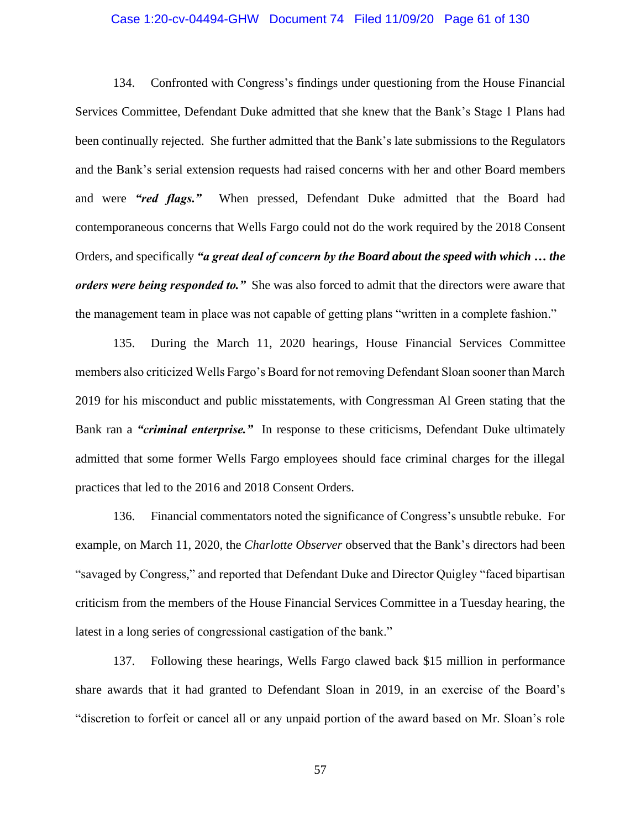#### Case 1:20-cv-04494-GHW Document 74 Filed 11/09/20 Page 61 of 130

134. Confronted with Congress's findings under questioning from the House Financial Services Committee, Defendant Duke admitted that she knew that the Bank's Stage 1 Plans had been continually rejected. She further admitted that the Bank's late submissions to the Regulators and the Bank's serial extension requests had raised concerns with her and other Board members and were *"red flags."* When pressed, Defendant Duke admitted that the Board had contemporaneous concerns that Wells Fargo could not do the work required by the 2018 Consent Orders, and specifically *"a great deal of concern by the Board about the speed with which … the orders were being responded to."* She was also forced to admit that the directors were aware that the management team in place was not capable of getting plans "written in a complete fashion."

135. During the March 11, 2020 hearings, House Financial Services Committee members also criticized Wells Fargo's Board for not removing Defendant Sloan sooner than March 2019 for his misconduct and public misstatements, with Congressman Al Green stating that the Bank ran a *"criminal enterprise."* In response to these criticisms, Defendant Duke ultimately admitted that some former Wells Fargo employees should face criminal charges for the illegal practices that led to the 2016 and 2018 Consent Orders.

136. Financial commentators noted the significance of Congress's unsubtle rebuke. For example, on March 11, 2020, the *Charlotte Observer* observed that the Bank's directors had been "savaged by Congress," and reported that Defendant Duke and Director Quigley "faced bipartisan criticism from the members of the House Financial Services Committee in a Tuesday hearing, the latest in a long series of congressional castigation of the bank."

137. Following these hearings, Wells Fargo clawed back \$15 million in performance share awards that it had granted to Defendant Sloan in 2019, in an exercise of the Board's "discretion to forfeit or cancel all or any unpaid portion of the award based on Mr. Sloan's role

57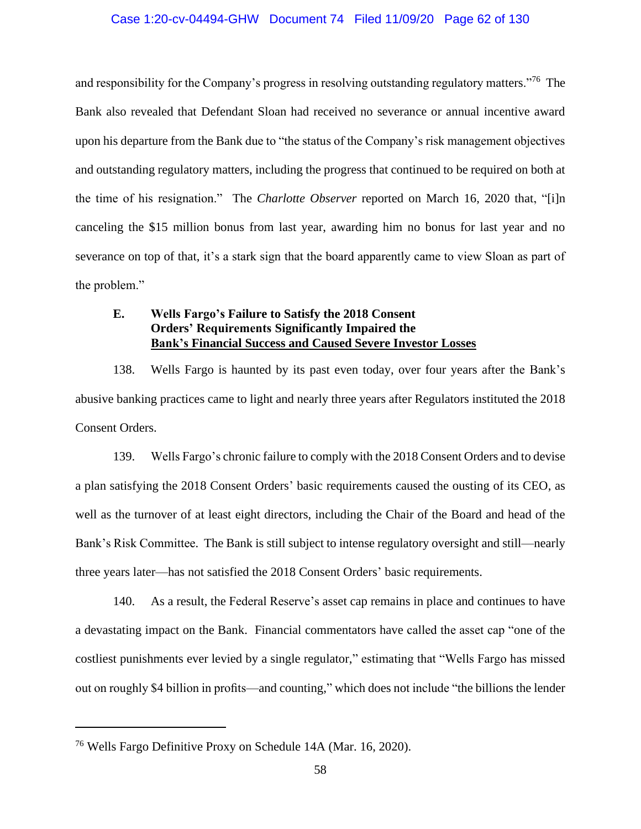#### Case 1:20-cv-04494-GHW Document 74 Filed 11/09/20 Page 62 of 130

and responsibility for the Company's progress in resolving outstanding regulatory matters."<sup>76</sup> The Bank also revealed that Defendant Sloan had received no severance or annual incentive award upon his departure from the Bank due to "the status of the Company's risk management objectives and outstanding regulatory matters, including the progress that continued to be required on both at the time of his resignation." The *Charlotte Observer* reported on March 16, 2020 that, "[i]n canceling the \$15 million bonus from last year, awarding him no bonus for last year and no severance on top of that, it's a stark sign that the board apparently came to view Sloan as part of the problem."

# **E. Wells Fargo's Failure to Satisfy the 2018 Consent Orders' Requirements Significantly Impaired the Bank's Financial Success and Caused Severe Investor Losses**

138. Wells Fargo is haunted by its past even today, over four years after the Bank's abusive banking practices came to light and nearly three years after Regulators instituted the 2018 Consent Orders.

139. Wells Fargo's chronic failure to comply with the 2018 Consent Orders and to devise a plan satisfying the 2018 Consent Orders' basic requirements caused the ousting of its CEO, as well as the turnover of at least eight directors, including the Chair of the Board and head of the Bank's Risk Committee. The Bank is still subject to intense regulatory oversight and still—nearly three years later—has not satisfied the 2018 Consent Orders' basic requirements.

140. As a result, the Federal Reserve's asset cap remains in place and continues to have a devastating impact on the Bank. Financial commentators have called the asset cap "one of the costliest punishments ever levied by a single regulator," estimating that "Wells Fargo has missed out on roughly \$4 billion in profits—and counting," which does not include "the billions the lender

<sup>76</sup> Wells Fargo Definitive Proxy on Schedule 14A (Mar. 16, 2020).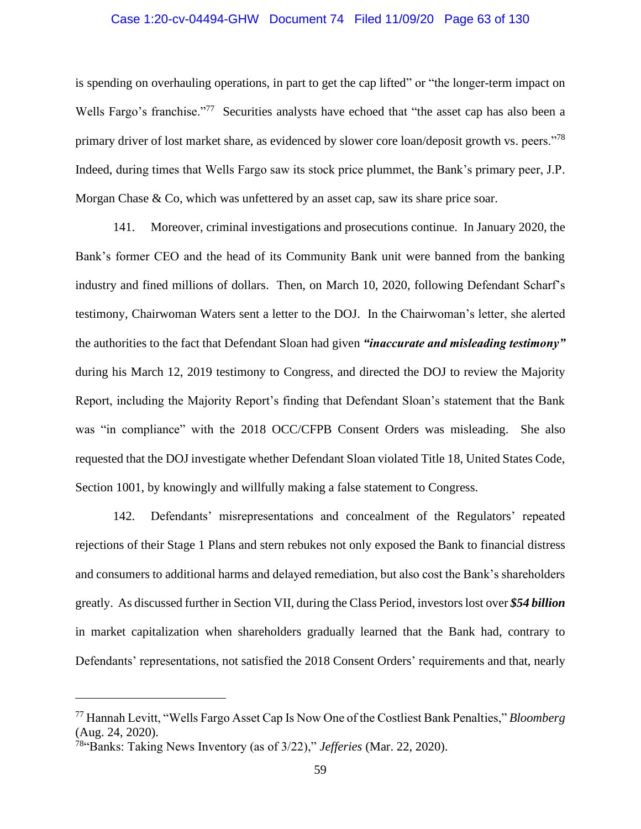#### Case 1:20-cv-04494-GHW Document 74 Filed 11/09/20 Page 63 of 130

is spending on overhauling operations, in part to get the cap lifted" or "the longer-term impact on Wells Fargo's franchise."<sup>77</sup> Securities analysts have echoed that "the asset cap has also been a primary driver of lost market share, as evidenced by slower core loan/deposit growth vs. peers."<sup>78</sup> Indeed, during times that Wells Fargo saw its stock price plummet, the Bank's primary peer, J.P. Morgan Chase & Co, which was unfettered by an asset cap, saw its share price soar.

141. Moreover, criminal investigations and prosecutions continue. In January 2020, the Bank's former CEO and the head of its Community Bank unit were banned from the banking industry and fined millions of dollars. Then, on March 10, 2020, following Defendant Scharf's testimony, Chairwoman Waters sent a letter to the DOJ. In the Chairwoman's letter, she alerted the authorities to the fact that Defendant Sloan had given *"inaccurate and misleading testimony"*  during his March 12, 2019 testimony to Congress, and directed the DOJ to review the Majority Report, including the Majority Report's finding that Defendant Sloan's statement that the Bank was "in compliance" with the 2018 OCC/CFPB Consent Orders was misleading. She also requested that the DOJ investigate whether Defendant Sloan violated Title 18, United States Code, Section 1001, by knowingly and willfully making a false statement to Congress.

142. Defendants' misrepresentations and concealment of the Regulators' repeated rejections of their Stage 1 Plans and stern rebukes not only exposed the Bank to financial distress and consumers to additional harms and delayed remediation, but also cost the Bank's shareholders greatly. As discussed further in Section VII, during the Class Period, investors lost over *\$54 billion* in market capitalization when shareholders gradually learned that the Bank had, contrary to Defendants' representations, not satisfied the 2018 Consent Orders' requirements and that, nearly

<sup>77</sup> Hannah Levitt, "Wells Fargo Asset Cap Is Now One of the Costliest Bank Penalties," *Bloomberg* (Aug. 24, 2020).

<sup>78</sup>"Banks: Taking News Inventory (as of 3/22)," *Jefferies* (Mar. 22, 2020).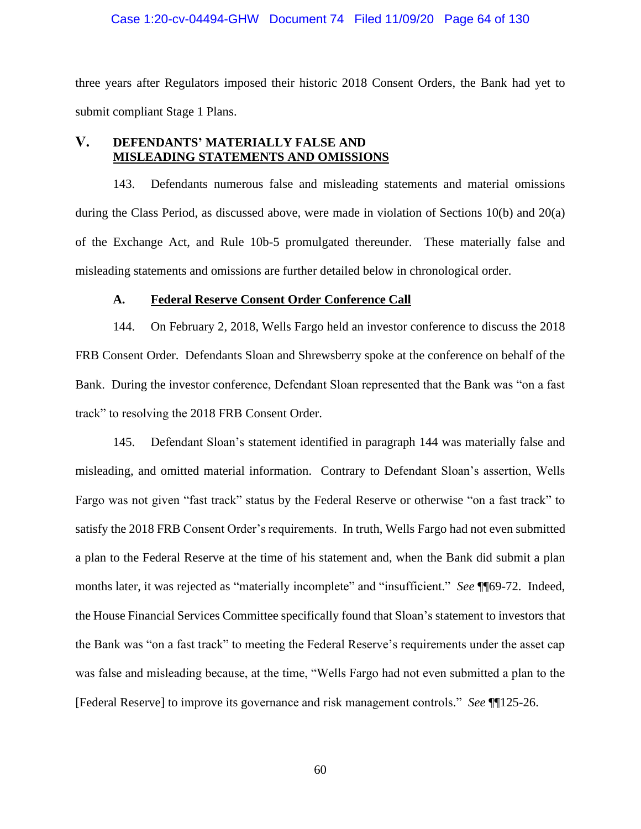#### Case 1:20-cv-04494-GHW Document 74 Filed 11/09/20 Page 64 of 130

three years after Regulators imposed their historic 2018 Consent Orders, the Bank had yet to submit compliant Stage 1 Plans.

## **V. DEFENDANTS' MATERIALLY FALSE AND MISLEADING STATEMENTS AND OMISSIONS**

143. Defendants numerous false and misleading statements and material omissions during the Class Period, as discussed above, were made in violation of Sections 10(b) and 20(a) of the Exchange Act, and Rule 10b-5 promulgated thereunder. These materially false and misleading statements and omissions are further detailed below in chronological order.

### **A. Federal Reserve Consent Order Conference Call**

144. On February 2, 2018, Wells Fargo held an investor conference to discuss the 2018 FRB Consent Order. Defendants Sloan and Shrewsberry spoke at the conference on behalf of the Bank. During the investor conference, Defendant Sloan represented that the Bank was "on a fast track" to resolving the 2018 FRB Consent Order.

145. Defendant Sloan's statement identified in paragraph 144 was materially false and misleading, and omitted material information. Contrary to Defendant Sloan's assertion, Wells Fargo was not given "fast track" status by the Federal Reserve or otherwise "on a fast track" to satisfy the 2018 FRB Consent Order's requirements. In truth, Wells Fargo had not even submitted a plan to the Federal Reserve at the time of his statement and, when the Bank did submit a plan months later, it was rejected as "materially incomplete" and "insufficient." *See* ¶¶69-72. Indeed, the House Financial Services Committee specifically found that Sloan's statement to investors that the Bank was "on a fast track" to meeting the Federal Reserve's requirements under the asset cap was false and misleading because, at the time, "Wells Fargo had not even submitted a plan to the [Federal Reserve] to improve its governance and risk management controls." *See* ¶¶125-26.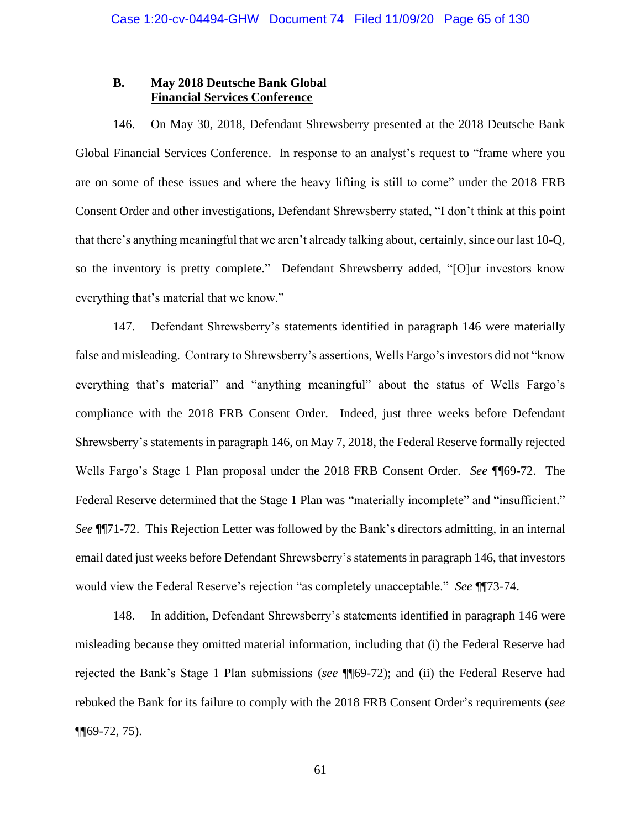## **B. May 2018 Deutsche Bank Global Financial Services Conference**

146. On May 30, 2018, Defendant Shrewsberry presented at the 2018 Deutsche Bank Global Financial Services Conference. In response to an analyst's request to "frame where you are on some of these issues and where the heavy lifting is still to come" under the 2018 FRB Consent Order and other investigations, Defendant Shrewsberry stated, "I don't think at this point that there's anything meaningful that we aren't already talking about, certainly, since our last 10-Q, so the inventory is pretty complete." Defendant Shrewsberry added, "[O]ur investors know everything that's material that we know."

147. Defendant Shrewsberry's statements identified in paragraph 146 were materially false and misleading. Contrary to Shrewsberry's assertions, Wells Fargo's investors did not "know everything that's material" and "anything meaningful" about the status of Wells Fargo's compliance with the 2018 FRB Consent Order. Indeed, just three weeks before Defendant Shrewsberry's statements in paragraph 146, on May 7, 2018, the Federal Reserve formally rejected Wells Fargo's Stage 1 Plan proposal under the 2018 FRB Consent Order. *See* ¶¶69-72. The Federal Reserve determined that the Stage 1 Plan was "materially incomplete" and "insufficient." *See* ¶¶71-72. This Rejection Letter was followed by the Bank's directors admitting, in an internal email dated just weeks before Defendant Shrewsberry's statementsin paragraph 146, that investors would view the Federal Reserve's rejection "as completely unacceptable." *See* ¶¶73-74.

148. In addition, Defendant Shrewsberry's statements identified in paragraph 146 were misleading because they omitted material information, including that (i) the Federal Reserve had rejected the Bank's Stage 1 Plan submissions (*see* ¶¶69-72); and (ii) the Federal Reserve had rebuked the Bank for its failure to comply with the 2018 FRB Consent Order's requirements (*see*  $\P$  $[69-72, 75)$ .

61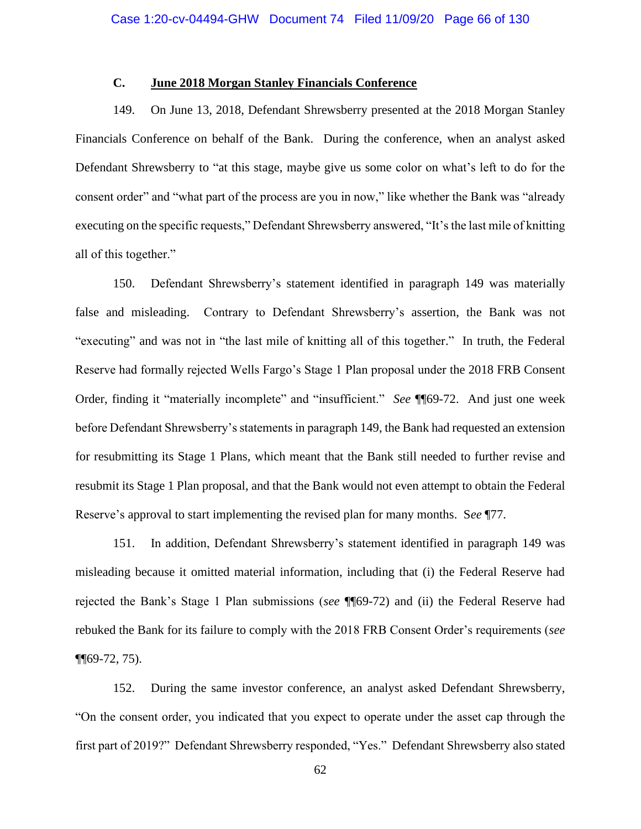# **C. June 2018 Morgan Stanley Financials Conference**

149. On June 13, 2018, Defendant Shrewsberry presented at the 2018 Morgan Stanley Financials Conference on behalf of the Bank. During the conference, when an analyst asked Defendant Shrewsberry to "at this stage, maybe give us some color on what's left to do for the consent order" and "what part of the process are you in now," like whether the Bank was "already executing on the specific requests," Defendant Shrewsberry answered, "It's the last mile of knitting all of this together."

150. Defendant Shrewsberry's statement identified in paragraph 149 was materially false and misleading. Contrary to Defendant Shrewsberry's assertion, the Bank was not "executing" and was not in "the last mile of knitting all of this together." In truth, the Federal Reserve had formally rejected Wells Fargo's Stage 1 Plan proposal under the 2018 FRB Consent Order, finding it "materially incomplete" and "insufficient." *See* ¶¶69-72. And just one week before Defendant Shrewsberry's statements in paragraph 149, the Bank had requested an extension for resubmitting its Stage 1 Plans, which meant that the Bank still needed to further revise and resubmit its Stage 1 Plan proposal, and that the Bank would not even attempt to obtain the Federal Reserve's approval to start implementing the revised plan for many months. S*ee* ¶77.

151. In addition, Defendant Shrewsberry's statement identified in paragraph 149 was misleading because it omitted material information, including that (i) the Federal Reserve had rejected the Bank's Stage 1 Plan submissions (*see* ¶¶69-72) and (ii) the Federal Reserve had rebuked the Bank for its failure to comply with the 2018 FRB Consent Order's requirements (*see* ¶¶69-72, 75).

152. During the same investor conference, an analyst asked Defendant Shrewsberry, "On the consent order, you indicated that you expect to operate under the asset cap through the first part of 2019?" Defendant Shrewsberry responded, "Yes." Defendant Shrewsberry also stated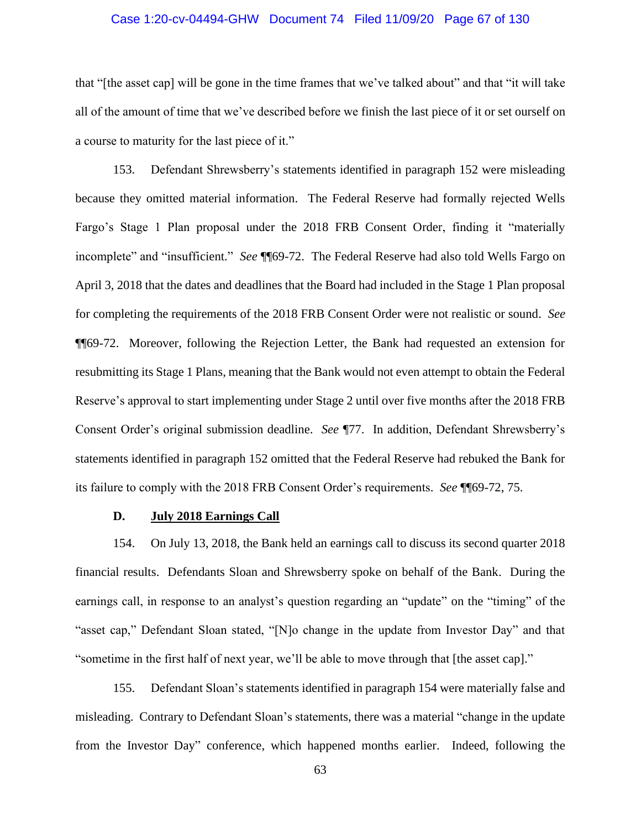#### Case 1:20-cv-04494-GHW Document 74 Filed 11/09/20 Page 67 of 130

that "[the asset cap] will be gone in the time frames that we've talked about" and that "it will take all of the amount of time that we've described before we finish the last piece of it or set ourself on a course to maturity for the last piece of it."

153. Defendant Shrewsberry's statements identified in paragraph 152 were misleading because they omitted material information. The Federal Reserve had formally rejected Wells Fargo's Stage 1 Plan proposal under the 2018 FRB Consent Order, finding it "materially incomplete" and "insufficient." *See* ¶¶69-72. The Federal Reserve had also told Wells Fargo on April 3, 2018 that the dates and deadlines that the Board had included in the Stage 1 Plan proposal for completing the requirements of the 2018 FRB Consent Order were not realistic or sound. *See* ¶¶69-72. Moreover, following the Rejection Letter, the Bank had requested an extension for resubmitting its Stage 1 Plans, meaning that the Bank would not even attempt to obtain the Federal Reserve's approval to start implementing under Stage 2 until over five months after the 2018 FRB Consent Order's original submission deadline. *See* ¶77. In addition, Defendant Shrewsberry's statements identified in paragraph 152 omitted that the Federal Reserve had rebuked the Bank for its failure to comply with the 2018 FRB Consent Order's requirements. *See* ¶¶69-72, 75.

#### **D. July 2018 Earnings Call**

154. On July 13, 2018, the Bank held an earnings call to discuss its second quarter 2018 financial results. Defendants Sloan and Shrewsberry spoke on behalf of the Bank. During the earnings call, in response to an analyst's question regarding an "update" on the "timing" of the "asset cap," Defendant Sloan stated, "[N]o change in the update from Investor Day" and that "sometime in the first half of next year, we'll be able to move through that [the asset cap]."

155. Defendant Sloan's statements identified in paragraph 154 were materially false and misleading. Contrary to Defendant Sloan's statements, there was a material "change in the update from the Investor Day" conference, which happened months earlier. Indeed, following the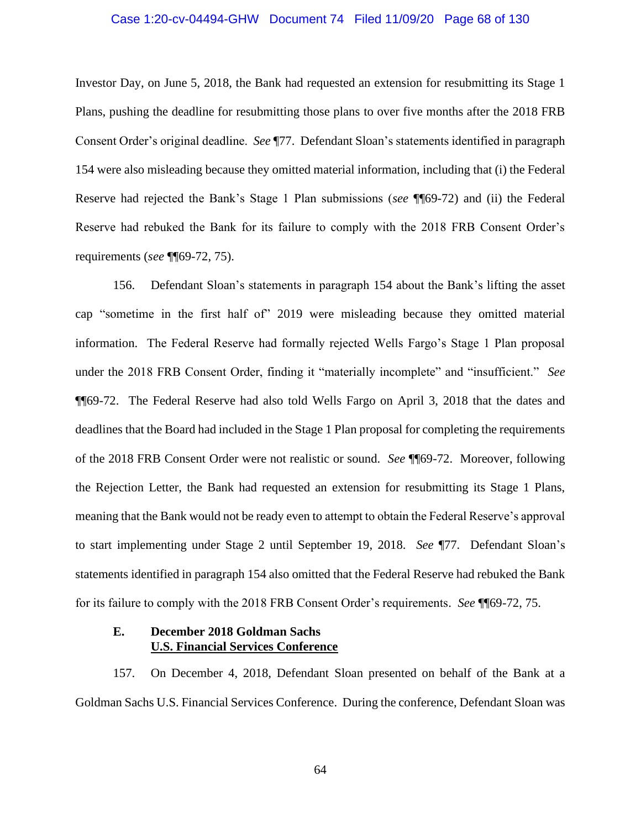#### Case 1:20-cv-04494-GHW Document 74 Filed 11/09/20 Page 68 of 130

Investor Day, on June 5, 2018, the Bank had requested an extension for resubmitting its Stage 1 Plans, pushing the deadline for resubmitting those plans to over five months after the 2018 FRB Consent Order's original deadline. *See* ¶77. Defendant Sloan's statements identified in paragraph 154 were also misleading because they omitted material information, including that (i) the Federal Reserve had rejected the Bank's Stage 1 Plan submissions (*see* ¶¶69-72) and (ii) the Federal Reserve had rebuked the Bank for its failure to comply with the 2018 FRB Consent Order's requirements (*see* ¶¶69-72, 75).

156. Defendant Sloan's statements in paragraph 154 about the Bank's lifting the asset cap "sometime in the first half of" 2019 were misleading because they omitted material information. The Federal Reserve had formally rejected Wells Fargo's Stage 1 Plan proposal under the 2018 FRB Consent Order, finding it "materially incomplete" and "insufficient." *See* ¶¶69-72. The Federal Reserve had also told Wells Fargo on April 3, 2018 that the dates and deadlines that the Board had included in the Stage 1 Plan proposal for completing the requirements of the 2018 FRB Consent Order were not realistic or sound. *See* ¶¶69-72. Moreover, following the Rejection Letter, the Bank had requested an extension for resubmitting its Stage 1 Plans, meaning that the Bank would not be ready even to attempt to obtain the Federal Reserve's approval to start implementing under Stage 2 until September 19, 2018. *See* ¶77. Defendant Sloan's statements identified in paragraph 154 also omitted that the Federal Reserve had rebuked the Bank for its failure to comply with the 2018 FRB Consent Order's requirements. *See* ¶¶69-72, 75.

## **E. December 2018 Goldman Sachs U.S. Financial Services Conference**

157. On December 4, 2018, Defendant Sloan presented on behalf of the Bank at a Goldman Sachs U.S. Financial Services Conference. During the conference, Defendant Sloan was

64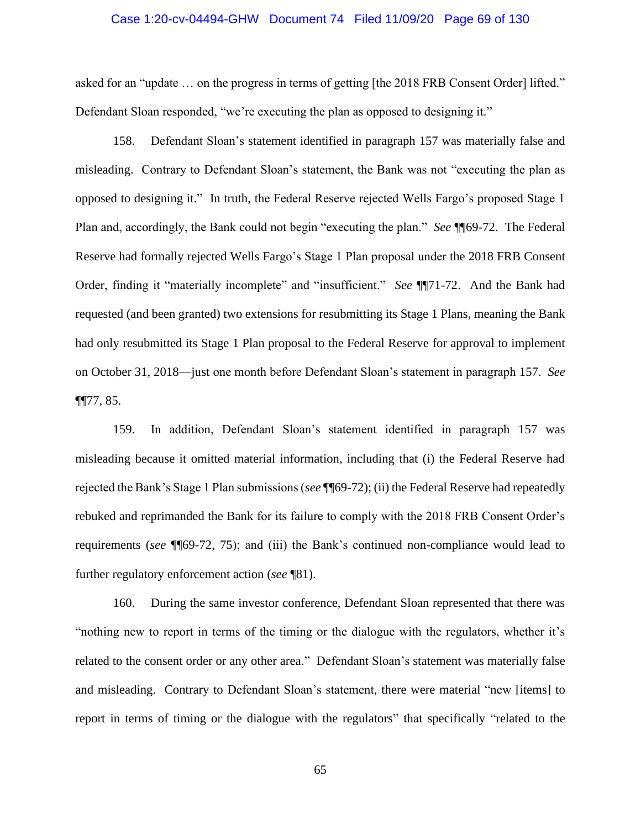#### Case 1:20-cv-04494-GHW Document 74 Filed 11/09/20 Page 69 of 130

asked for an "update … on the progress in terms of getting [the 2018 FRB Consent Order] lifted." Defendant Sloan responded, "we're executing the plan as opposed to designing it."

158. Defendant Sloan's statement identified in paragraph 157 was materially false and misleading. Contrary to Defendant Sloan's statement, the Bank was not "executing the plan as opposed to designing it." In truth, the Federal Reserve rejected Wells Fargo's proposed Stage 1 Plan and, accordingly, the Bank could not begin "executing the plan." *See* ¶¶69-72. The Federal Reserve had formally rejected Wells Fargo's Stage 1 Plan proposal under the 2018 FRB Consent Order, finding it "materially incomplete" and "insufficient." *See* ¶¶71-72. And the Bank had requested (and been granted) two extensions for resubmitting its Stage 1 Plans, meaning the Bank had only resubmitted its Stage 1 Plan proposal to the Federal Reserve for approval to implement on October 31, 2018—just one month before Defendant Sloan's statement in paragraph 157. *See*   $\P$  $[77, 85.$ 

159. In addition, Defendant Sloan's statement identified in paragraph 157 was misleading because it omitted material information, including that (i) the Federal Reserve had rejected the Bank's Stage 1 Plan submissions (*see* ¶¶69-72); (ii) the Federal Reserve had repeatedly rebuked and reprimanded the Bank for its failure to comply with the 2018 FRB Consent Order's requirements (*see* ¶¶69-72, 75); and (iii) the Bank's continued non-compliance would lead to further regulatory enforcement action (*see* ¶81).

160. During the same investor conference, Defendant Sloan represented that there was "nothing new to report in terms of the timing or the dialogue with the regulators, whether it's related to the consent order or any other area." Defendant Sloan's statement was materially false and misleading. Contrary to Defendant Sloan's statement, there were material "new [items] to report in terms of timing or the dialogue with the regulators" that specifically "related to the

65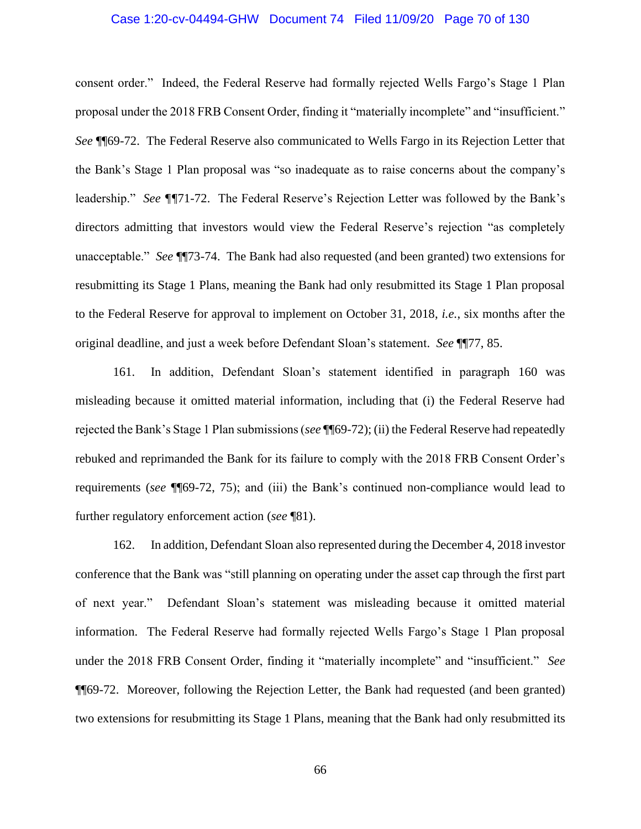#### Case 1:20-cv-04494-GHW Document 74 Filed 11/09/20 Page 70 of 130

consent order." Indeed, the Federal Reserve had formally rejected Wells Fargo's Stage 1 Plan proposal under the 2018 FRB Consent Order, finding it "materially incomplete" and "insufficient." *See* ¶¶69-72. The Federal Reserve also communicated to Wells Fargo in its Rejection Letter that the Bank's Stage 1 Plan proposal was "so inadequate as to raise concerns about the company's leadership." *See ¶¶*71-72. The Federal Reserve's Rejection Letter was followed by the Bank's directors admitting that investors would view the Federal Reserve's rejection "as completely unacceptable." *See* ¶¶73-74. The Bank had also requested (and been granted) two extensions for resubmitting its Stage 1 Plans, meaning the Bank had only resubmitted its Stage 1 Plan proposal to the Federal Reserve for approval to implement on October 31, 2018, *i.e.*, six months after the original deadline, and just a week before Defendant Sloan's statement. *See* ¶¶77, 85.

161. In addition, Defendant Sloan's statement identified in paragraph 160 was misleading because it omitted material information, including that (i) the Federal Reserve had rejected the Bank's Stage 1 Plan submissions (*see* ¶¶69-72); (ii) the Federal Reserve had repeatedly rebuked and reprimanded the Bank for its failure to comply with the 2018 FRB Consent Order's requirements (*see* ¶¶69-72, 75); and (iii) the Bank's continued non-compliance would lead to further regulatory enforcement action (*see* ¶81).

162. In addition, Defendant Sloan also represented during the December 4, 2018 investor conference that the Bank was "still planning on operating under the asset cap through the first part of next year." Defendant Sloan's statement was misleading because it omitted material information. The Federal Reserve had formally rejected Wells Fargo's Stage 1 Plan proposal under the 2018 FRB Consent Order, finding it "materially incomplete" and "insufficient." *See* ¶¶69-72. Moreover, following the Rejection Letter, the Bank had requested (and been granted) two extensions for resubmitting its Stage 1 Plans, meaning that the Bank had only resubmitted its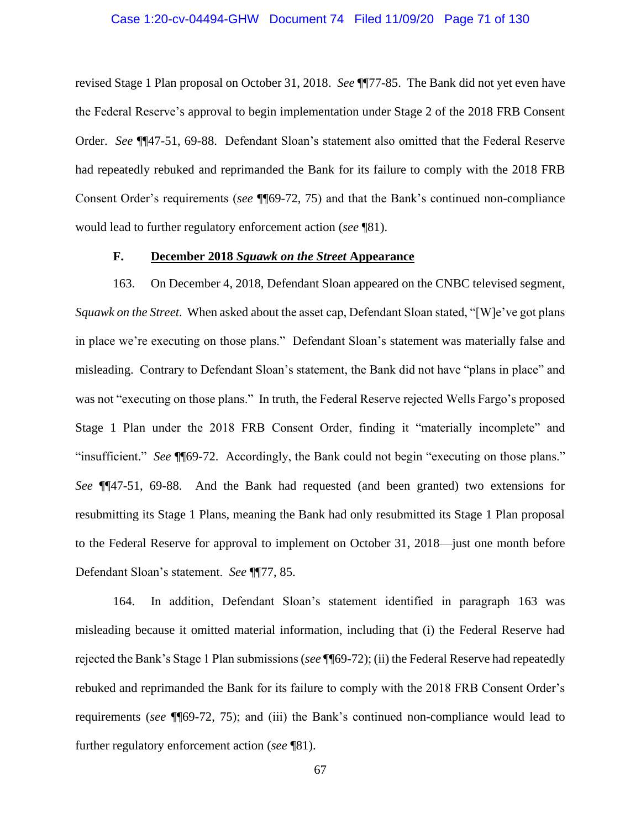#### Case 1:20-cv-04494-GHW Document 74 Filed 11/09/20 Page 71 of 130

revised Stage 1 Plan proposal on October 31, 2018. *See* ¶¶77-85. The Bank did not yet even have the Federal Reserve's approval to begin implementation under Stage 2 of the 2018 FRB Consent Order. *See* ¶¶47-51, 69-88. Defendant Sloan's statement also omitted that the Federal Reserve had repeatedly rebuked and reprimanded the Bank for its failure to comply with the 2018 FRB Consent Order's requirements (*see* ¶¶69-72, 75) and that the Bank's continued non-compliance would lead to further regulatory enforcement action (*see* ¶81).

### **F. December 2018** *Squawk on the Street* **Appearance**

163. On December 4, 2018, Defendant Sloan appeared on the CNBC televised segment, *Squawk on the Street*. When asked about the asset cap, Defendant Sloan stated, "[W]e've got plans in place we're executing on those plans." Defendant Sloan's statement was materially false and misleading. Contrary to Defendant Sloan's statement, the Bank did not have "plans in place" and was not "executing on those plans." In truth, the Federal Reserve rejected Wells Fargo's proposed Stage 1 Plan under the 2018 FRB Consent Order, finding it "materially incomplete" and "insufficient." *See* ¶¶69-72. Accordingly, the Bank could not begin "executing on those plans." *See* ¶¶47-51, 69-88. And the Bank had requested (and been granted) two extensions for resubmitting its Stage 1 Plans, meaning the Bank had only resubmitted its Stage 1 Plan proposal to the Federal Reserve for approval to implement on October 31, 2018—just one month before Defendant Sloan's statement. *See* ¶¶77, 85.

164. In addition, Defendant Sloan's statement identified in paragraph 163 was misleading because it omitted material information, including that (i) the Federal Reserve had rejected the Bank's Stage 1 Plan submissions (*see* ¶¶69-72); (ii) the Federal Reserve had repeatedly rebuked and reprimanded the Bank for its failure to comply with the 2018 FRB Consent Order's requirements (*see* ¶¶69-72, 75); and (iii) the Bank's continued non-compliance would lead to further regulatory enforcement action (*see* ¶81).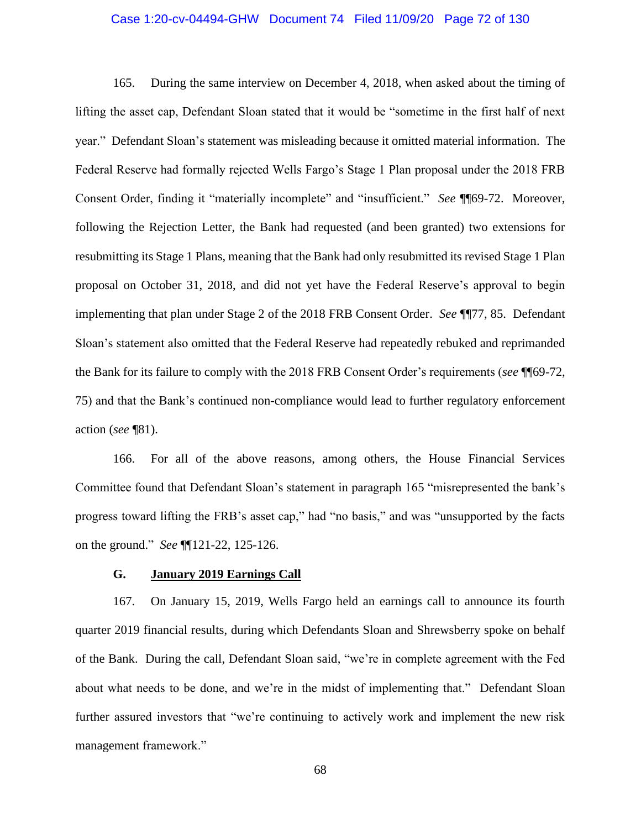#### Case 1:20-cv-04494-GHW Document 74 Filed 11/09/20 Page 72 of 130

165. During the same interview on December 4, 2018, when asked about the timing of lifting the asset cap, Defendant Sloan stated that it would be "sometime in the first half of next year." Defendant Sloan's statement was misleading because it omitted material information. The Federal Reserve had formally rejected Wells Fargo's Stage 1 Plan proposal under the 2018 FRB Consent Order, finding it "materially incomplete" and "insufficient." *See* ¶¶69-72. Moreover, following the Rejection Letter, the Bank had requested (and been granted) two extensions for resubmitting its Stage 1 Plans, meaning that the Bank had only resubmitted its revised Stage 1 Plan proposal on October 31, 2018, and did not yet have the Federal Reserve's approval to begin implementing that plan under Stage 2 of the 2018 FRB Consent Order. *See* ¶¶77, 85. Defendant Sloan's statement also omitted that the Federal Reserve had repeatedly rebuked and reprimanded the Bank for its failure to comply with the 2018 FRB Consent Order's requirements (*see* ¶¶69-72, 75) and that the Bank's continued non-compliance would lead to further regulatory enforcement action (*see* ¶81).

166. For all of the above reasons, among others, the House Financial Services Committee found that Defendant Sloan's statement in paragraph 165 "misrepresented the bank's progress toward lifting the FRB's asset cap," had "no basis," and was "unsupported by the facts on the ground." *See* ¶¶121-22, 125-126.

### **G. January 2019 Earnings Call**

167. On January 15, 2019, Wells Fargo held an earnings call to announce its fourth quarter 2019 financial results, during which Defendants Sloan and Shrewsberry spoke on behalf of the Bank. During the call, Defendant Sloan said, "we're in complete agreement with the Fed about what needs to be done, and we're in the midst of implementing that." Defendant Sloan further assured investors that "we're continuing to actively work and implement the new risk management framework."

68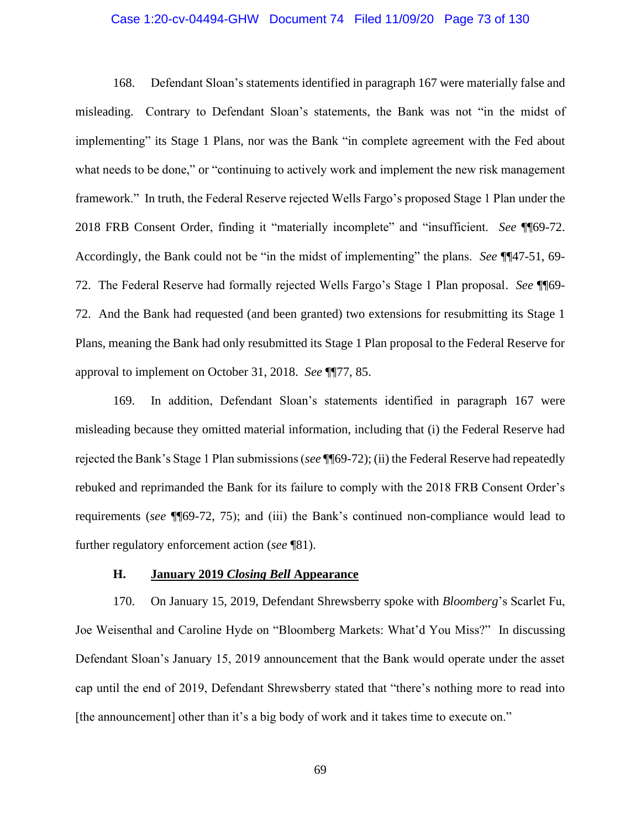# Case 1:20-cv-04494-GHW Document 74 Filed 11/09/20 Page 73 of 130

168. Defendant Sloan's statements identified in paragraph 167 were materially false and misleading. Contrary to Defendant Sloan's statements, the Bank was not "in the midst of implementing" its Stage 1 Plans, nor was the Bank "in complete agreement with the Fed about what needs to be done," or "continuing to actively work and implement the new risk management framework." In truth, the Federal Reserve rejected Wells Fargo's proposed Stage 1 Plan under the 2018 FRB Consent Order, finding it "materially incomplete" and "insufficient. *See* ¶¶69-72. Accordingly, the Bank could not be "in the midst of implementing" the plans. *See* ¶¶47-51, 69- 72. The Federal Reserve had formally rejected Wells Fargo's Stage 1 Plan proposal. *See* ¶¶69- 72. And the Bank had requested (and been granted) two extensions for resubmitting its Stage 1 Plans, meaning the Bank had only resubmitted its Stage 1 Plan proposal to the Federal Reserve for approval to implement on October 31, 2018. *See* ¶¶77, 85.

169. In addition, Defendant Sloan's statements identified in paragraph 167 were misleading because they omitted material information, including that (i) the Federal Reserve had rejected the Bank's Stage 1 Plan submissions (*see* ¶¶69-72); (ii) the Federal Reserve had repeatedly rebuked and reprimanded the Bank for its failure to comply with the 2018 FRB Consent Order's requirements (*see* ¶¶69-72, 75); and (iii) the Bank's continued non-compliance would lead to further regulatory enforcement action (*see* ¶81).

# **H. January 2019** *Closing Bell* **Appearance**

170. On January 15, 2019, Defendant Shrewsberry spoke with *Bloomberg*'s Scarlet Fu, Joe Weisenthal and Caroline Hyde on "Bloomberg Markets: What'd You Miss?" In discussing Defendant Sloan's January 15, 2019 announcement that the Bank would operate under the asset cap until the end of 2019, Defendant Shrewsberry stated that "there's nothing more to read into [the announcement] other than it's a big body of work and it takes time to execute on."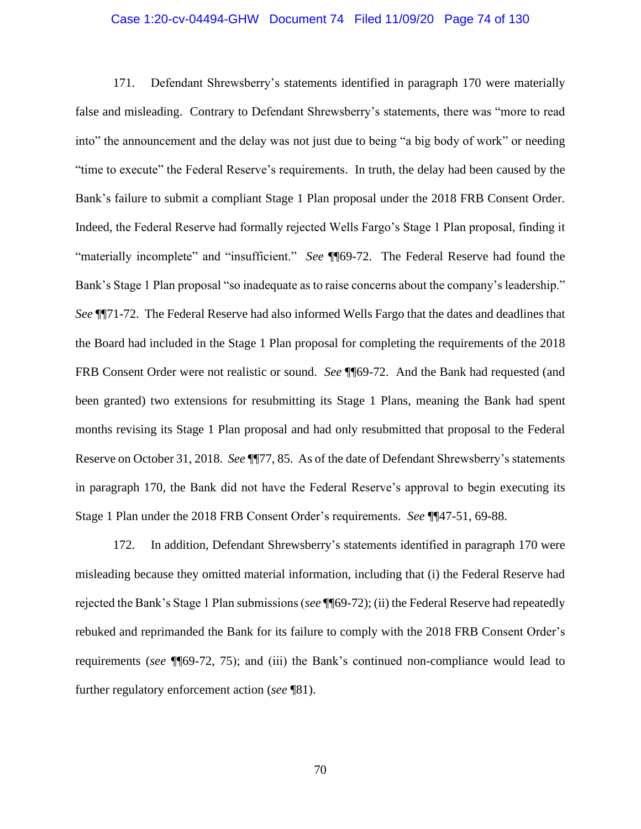#### Case 1:20-cv-04494-GHW Document 74 Filed 11/09/20 Page 74 of 130

171. Defendant Shrewsberry's statements identified in paragraph 170 were materially false and misleading. Contrary to Defendant Shrewsberry's statements, there was "more to read into" the announcement and the delay was not just due to being "a big body of work" or needing "time to execute" the Federal Reserve's requirements. In truth, the delay had been caused by the Bank's failure to submit a compliant Stage 1 Plan proposal under the 2018 FRB Consent Order. Indeed, the Federal Reserve had formally rejected Wells Fargo's Stage 1 Plan proposal, finding it "materially incomplete" and "insufficient." *See* ¶¶69-72. The Federal Reserve had found the Bank's Stage 1 Plan proposal "so inadequate as to raise concerns about the company's leadership." *See* ¶¶71-72. The Federal Reserve had also informed Wells Fargo that the dates and deadlines that the Board had included in the Stage 1 Plan proposal for completing the requirements of the 2018 FRB Consent Order were not realistic or sound. *See* ¶¶69-72. And the Bank had requested (and been granted) two extensions for resubmitting its Stage 1 Plans, meaning the Bank had spent months revising its Stage 1 Plan proposal and had only resubmitted that proposal to the Federal Reserve on October 31, 2018. *See* ¶¶77, 85. As of the date of Defendant Shrewsberry's statements in paragraph 170, the Bank did not have the Federal Reserve's approval to begin executing its Stage 1 Plan under the 2018 FRB Consent Order's requirements. *See* ¶¶47-51, 69-88.

172. In addition, Defendant Shrewsberry's statements identified in paragraph 170 were misleading because they omitted material information, including that (i) the Federal Reserve had rejected the Bank's Stage 1 Plan submissions (*see* ¶¶69-72); (ii) the Federal Reserve had repeatedly rebuked and reprimanded the Bank for its failure to comply with the 2018 FRB Consent Order's requirements (*see* ¶¶69-72, 75); and (iii) the Bank's continued non-compliance would lead to further regulatory enforcement action (*see* ¶81).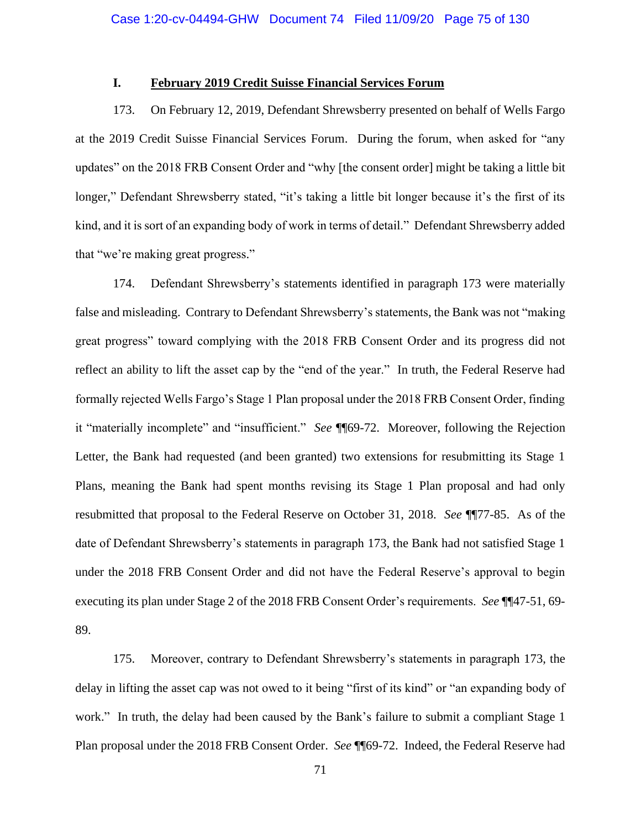# **I. February 2019 Credit Suisse Financial Services Forum**

173. On February 12, 2019, Defendant Shrewsberry presented on behalf of Wells Fargo at the 2019 Credit Suisse Financial Services Forum. During the forum, when asked for "any updates" on the 2018 FRB Consent Order and "why [the consent order] might be taking a little bit longer," Defendant Shrewsberry stated, "it's taking a little bit longer because it's the first of its kind, and it is sort of an expanding body of work in terms of detail." Defendant Shrewsberry added that "we're making great progress."

174. Defendant Shrewsberry's statements identified in paragraph 173 were materially false and misleading. Contrary to Defendant Shrewsberry's statements, the Bank was not "making great progress" toward complying with the 2018 FRB Consent Order and its progress did not reflect an ability to lift the asset cap by the "end of the year." In truth, the Federal Reserve had formally rejected Wells Fargo's Stage 1 Plan proposal under the 2018 FRB Consent Order, finding it "materially incomplete" and "insufficient." *See* ¶¶69-72. Moreover, following the Rejection Letter, the Bank had requested (and been granted) two extensions for resubmitting its Stage 1 Plans, meaning the Bank had spent months revising its Stage 1 Plan proposal and had only resubmitted that proposal to the Federal Reserve on October 31, 2018. *See* ¶¶77-85. As of the date of Defendant Shrewsberry's statements in paragraph 173, the Bank had not satisfied Stage 1 under the 2018 FRB Consent Order and did not have the Federal Reserve's approval to begin executing its plan under Stage 2 of the 2018 FRB Consent Order's requirements. *See* ¶¶47-51, 69- 89.

175. Moreover, contrary to Defendant Shrewsberry's statements in paragraph 173, the delay in lifting the asset cap was not owed to it being "first of its kind" or "an expanding body of work." In truth, the delay had been caused by the Bank's failure to submit a compliant Stage 1 Plan proposal under the 2018 FRB Consent Order. *See* ¶¶69-72. Indeed, the Federal Reserve had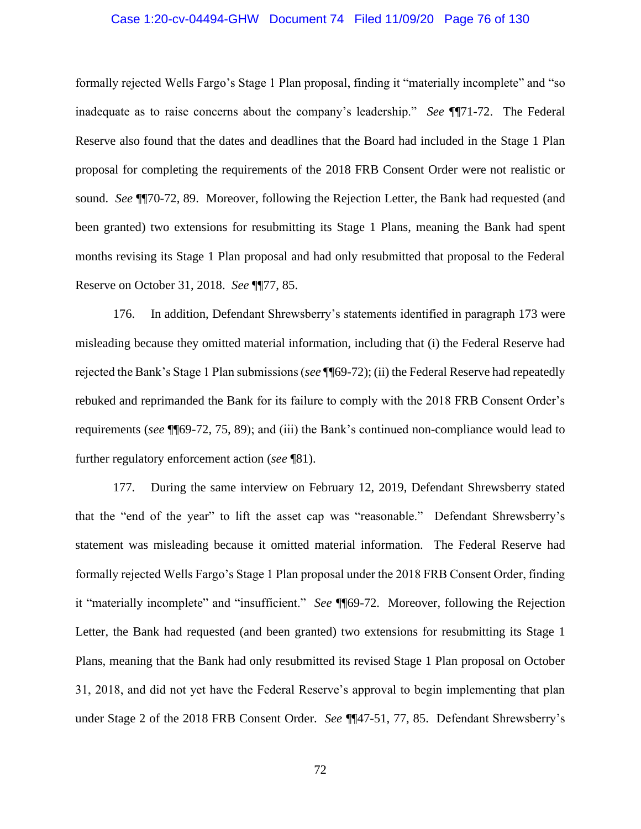# Case 1:20-cv-04494-GHW Document 74 Filed 11/09/20 Page 76 of 130

formally rejected Wells Fargo's Stage 1 Plan proposal, finding it "materially incomplete" and "so inadequate as to raise concerns about the company's leadership." *See* ¶¶71-72. The Federal Reserve also found that the dates and deadlines that the Board had included in the Stage 1 Plan proposal for completing the requirements of the 2018 FRB Consent Order were not realistic or sound. *See* ¶¶70-72, 89. Moreover, following the Rejection Letter, the Bank had requested (and been granted) two extensions for resubmitting its Stage 1 Plans, meaning the Bank had spent months revising its Stage 1 Plan proposal and had only resubmitted that proposal to the Federal Reserve on October 31, 2018. *See* ¶¶77, 85.

176. In addition, Defendant Shrewsberry's statements identified in paragraph 173 were misleading because they omitted material information, including that (i) the Federal Reserve had rejected the Bank's Stage 1 Plan submissions (*see* ¶¶69-72); (ii) the Federal Reserve had repeatedly rebuked and reprimanded the Bank for its failure to comply with the 2018 FRB Consent Order's requirements (*see* ¶¶69-72, 75, 89); and (iii) the Bank's continued non-compliance would lead to further regulatory enforcement action (*see* ¶81).

177. During the same interview on February 12, 2019, Defendant Shrewsberry stated that the "end of the year" to lift the asset cap was "reasonable." Defendant Shrewsberry's statement was misleading because it omitted material information. The Federal Reserve had formally rejected Wells Fargo's Stage 1 Plan proposal under the 2018 FRB Consent Order, finding it "materially incomplete" and "insufficient." *See* ¶¶69-72. Moreover, following the Rejection Letter, the Bank had requested (and been granted) two extensions for resubmitting its Stage 1 Plans, meaning that the Bank had only resubmitted its revised Stage 1 Plan proposal on October 31, 2018, and did not yet have the Federal Reserve's approval to begin implementing that plan under Stage 2 of the 2018 FRB Consent Order. *See* ¶¶47-51, 77, 85. Defendant Shrewsberry's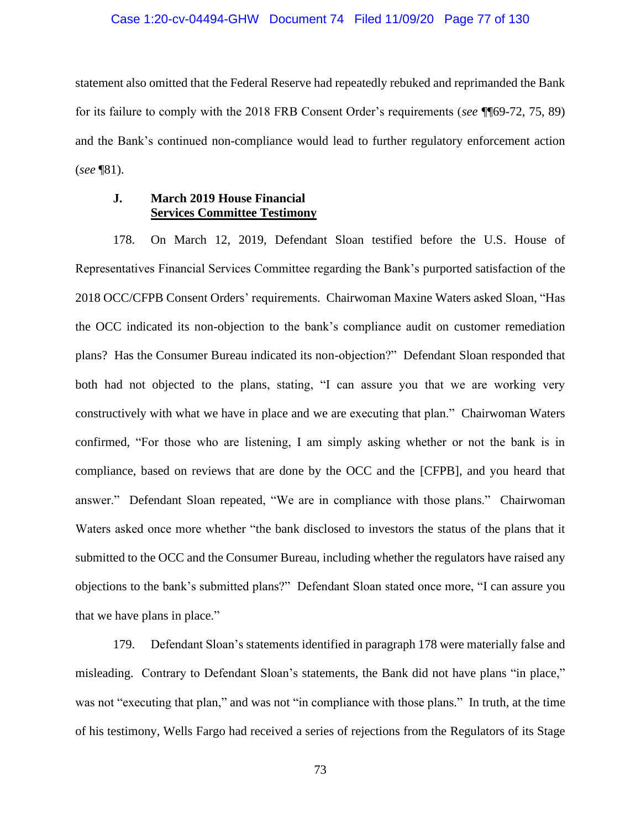#### Case 1:20-cv-04494-GHW Document 74 Filed 11/09/20 Page 77 of 130

statement also omitted that the Federal Reserve had repeatedly rebuked and reprimanded the Bank for its failure to comply with the 2018 FRB Consent Order's requirements (*see* ¶¶69-72, 75, 89) and the Bank's continued non-compliance would lead to further regulatory enforcement action (*see* ¶81).

# **J. March 2019 House Financial Services Committee Testimony**

178. On March 12, 2019, Defendant Sloan testified before the U.S. House of Representatives Financial Services Committee regarding the Bank's purported satisfaction of the 2018 OCC/CFPB Consent Orders' requirements. Chairwoman Maxine Waters asked Sloan, "Has the OCC indicated its non-objection to the bank's compliance audit on customer remediation plans? Has the Consumer Bureau indicated its non-objection?" Defendant Sloan responded that both had not objected to the plans, stating, "I can assure you that we are working very constructively with what we have in place and we are executing that plan." Chairwoman Waters confirmed, "For those who are listening, I am simply asking whether or not the bank is in compliance, based on reviews that are done by the OCC and the [CFPB], and you heard that answer." Defendant Sloan repeated, "We are in compliance with those plans." Chairwoman Waters asked once more whether "the bank disclosed to investors the status of the plans that it submitted to the OCC and the Consumer Bureau, including whether the regulators have raised any objections to the bank's submitted plans?" Defendant Sloan stated once more, "I can assure you that we have plans in place."

179. Defendant Sloan's statements identified in paragraph 178 were materially false and misleading. Contrary to Defendant Sloan's statements, the Bank did not have plans "in place," was not "executing that plan," and was not "in compliance with those plans." In truth, at the time of his testimony, Wells Fargo had received a series of rejections from the Regulators of its Stage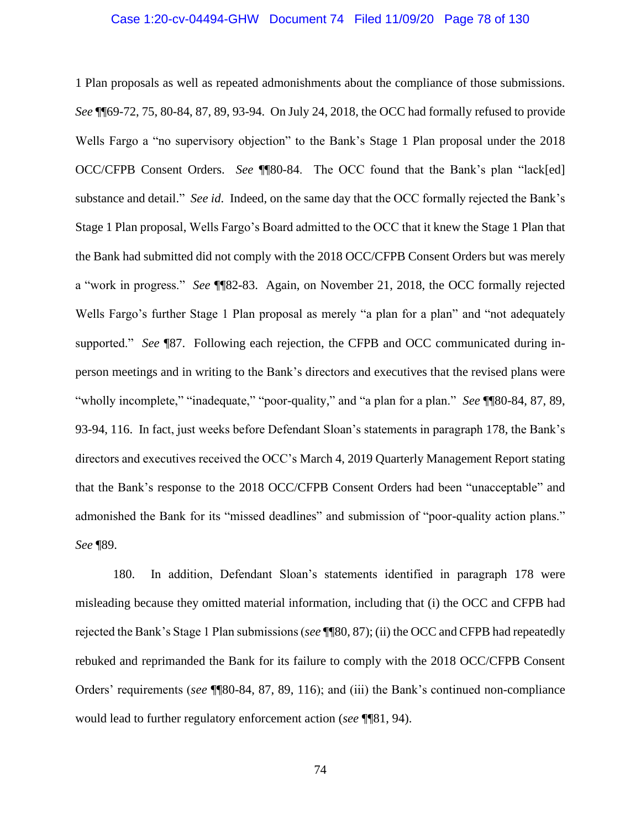## Case 1:20-cv-04494-GHW Document 74 Filed 11/09/20 Page 78 of 130

1 Plan proposals as well as repeated admonishments about the compliance of those submissions. *See* ¶¶69-72, 75, 80-84, 87, 89, 93-94. On July 24, 2018, the OCC had formally refused to provide Wells Fargo a "no supervisory objection" to the Bank's Stage 1 Plan proposal under the 2018 OCC/CFPB Consent Orders. *See* ¶¶80-84. The OCC found that the Bank's plan "lack[ed] substance and detail." *See id*. Indeed, on the same day that the OCC formally rejected the Bank's Stage 1 Plan proposal, Wells Fargo's Board admitted to the OCC that it knew the Stage 1 Plan that the Bank had submitted did not comply with the 2018 OCC/CFPB Consent Orders but was merely a "work in progress." *See* ¶¶82-83. Again, on November 21, 2018, the OCC formally rejected Wells Fargo's further Stage 1 Plan proposal as merely "a plan for a plan" and "not adequately supported." *See* ¶87. Following each rejection, the CFPB and OCC communicated during inperson meetings and in writing to the Bank's directors and executives that the revised plans were "wholly incomplete," "inadequate," "poor-quality," and "a plan for a plan." *See* ¶¶80-84, 87, 89, 93-94, 116. In fact, just weeks before Defendant Sloan's statements in paragraph 178, the Bank's directors and executives received the OCC's March 4, 2019 Quarterly Management Report stating that the Bank's response to the 2018 OCC/CFPB Consent Orders had been "unacceptable" and admonished the Bank for its "missed deadlines" and submission of "poor-quality action plans." *See* ¶89.

180. In addition, Defendant Sloan's statements identified in paragraph 178 were misleading because they omitted material information, including that (i) the OCC and CFPB had rejected the Bank's Stage 1 Plan submissions (*see* ¶¶80, 87); (ii) the OCC and CFPB had repeatedly rebuked and reprimanded the Bank for its failure to comply with the 2018 OCC/CFPB Consent Orders' requirements (*see* ¶¶80-84, 87, 89, 116); and (iii) the Bank's continued non-compliance would lead to further regulatory enforcement action (*see* ¶¶81, 94).

74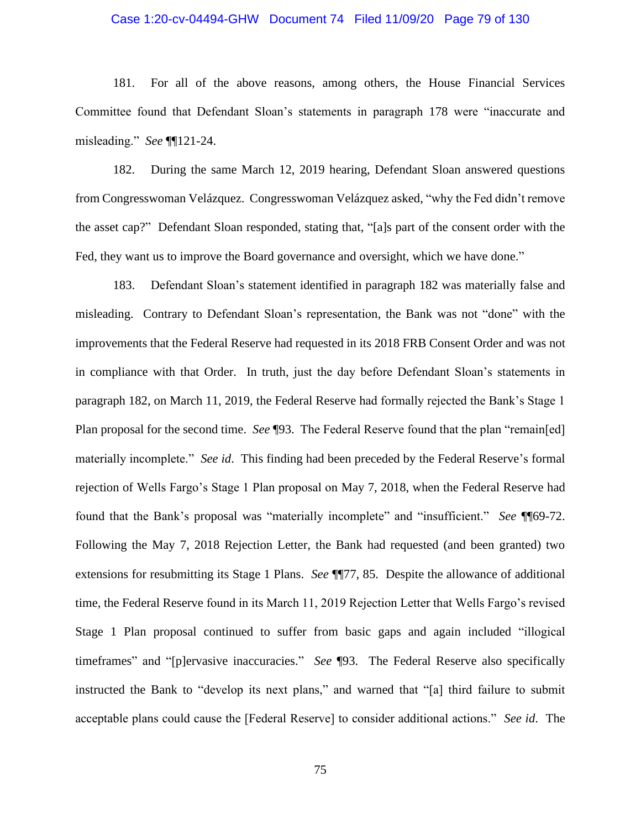# Case 1:20-cv-04494-GHW Document 74 Filed 11/09/20 Page 79 of 130

181. For all of the above reasons, among others, the House Financial Services Committee found that Defendant Sloan's statements in paragraph 178 were "inaccurate and misleading." *See* ¶¶121-24.

182. During the same March 12, 2019 hearing, Defendant Sloan answered questions from Congresswoman Velázquez. Congresswoman Velázquez asked, "why the Fed didn't remove the asset cap?" Defendant Sloan responded, stating that, "[a]s part of the consent order with the Fed, they want us to improve the Board governance and oversight, which we have done."

183. Defendant Sloan's statement identified in paragraph 182 was materially false and misleading. Contrary to Defendant Sloan's representation, the Bank was not "done" with the improvements that the Federal Reserve had requested in its 2018 FRB Consent Order and was not in compliance with that Order. In truth, just the day before Defendant Sloan's statements in paragraph 182, on March 11, 2019, the Federal Reserve had formally rejected the Bank's Stage 1 Plan proposal for the second time. *See* ¶93. The Federal Reserve found that the plan "remain[ed] materially incomplete." *See id*. This finding had been preceded by the Federal Reserve's formal rejection of Wells Fargo's Stage 1 Plan proposal on May 7, 2018, when the Federal Reserve had found that the Bank's proposal was "materially incomplete" and "insufficient." *See* ¶¶69-72. Following the May 7, 2018 Rejection Letter, the Bank had requested (and been granted) two extensions for resubmitting its Stage 1 Plans. *See* ¶¶77, 85. Despite the allowance of additional time, the Federal Reserve found in its March 11, 2019 Rejection Letter that Wells Fargo's revised Stage 1 Plan proposal continued to suffer from basic gaps and again included "illogical timeframes" and "[p]ervasive inaccuracies." *See* ¶93. The Federal Reserve also specifically instructed the Bank to "develop its next plans," and warned that "[a] third failure to submit acceptable plans could cause the [Federal Reserve] to consider additional actions." *See id*. The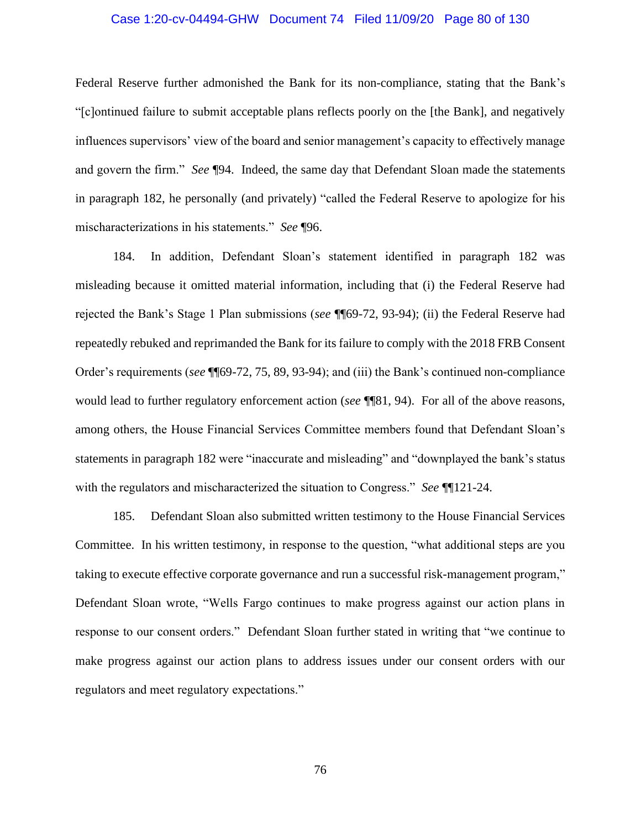# Case 1:20-cv-04494-GHW Document 74 Filed 11/09/20 Page 80 of 130

Federal Reserve further admonished the Bank for its non-compliance, stating that the Bank's "[c]ontinued failure to submit acceptable plans reflects poorly on the [the Bank], and negatively influences supervisors' view of the board and senior management's capacity to effectively manage and govern the firm." *See* ¶94. Indeed, the same day that Defendant Sloan made the statements in paragraph 182, he personally (and privately) "called the Federal Reserve to apologize for his mischaracterizations in his statements." *See* ¶96.

184. In addition, Defendant Sloan's statement identified in paragraph 182 was misleading because it omitted material information, including that (i) the Federal Reserve had rejected the Bank's Stage 1 Plan submissions (*see* ¶¶69-72, 93-94); (ii) the Federal Reserve had repeatedly rebuked and reprimanded the Bank for its failure to comply with the 2018 FRB Consent Order's requirements (*see* ¶¶69-72, 75, 89, 93-94); and (iii) the Bank's continued non-compliance would lead to further regulatory enforcement action (*see* ¶¶81, 94). For all of the above reasons, among others, the House Financial Services Committee members found that Defendant Sloan's statements in paragraph 182 were "inaccurate and misleading" and "downplayed the bank's status with the regulators and mischaracterized the situation to Congress." *See* ¶¶121-24.

185. Defendant Sloan also submitted written testimony to the House Financial Services Committee. In his written testimony, in response to the question, "what additional steps are you taking to execute effective corporate governance and run a successful risk-management program," Defendant Sloan wrote, "Wells Fargo continues to make progress against our action plans in response to our consent orders." Defendant Sloan further stated in writing that "we continue to make progress against our action plans to address issues under our consent orders with our regulators and meet regulatory expectations."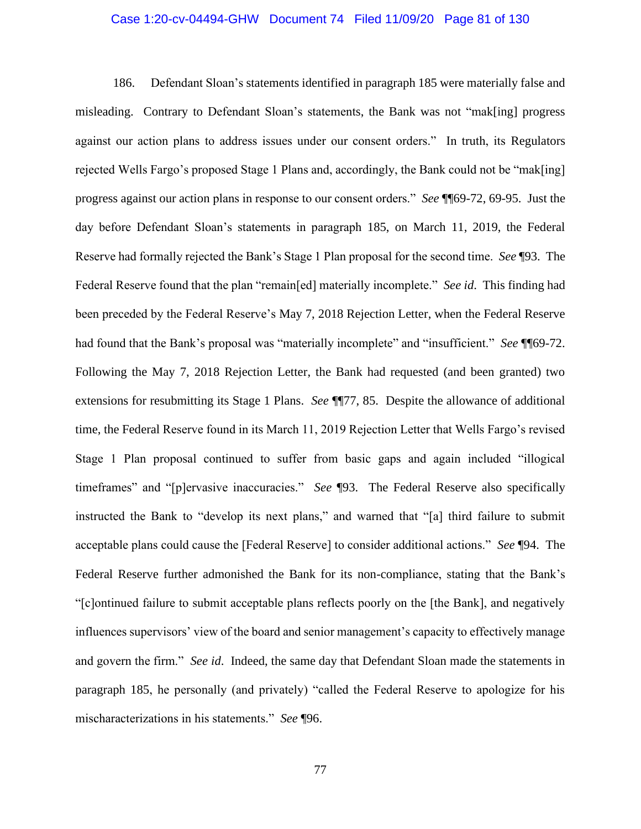# Case 1:20-cv-04494-GHW Document 74 Filed 11/09/20 Page 81 of 130

186. Defendant Sloan's statements identified in paragraph 185 were materially false and misleading. Contrary to Defendant Sloan's statements, the Bank was not "mak[ing] progress against our action plans to address issues under our consent orders." In truth, its Regulators rejected Wells Fargo's proposed Stage 1 Plans and, accordingly, the Bank could not be "mak[ing] progress against our action plans in response to our consent orders." *See* ¶¶69-72, 69-95. Just the day before Defendant Sloan's statements in paragraph 185, on March 11, 2019, the Federal Reserve had formally rejected the Bank's Stage 1 Plan proposal for the second time. *See* ¶93. The Federal Reserve found that the plan "remain[ed] materially incomplete." *See id*. This finding had been preceded by the Federal Reserve's May 7, 2018 Rejection Letter, when the Federal Reserve had found that the Bank's proposal was "materially incomplete" and "insufficient." *See* ¶¶69-72. Following the May 7, 2018 Rejection Letter, the Bank had requested (and been granted) two extensions for resubmitting its Stage 1 Plans. *See* ¶¶77, 85. Despite the allowance of additional time, the Federal Reserve found in its March 11, 2019 Rejection Letter that Wells Fargo's revised Stage 1 Plan proposal continued to suffer from basic gaps and again included "illogical timeframes" and "[p]ervasive inaccuracies." *See* ¶93. The Federal Reserve also specifically instructed the Bank to "develop its next plans," and warned that "[a] third failure to submit acceptable plans could cause the [Federal Reserve] to consider additional actions." *See* ¶94. The Federal Reserve further admonished the Bank for its non-compliance, stating that the Bank's "[c]ontinued failure to submit acceptable plans reflects poorly on the [the Bank], and negatively influences supervisors' view of the board and senior management's capacity to effectively manage and govern the firm." *See id*. Indeed, the same day that Defendant Sloan made the statements in paragraph 185, he personally (and privately) "called the Federal Reserve to apologize for his mischaracterizations in his statements." *See* ¶96.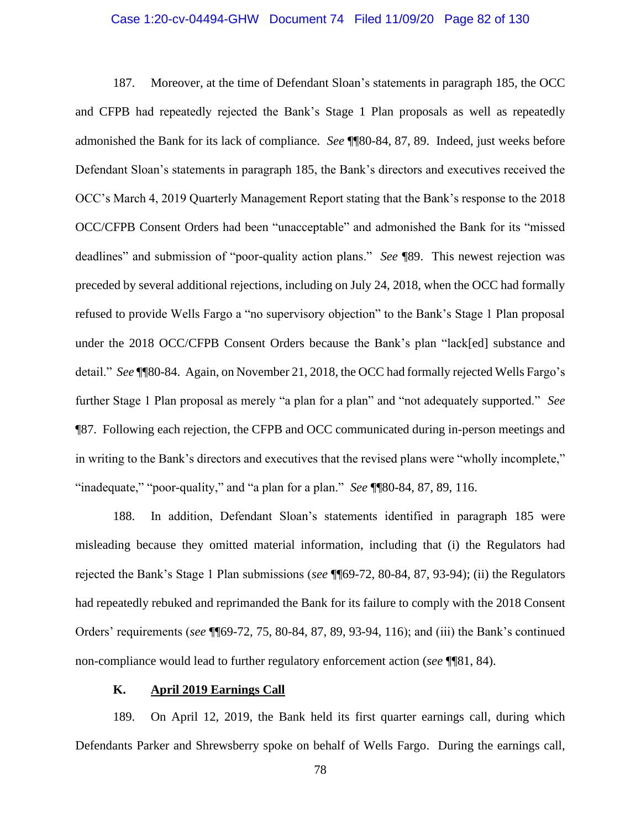# Case 1:20-cv-04494-GHW Document 74 Filed 11/09/20 Page 82 of 130

187. Moreover, at the time of Defendant Sloan's statements in paragraph 185, the OCC and CFPB had repeatedly rejected the Bank's Stage 1 Plan proposals as well as repeatedly admonished the Bank for its lack of compliance. *See* ¶¶80-84, 87, 89. Indeed, just weeks before Defendant Sloan's statements in paragraph 185, the Bank's directors and executives received the OCC's March 4, 2019 Quarterly Management Report stating that the Bank's response to the 2018 OCC/CFPB Consent Orders had been "unacceptable" and admonished the Bank for its "missed deadlines" and submission of "poor-quality action plans." *See* ¶89. This newest rejection was preceded by several additional rejections, including on July 24, 2018, when the OCC had formally refused to provide Wells Fargo a "no supervisory objection" to the Bank's Stage 1 Plan proposal under the 2018 OCC/CFPB Consent Orders because the Bank's plan "lack[ed] substance and detail." *See* ¶¶80-84. Again, on November 21, 2018, the OCC had formally rejected Wells Fargo's further Stage 1 Plan proposal as merely "a plan for a plan" and "not adequately supported." *See*  ¶87. Following each rejection, the CFPB and OCC communicated during in-person meetings and in writing to the Bank's directors and executives that the revised plans were "wholly incomplete," "inadequate," "poor-quality," and "a plan for a plan." *See* ¶¶80-84, 87, 89, 116.

188. In addition, Defendant Sloan's statements identified in paragraph 185 were misleading because they omitted material information, including that (i) the Regulators had rejected the Bank's Stage 1 Plan submissions (*see* ¶¶69-72, 80-84, 87, 93-94); (ii) the Regulators had repeatedly rebuked and reprimanded the Bank for its failure to comply with the 2018 Consent Orders' requirements (*see* ¶¶69-72, 75, 80-84, 87, 89, 93-94, 116); and (iii) the Bank's continued non-compliance would lead to further regulatory enforcement action (*see* ¶¶81, 84).

# **K. April 2019 Earnings Call**

189. On April 12, 2019, the Bank held its first quarter earnings call, during which Defendants Parker and Shrewsberry spoke on behalf of Wells Fargo. During the earnings call,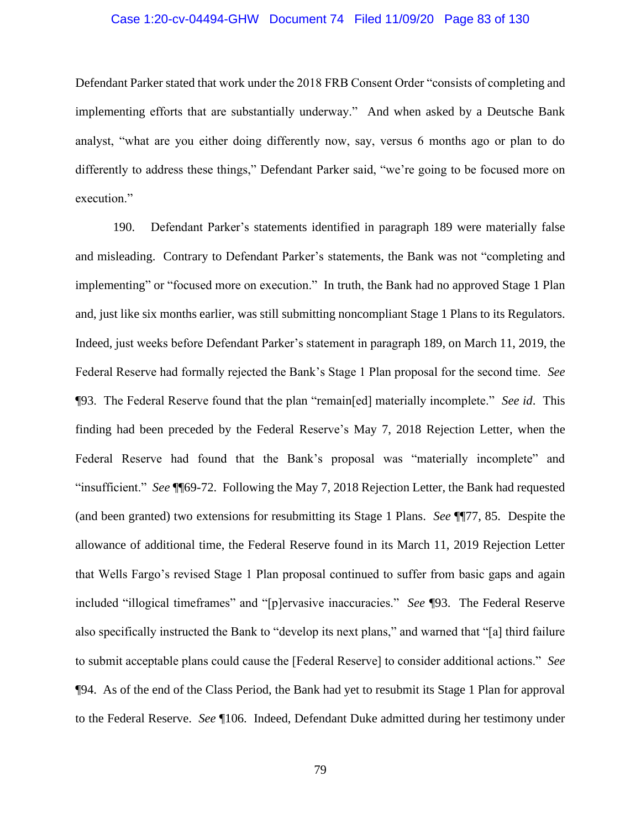# Case 1:20-cv-04494-GHW Document 74 Filed 11/09/20 Page 83 of 130

Defendant Parker stated that work under the 2018 FRB Consent Order "consists of completing and implementing efforts that are substantially underway." And when asked by a Deutsche Bank analyst, "what are you either doing differently now, say, versus 6 months ago or plan to do differently to address these things," Defendant Parker said, "we're going to be focused more on execution."

190. Defendant Parker's statements identified in paragraph 189 were materially false and misleading. Contrary to Defendant Parker's statements, the Bank was not "completing and implementing" or "focused more on execution." In truth, the Bank had no approved Stage 1 Plan and, just like six months earlier, was still submitting noncompliant Stage 1 Plans to its Regulators. Indeed, just weeks before Defendant Parker's statement in paragraph 189, on March 11, 2019, the Federal Reserve had formally rejected the Bank's Stage 1 Plan proposal for the second time. *See*  ¶93. The Federal Reserve found that the plan "remain[ed] materially incomplete." *See id*. This finding had been preceded by the Federal Reserve's May 7, 2018 Rejection Letter, when the Federal Reserve had found that the Bank's proposal was "materially incomplete" and "insufficient." *See* ¶¶69-72. Following the May 7, 2018 Rejection Letter, the Bank had requested (and been granted) two extensions for resubmitting its Stage 1 Plans. *See* ¶¶77, 85. Despite the allowance of additional time, the Federal Reserve found in its March 11, 2019 Rejection Letter that Wells Fargo's revised Stage 1 Plan proposal continued to suffer from basic gaps and again included "illogical timeframes" and "[p]ervasive inaccuracies." *See* ¶93. The Federal Reserve also specifically instructed the Bank to "develop its next plans," and warned that "[a] third failure to submit acceptable plans could cause the [Federal Reserve] to consider additional actions." *See* ¶94. As of the end of the Class Period, the Bank had yet to resubmit its Stage 1 Plan for approval to the Federal Reserve. *See* ¶106. Indeed, Defendant Duke admitted during her testimony under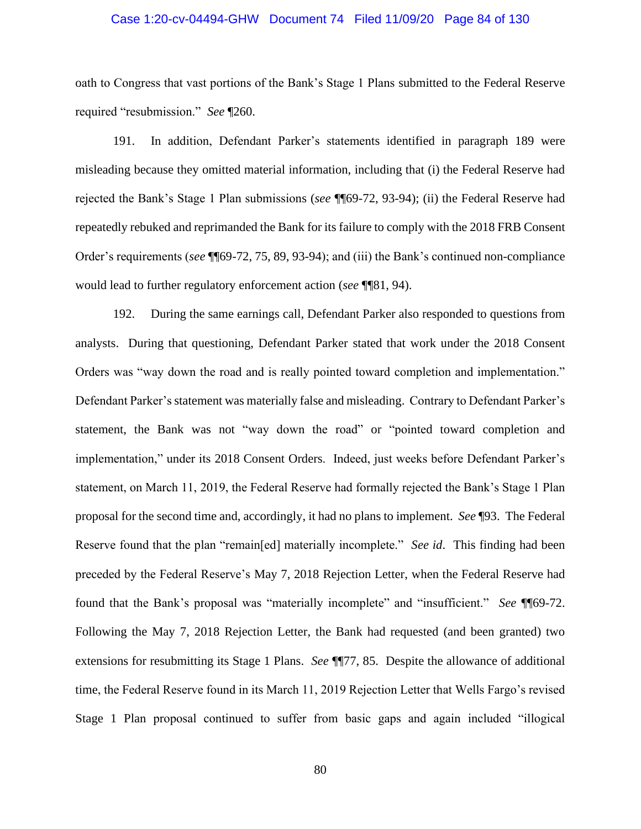## Case 1:20-cv-04494-GHW Document 74 Filed 11/09/20 Page 84 of 130

oath to Congress that vast portions of the Bank's Stage 1 Plans submitted to the Federal Reserve required "resubmission." *See* ¶260.

191. In addition, Defendant Parker's statements identified in paragraph 189 were misleading because they omitted material information, including that (i) the Federal Reserve had rejected the Bank's Stage 1 Plan submissions (*see* ¶¶69-72, 93-94); (ii) the Federal Reserve had repeatedly rebuked and reprimanded the Bank for its failure to comply with the 2018 FRB Consent Order's requirements (*see* ¶¶69-72, 75, 89, 93-94); and (iii) the Bank's continued non-compliance would lead to further regulatory enforcement action (*see* ¶¶81, 94).

192. During the same earnings call, Defendant Parker also responded to questions from analysts. During that questioning, Defendant Parker stated that work under the 2018 Consent Orders was "way down the road and is really pointed toward completion and implementation." Defendant Parker's statement was materially false and misleading. Contrary to Defendant Parker's statement, the Bank was not "way down the road" or "pointed toward completion and implementation," under its 2018 Consent Orders. Indeed, just weeks before Defendant Parker's statement, on March 11, 2019, the Federal Reserve had formally rejected the Bank's Stage 1 Plan proposal for the second time and, accordingly, it had no plans to implement. *See* ¶93. The Federal Reserve found that the plan "remain[ed] materially incomplete." *See id*. This finding had been preceded by the Federal Reserve's May 7, 2018 Rejection Letter, when the Federal Reserve had found that the Bank's proposal was "materially incomplete" and "insufficient." *See* ¶¶69-72. Following the May 7, 2018 Rejection Letter, the Bank had requested (and been granted) two extensions for resubmitting its Stage 1 Plans. *See* ¶¶77, 85. Despite the allowance of additional time, the Federal Reserve found in its March 11, 2019 Rejection Letter that Wells Fargo's revised Stage 1 Plan proposal continued to suffer from basic gaps and again included "illogical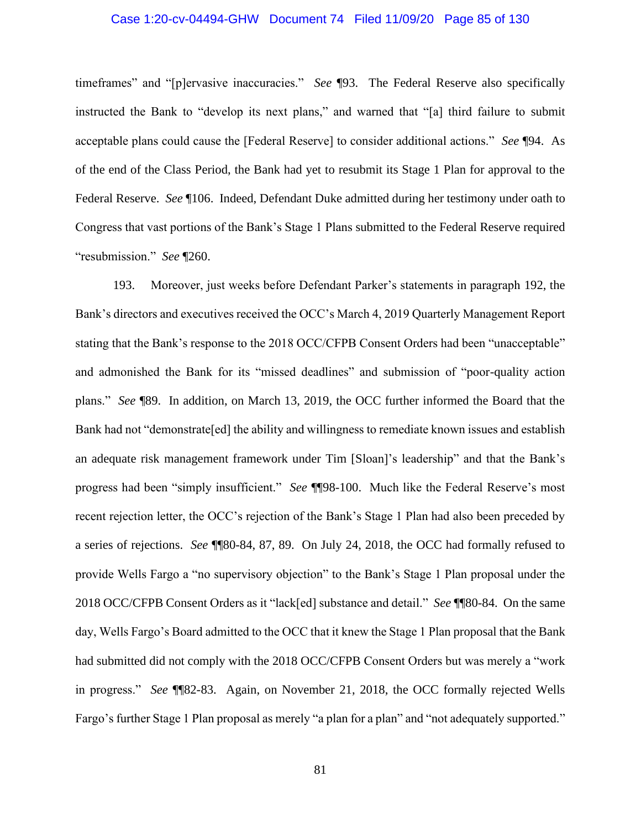# Case 1:20-cv-04494-GHW Document 74 Filed 11/09/20 Page 85 of 130

timeframes" and "[p]ervasive inaccuracies." *See* ¶93. The Federal Reserve also specifically instructed the Bank to "develop its next plans," and warned that "[a] third failure to submit acceptable plans could cause the [Federal Reserve] to consider additional actions." *See* ¶94. As of the end of the Class Period, the Bank had yet to resubmit its Stage 1 Plan for approval to the Federal Reserve. *See* ¶106. Indeed, Defendant Duke admitted during her testimony under oath to Congress that vast portions of the Bank's Stage 1 Plans submitted to the Federal Reserve required "resubmission." *See* ¶260.

193. Moreover, just weeks before Defendant Parker's statements in paragraph 192, the Bank's directors and executives received the OCC's March 4, 2019 Quarterly Management Report stating that the Bank's response to the 2018 OCC/CFPB Consent Orders had been "unacceptable" and admonished the Bank for its "missed deadlines" and submission of "poor-quality action plans." *See* ¶89. In addition, on March 13, 2019, the OCC further informed the Board that the Bank had not "demonstrate[ed] the ability and willingness to remediate known issues and establish an adequate risk management framework under Tim [Sloan]'s leadership" and that the Bank's progress had been "simply insufficient." *See* ¶¶98-100. Much like the Federal Reserve's most recent rejection letter, the OCC's rejection of the Bank's Stage 1 Plan had also been preceded by a series of rejections. *See* ¶¶80-84, 87, 89. On July 24, 2018, the OCC had formally refused to provide Wells Fargo a "no supervisory objection" to the Bank's Stage 1 Plan proposal under the 2018 OCC/CFPB Consent Orders as it "lack[ed] substance and detail." *See* ¶¶80-84. On the same day, Wells Fargo's Board admitted to the OCC that it knew the Stage 1 Plan proposal that the Bank had submitted did not comply with the 2018 OCC/CFPB Consent Orders but was merely a "work in progress." *See* ¶¶82-83. Again, on November 21, 2018, the OCC formally rejected Wells Fargo's further Stage 1 Plan proposal as merely "a plan for a plan" and "not adequately supported."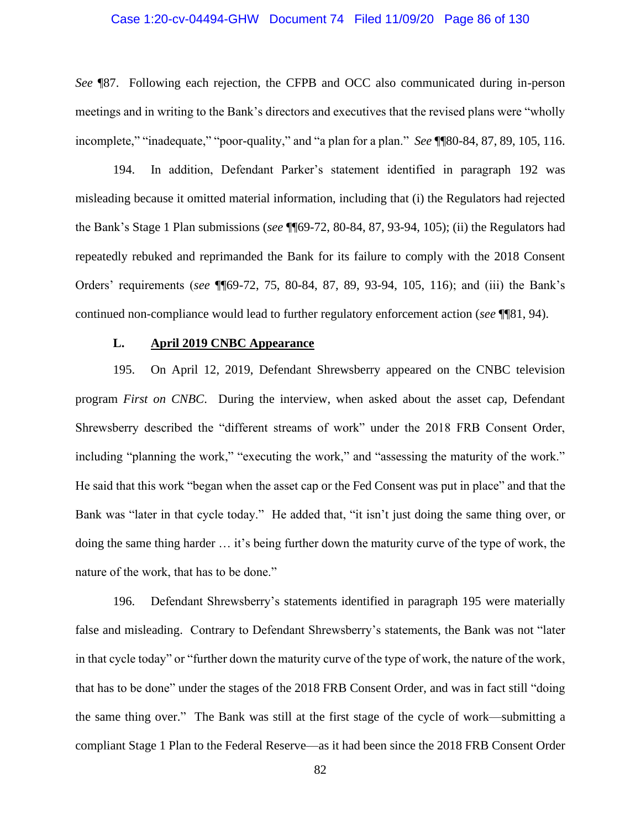# Case 1:20-cv-04494-GHW Document 74 Filed 11/09/20 Page 86 of 130

*See* ¶87. Following each rejection, the CFPB and OCC also communicated during in-person meetings and in writing to the Bank's directors and executives that the revised plans were "wholly incomplete," "inadequate," "poor-quality," and "a plan for a plan." *See* ¶¶80-84, 87, 89, 105, 116.

194. In addition, Defendant Parker's statement identified in paragraph 192 was misleading because it omitted material information, including that (i) the Regulators had rejected the Bank's Stage 1 Plan submissions (*see* ¶¶69-72, 80-84, 87, 93-94, 105); (ii) the Regulators had repeatedly rebuked and reprimanded the Bank for its failure to comply with the 2018 Consent Orders' requirements (*see* ¶¶69-72, 75, 80-84, 87, 89, 93-94, 105, 116); and (iii) the Bank's continued non-compliance would lead to further regulatory enforcement action (*see* ¶¶81, 94).

# **L. April 2019 CNBC Appearance**

195. On April 12, 2019, Defendant Shrewsberry appeared on the CNBC television program *First on CNBC*. During the interview, when asked about the asset cap, Defendant Shrewsberry described the "different streams of work" under the 2018 FRB Consent Order, including "planning the work," "executing the work," and "assessing the maturity of the work." He said that this work "began when the asset cap or the Fed Consent was put in place" and that the Bank was "later in that cycle today." He added that, "it isn't just doing the same thing over, or doing the same thing harder … it's being further down the maturity curve of the type of work, the nature of the work, that has to be done."

196. Defendant Shrewsberry's statements identified in paragraph 195 were materially false and misleading. Contrary to Defendant Shrewsberry's statements, the Bank was not "later in that cycle today" or "further down the maturity curve of the type of work, the nature of the work, that has to be done" under the stages of the 2018 FRB Consent Order, and was in fact still "doing the same thing over." The Bank was still at the first stage of the cycle of work—submitting a compliant Stage 1 Plan to the Federal Reserve—as it had been since the 2018 FRB Consent Order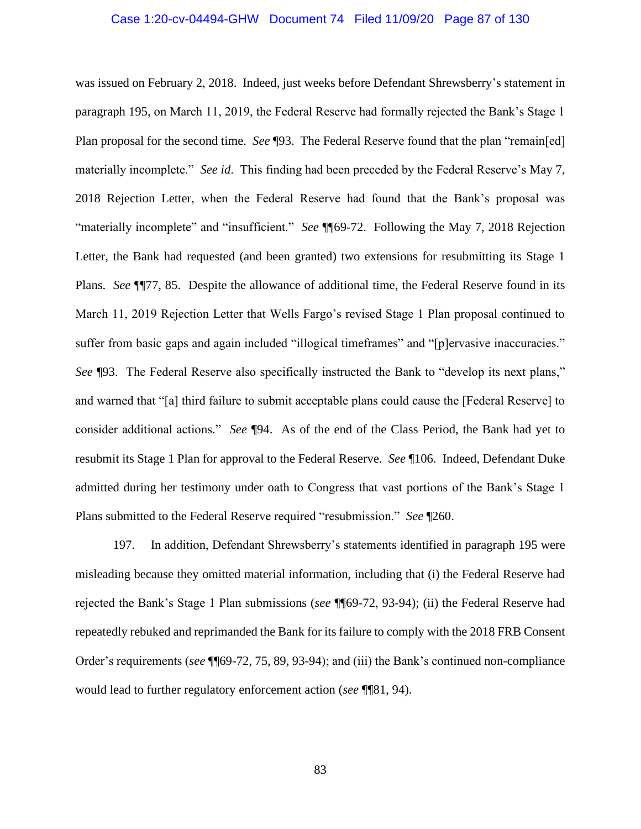#### Case 1:20-cv-04494-GHW Document 74 Filed 11/09/20 Page 87 of 130

was issued on February 2, 2018. Indeed, just weeks before Defendant Shrewsberry's statement in paragraph 195, on March 11, 2019, the Federal Reserve had formally rejected the Bank's Stage 1 Plan proposal for the second time. *See* ¶93. The Federal Reserve found that the plan "remain[ed] materially incomplete." *See id*. This finding had been preceded by the Federal Reserve's May 7, 2018 Rejection Letter, when the Federal Reserve had found that the Bank's proposal was "materially incomplete" and "insufficient." *See* ¶¶69-72. Following the May 7, 2018 Rejection Letter, the Bank had requested (and been granted) two extensions for resubmitting its Stage 1 Plans. *See* ¶¶77, 85. Despite the allowance of additional time, the Federal Reserve found in its March 11, 2019 Rejection Letter that Wells Fargo's revised Stage 1 Plan proposal continued to suffer from basic gaps and again included "illogical timeframes" and "[p]ervasive inaccuracies." *See* ¶93. The Federal Reserve also specifically instructed the Bank to "develop its next plans," and warned that "[a] third failure to submit acceptable plans could cause the [Federal Reserve] to consider additional actions." *See* ¶94. As of the end of the Class Period, the Bank had yet to resubmit its Stage 1 Plan for approval to the Federal Reserve. *See* ¶106. Indeed, Defendant Duke admitted during her testimony under oath to Congress that vast portions of the Bank's Stage 1 Plans submitted to the Federal Reserve required "resubmission." *See* ¶260.

197. In addition, Defendant Shrewsberry's statements identified in paragraph 195 were misleading because they omitted material information, including that (i) the Federal Reserve had rejected the Bank's Stage 1 Plan submissions (*see* ¶¶69-72, 93-94); (ii) the Federal Reserve had repeatedly rebuked and reprimanded the Bank for its failure to comply with the 2018 FRB Consent Order's requirements (*see* ¶¶69-72, 75, 89, 93-94); and (iii) the Bank's continued non-compliance would lead to further regulatory enforcement action (*see* ¶¶81, 94).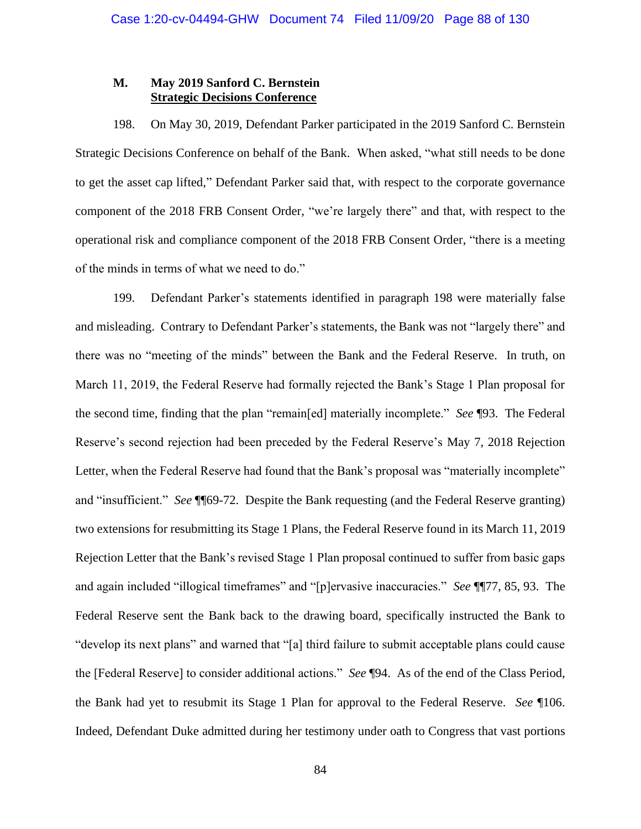# **M. May 2019 Sanford C. Bernstein Strategic Decisions Conference**

198. On May 30, 2019, Defendant Parker participated in the 2019 Sanford C. Bernstein Strategic Decisions Conference on behalf of the Bank. When asked, "what still needs to be done to get the asset cap lifted," Defendant Parker said that, with respect to the corporate governance component of the 2018 FRB Consent Order, "we're largely there" and that, with respect to the operational risk and compliance component of the 2018 FRB Consent Order, "there is a meeting of the minds in terms of what we need to do."

199. Defendant Parker's statements identified in paragraph 198 were materially false and misleading. Contrary to Defendant Parker's statements, the Bank was not "largely there" and there was no "meeting of the minds" between the Bank and the Federal Reserve. In truth, on March 11, 2019, the Federal Reserve had formally rejected the Bank's Stage 1 Plan proposal for the second time, finding that the plan "remain[ed] materially incomplete." *See* ¶93. The Federal Reserve's second rejection had been preceded by the Federal Reserve's May 7, 2018 Rejection Letter, when the Federal Reserve had found that the Bank's proposal was "materially incomplete" and "insufficient." *See* ¶¶69-72. Despite the Bank requesting (and the Federal Reserve granting) two extensions for resubmitting its Stage 1 Plans, the Federal Reserve found in its March 11, 2019 Rejection Letter that the Bank's revised Stage 1 Plan proposal continued to suffer from basic gaps and again included "illogical timeframes" and "[p]ervasive inaccuracies." *See* ¶¶77, 85, 93. The Federal Reserve sent the Bank back to the drawing board, specifically instructed the Bank to "develop its next plans" and warned that "[a] third failure to submit acceptable plans could cause the [Federal Reserve] to consider additional actions." *See* ¶94. As of the end of the Class Period, the Bank had yet to resubmit its Stage 1 Plan for approval to the Federal Reserve. *See* ¶106. Indeed, Defendant Duke admitted during her testimony under oath to Congress that vast portions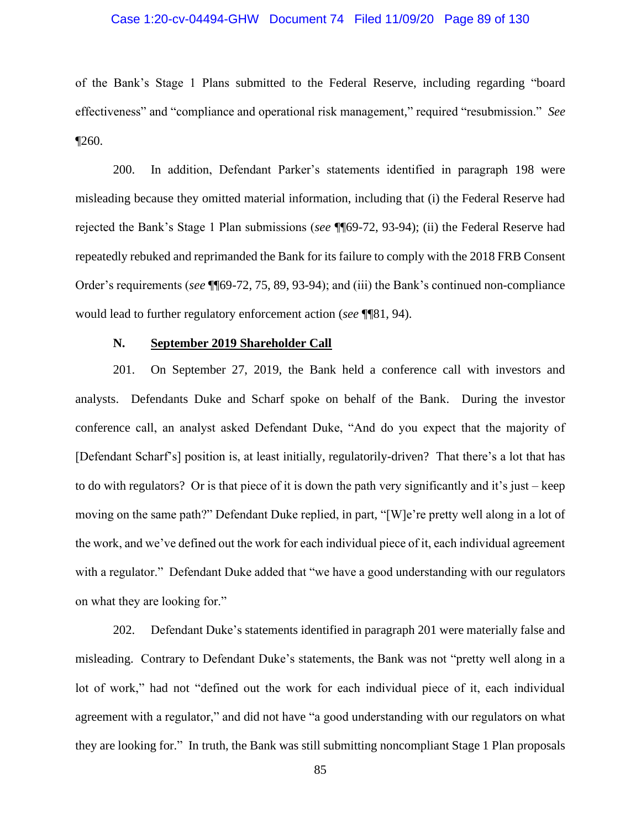# Case 1:20-cv-04494-GHW Document 74 Filed 11/09/20 Page 89 of 130

of the Bank's Stage 1 Plans submitted to the Federal Reserve, including regarding "board effectiveness" and "compliance and operational risk management," required "resubmission." *See*  $\P$ 260.

200. In addition, Defendant Parker's statements identified in paragraph 198 were misleading because they omitted material information, including that (i) the Federal Reserve had rejected the Bank's Stage 1 Plan submissions (*see* ¶¶69-72, 93-94); (ii) the Federal Reserve had repeatedly rebuked and reprimanded the Bank for its failure to comply with the 2018 FRB Consent Order's requirements (*see* ¶¶69-72, 75, 89, 93-94); and (iii) the Bank's continued non-compliance would lead to further regulatory enforcement action (*see* ¶¶81, 94).

# **N. September 2019 Shareholder Call**

201. On September 27, 2019, the Bank held a conference call with investors and analysts. Defendants Duke and Scharf spoke on behalf of the Bank. During the investor conference call, an analyst asked Defendant Duke, "And do you expect that the majority of [Defendant Scharf's] position is, at least initially, regulatorily-driven? That there's a lot that has to do with regulators? Or is that piece of it is down the path very significantly and it's just – keep moving on the same path?" Defendant Duke replied, in part, "[W]e're pretty well along in a lot of the work, and we've defined out the work for each individual piece of it, each individual agreement with a regulator." Defendant Duke added that "we have a good understanding with our regulators on what they are looking for."

202. Defendant Duke's statements identified in paragraph 201 were materially false and misleading. Contrary to Defendant Duke's statements, the Bank was not "pretty well along in a lot of work," had not "defined out the work for each individual piece of it, each individual agreement with a regulator," and did not have "a good understanding with our regulators on what they are looking for." In truth, the Bank was still submitting noncompliant Stage 1 Plan proposals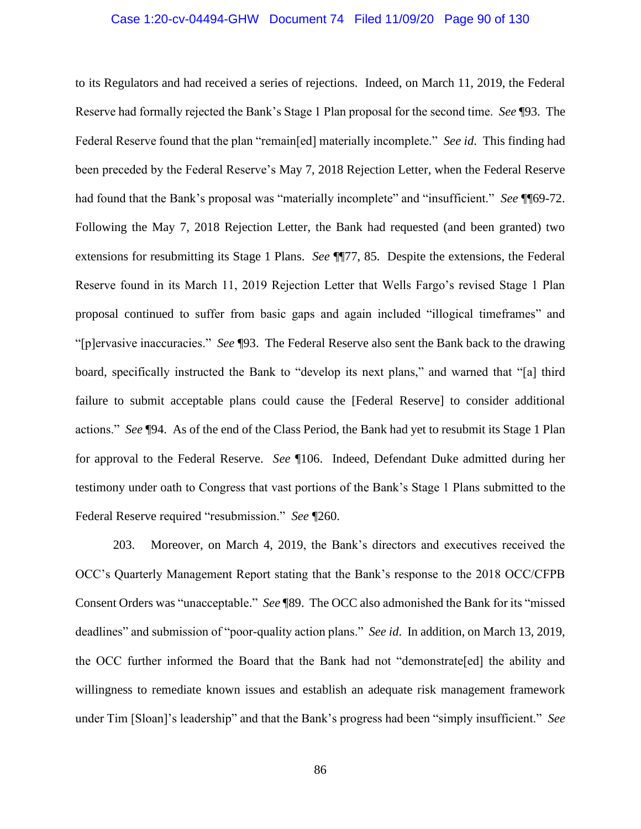# Case 1:20-cv-04494-GHW Document 74 Filed 11/09/20 Page 90 of 130

to its Regulators and had received a series of rejections. Indeed, on March 11, 2019, the Federal Reserve had formally rejected the Bank's Stage 1 Plan proposal for the second time. *See* ¶93. The Federal Reserve found that the plan "remain[ed] materially incomplete." *See id*. This finding had been preceded by the Federal Reserve's May 7, 2018 Rejection Letter, when the Federal Reserve had found that the Bank's proposal was "materially incomplete" and "insufficient." *See* ¶¶69-72. Following the May 7, 2018 Rejection Letter, the Bank had requested (and been granted) two extensions for resubmitting its Stage 1 Plans. *See* ¶¶77, 85. Despite the extensions, the Federal Reserve found in its March 11, 2019 Rejection Letter that Wells Fargo's revised Stage 1 Plan proposal continued to suffer from basic gaps and again included "illogical timeframes" and "[p]ervasive inaccuracies." *See* ¶93. The Federal Reserve also sent the Bank back to the drawing board, specifically instructed the Bank to "develop its next plans," and warned that "[a] third failure to submit acceptable plans could cause the [Federal Reserve] to consider additional actions." *See* ¶94. As of the end of the Class Period, the Bank had yet to resubmit its Stage 1 Plan for approval to the Federal Reserve. *See* ¶106. Indeed, Defendant Duke admitted during her testimony under oath to Congress that vast portions of the Bank's Stage 1 Plans submitted to the Federal Reserve required "resubmission." *See* ¶260.

203. Moreover, on March 4, 2019, the Bank's directors and executives received the OCC's Quarterly Management Report stating that the Bank's response to the 2018 OCC/CFPB Consent Orders was "unacceptable." *See* ¶89. The OCC also admonished the Bank for its "missed deadlines" and submission of "poor-quality action plans." *See id*. In addition, on March 13, 2019, the OCC further informed the Board that the Bank had not "demonstrate[ed] the ability and willingness to remediate known issues and establish an adequate risk management framework under Tim [Sloan]'s leadership" and that the Bank's progress had been "simply insufficient." *See*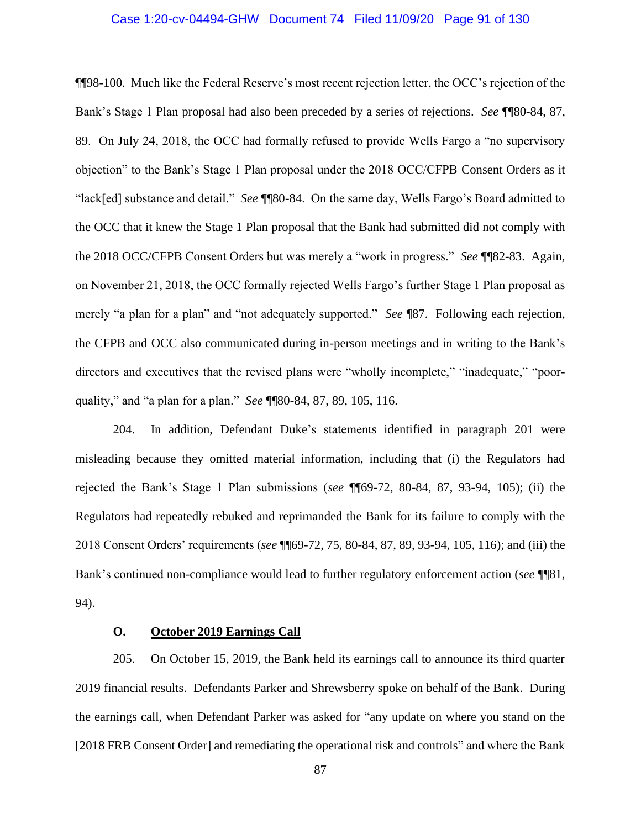# Case 1:20-cv-04494-GHW Document 74 Filed 11/09/20 Page 91 of 130

¶¶98-100. Much like the Federal Reserve's most recent rejection letter, the OCC's rejection of the Bank's Stage 1 Plan proposal had also been preceded by a series of rejections. *See* ¶¶80-84, 87, 89. On July 24, 2018, the OCC had formally refused to provide Wells Fargo a "no supervisory objection" to the Bank's Stage 1 Plan proposal under the 2018 OCC/CFPB Consent Orders as it "lack[ed] substance and detail." *See* ¶¶80-84. On the same day, Wells Fargo's Board admitted to the OCC that it knew the Stage 1 Plan proposal that the Bank had submitted did not comply with the 2018 OCC/CFPB Consent Orders but was merely a "work in progress." *See* ¶¶82-83. Again, on November 21, 2018, the OCC formally rejected Wells Fargo's further Stage 1 Plan proposal as merely "a plan for a plan" and "not adequately supported." *See* ¶87. Following each rejection, the CFPB and OCC also communicated during in-person meetings and in writing to the Bank's directors and executives that the revised plans were "wholly incomplete," "inadequate," "poorquality," and "a plan for a plan." *See* ¶¶80-84, 87, 89, 105, 116.

204. In addition, Defendant Duke's statements identified in paragraph 201 were misleading because they omitted material information, including that (i) the Regulators had rejected the Bank's Stage 1 Plan submissions (*see* ¶¶69-72, 80-84, 87, 93-94, 105); (ii) the Regulators had repeatedly rebuked and reprimanded the Bank for its failure to comply with the 2018 Consent Orders' requirements (*see* ¶¶69-72, 75, 80-84, 87, 89, 93-94, 105, 116); and (iii) the Bank's continued non-compliance would lead to further regulatory enforcement action (*see* ¶¶81, 94).

# **O. October 2019 Earnings Call**

205. On October 15, 2019, the Bank held its earnings call to announce its third quarter 2019 financial results. Defendants Parker and Shrewsberry spoke on behalf of the Bank. During the earnings call, when Defendant Parker was asked for "any update on where you stand on the [2018 FRB Consent Order] and remediating the operational risk and controls" and where the Bank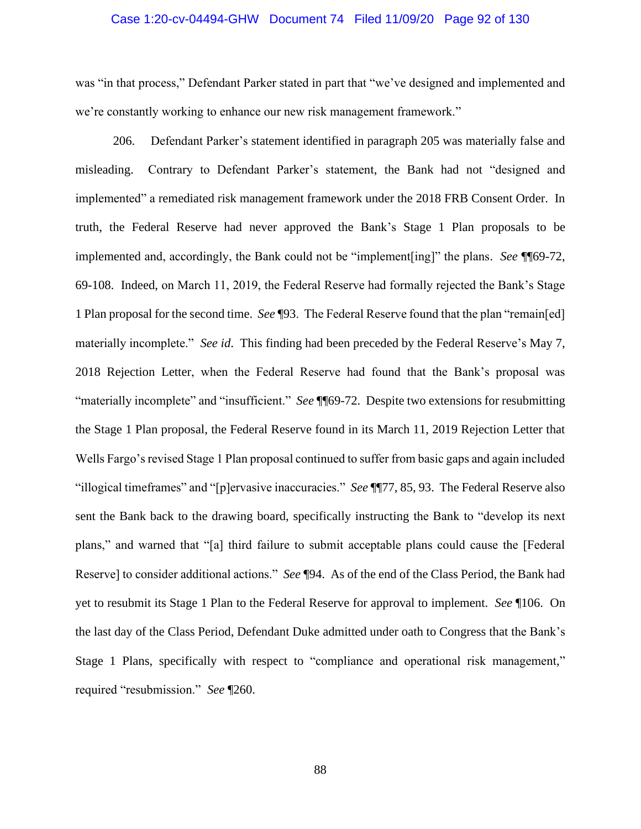## Case 1:20-cv-04494-GHW Document 74 Filed 11/09/20 Page 92 of 130

was "in that process," Defendant Parker stated in part that "we've designed and implemented and we're constantly working to enhance our new risk management framework."

206. Defendant Parker's statement identified in paragraph 205 was materially false and misleading. Contrary to Defendant Parker's statement, the Bank had not "designed and implemented" a remediated risk management framework under the 2018 FRB Consent Order. In truth, the Federal Reserve had never approved the Bank's Stage 1 Plan proposals to be implemented and, accordingly, the Bank could not be "implement[ing]" the plans. *See* ¶¶69-72, 69-108. Indeed, on March 11, 2019, the Federal Reserve had formally rejected the Bank's Stage 1 Plan proposal for the second time. *See* ¶93. The Federal Reserve found that the plan "remain[ed] materially incomplete." *See id*. This finding had been preceded by the Federal Reserve's May 7, 2018 Rejection Letter, when the Federal Reserve had found that the Bank's proposal was "materially incomplete" and "insufficient." *See* ¶¶69-72. Despite two extensions for resubmitting the Stage 1 Plan proposal, the Federal Reserve found in its March 11, 2019 Rejection Letter that Wells Fargo's revised Stage 1 Plan proposal continued to suffer from basic gaps and again included "illogical timeframes" and "[p]ervasive inaccuracies." *See* ¶¶77, 85, 93. The Federal Reserve also sent the Bank back to the drawing board, specifically instructing the Bank to "develop its next plans," and warned that "[a] third failure to submit acceptable plans could cause the [Federal Reserve] to consider additional actions." *See* ¶94. As of the end of the Class Period, the Bank had yet to resubmit its Stage 1 Plan to the Federal Reserve for approval to implement. *See* ¶106. On the last day of the Class Period, Defendant Duke admitted under oath to Congress that the Bank's Stage 1 Plans, specifically with respect to "compliance and operational risk management," required "resubmission." *See* ¶260.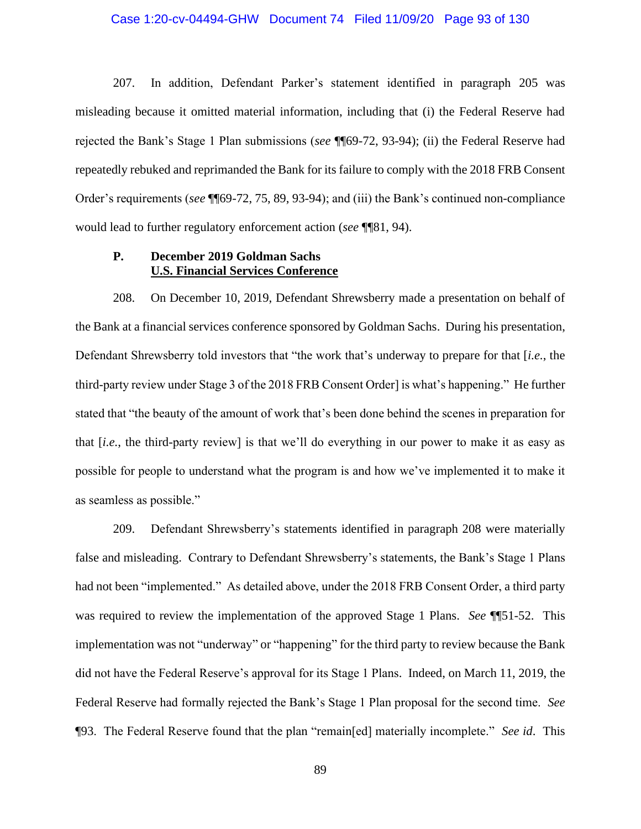## Case 1:20-cv-04494-GHW Document 74 Filed 11/09/20 Page 93 of 130

207. In addition, Defendant Parker's statement identified in paragraph 205 was misleading because it omitted material information, including that (i) the Federal Reserve had rejected the Bank's Stage 1 Plan submissions (*see* ¶¶69-72, 93-94); (ii) the Federal Reserve had repeatedly rebuked and reprimanded the Bank for its failure to comply with the 2018 FRB Consent Order's requirements (*see* ¶¶69-72, 75, 89, 93-94); and (iii) the Bank's continued non-compliance would lead to further regulatory enforcement action (*see* ¶¶81, 94).

# **P. December 2019 Goldman Sachs U.S. Financial Services Conference**

208. On December 10, 2019, Defendant Shrewsberry made a presentation on behalf of the Bank at a financial services conference sponsored by Goldman Sachs. During his presentation, Defendant Shrewsberry told investors that "the work that's underway to prepare for that [*i.e.*, the third-party review under Stage 3 of the 2018 FRB Consent Order] is what's happening." He further stated that "the beauty of the amount of work that's been done behind the scenes in preparation for that [*i.e.*, the third-party review] is that we'll do everything in our power to make it as easy as possible for people to understand what the program is and how we've implemented it to make it as seamless as possible."

209. Defendant Shrewsberry's statements identified in paragraph 208 were materially false and misleading. Contrary to Defendant Shrewsberry's statements, the Bank's Stage 1 Plans had not been "implemented." As detailed above, under the 2018 FRB Consent Order, a third party was required to review the implementation of the approved Stage 1 Plans. *See* ¶¶51-52. This implementation was not "underway" or "happening" for the third party to review because the Bank did not have the Federal Reserve's approval for its Stage 1 Plans. Indeed, on March 11, 2019, the Federal Reserve had formally rejected the Bank's Stage 1 Plan proposal for the second time. *See*  ¶93. The Federal Reserve found that the plan "remain[ed] materially incomplete." *See id*. This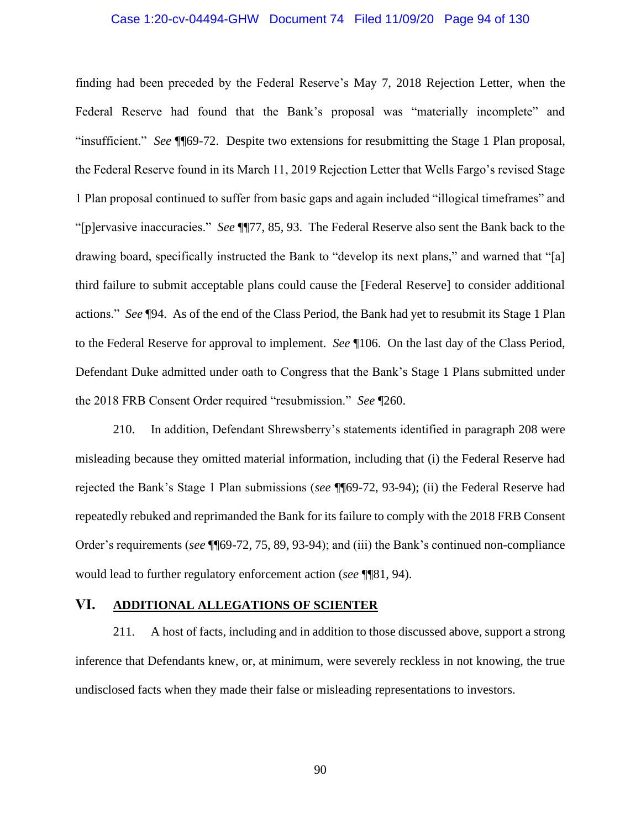# Case 1:20-cv-04494-GHW Document 74 Filed 11/09/20 Page 94 of 130

finding had been preceded by the Federal Reserve's May 7, 2018 Rejection Letter, when the Federal Reserve had found that the Bank's proposal was "materially incomplete" and "insufficient." *See* ¶¶69-72. Despite two extensions for resubmitting the Stage 1 Plan proposal, the Federal Reserve found in its March 11, 2019 Rejection Letter that Wells Fargo's revised Stage 1 Plan proposal continued to suffer from basic gaps and again included "illogical timeframes" and "[p]ervasive inaccuracies." *See* ¶¶77, 85, 93. The Federal Reserve also sent the Bank back to the drawing board, specifically instructed the Bank to "develop its next plans," and warned that "[a] third failure to submit acceptable plans could cause the [Federal Reserve] to consider additional actions." *See* ¶94. As of the end of the Class Period, the Bank had yet to resubmit its Stage 1 Plan to the Federal Reserve for approval to implement. *See* ¶106. On the last day of the Class Period, Defendant Duke admitted under oath to Congress that the Bank's Stage 1 Plans submitted under the 2018 FRB Consent Order required "resubmission." *See* ¶260.

210. In addition, Defendant Shrewsberry's statements identified in paragraph 208 were misleading because they omitted material information, including that (i) the Federal Reserve had rejected the Bank's Stage 1 Plan submissions (*see* ¶¶69-72, 93-94); (ii) the Federal Reserve had repeatedly rebuked and reprimanded the Bank for its failure to comply with the 2018 FRB Consent Order's requirements (*see* ¶¶69-72, 75, 89, 93-94); and (iii) the Bank's continued non-compliance would lead to further regulatory enforcement action (*see* ¶¶81, 94).

# **VI. ADDITIONAL ALLEGATIONS OF SCIENTER**

211. A host of facts, including and in addition to those discussed above, support a strong inference that Defendants knew, or, at minimum, were severely reckless in not knowing, the true undisclosed facts when they made their false or misleading representations to investors.

90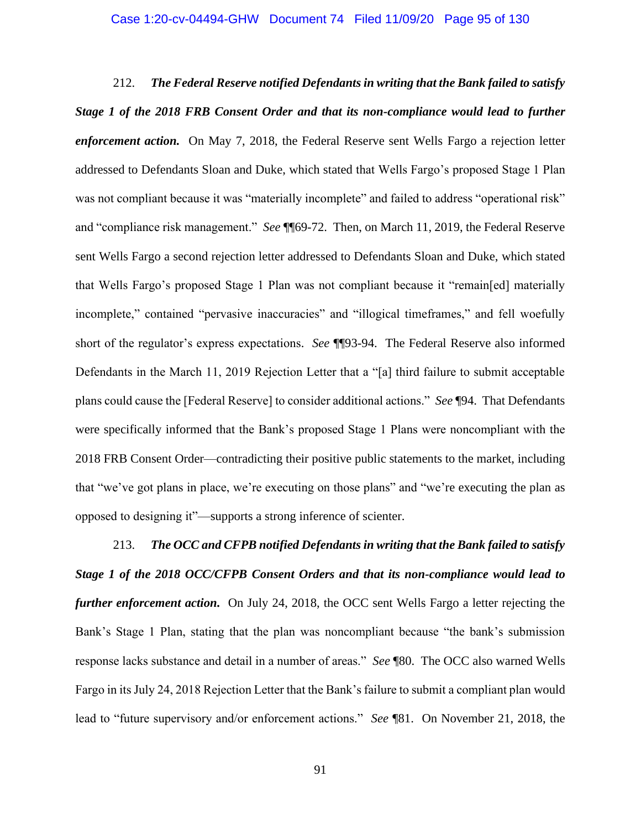#### Case 1:20-cv-04494-GHW Document 74 Filed 11/09/20 Page 95 of 130

212. *The Federal Reserve notified Defendants in writing that the Bank failed to satisfy Stage 1 of the 2018 FRB Consent Order and that its non-compliance would lead to further enforcement action.* On May 7, 2018, the Federal Reserve sent Wells Fargo a rejection letter addressed to Defendants Sloan and Duke, which stated that Wells Fargo's proposed Stage 1 Plan was not compliant because it was "materially incomplete" and failed to address "operational risk" and "compliance risk management." *See* ¶¶69-72. Then, on March 11, 2019, the Federal Reserve sent Wells Fargo a second rejection letter addressed to Defendants Sloan and Duke, which stated that Wells Fargo's proposed Stage 1 Plan was not compliant because it "remain[ed] materially incomplete," contained "pervasive inaccuracies" and "illogical timeframes," and fell woefully short of the regulator's express expectations. *See* ¶¶93-94. The Federal Reserve also informed Defendants in the March 11, 2019 Rejection Letter that a "[a] third failure to submit acceptable plans could cause the [Federal Reserve] to consider additional actions." *See* ¶94. That Defendants were specifically informed that the Bank's proposed Stage 1 Plans were noncompliant with the 2018 FRB Consent Order—contradicting their positive public statements to the market, including that "we've got plans in place, we're executing on those plans" and "we're executing the plan as opposed to designing it"—supports a strong inference of scienter.

213. *The OCC and CFPB notified Defendants in writing that the Bank failed to satisfy Stage 1 of the 2018 OCC/CFPB Consent Orders and that its non-compliance would lead to further enforcement action.* On July 24, 2018, the OCC sent Wells Fargo a letter rejecting the Bank's Stage 1 Plan, stating that the plan was noncompliant because "the bank's submission response lacks substance and detail in a number of areas." *See* ¶80. The OCC also warned Wells Fargo in its July 24, 2018 Rejection Letter that the Bank's failure to submit a compliant plan would lead to "future supervisory and/or enforcement actions." *See* ¶81. On November 21, 2018, the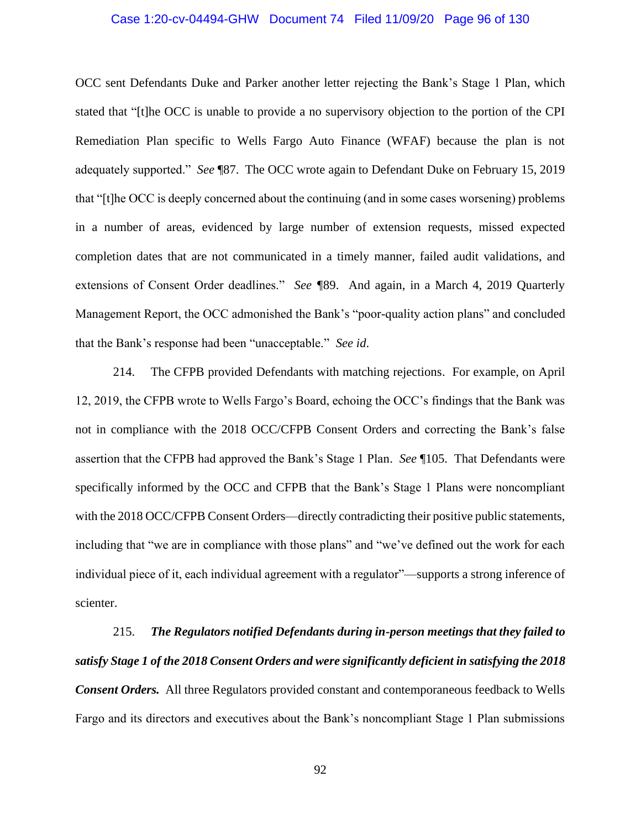# Case 1:20-cv-04494-GHW Document 74 Filed 11/09/20 Page 96 of 130

OCC sent Defendants Duke and Parker another letter rejecting the Bank's Stage 1 Plan, which stated that "[t]he OCC is unable to provide a no supervisory objection to the portion of the CPI Remediation Plan specific to Wells Fargo Auto Finance (WFAF) because the plan is not adequately supported." *See* ¶87. The OCC wrote again to Defendant Duke on February 15, 2019 that "[t]he OCC is deeply concerned about the continuing (and in some cases worsening) problems in a number of areas, evidenced by large number of extension requests, missed expected completion dates that are not communicated in a timely manner, failed audit validations, and extensions of Consent Order deadlines." *See ¶*89. And again, in a March 4, 2019 Quarterly Management Report, the OCC admonished the Bank's "poor-quality action plans" and concluded that the Bank's response had been "unacceptable." *See id*.

214. The CFPB provided Defendants with matching rejections. For example, on April 12, 2019, the CFPB wrote to Wells Fargo's Board, echoing the OCC's findings that the Bank was not in compliance with the 2018 OCC/CFPB Consent Orders and correcting the Bank's false assertion that the CFPB had approved the Bank's Stage 1 Plan. *See* ¶105. That Defendants were specifically informed by the OCC and CFPB that the Bank's Stage 1 Plans were noncompliant with the 2018 OCC/CFPB Consent Orders—directly contradicting their positive public statements, including that "we are in compliance with those plans" and "we've defined out the work for each individual piece of it, each individual agreement with a regulator"—supports a strong inference of scienter.

215. *The Regulators notified Defendants during in-person meetings that they failed to satisfy Stage 1 of the 2018 Consent Orders and were significantly deficient in satisfying the 2018 Consent Orders.* All three Regulators provided constant and contemporaneous feedback to Wells Fargo and its directors and executives about the Bank's noncompliant Stage 1 Plan submissions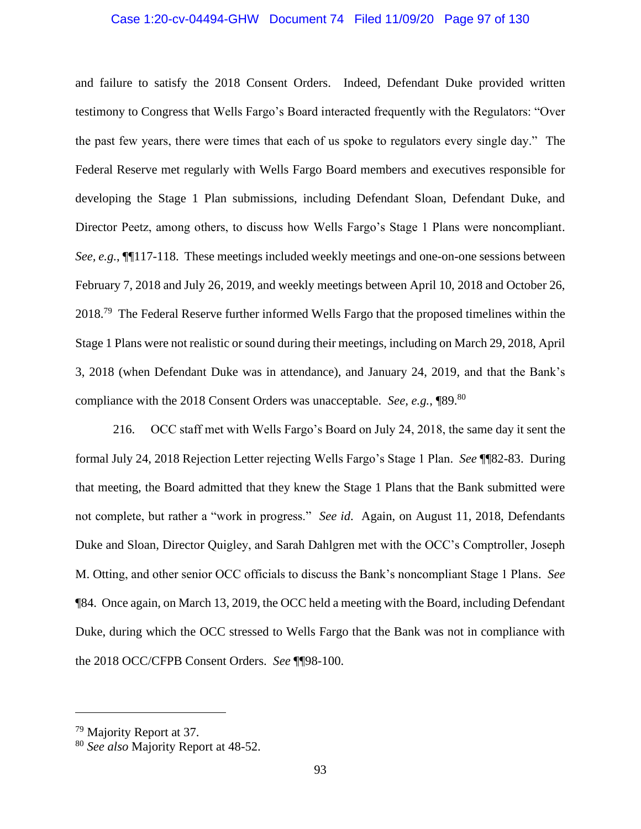# Case 1:20-cv-04494-GHW Document 74 Filed 11/09/20 Page 97 of 130

and failure to satisfy the 2018 Consent Orders. Indeed, Defendant Duke provided written testimony to Congress that Wells Fargo's Board interacted frequently with the Regulators: "Over the past few years, there were times that each of us spoke to regulators every single day." The Federal Reserve met regularly with Wells Fargo Board members and executives responsible for developing the Stage 1 Plan submissions, including Defendant Sloan, Defendant Duke, and Director Peetz, among others, to discuss how Wells Fargo's Stage 1 Plans were noncompliant. *See, e.g.*, ¶¶117-118. These meetings included weekly meetings and one-on-one sessions between February 7, 2018 and July 26, 2019, and weekly meetings between April 10, 2018 and October 26, 2018.<sup>79</sup> The Federal Reserve further informed Wells Fargo that the proposed timelines within the Stage 1 Plans were not realistic or sound during their meetings, including on March 29, 2018, April 3, 2018 (when Defendant Duke was in attendance), and January 24, 2019, and that the Bank's compliance with the 2018 Consent Orders was unacceptable. *See, e.g.*, \\ 89.<sup>80</sup>

216. OCC staff met with Wells Fargo's Board on July 24, 2018, the same day it sent the formal July 24, 2018 Rejection Letter rejecting Wells Fargo's Stage 1 Plan. *See* ¶¶82-83. During that meeting, the Board admitted that they knew the Stage 1 Plans that the Bank submitted were not complete, but rather a "work in progress." *See id*. Again, on August 11, 2018, Defendants Duke and Sloan, Director Quigley, and Sarah Dahlgren met with the OCC's Comptroller, Joseph M. Otting, and other senior OCC officials to discuss the Bank's noncompliant Stage 1 Plans. *See* ¶84. Once again, on March 13, 2019, the OCC held a meeting with the Board, including Defendant Duke, during which the OCC stressed to Wells Fargo that the Bank was not in compliance with the 2018 OCC/CFPB Consent Orders. *See* ¶¶98-100.

<sup>79</sup> Majority Report at 37.

<sup>80</sup> *See also* Majority Report at 48-52.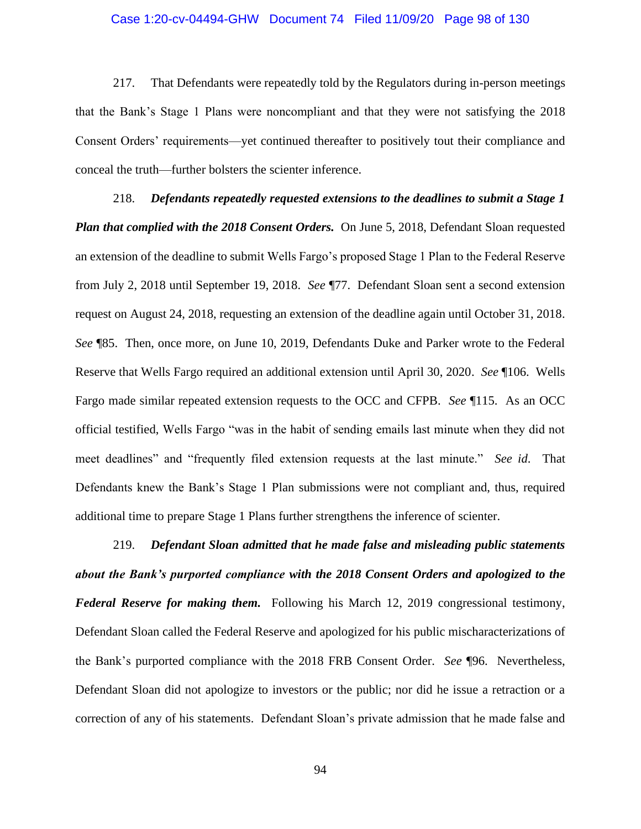### Case 1:20-cv-04494-GHW Document 74 Filed 11/09/20 Page 98 of 130

217. That Defendants were repeatedly told by the Regulators during in-person meetings that the Bank's Stage 1 Plans were noncompliant and that they were not satisfying the 2018 Consent Orders' requirements—yet continued thereafter to positively tout their compliance and conceal the truth—further bolsters the scienter inference.

218. *Defendants repeatedly requested extensions to the deadlines to submit a Stage 1 Plan that complied with the 2018 Consent Orders.* On June 5, 2018, Defendant Sloan requested an extension of the deadline to submit Wells Fargo's proposed Stage 1 Plan to the Federal Reserve from July 2, 2018 until September 19, 2018. *See* ¶77. Defendant Sloan sent a second extension request on August 24, 2018, requesting an extension of the deadline again until October 31, 2018. *See* ¶85. Then, once more, on June 10, 2019, Defendants Duke and Parker wrote to the Federal Reserve that Wells Fargo required an additional extension until April 30, 2020. *See* ¶106. Wells Fargo made similar repeated extension requests to the OCC and CFPB. *See* ¶115. As an OCC official testified, Wells Fargo "was in the habit of sending emails last minute when they did not meet deadlines" and "frequently filed extension requests at the last minute." *See id*. That Defendants knew the Bank's Stage 1 Plan submissions were not compliant and, thus, required additional time to prepare Stage 1 Plans further strengthens the inference of scienter.

219. *Defendant Sloan admitted that he made false and misleading public statements about the Bank's purported compliance with the 2018 Consent Orders and apologized to the Federal Reserve for making them.* Following his March 12, 2019 congressional testimony, Defendant Sloan called the Federal Reserve and apologized for his public mischaracterizations of the Bank's purported compliance with the 2018 FRB Consent Order. *See* ¶96. Nevertheless, Defendant Sloan did not apologize to investors or the public; nor did he issue a retraction or a correction of any of his statements. Defendant Sloan's private admission that he made false and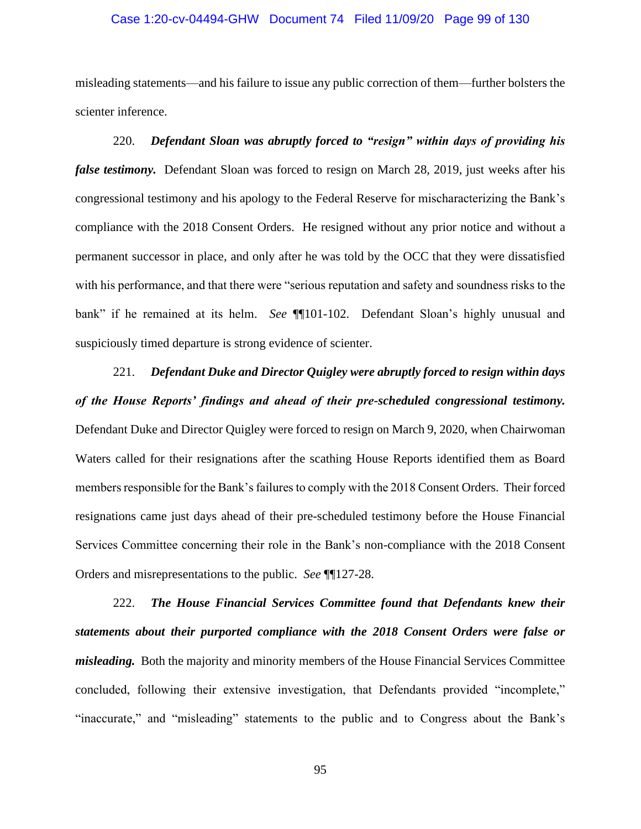# Case 1:20-cv-04494-GHW Document 74 Filed 11/09/20 Page 99 of 130

misleading statements—and his failure to issue any public correction of them—further bolsters the scienter inference.

220. *Defendant Sloan was abruptly forced to "resign" within days of providing his false testimony.* Defendant Sloan was forced to resign on March 28, 2019, just weeks after his congressional testimony and his apology to the Federal Reserve for mischaracterizing the Bank's compliance with the 2018 Consent Orders. He resigned without any prior notice and without a permanent successor in place, and only after he was told by the OCC that they were dissatisfied with his performance, and that there were "serious reputation and safety and soundness risks to the bank" if he remained at its helm. *See* ¶¶101-102. Defendant Sloan's highly unusual and suspiciously timed departure is strong evidence of scienter.

221. *Defendant Duke and Director Quigley were abruptly forced to resign within days of the House Reports' findings and ahead of their pre-scheduled congressional testimony.*  Defendant Duke and Director Quigley were forced to resign on March 9, 2020, when Chairwoman Waters called for their resignations after the scathing House Reports identified them as Board members responsible for the Bank's failures to comply with the 2018 Consent Orders. Their forced resignations came just days ahead of their pre-scheduled testimony before the House Financial Services Committee concerning their role in the Bank's non-compliance with the 2018 Consent Orders and misrepresentations to the public. *See* ¶¶127-28.

222. *The House Financial Services Committee found that Defendants knew their statements about their purported compliance with the 2018 Consent Orders were false or misleading.* Both the majority and minority members of the House Financial Services Committee concluded, following their extensive investigation, that Defendants provided "incomplete," "inaccurate," and "misleading" statements to the public and to Congress about the Bank's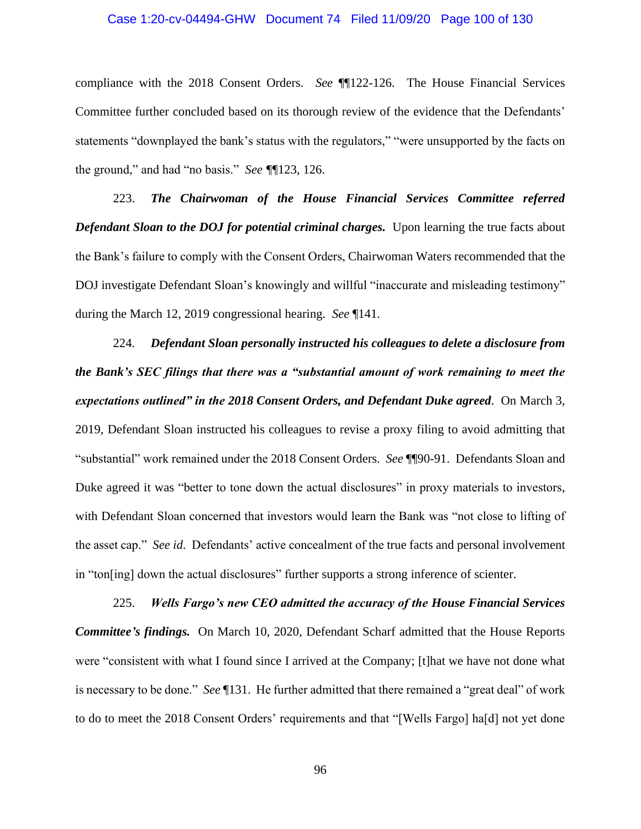#### Case 1:20-cv-04494-GHW Document 74 Filed 11/09/20 Page 100 of 130

compliance with the 2018 Consent Orders. *See* ¶¶122-126. The House Financial Services Committee further concluded based on its thorough review of the evidence that the Defendants' statements "downplayed the bank's status with the regulators," "were unsupported by the facts on the ground," and had "no basis." *See ¶*¶123, 126.

223. *The Chairwoman of the House Financial Services Committee referred*  **Defendant Sloan to the DOJ for potential criminal charges.** Upon learning the true facts about the Bank's failure to comply with the Consent Orders, Chairwoman Waters recommended that the DOJ investigate Defendant Sloan's knowingly and willful "inaccurate and misleading testimony" during the March 12, 2019 congressional hearing. *See* ¶141.

224. *Defendant Sloan personally instructed his colleagues to delete a disclosure from the Bank's SEC filings that there was a "substantial amount of work remaining to meet the expectations outlined" in the 2018 Consent Orders, and Defendant Duke agreed*. On March 3, 2019, Defendant Sloan instructed his colleagues to revise a proxy filing to avoid admitting that "substantial" work remained under the 2018 Consent Orders. *See* ¶¶90-91. Defendants Sloan and Duke agreed it was "better to tone down the actual disclosures" in proxy materials to investors, with Defendant Sloan concerned that investors would learn the Bank was "not close to lifting of the asset cap." *See id*. Defendants' active concealment of the true facts and personal involvement in "ton[ing] down the actual disclosures" further supports a strong inference of scienter.

225. *Wells Fargo's new CEO admitted the accuracy of the House Financial Services Committee's findings.* On March 10, 2020, Defendant Scharf admitted that the House Reports were "consistent with what I found since I arrived at the Company; [t]hat we have not done what is necessary to be done." *See* ¶131. He further admitted that there remained a "great deal" of work to do to meet the 2018 Consent Orders' requirements and that "[Wells Fargo] ha[d] not yet done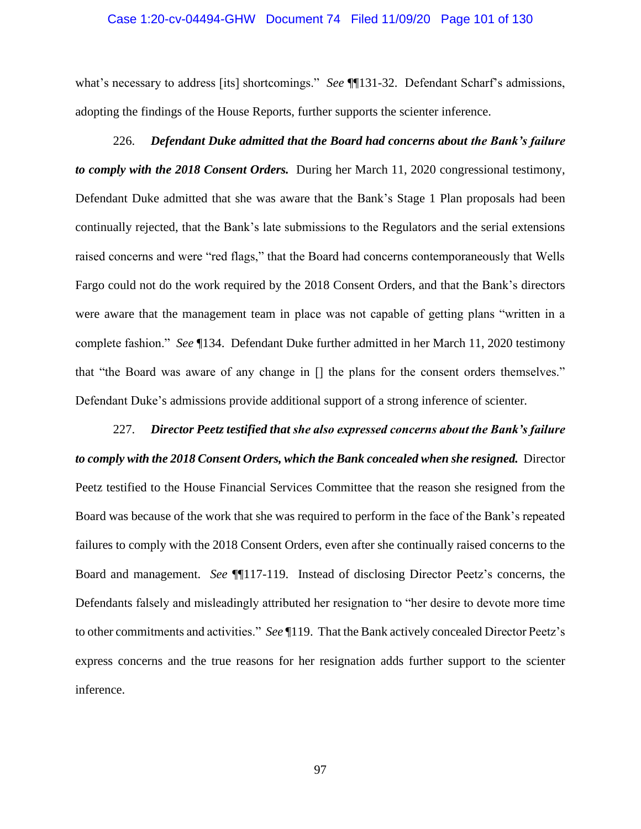#### Case 1:20-cv-04494-GHW Document 74 Filed 11/09/20 Page 101 of 130

what's necessary to address [its] shortcomings." *See* ¶¶131-32. Defendant Scharf's admissions, adopting the findings of the House Reports, further supports the scienter inference.

# 226. *Defendant Duke admitted that the Board had concerns about the Bank's failure to comply with the 2018 Consent Orders.* During her March 11, 2020 congressional testimony, Defendant Duke admitted that she was aware that the Bank's Stage 1 Plan proposals had been continually rejected, that the Bank's late submissions to the Regulators and the serial extensions raised concerns and were "red flags," that the Board had concerns contemporaneously that Wells Fargo could not do the work required by the 2018 Consent Orders, and that the Bank's directors were aware that the management team in place was not capable of getting plans "written in a complete fashion." *See* ¶134. Defendant Duke further admitted in her March 11, 2020 testimony that "the Board was aware of any change in [] the plans for the consent orders themselves." Defendant Duke's admissions provide additional support of a strong inference of scienter.

227. *Director Peetz testified that she also expressed concerns about the Bank's failure to comply with the 2018 Consent Orders, which the Bank concealed when she resigned.* Director Peetz testified to the House Financial Services Committee that the reason she resigned from the Board was because of the work that she was required to perform in the face of the Bank's repeated failures to comply with the 2018 Consent Orders, even after she continually raised concerns to the Board and management. *See* ¶¶117-119. Instead of disclosing Director Peetz's concerns, the Defendants falsely and misleadingly attributed her resignation to "her desire to devote more time to other commitments and activities." *See* ¶119. That the Bank actively concealed Director Peetz's express concerns and the true reasons for her resignation adds further support to the scienter inference.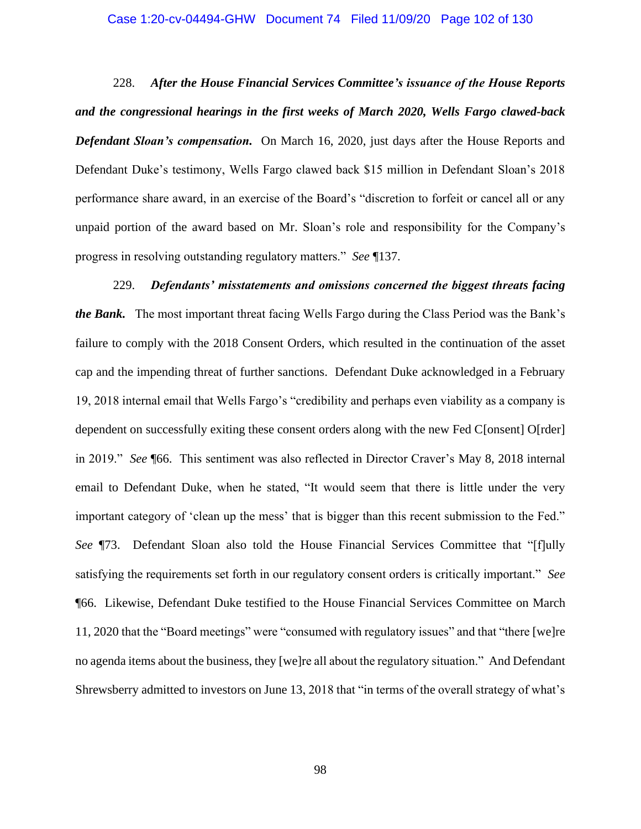#### Case 1:20-cv-04494-GHW Document 74 Filed 11/09/20 Page 102 of 130

228. *After the House Financial Services Committee's issuance of the House Reports and the congressional hearings in the first weeks of March 2020, Wells Fargo clawed-back Defendant Sloan's compensation.* On March 16, 2020, just days after the House Reports and Defendant Duke's testimony, Wells Fargo clawed back \$15 million in Defendant Sloan's 2018 performance share award, in an exercise of the Board's "discretion to forfeit or cancel all or any unpaid portion of the award based on Mr. Sloan's role and responsibility for the Company's progress in resolving outstanding regulatory matters." *See* ¶137.

229. *Defendants' misstatements and omissions concerned the biggest threats facing the Bank.* The most important threat facing Wells Fargo during the Class Period was the Bank's failure to comply with the 2018 Consent Orders, which resulted in the continuation of the asset cap and the impending threat of further sanctions. Defendant Duke acknowledged in a February 19, 2018 internal email that Wells Fargo's "credibility and perhaps even viability as a company is dependent on successfully exiting these consent orders along with the new Fed C[onsent] O[rder] in 2019." *See* ¶66. This sentiment was also reflected in Director Craver's May 8, 2018 internal email to Defendant Duke, when he stated, "It would seem that there is little under the very important category of 'clean up the mess' that is bigger than this recent submission to the Fed." *See* ¶73. Defendant Sloan also told the House Financial Services Committee that "[f]ully satisfying the requirements set forth in our regulatory consent orders is critically important." *See* ¶66. Likewise, Defendant Duke testified to the House Financial Services Committee on March 11, 2020 that the "Board meetings" were "consumed with regulatory issues" and that "there [we]re no agenda items about the business, they [we]re all about the regulatory situation." And Defendant Shrewsberry admitted to investors on June 13, 2018 that "in terms of the overall strategy of what's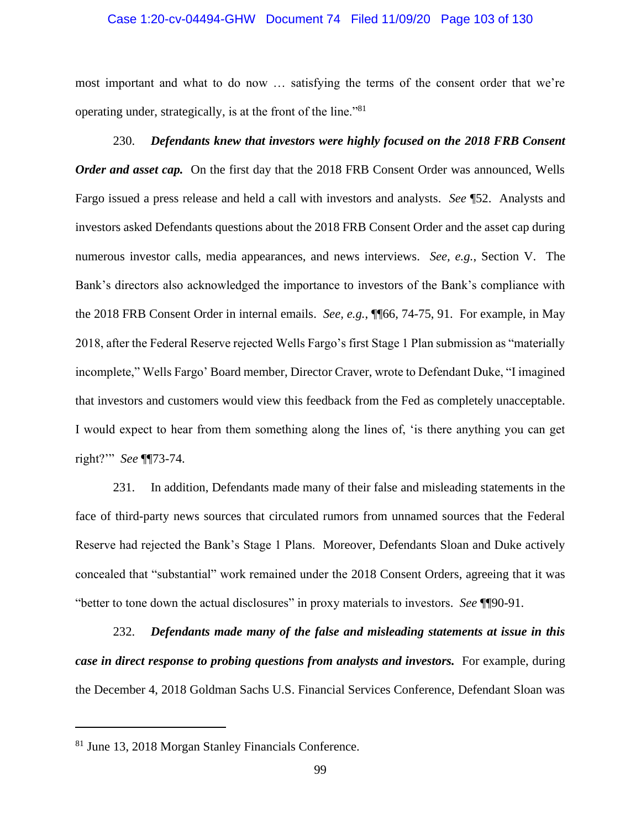# Case 1:20-cv-04494-GHW Document 74 Filed 11/09/20 Page 103 of 130

most important and what to do now … satisfying the terms of the consent order that we're operating under, strategically, is at the front of the line."<sup>81</sup>

230. *Defendants knew that investors were highly focused on the 2018 FRB Consent Order and asset cap.* On the first day that the 2018 FRB Consent Order was announced, Wells Fargo issued a press release and held a call with investors and analysts. *See* ¶52. Analysts and investors asked Defendants questions about the 2018 FRB Consent Order and the asset cap during numerous investor calls, media appearances, and news interviews. *See, e.g.*, Section V. The Bank's directors also acknowledged the importance to investors of the Bank's compliance with the 2018 FRB Consent Order in internal emails. *See, e.g.*, ¶¶66, 74-75, 91. For example, in May 2018, after the Federal Reserve rejected Wells Fargo's first Stage 1 Plan submission as "materially incomplete," Wells Fargo' Board member, Director Craver, wrote to Defendant Duke, "I imagined that investors and customers would view this feedback from the Fed as completely unacceptable. I would expect to hear from them something along the lines of, 'is there anything you can get right?'" *See* ¶¶73-74.

231. In addition, Defendants made many of their false and misleading statements in the face of third-party news sources that circulated rumors from unnamed sources that the Federal Reserve had rejected the Bank's Stage 1 Plans. Moreover, Defendants Sloan and Duke actively concealed that "substantial" work remained under the 2018 Consent Orders, agreeing that it was "better to tone down the actual disclosures" in proxy materials to investors. *See* ¶¶90-91.

232. *Defendants made many of the false and misleading statements at issue in this case in direct response to probing questions from analysts and investors.* For example, during the December 4, 2018 Goldman Sachs U.S. Financial Services Conference, Defendant Sloan was

<sup>81</sup> June 13, 2018 Morgan Stanley Financials Conference.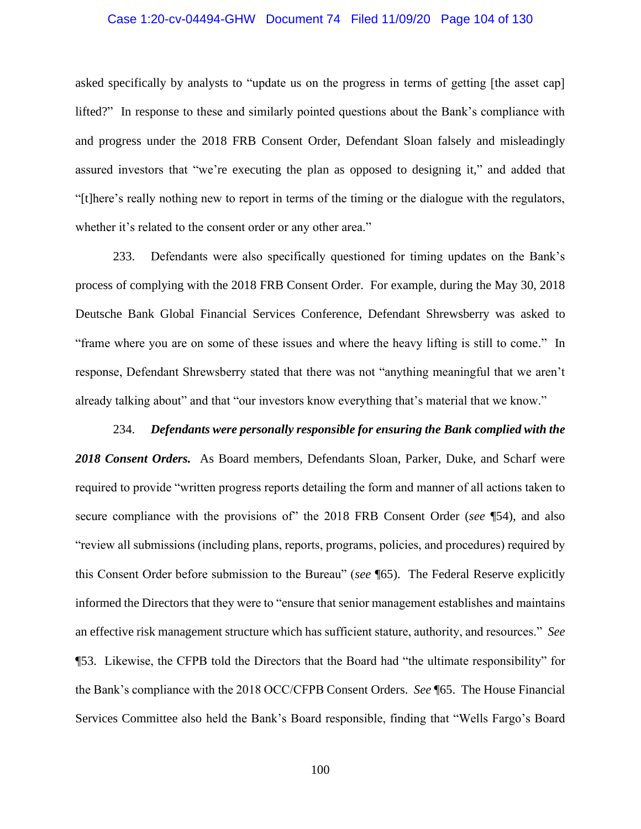# Case 1:20-cv-04494-GHW Document 74 Filed 11/09/20 Page 104 of 130

asked specifically by analysts to "update us on the progress in terms of getting [the asset cap] lifted?" In response to these and similarly pointed questions about the Bank's compliance with and progress under the 2018 FRB Consent Order, Defendant Sloan falsely and misleadingly assured investors that "we're executing the plan as opposed to designing it," and added that "[t]here's really nothing new to report in terms of the timing or the dialogue with the regulators, whether it's related to the consent order or any other area."

233. Defendants were also specifically questioned for timing updates on the Bank's process of complying with the 2018 FRB Consent Order. For example, during the May 30, 2018 Deutsche Bank Global Financial Services Conference, Defendant Shrewsberry was asked to "frame where you are on some of these issues and where the heavy lifting is still to come." In response, Defendant Shrewsberry stated that there was not "anything meaningful that we aren't already talking about" and that "our investors know everything that's material that we know."

# 234. *Defendants were personally responsible for ensuring the Bank complied with the*

*2018 Consent Orders.* As Board members, Defendants Sloan, Parker, Duke, and Scharf were required to provide "written progress reports detailing the form and manner of all actions taken to secure compliance with the provisions of" the 2018 FRB Consent Order (*see* ¶54), and also "review all submissions (including plans, reports, programs, policies, and procedures) required by this Consent Order before submission to the Bureau" (*see* ¶65). The Federal Reserve explicitly informed the Directors that they were to "ensure that senior management establishes and maintains an effective risk management structure which has sufficient stature, authority, and resources." *See* ¶53. Likewise, the CFPB told the Directors that the Board had "the ultimate responsibility" for the Bank's compliance with the 2018 OCC/CFPB Consent Orders. *See* ¶65. The House Financial Services Committee also held the Bank's Board responsible, finding that "Wells Fargo's Board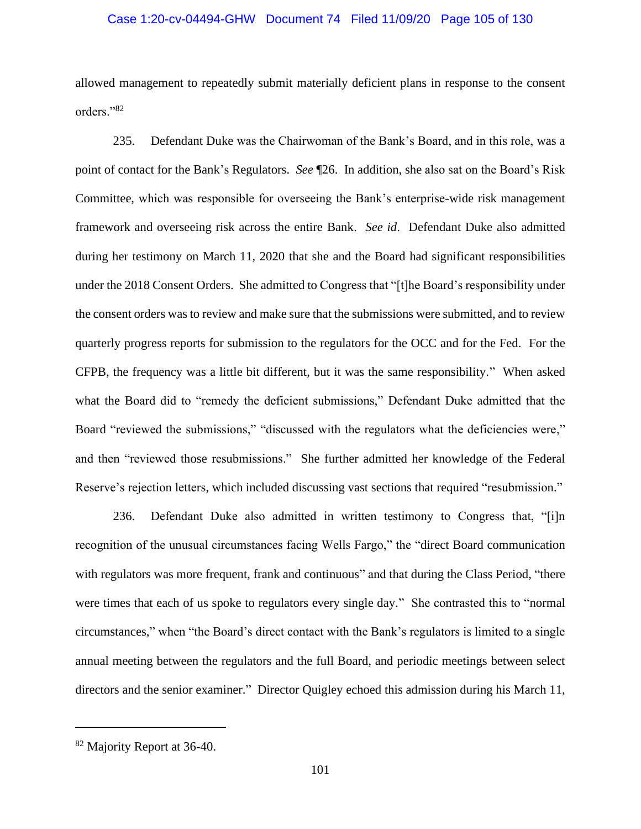# Case 1:20-cv-04494-GHW Document 74 Filed 11/09/20 Page 105 of 130

allowed management to repeatedly submit materially deficient plans in response to the consent orders."<sup>82</sup>

235. Defendant Duke was the Chairwoman of the Bank's Board, and in this role, was a point of contact for the Bank's Regulators. *See* ¶26. In addition, she also sat on the Board's Risk Committee, which was responsible for overseeing the Bank's enterprise-wide risk management framework and overseeing risk across the entire Bank. *See id*. Defendant Duke also admitted during her testimony on March 11, 2020 that she and the Board had significant responsibilities under the 2018 Consent Orders. She admitted to Congress that "[t]he Board's responsibility under the consent orders was to review and make sure that the submissions were submitted, and to review quarterly progress reports for submission to the regulators for the OCC and for the Fed. For the CFPB, the frequency was a little bit different, but it was the same responsibility." When asked what the Board did to "remedy the deficient submissions," Defendant Duke admitted that the Board "reviewed the submissions," "discussed with the regulators what the deficiencies were," and then "reviewed those resubmissions." She further admitted her knowledge of the Federal Reserve's rejection letters, which included discussing vast sections that required "resubmission."

236. Defendant Duke also admitted in written testimony to Congress that, "[i]n recognition of the unusual circumstances facing Wells Fargo," the "direct Board communication with regulators was more frequent, frank and continuous" and that during the Class Period, "there were times that each of us spoke to regulators every single day." She contrasted this to "normal circumstances," when "the Board's direct contact with the Bank's regulators is limited to a single annual meeting between the regulators and the full Board, and periodic meetings between select directors and the senior examiner." Director Quigley echoed this admission during his March 11,

<sup>82</sup> Majority Report at 36-40.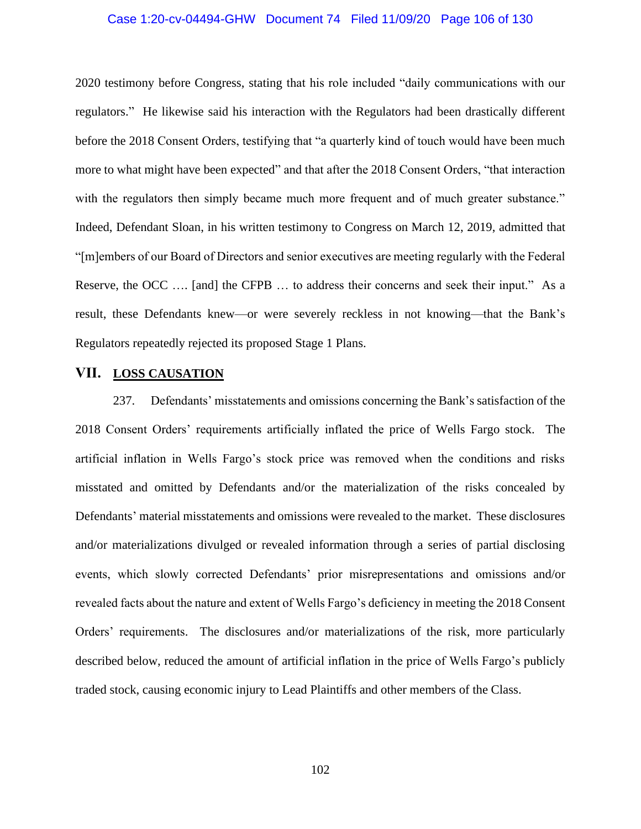# Case 1:20-cv-04494-GHW Document 74 Filed 11/09/20 Page 106 of 130

2020 testimony before Congress, stating that his role included "daily communications with our regulators." He likewise said his interaction with the Regulators had been drastically different before the 2018 Consent Orders, testifying that "a quarterly kind of touch would have been much more to what might have been expected" and that after the 2018 Consent Orders, "that interaction with the regulators then simply became much more frequent and of much greater substance." Indeed, Defendant Sloan, in his written testimony to Congress on March 12, 2019, admitted that "[m]embers of our Board of Directors and senior executives are meeting regularly with the Federal Reserve, the OCC .... [and] the CFPB ... to address their concerns and seek their input." As a result, these Defendants knew—or were severely reckless in not knowing—that the Bank's Regulators repeatedly rejected its proposed Stage 1 Plans.

# **VII. LOSS CAUSATION**

237. Defendants' misstatements and omissions concerning the Bank's satisfaction of the 2018 Consent Orders' requirements artificially inflated the price of Wells Fargo stock. The artificial inflation in Wells Fargo's stock price was removed when the conditions and risks misstated and omitted by Defendants and/or the materialization of the risks concealed by Defendants' material misstatements and omissions were revealed to the market. These disclosures and/or materializations divulged or revealed information through a series of partial disclosing events, which slowly corrected Defendants' prior misrepresentations and omissions and/or revealed facts about the nature and extent of Wells Fargo's deficiency in meeting the 2018 Consent Orders' requirements. The disclosures and/or materializations of the risk, more particularly described below, reduced the amount of artificial inflation in the price of Wells Fargo's publicly traded stock, causing economic injury to Lead Plaintiffs and other members of the Class.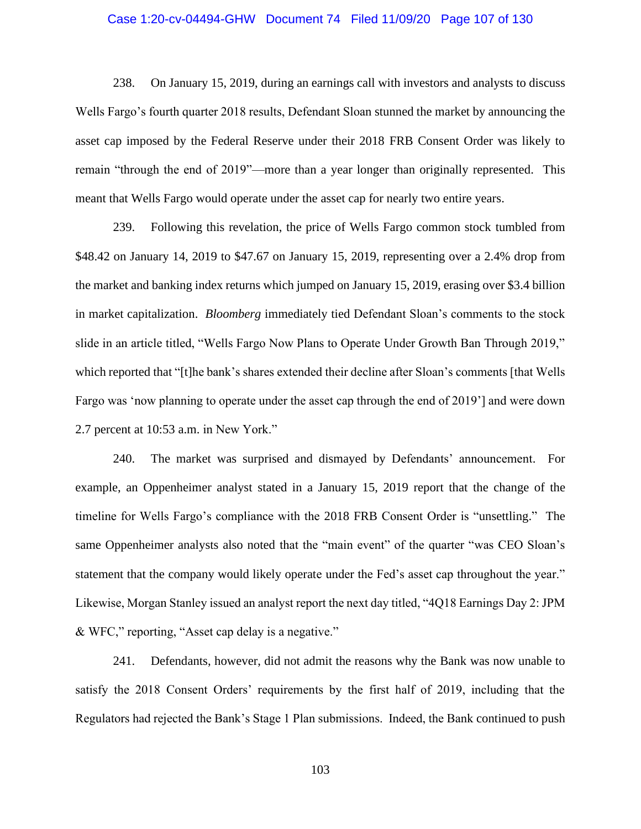# Case 1:20-cv-04494-GHW Document 74 Filed 11/09/20 Page 107 of 130

238. On January 15, 2019, during an earnings call with investors and analysts to discuss Wells Fargo's fourth quarter 2018 results, Defendant Sloan stunned the market by announcing the asset cap imposed by the Federal Reserve under their 2018 FRB Consent Order was likely to remain "through the end of 2019"—more than a year longer than originally represented. This meant that Wells Fargo would operate under the asset cap for nearly two entire years.

239. Following this revelation, the price of Wells Fargo common stock tumbled from \$48.42 on January 14, 2019 to \$47.67 on January 15, 2019, representing over a 2.4% drop from the market and banking index returns which jumped on January 15, 2019, erasing over \$3.4 billion in market capitalization. *Bloomberg* immediately tied Defendant Sloan's comments to the stock slide in an article titled, "Wells Fargo Now Plans to Operate Under Growth Ban Through 2019," which reported that "[t]he bank's shares extended their decline after Sloan's comments [that Wells Fargo was 'now planning to operate under the asset cap through the end of 2019'] and were down 2.7 percent at 10:53 a.m. in New York."

240. The market was surprised and dismayed by Defendants' announcement. For example, an Oppenheimer analyst stated in a January 15, 2019 report that the change of the timeline for Wells Fargo's compliance with the 2018 FRB Consent Order is "unsettling." The same Oppenheimer analysts also noted that the "main event" of the quarter "was CEO Sloan's statement that the company would likely operate under the Fed's asset cap throughout the year." Likewise, Morgan Stanley issued an analyst report the next day titled, "4Q18 Earnings Day 2: JPM & WFC," reporting, "Asset cap delay is a negative."

241. Defendants, however, did not admit the reasons why the Bank was now unable to satisfy the 2018 Consent Orders' requirements by the first half of 2019, including that the Regulators had rejected the Bank's Stage 1 Plan submissions. Indeed, the Bank continued to push

103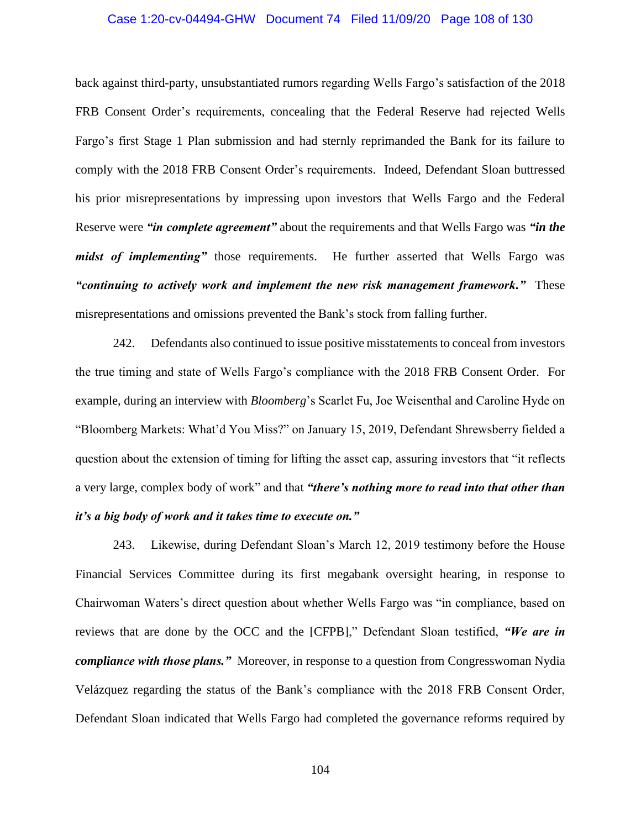# Case 1:20-cv-04494-GHW Document 74 Filed 11/09/20 Page 108 of 130

back against third-party, unsubstantiated rumors regarding Wells Fargo's satisfaction of the 2018 FRB Consent Order's requirements, concealing that the Federal Reserve had rejected Wells Fargo's first Stage 1 Plan submission and had sternly reprimanded the Bank for its failure to comply with the 2018 FRB Consent Order's requirements. Indeed, Defendant Sloan buttressed his prior misrepresentations by impressing upon investors that Wells Fargo and the Federal Reserve were *"in complete agreement"* about the requirements and that Wells Fargo was *"in the midst of implementing*" those requirements. He further asserted that Wells Fargo was *"continuing to actively work and implement the new risk management framework."* These misrepresentations and omissions prevented the Bank's stock from falling further.

242. Defendants also continued to issue positive misstatements to conceal from investors the true timing and state of Wells Fargo's compliance with the 2018 FRB Consent Order. For example, during an interview with *Bloomberg*'s Scarlet Fu, Joe Weisenthal and Caroline Hyde on "Bloomberg Markets: What'd You Miss?" on January 15, 2019, Defendant Shrewsberry fielded a question about the extension of timing for lifting the asset cap, assuring investors that "it reflects a very large, complex body of work" and that *"there's nothing more to read into that other than it's a big body of work and it takes time to execute on."*

243. Likewise, during Defendant Sloan's March 12, 2019 testimony before the House Financial Services Committee during its first megabank oversight hearing, in response to Chairwoman Waters's direct question about whether Wells Fargo was "in compliance, based on reviews that are done by the OCC and the [CFPB]," Defendant Sloan testified, *"We are in compliance with those plans."* Moreover, in response to a question from Congresswoman Nydia Velázquez regarding the status of the Bank's compliance with the 2018 FRB Consent Order, Defendant Sloan indicated that Wells Fargo had completed the governance reforms required by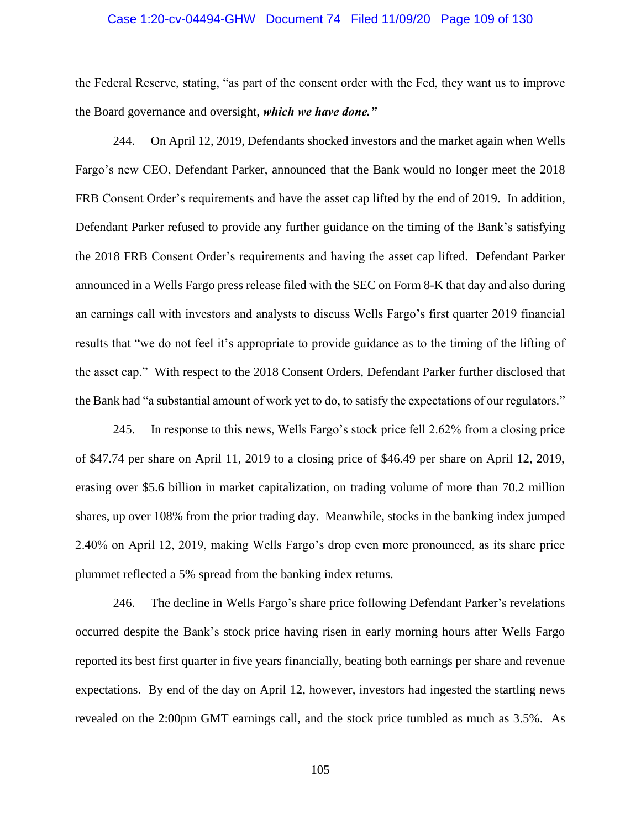#### Case 1:20-cv-04494-GHW Document 74 Filed 11/09/20 Page 109 of 130

the Federal Reserve, stating, "as part of the consent order with the Fed, they want us to improve the Board governance and oversight, *which we have done."*

244. On April 12, 2019, Defendants shocked investors and the market again when Wells Fargo's new CEO, Defendant Parker, announced that the Bank would no longer meet the 2018 FRB Consent Order's requirements and have the asset cap lifted by the end of 2019. In addition, Defendant Parker refused to provide any further guidance on the timing of the Bank's satisfying the 2018 FRB Consent Order's requirements and having the asset cap lifted. Defendant Parker announced in a Wells Fargo press release filed with the SEC on Form 8-K that day and also during an earnings call with investors and analysts to discuss Wells Fargo's first quarter 2019 financial results that "we do not feel it's appropriate to provide guidance as to the timing of the lifting of the asset cap." With respect to the 2018 Consent Orders, Defendant Parker further disclosed that the Bank had "a substantial amount of work yet to do, to satisfy the expectations of our regulators."

245. In response to this news, Wells Fargo's stock price fell 2.62% from a closing price of \$47.74 per share on April 11, 2019 to a closing price of \$46.49 per share on April 12, 2019, erasing over \$5.6 billion in market capitalization, on trading volume of more than 70.2 million shares, up over 108% from the prior trading day. Meanwhile, stocks in the banking index jumped 2.40% on April 12, 2019, making Wells Fargo's drop even more pronounced, as its share price plummet reflected a 5% spread from the banking index returns.

246. The decline in Wells Fargo's share price following Defendant Parker's revelations occurred despite the Bank's stock price having risen in early morning hours after Wells Fargo reported its best first quarter in five years financially, beating both earnings per share and revenue expectations. By end of the day on April 12, however, investors had ingested the startling news revealed on the 2:00pm GMT earnings call, and the stock price tumbled as much as 3.5%. As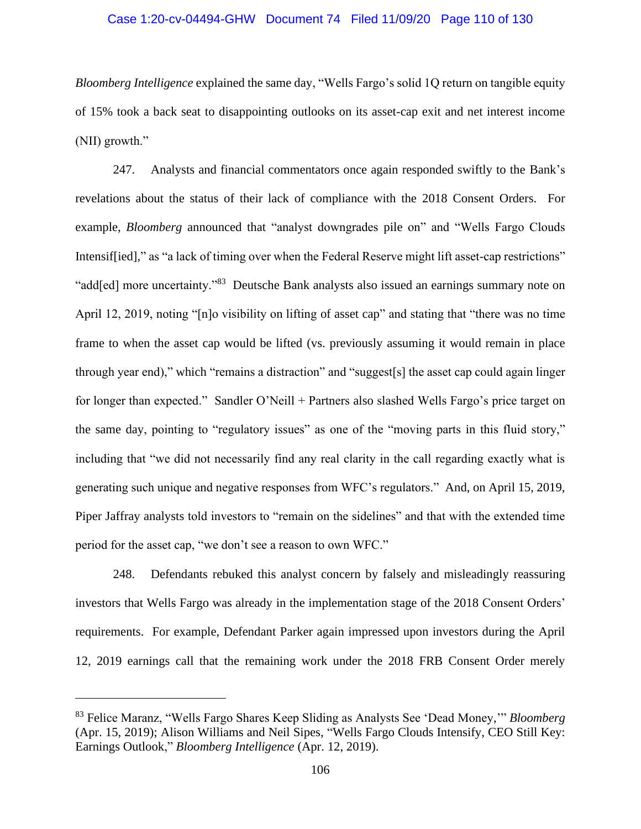#### Case 1:20-cv-04494-GHW Document 74 Filed 11/09/20 Page 110 of 130

*Bloomberg Intelligence* explained the same day, "Wells Fargo's solid 1Q return on tangible equity of 15% took a back seat to disappointing outlooks on its asset-cap exit and net interest income (NII) growth."

247. Analysts and financial commentators once again responded swiftly to the Bank's revelations about the status of their lack of compliance with the 2018 Consent Orders. For example, *Bloomberg* announced that "analyst downgrades pile on" and "Wells Fargo Clouds Intensiffied]," as "a lack of timing over when the Federal Reserve might lift asset-cap restrictions" "add[ed] more uncertainty."<sup>83</sup> Deutsche Bank analysts also issued an earnings summary note on April 12, 2019, noting "[n]o visibility on lifting of asset cap" and stating that "there was no time frame to when the asset cap would be lifted (vs. previously assuming it would remain in place through year end)," which "remains a distraction" and "suggest[s] the asset cap could again linger for longer than expected." Sandler O'Neill + Partners also slashed Wells Fargo's price target on the same day, pointing to "regulatory issues" as one of the "moving parts in this fluid story," including that "we did not necessarily find any real clarity in the call regarding exactly what is generating such unique and negative responses from WFC's regulators." And, on April 15, 2019, Piper Jaffray analysts told investors to "remain on the sidelines" and that with the extended time period for the asset cap, "we don't see a reason to own WFC."

248. Defendants rebuked this analyst concern by falsely and misleadingly reassuring investors that Wells Fargo was already in the implementation stage of the 2018 Consent Orders' requirements. For example, Defendant Parker again impressed upon investors during the April 12, 2019 earnings call that the remaining work under the 2018 FRB Consent Order merely

<sup>83</sup> Felice Maranz, "Wells Fargo Shares Keep Sliding as Analysts See 'Dead Money,'" *Bloomberg* (Apr. 15, 2019); Alison Williams and Neil Sipes, "Wells Fargo Clouds Intensify, CEO Still Key: Earnings Outlook," *Bloomberg Intelligence* (Apr. 12, 2019).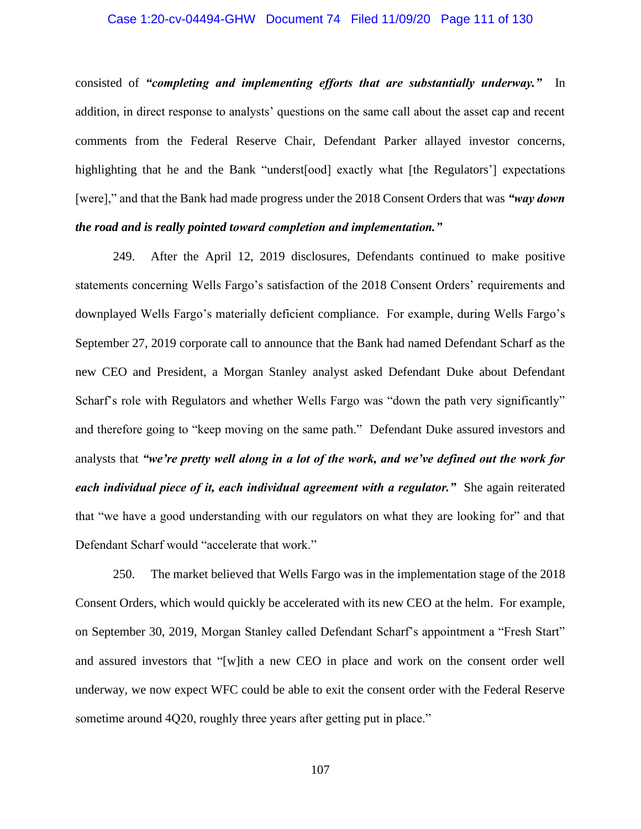#### Case 1:20-cv-04494-GHW Document 74 Filed 11/09/20 Page 111 of 130

consisted of *"completing and implementing efforts that are substantially underway."* In addition, in direct response to analysts' questions on the same call about the asset cap and recent comments from the Federal Reserve Chair, Defendant Parker allayed investor concerns, highlighting that he and the Bank "underst[ood] exactly what [the Regulators'] expectations [were]," and that the Bank had made progress under the 2018 Consent Orders that was *"way down the road and is really pointed toward completion and implementation."* 

249. After the April 12, 2019 disclosures, Defendants continued to make positive statements concerning Wells Fargo's satisfaction of the 2018 Consent Orders' requirements and downplayed Wells Fargo's materially deficient compliance. For example, during Wells Fargo's September 27, 2019 corporate call to announce that the Bank had named Defendant Scharf as the new CEO and President, a Morgan Stanley analyst asked Defendant Duke about Defendant Scharf's role with Regulators and whether Wells Fargo was "down the path very significantly" and therefore going to "keep moving on the same path." Defendant Duke assured investors and analysts that *"we're pretty well along in a lot of the work, and we've defined out the work for each individual piece of it, each individual agreement with a regulator."* She again reiterated that "we have a good understanding with our regulators on what they are looking for" and that Defendant Scharf would "accelerate that work."

250. The market believed that Wells Fargo was in the implementation stage of the 2018 Consent Orders, which would quickly be accelerated with its new CEO at the helm. For example, on September 30, 2019, Morgan Stanley called Defendant Scharf's appointment a "Fresh Start" and assured investors that "[w]ith a new CEO in place and work on the consent order well underway, we now expect WFC could be able to exit the consent order with the Federal Reserve sometime around 4Q20, roughly three years after getting put in place."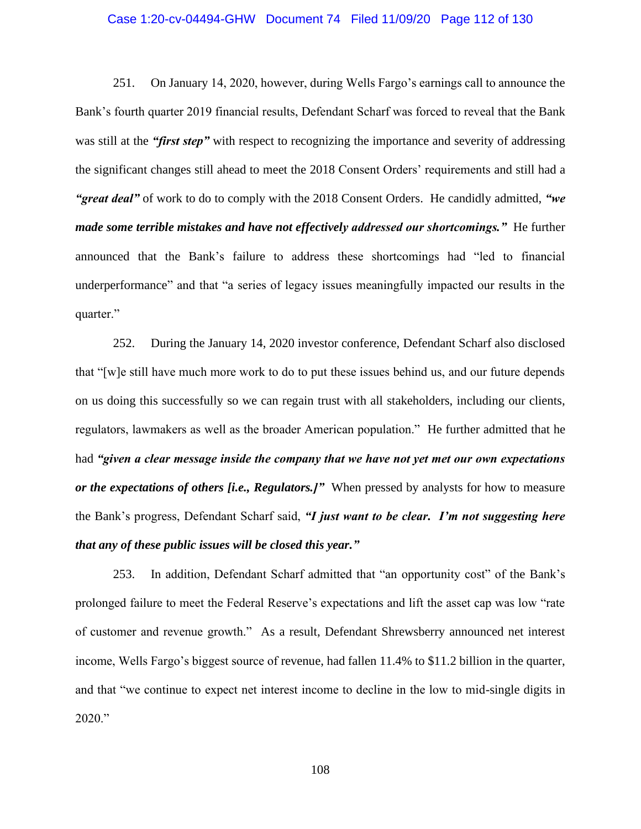#### Case 1:20-cv-04494-GHW Document 74 Filed 11/09/20 Page 112 of 130

251. On January 14, 2020, however, during Wells Fargo's earnings call to announce the Bank's fourth quarter 2019 financial results, Defendant Scharf was forced to reveal that the Bank was still at the *"first step"* with respect to recognizing the importance and severity of addressing the significant changes still ahead to meet the 2018 Consent Orders' requirements and still had a *"great deal"* of work to do to comply with the 2018 Consent Orders. He candidly admitted, *"we made some terrible mistakes and have not effectively addressed our shortcomings."* He further announced that the Bank's failure to address these shortcomings had "led to financial underperformance" and that "a series of legacy issues meaningfully impacted our results in the quarter."

252. During the January 14, 2020 investor conference, Defendant Scharf also disclosed that "[w]e still have much more work to do to put these issues behind us, and our future depends on us doing this successfully so we can regain trust with all stakeholders, including our clients, regulators, lawmakers as well as the broader American population." He further admitted that he had *"given a clear message inside the company that we have not yet met our own expectations or the expectations of others [i.e., Regulators.]"* When pressed by analysts for how to measure the Bank's progress, Defendant Scharf said, *"I just want to be clear. I'm not suggesting here that any of these public issues will be closed this year."*

253. In addition, Defendant Scharf admitted that "an opportunity cost" of the Bank's prolonged failure to meet the Federal Reserve's expectations and lift the asset cap was low "rate of customer and revenue growth." As a result, Defendant Shrewsberry announced net interest income, Wells Fargo's biggest source of revenue, had fallen 11.4% to \$11.2 billion in the quarter, and that "we continue to expect net interest income to decline in the low to mid-single digits in 2020."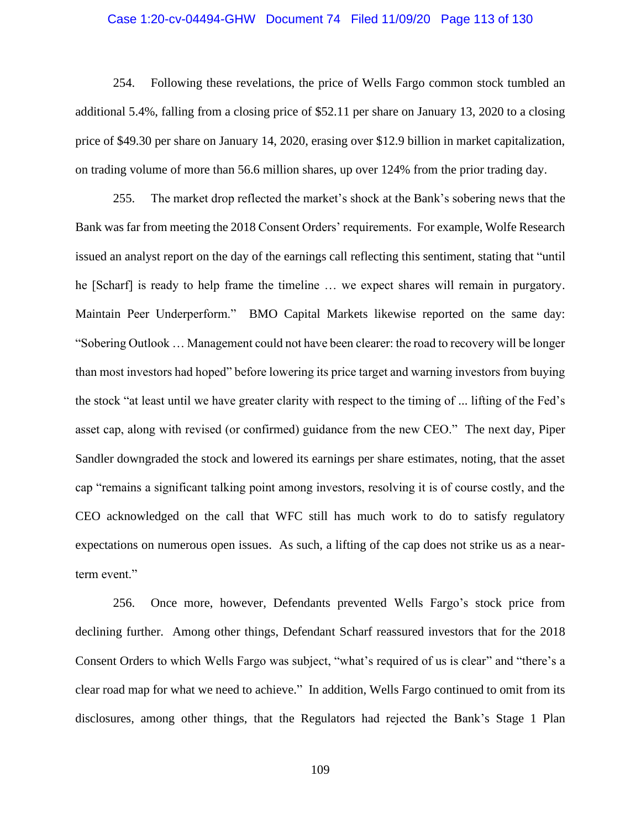#### Case 1:20-cv-04494-GHW Document 74 Filed 11/09/20 Page 113 of 130

254. Following these revelations, the price of Wells Fargo common stock tumbled an additional 5.4%, falling from a closing price of \$52.11 per share on January 13, 2020 to a closing price of \$49.30 per share on January 14, 2020, erasing over \$12.9 billion in market capitalization, on trading volume of more than 56.6 million shares, up over 124% from the prior trading day.

255. The market drop reflected the market's shock at the Bank's sobering news that the Bank was far from meeting the 2018 Consent Orders' requirements. For example, Wolfe Research issued an analyst report on the day of the earnings call reflecting this sentiment, stating that "until he [Scharf] is ready to help frame the timeline … we expect shares will remain in purgatory. Maintain Peer Underperform." BMO Capital Markets likewise reported on the same day: "Sobering Outlook … Management could not have been clearer: the road to recovery will be longer than most investors had hoped" before lowering its price target and warning investors from buying the stock "at least until we have greater clarity with respect to the timing of ... lifting of the Fed's asset cap, along with revised (or confirmed) guidance from the new CEO." The next day, Piper Sandler downgraded the stock and lowered its earnings per share estimates, noting, that the asset cap "remains a significant talking point among investors, resolving it is of course costly, and the CEO acknowledged on the call that WFC still has much work to do to satisfy regulatory expectations on numerous open issues. As such, a lifting of the cap does not strike us as a nearterm event."

256. Once more, however, Defendants prevented Wells Fargo's stock price from declining further. Among other things, Defendant Scharf reassured investors that for the 2018 Consent Orders to which Wells Fargo was subject, "what's required of us is clear" and "there's a clear road map for what we need to achieve." In addition, Wells Fargo continued to omit from its disclosures, among other things, that the Regulators had rejected the Bank's Stage 1 Plan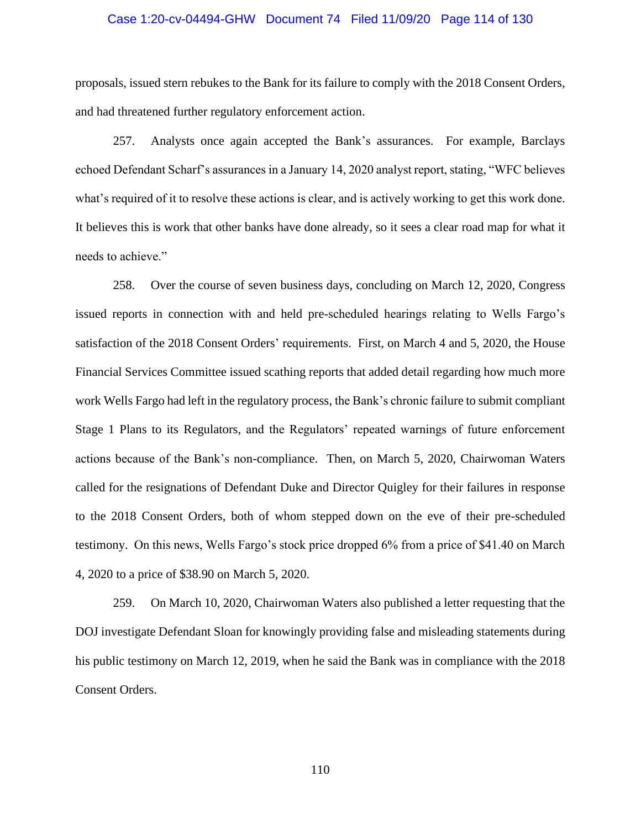#### Case 1:20-cv-04494-GHW Document 74 Filed 11/09/20 Page 114 of 130

proposals, issued stern rebukes to the Bank for its failure to comply with the 2018 Consent Orders, and had threatened further regulatory enforcement action.

257. Analysts once again accepted the Bank's assurances. For example, Barclays echoed Defendant Scharf's assurances in a January 14, 2020 analyst report, stating, "WFC believes what's required of it to resolve these actions is clear, and is actively working to get this work done. It believes this is work that other banks have done already, so it sees a clear road map for what it needs to achieve."

258. Over the course of seven business days, concluding on March 12, 2020, Congress issued reports in connection with and held pre-scheduled hearings relating to Wells Fargo's satisfaction of the 2018 Consent Orders' requirements. First, on March 4 and 5, 2020, the House Financial Services Committee issued scathing reports that added detail regarding how much more work Wells Fargo had left in the regulatory process, the Bank's chronic failure to submit compliant Stage 1 Plans to its Regulators, and the Regulators' repeated warnings of future enforcement actions because of the Bank's non-compliance. Then, on March 5, 2020, Chairwoman Waters called for the resignations of Defendant Duke and Director Quigley for their failures in response to the 2018 Consent Orders, both of whom stepped down on the eve of their pre-scheduled testimony. On this news, Wells Fargo's stock price dropped 6% from a price of \$41.40 on March 4, 2020 to a price of \$38.90 on March 5, 2020.

259. On March 10, 2020, Chairwoman Waters also published a letter requesting that the DOJ investigate Defendant Sloan for knowingly providing false and misleading statements during his public testimony on March 12, 2019, when he said the Bank was in compliance with the 2018 Consent Orders.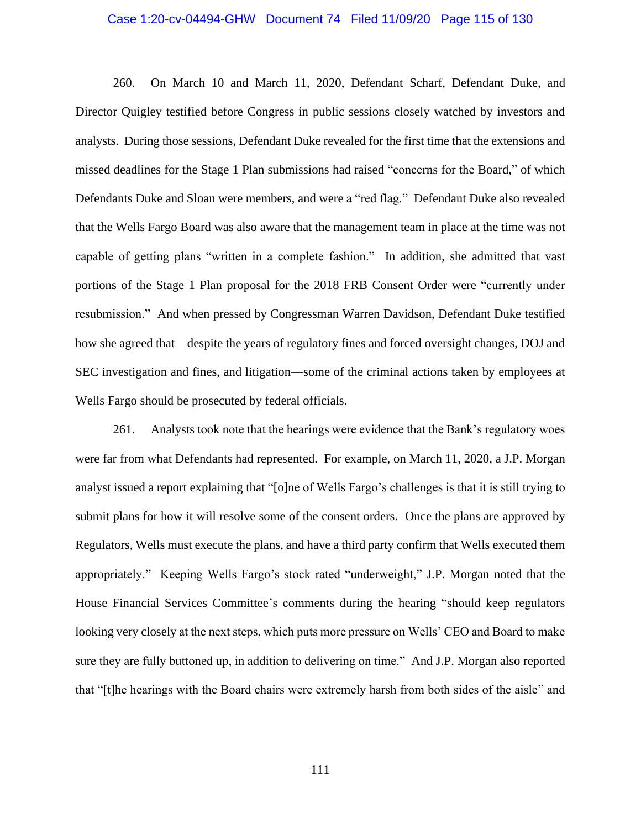#### Case 1:20-cv-04494-GHW Document 74 Filed 11/09/20 Page 115 of 130

260. On March 10 and March 11, 2020, Defendant Scharf, Defendant Duke, and Director Quigley testified before Congress in public sessions closely watched by investors and analysts. During those sessions, Defendant Duke revealed for the first time that the extensions and missed deadlines for the Stage 1 Plan submissions had raised "concerns for the Board," of which Defendants Duke and Sloan were members, and were a "red flag." Defendant Duke also revealed that the Wells Fargo Board was also aware that the management team in place at the time was not capable of getting plans "written in a complete fashion." In addition, she admitted that vast portions of the Stage 1 Plan proposal for the 2018 FRB Consent Order were "currently under resubmission." And when pressed by Congressman Warren Davidson, Defendant Duke testified how she agreed that—despite the years of regulatory fines and forced oversight changes, DOJ and SEC investigation and fines, and litigation—some of the criminal actions taken by employees at Wells Fargo should be prosecuted by federal officials.

261. Analysts took note that the hearings were evidence that the Bank's regulatory woes were far from what Defendants had represented. For example, on March 11, 2020, a J.P. Morgan analyst issued a report explaining that "[o]ne of Wells Fargo's challenges is that it is still trying to submit plans for how it will resolve some of the consent orders. Once the plans are approved by Regulators, Wells must execute the plans, and have a third party confirm that Wells executed them appropriately." Keeping Wells Fargo's stock rated "underweight," J.P. Morgan noted that the House Financial Services Committee's comments during the hearing "should keep regulators looking very closely at the next steps, which puts more pressure on Wells' CEO and Board to make sure they are fully buttoned up, in addition to delivering on time." And J.P. Morgan also reported that "[t]he hearings with the Board chairs were extremely harsh from both sides of the aisle" and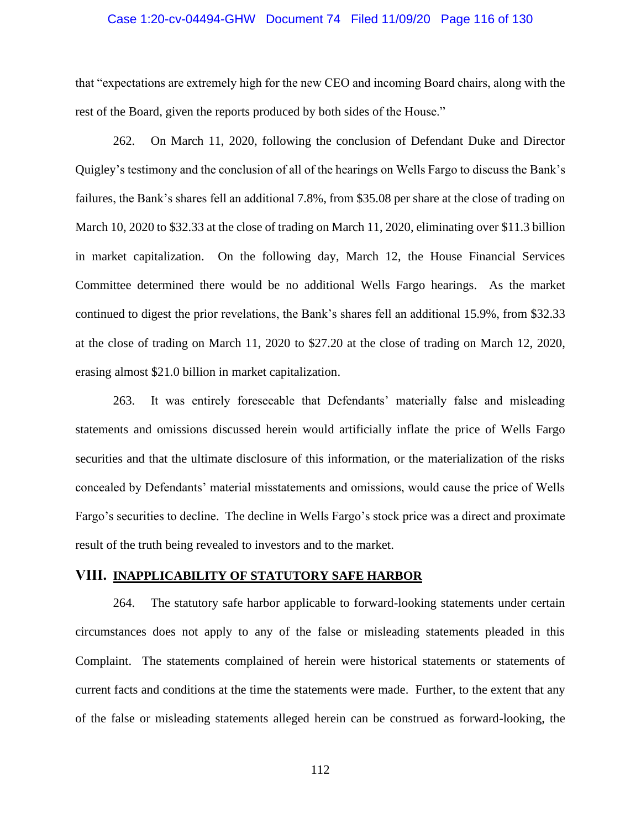#### Case 1:20-cv-04494-GHW Document 74 Filed 11/09/20 Page 116 of 130

that "expectations are extremely high for the new CEO and incoming Board chairs, along with the rest of the Board, given the reports produced by both sides of the House."

262. On March 11, 2020, following the conclusion of Defendant Duke and Director Quigley's testimony and the conclusion of all of the hearings on Wells Fargo to discuss the Bank's failures, the Bank's shares fell an additional 7.8%, from \$35.08 per share at the close of trading on March 10, 2020 to \$32.33 at the close of trading on March 11, 2020, eliminating over \$11.3 billion in market capitalization. On the following day, March 12, the House Financial Services Committee determined there would be no additional Wells Fargo hearings. As the market continued to digest the prior revelations, the Bank's shares fell an additional 15.9%, from \$32.33 at the close of trading on March 11, 2020 to \$27.20 at the close of trading on March 12, 2020, erasing almost \$21.0 billion in market capitalization.

263. It was entirely foreseeable that Defendants' materially false and misleading statements and omissions discussed herein would artificially inflate the price of Wells Fargo securities and that the ultimate disclosure of this information, or the materialization of the risks concealed by Defendants' material misstatements and omissions, would cause the price of Wells Fargo's securities to decline. The decline in Wells Fargo's stock price was a direct and proximate result of the truth being revealed to investors and to the market.

### **VIII. INAPPLICABILITY OF STATUTORY SAFE HARBOR**

264. The statutory safe harbor applicable to forward-looking statements under certain circumstances does not apply to any of the false or misleading statements pleaded in this Complaint. The statements complained of herein were historical statements or statements of current facts and conditions at the time the statements were made. Further, to the extent that any of the false or misleading statements alleged herein can be construed as forward-looking, the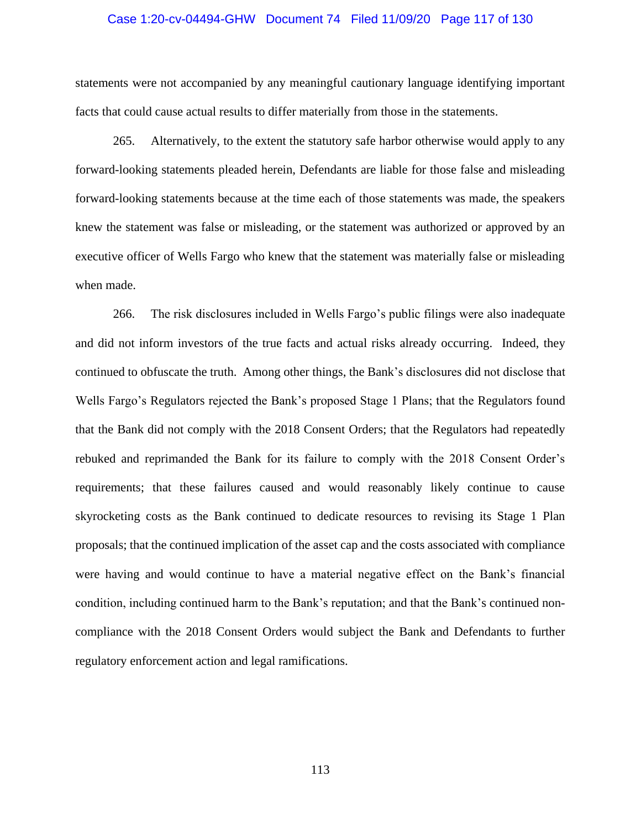#### Case 1:20-cv-04494-GHW Document 74 Filed 11/09/20 Page 117 of 130

statements were not accompanied by any meaningful cautionary language identifying important facts that could cause actual results to differ materially from those in the statements.

265. Alternatively, to the extent the statutory safe harbor otherwise would apply to any forward-looking statements pleaded herein, Defendants are liable for those false and misleading forward-looking statements because at the time each of those statements was made, the speakers knew the statement was false or misleading, or the statement was authorized or approved by an executive officer of Wells Fargo who knew that the statement was materially false or misleading when made.

266. The risk disclosures included in Wells Fargo's public filings were also inadequate and did not inform investors of the true facts and actual risks already occurring. Indeed, they continued to obfuscate the truth. Among other things, the Bank's disclosures did not disclose that Wells Fargo's Regulators rejected the Bank's proposed Stage 1 Plans; that the Regulators found that the Bank did not comply with the 2018 Consent Orders; that the Regulators had repeatedly rebuked and reprimanded the Bank for its failure to comply with the 2018 Consent Order's requirements; that these failures caused and would reasonably likely continue to cause skyrocketing costs as the Bank continued to dedicate resources to revising its Stage 1 Plan proposals; that the continued implication of the asset cap and the costs associated with compliance were having and would continue to have a material negative effect on the Bank's financial condition, including continued harm to the Bank's reputation; and that the Bank's continued noncompliance with the 2018 Consent Orders would subject the Bank and Defendants to further regulatory enforcement action and legal ramifications.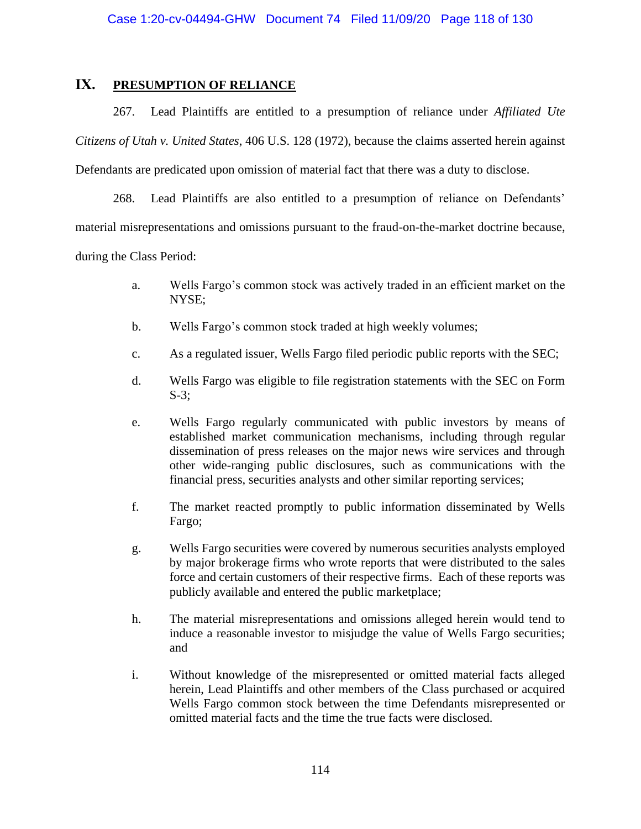## **IX. PRESUMPTION OF RELIANCE**

267. Lead Plaintiffs are entitled to a presumption of reliance under *Affiliated Ute Citizens of Utah v. United States*, 406 U.S. 128 (1972), because the claims asserted herein against Defendants are predicated upon omission of material fact that there was a duty to disclose.

268. Lead Plaintiffs are also entitled to a presumption of reliance on Defendants' material misrepresentations and omissions pursuant to the fraud-on-the-market doctrine because, during the Class Period:

- a. Wells Fargo's common stock was actively traded in an efficient market on the NYSE;
- b. Wells Fargo's common stock traded at high weekly volumes;
- c. As a regulated issuer, Wells Fargo filed periodic public reports with the SEC;
- d. Wells Fargo was eligible to file registration statements with the SEC on Form S-3;
- e. Wells Fargo regularly communicated with public investors by means of established market communication mechanisms, including through regular dissemination of press releases on the major news wire services and through other wide-ranging public disclosures, such as communications with the financial press, securities analysts and other similar reporting services;
- f. The market reacted promptly to public information disseminated by Wells Fargo;
- g. Wells Fargo securities were covered by numerous securities analysts employed by major brokerage firms who wrote reports that were distributed to the sales force and certain customers of their respective firms. Each of these reports was publicly available and entered the public marketplace;
- h. The material misrepresentations and omissions alleged herein would tend to induce a reasonable investor to misjudge the value of Wells Fargo securities; and
- i. Without knowledge of the misrepresented or omitted material facts alleged herein, Lead Plaintiffs and other members of the Class purchased or acquired Wells Fargo common stock between the time Defendants misrepresented or omitted material facts and the time the true facts were disclosed.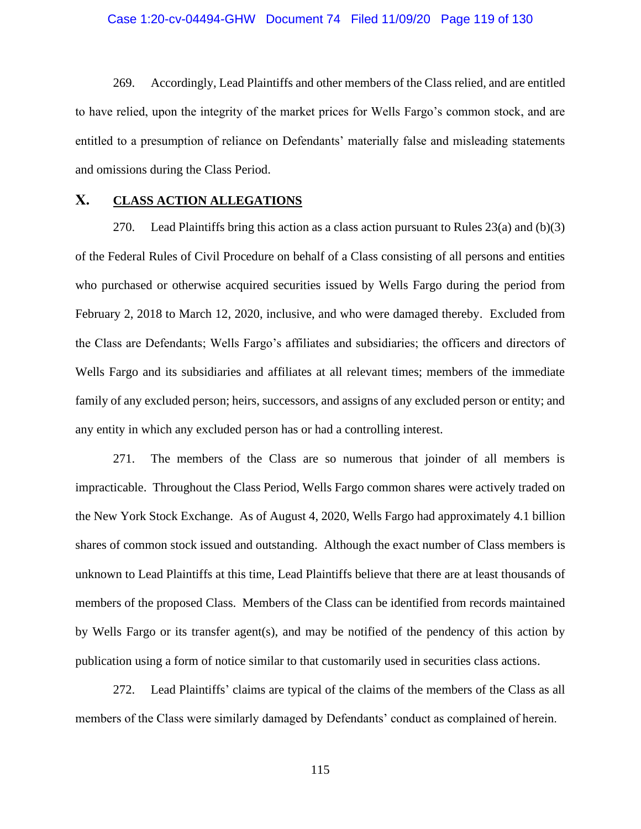#### Case 1:20-cv-04494-GHW Document 74 Filed 11/09/20 Page 119 of 130

269. Accordingly, Lead Plaintiffs and other members of the Class relied, and are entitled to have relied, upon the integrity of the market prices for Wells Fargo's common stock, and are entitled to a presumption of reliance on Defendants' materially false and misleading statements and omissions during the Class Period.

### **X. CLASS ACTION ALLEGATIONS**

270. Lead Plaintiffs bring this action as a class action pursuant to Rules  $23(a)$  and (b)(3) of the Federal Rules of Civil Procedure on behalf of a Class consisting of all persons and entities who purchased or otherwise acquired securities issued by Wells Fargo during the period from February 2, 2018 to March 12, 2020, inclusive, and who were damaged thereby. Excluded from the Class are Defendants; Wells Fargo's affiliates and subsidiaries; the officers and directors of Wells Fargo and its subsidiaries and affiliates at all relevant times; members of the immediate family of any excluded person; heirs, successors, and assigns of any excluded person or entity; and any entity in which any excluded person has or had a controlling interest.

271. The members of the Class are so numerous that joinder of all members is impracticable. Throughout the Class Period, Wells Fargo common shares were actively traded on the New York Stock Exchange. As of August 4, 2020, Wells Fargo had approximately 4.1 billion shares of common stock issued and outstanding. Although the exact number of Class members is unknown to Lead Plaintiffs at this time, Lead Plaintiffs believe that there are at least thousands of members of the proposed Class. Members of the Class can be identified from records maintained by Wells Fargo or its transfer agent(s), and may be notified of the pendency of this action by publication using a form of notice similar to that customarily used in securities class actions.

272. Lead Plaintiffs' claims are typical of the claims of the members of the Class as all members of the Class were similarly damaged by Defendants' conduct as complained of herein.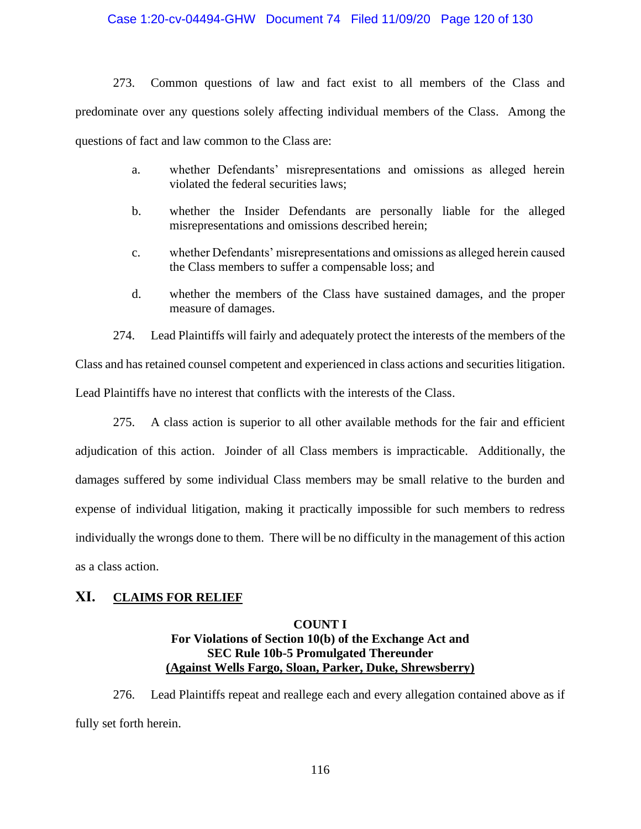#### Case 1:20-cv-04494-GHW Document 74 Filed 11/09/20 Page 120 of 130

273. Common questions of law and fact exist to all members of the Class and predominate over any questions solely affecting individual members of the Class. Among the questions of fact and law common to the Class are:

- a. whether Defendants' misrepresentations and omissions as alleged herein violated the federal securities laws;
- b. whether the Insider Defendants are personally liable for the alleged misrepresentations and omissions described herein;
- c. whether Defendants' misrepresentations and omissions as alleged herein caused the Class members to suffer a compensable loss; and
- d. whether the members of the Class have sustained damages, and the proper measure of damages.

274. Lead Plaintiffs will fairly and adequately protect the interests of the members of the Class and has retained counsel competent and experienced in class actions and securities litigation. Lead Plaintiffs have no interest that conflicts with the interests of the Class.

275. A class action is superior to all other available methods for the fair and efficient adjudication of this action. Joinder of all Class members is impracticable. Additionally, the damages suffered by some individual Class members may be small relative to the burden and expense of individual litigation, making it practically impossible for such members to redress individually the wrongs done to them. There will be no difficulty in the management of this action as a class action.

## **XI. CLAIMS FOR RELIEF**

#### **COUNT I**

## **For Violations of Section 10(b) of the Exchange Act and SEC Rule 10b-5 Promulgated Thereunder (Against Wells Fargo, Sloan, Parker, Duke, Shrewsberry)**

276. Lead Plaintiffs repeat and reallege each and every allegation contained above as if fully set forth herein.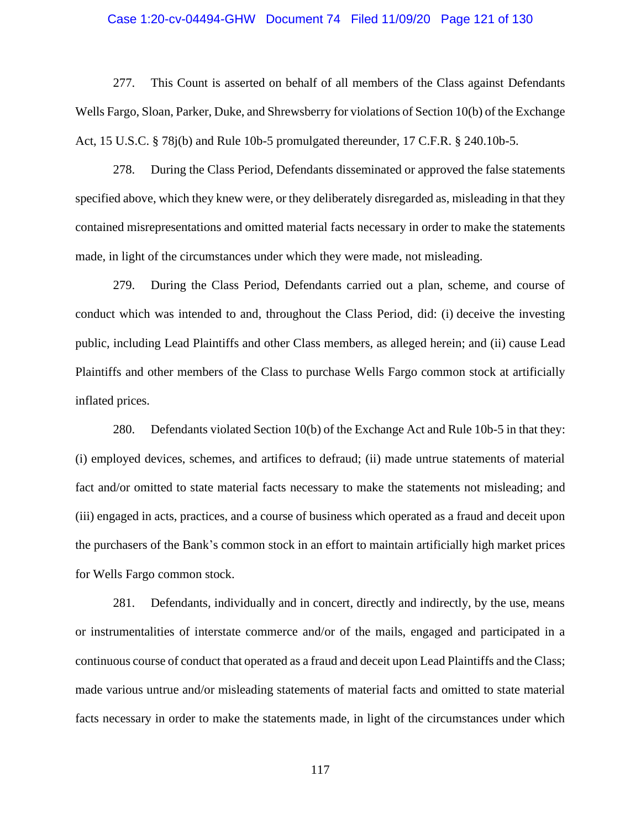#### Case 1:20-cv-04494-GHW Document 74 Filed 11/09/20 Page 121 of 130

277. This Count is asserted on behalf of all members of the Class against Defendants Wells Fargo, Sloan, Parker, Duke, and Shrewsberry for violations of Section 10(b) of the Exchange Act, 15 U.S.C. § 78j(b) and Rule 10b-5 promulgated thereunder, 17 C.F.R. § 240.10b-5.

278. During the Class Period, Defendants disseminated or approved the false statements specified above, which they knew were, or they deliberately disregarded as, misleading in that they contained misrepresentations and omitted material facts necessary in order to make the statements made, in light of the circumstances under which they were made, not misleading.

279. During the Class Period, Defendants carried out a plan, scheme, and course of conduct which was intended to and, throughout the Class Period, did: (i) deceive the investing public, including Lead Plaintiffs and other Class members, as alleged herein; and (ii) cause Lead Plaintiffs and other members of the Class to purchase Wells Fargo common stock at artificially inflated prices.

280. Defendants violated Section 10(b) of the Exchange Act and Rule 10b-5 in that they: (i) employed devices, schemes, and artifices to defraud; (ii) made untrue statements of material fact and/or omitted to state material facts necessary to make the statements not misleading; and (iii) engaged in acts, practices, and a course of business which operated as a fraud and deceit upon the purchasers of the Bank's common stock in an effort to maintain artificially high market prices for Wells Fargo common stock.

281. Defendants, individually and in concert, directly and indirectly, by the use, means or instrumentalities of interstate commerce and/or of the mails, engaged and participated in a continuous course of conduct that operated as a fraud and deceit upon Lead Plaintiffs and the Class; made various untrue and/or misleading statements of material facts and omitted to state material facts necessary in order to make the statements made, in light of the circumstances under which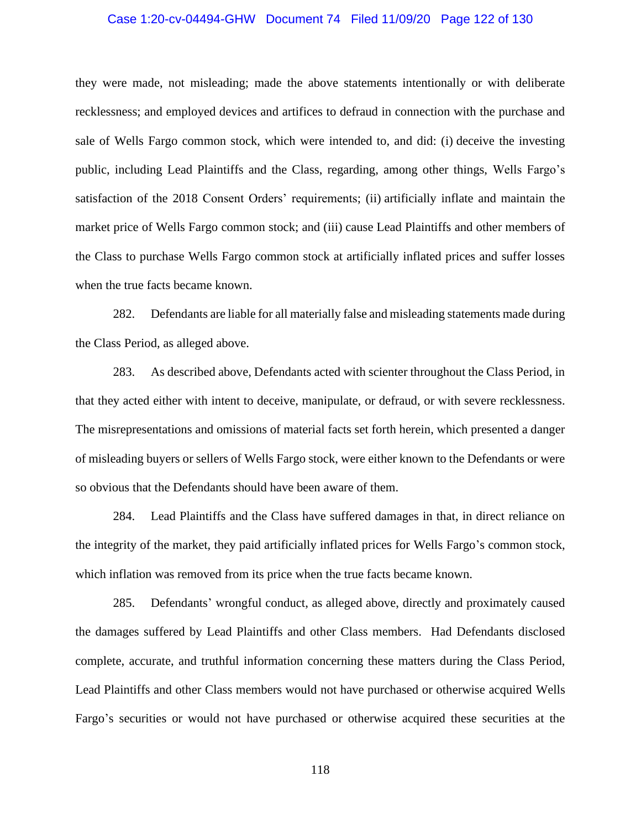#### Case 1:20-cv-04494-GHW Document 74 Filed 11/09/20 Page 122 of 130

they were made, not misleading; made the above statements intentionally or with deliberate recklessness; and employed devices and artifices to defraud in connection with the purchase and sale of Wells Fargo common stock, which were intended to, and did: (i) deceive the investing public, including Lead Plaintiffs and the Class, regarding, among other things, Wells Fargo's satisfaction of the 2018 Consent Orders' requirements; (ii) artificially inflate and maintain the market price of Wells Fargo common stock; and (iii) cause Lead Plaintiffs and other members of the Class to purchase Wells Fargo common stock at artificially inflated prices and suffer losses when the true facts became known.

282. Defendants are liable for all materially false and misleading statements made during the Class Period, as alleged above.

283. As described above, Defendants acted with scienter throughout the Class Period, in that they acted either with intent to deceive, manipulate, or defraud, or with severe recklessness. The misrepresentations and omissions of material facts set forth herein, which presented a danger of misleading buyers or sellers of Wells Fargo stock, were either known to the Defendants or were so obvious that the Defendants should have been aware of them.

284. Lead Plaintiffs and the Class have suffered damages in that, in direct reliance on the integrity of the market, they paid artificially inflated prices for Wells Fargo's common stock, which inflation was removed from its price when the true facts became known.

285. Defendants' wrongful conduct, as alleged above, directly and proximately caused the damages suffered by Lead Plaintiffs and other Class members. Had Defendants disclosed complete, accurate, and truthful information concerning these matters during the Class Period, Lead Plaintiffs and other Class members would not have purchased or otherwise acquired Wells Fargo's securities or would not have purchased or otherwise acquired these securities at the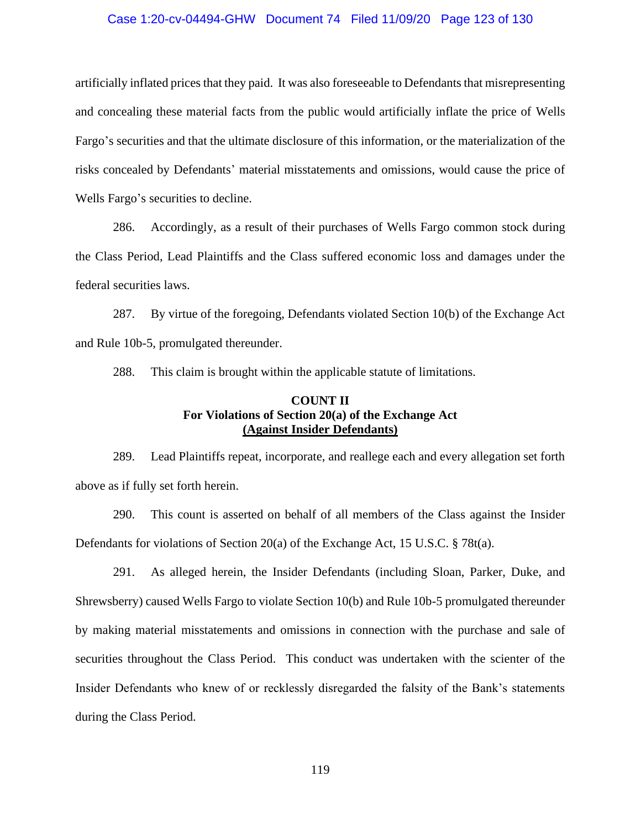#### Case 1:20-cv-04494-GHW Document 74 Filed 11/09/20 Page 123 of 130

artificially inflated prices that they paid. It was also foreseeable to Defendants that misrepresenting and concealing these material facts from the public would artificially inflate the price of Wells Fargo's securities and that the ultimate disclosure of this information, or the materialization of the risks concealed by Defendants' material misstatements and omissions, would cause the price of Wells Fargo's securities to decline.

286. Accordingly, as a result of their purchases of Wells Fargo common stock during the Class Period, Lead Plaintiffs and the Class suffered economic loss and damages under the federal securities laws.

287. By virtue of the foregoing, Defendants violated Section 10(b) of the Exchange Act and Rule 10b-5, promulgated thereunder.

288. This claim is brought within the applicable statute of limitations.

## **COUNT II For Violations of Section 20(a) of the Exchange Act (Against Insider Defendants)**

289. Lead Plaintiffs repeat, incorporate, and reallege each and every allegation set forth above as if fully set forth herein.

290. This count is asserted on behalf of all members of the Class against the Insider Defendants for violations of Section 20(a) of the Exchange Act, 15 U.S.C. § 78t(a).

291. As alleged herein, the Insider Defendants (including Sloan, Parker, Duke, and Shrewsberry) caused Wells Fargo to violate Section 10(b) and Rule 10b-5 promulgated thereunder by making material misstatements and omissions in connection with the purchase and sale of securities throughout the Class Period. This conduct was undertaken with the scienter of the Insider Defendants who knew of or recklessly disregarded the falsity of the Bank's statements during the Class Period.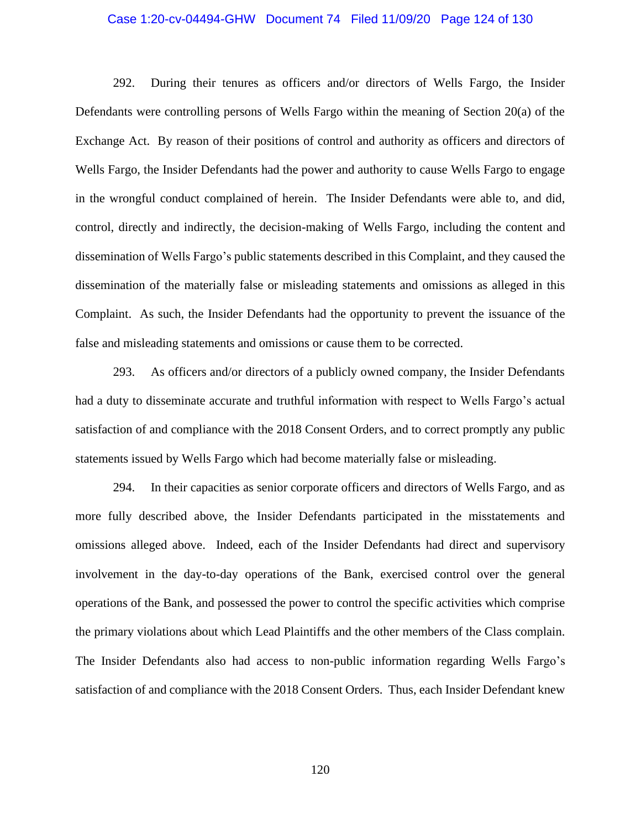#### Case 1:20-cv-04494-GHW Document 74 Filed 11/09/20 Page 124 of 130

292. During their tenures as officers and/or directors of Wells Fargo, the Insider Defendants were controlling persons of Wells Fargo within the meaning of Section 20(a) of the Exchange Act. By reason of their positions of control and authority as officers and directors of Wells Fargo, the Insider Defendants had the power and authority to cause Wells Fargo to engage in the wrongful conduct complained of herein. The Insider Defendants were able to, and did, control, directly and indirectly, the decision-making of Wells Fargo, including the content and dissemination of Wells Fargo's public statements described in this Complaint, and they caused the dissemination of the materially false or misleading statements and omissions as alleged in this Complaint. As such, the Insider Defendants had the opportunity to prevent the issuance of the false and misleading statements and omissions or cause them to be corrected.

293. As officers and/or directors of a publicly owned company, the Insider Defendants had a duty to disseminate accurate and truthful information with respect to Wells Fargo's actual satisfaction of and compliance with the 2018 Consent Orders, and to correct promptly any public statements issued by Wells Fargo which had become materially false or misleading.

294. In their capacities as senior corporate officers and directors of Wells Fargo, and as more fully described above, the Insider Defendants participated in the misstatements and omissions alleged above. Indeed, each of the Insider Defendants had direct and supervisory involvement in the day-to-day operations of the Bank, exercised control over the general operations of the Bank, and possessed the power to control the specific activities which comprise the primary violations about which Lead Plaintiffs and the other members of the Class complain. The Insider Defendants also had access to non-public information regarding Wells Fargo's satisfaction of and compliance with the 2018 Consent Orders. Thus, each Insider Defendant knew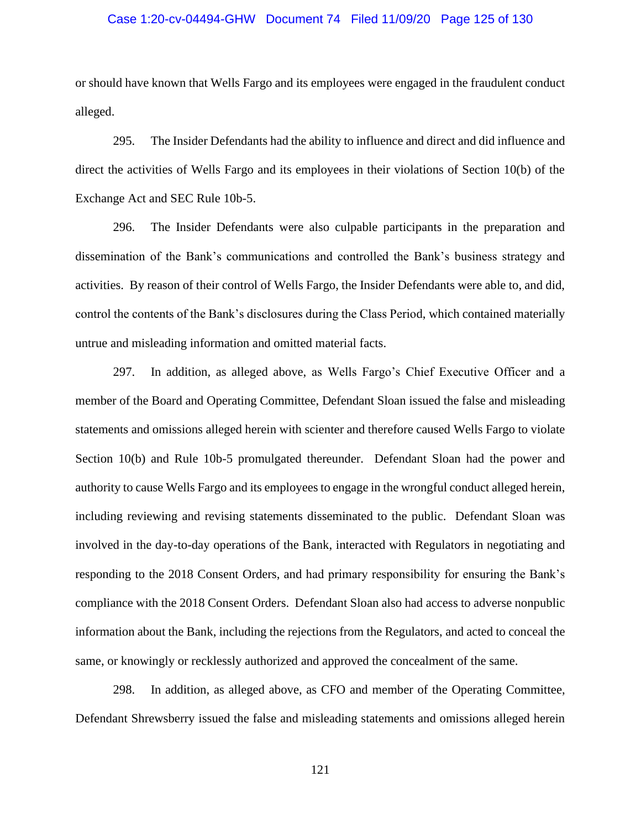#### Case 1:20-cv-04494-GHW Document 74 Filed 11/09/20 Page 125 of 130

or should have known that Wells Fargo and its employees were engaged in the fraudulent conduct alleged.

295. The Insider Defendants had the ability to influence and direct and did influence and direct the activities of Wells Fargo and its employees in their violations of Section 10(b) of the Exchange Act and SEC Rule 10b-5.

296. The Insider Defendants were also culpable participants in the preparation and dissemination of the Bank's communications and controlled the Bank's business strategy and activities. By reason of their control of Wells Fargo, the Insider Defendants were able to, and did, control the contents of the Bank's disclosures during the Class Period, which contained materially untrue and misleading information and omitted material facts.

297. In addition, as alleged above, as Wells Fargo's Chief Executive Officer and a member of the Board and Operating Committee, Defendant Sloan issued the false and misleading statements and omissions alleged herein with scienter and therefore caused Wells Fargo to violate Section 10(b) and Rule 10b-5 promulgated thereunder. Defendant Sloan had the power and authority to cause Wells Fargo and its employees to engage in the wrongful conduct alleged herein, including reviewing and revising statements disseminated to the public. Defendant Sloan was involved in the day-to-day operations of the Bank, interacted with Regulators in negotiating and responding to the 2018 Consent Orders, and had primary responsibility for ensuring the Bank's compliance with the 2018 Consent Orders. Defendant Sloan also had access to adverse nonpublic information about the Bank, including the rejections from the Regulators, and acted to conceal the same, or knowingly or recklessly authorized and approved the concealment of the same.

298. In addition, as alleged above, as CFO and member of the Operating Committee, Defendant Shrewsberry issued the false and misleading statements and omissions alleged herein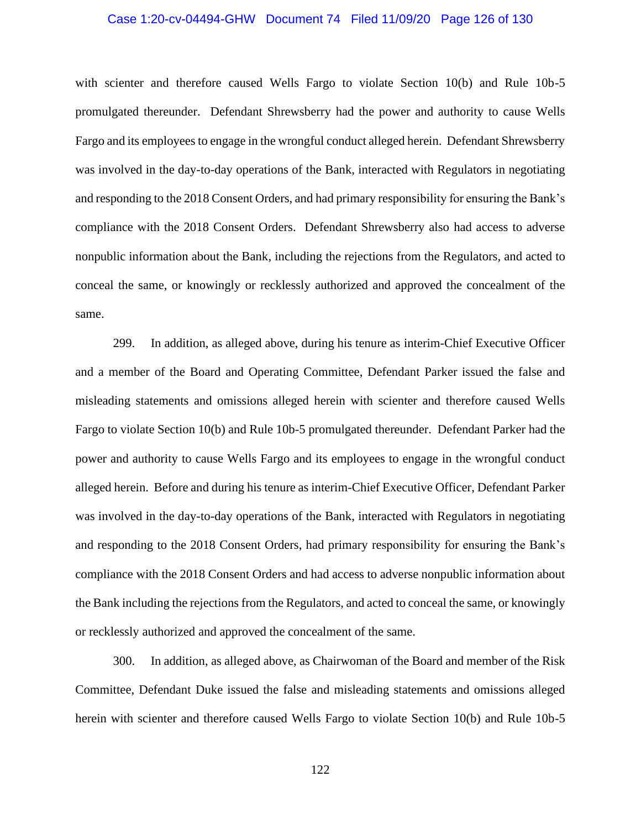#### Case 1:20-cv-04494-GHW Document 74 Filed 11/09/20 Page 126 of 130

with scienter and therefore caused Wells Fargo to violate Section 10(b) and Rule 10b-5 promulgated thereunder. Defendant Shrewsberry had the power and authority to cause Wells Fargo and its employees to engage in the wrongful conduct alleged herein. Defendant Shrewsberry was involved in the day-to-day operations of the Bank, interacted with Regulators in negotiating and responding to the 2018 Consent Orders, and had primary responsibility for ensuring the Bank's compliance with the 2018 Consent Orders. Defendant Shrewsberry also had access to adverse nonpublic information about the Bank, including the rejections from the Regulators, and acted to conceal the same, or knowingly or recklessly authorized and approved the concealment of the same.

299. In addition, as alleged above, during his tenure as interim-Chief Executive Officer and a member of the Board and Operating Committee, Defendant Parker issued the false and misleading statements and omissions alleged herein with scienter and therefore caused Wells Fargo to violate Section 10(b) and Rule 10b-5 promulgated thereunder. Defendant Parker had the power and authority to cause Wells Fargo and its employees to engage in the wrongful conduct alleged herein. Before and during his tenure as interim-Chief Executive Officer, Defendant Parker was involved in the day-to-day operations of the Bank, interacted with Regulators in negotiating and responding to the 2018 Consent Orders, had primary responsibility for ensuring the Bank's compliance with the 2018 Consent Orders and had access to adverse nonpublic information about the Bank including the rejections from the Regulators, and acted to conceal the same, or knowingly or recklessly authorized and approved the concealment of the same.

300. In addition, as alleged above, as Chairwoman of the Board and member of the Risk Committee, Defendant Duke issued the false and misleading statements and omissions alleged herein with scienter and therefore caused Wells Fargo to violate Section 10(b) and Rule 10b-5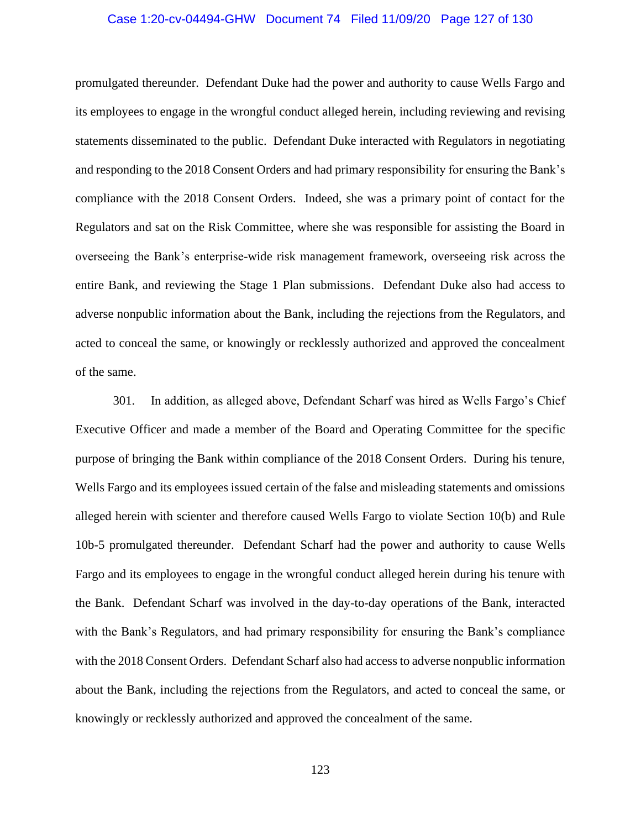#### Case 1:20-cv-04494-GHW Document 74 Filed 11/09/20 Page 127 of 130

promulgated thereunder. Defendant Duke had the power and authority to cause Wells Fargo and its employees to engage in the wrongful conduct alleged herein, including reviewing and revising statements disseminated to the public. Defendant Duke interacted with Regulators in negotiating and responding to the 2018 Consent Orders and had primary responsibility for ensuring the Bank's compliance with the 2018 Consent Orders. Indeed, she was a primary point of contact for the Regulators and sat on the Risk Committee, where she was responsible for assisting the Board in overseeing the Bank's enterprise-wide risk management framework, overseeing risk across the entire Bank, and reviewing the Stage 1 Plan submissions. Defendant Duke also had access to adverse nonpublic information about the Bank, including the rejections from the Regulators, and acted to conceal the same, or knowingly or recklessly authorized and approved the concealment of the same.

301. In addition, as alleged above, Defendant Scharf was hired as Wells Fargo's Chief Executive Officer and made a member of the Board and Operating Committee for the specific purpose of bringing the Bank within compliance of the 2018 Consent Orders. During his tenure, Wells Fargo and its employees issued certain of the false and misleading statements and omissions alleged herein with scienter and therefore caused Wells Fargo to violate Section 10(b) and Rule 10b-5 promulgated thereunder. Defendant Scharf had the power and authority to cause Wells Fargo and its employees to engage in the wrongful conduct alleged herein during his tenure with the Bank. Defendant Scharf was involved in the day-to-day operations of the Bank, interacted with the Bank's Regulators, and had primary responsibility for ensuring the Bank's compliance with the 2018 Consent Orders. Defendant Scharf also had access to adverse nonpublic information about the Bank, including the rejections from the Regulators, and acted to conceal the same, or knowingly or recklessly authorized and approved the concealment of the same.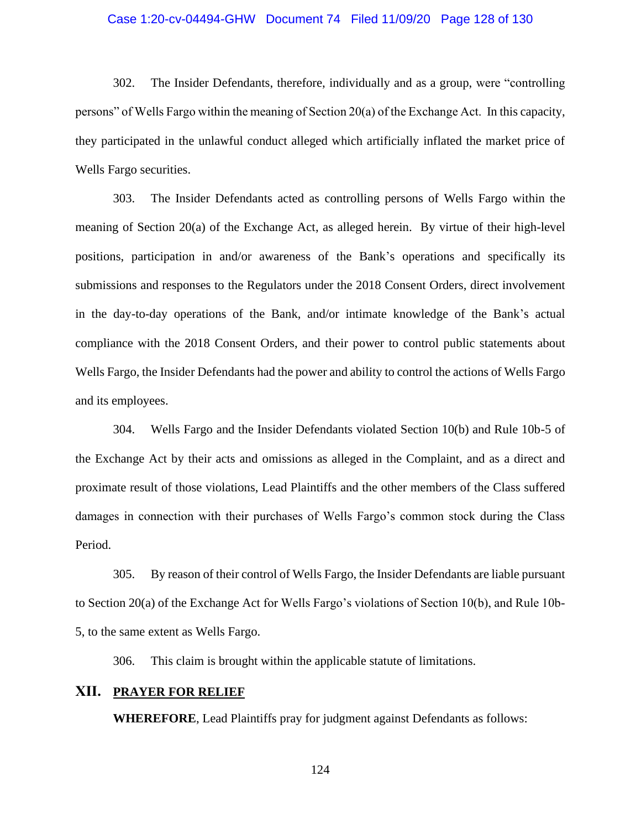#### Case 1:20-cv-04494-GHW Document 74 Filed 11/09/20 Page 128 of 130

302. The Insider Defendants, therefore, individually and as a group, were "controlling persons" of Wells Fargo within the meaning of Section 20(a) of the Exchange Act. In this capacity, they participated in the unlawful conduct alleged which artificially inflated the market price of Wells Fargo securities.

303. The Insider Defendants acted as controlling persons of Wells Fargo within the meaning of Section 20(a) of the Exchange Act, as alleged herein. By virtue of their high-level positions, participation in and/or awareness of the Bank's operations and specifically its submissions and responses to the Regulators under the 2018 Consent Orders, direct involvement in the day-to-day operations of the Bank, and/or intimate knowledge of the Bank's actual compliance with the 2018 Consent Orders, and their power to control public statements about Wells Fargo, the Insider Defendants had the power and ability to control the actions of Wells Fargo and its employees.

304. Wells Fargo and the Insider Defendants violated Section 10(b) and Rule 10b-5 of the Exchange Act by their acts and omissions as alleged in the Complaint, and as a direct and proximate result of those violations, Lead Plaintiffs and the other members of the Class suffered damages in connection with their purchases of Wells Fargo's common stock during the Class Period.

305. By reason of their control of Wells Fargo, the Insider Defendants are liable pursuant to Section 20(a) of the Exchange Act for Wells Fargo's violations of Section 10(b), and Rule 10b-5, to the same extent as Wells Fargo.

306. This claim is brought within the applicable statute of limitations.

#### **XII. PRAYER FOR RELIEF**

**WHEREFORE**, Lead Plaintiffs pray for judgment against Defendants as follows: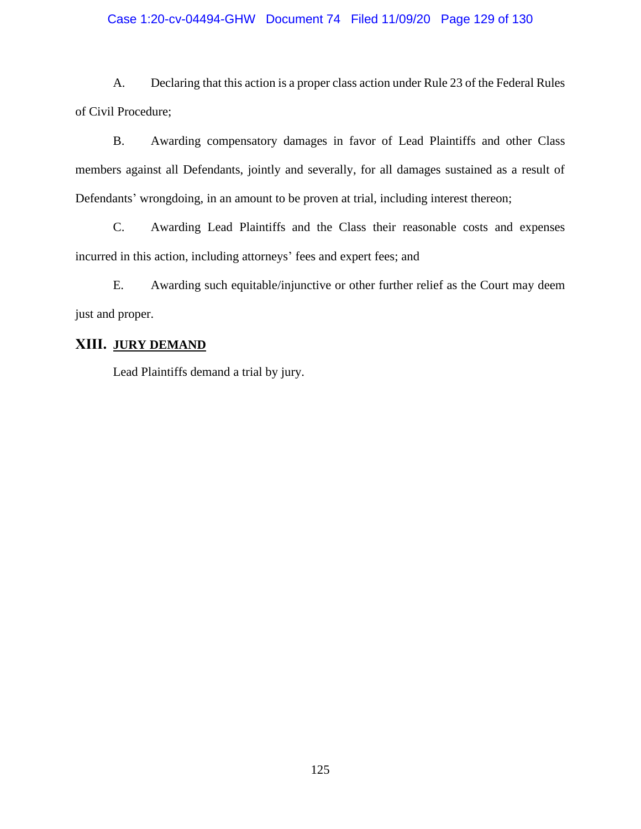## Case 1:20-cv-04494-GHW Document 74 Filed 11/09/20 Page 129 of 130

A. Declaring that this action is a proper class action under Rule 23 of the Federal Rules of Civil Procedure;

B. Awarding compensatory damages in favor of Lead Plaintiffs and other Class members against all Defendants, jointly and severally, for all damages sustained as a result of Defendants' wrongdoing, in an amount to be proven at trial, including interest thereon;

C. Awarding Lead Plaintiffs and the Class their reasonable costs and expenses incurred in this action, including attorneys' fees and expert fees; and

E. Awarding such equitable/injunctive or other further relief as the Court may deem just and proper.

# **XIII. JURY DEMAND**

Lead Plaintiffs demand a trial by jury.